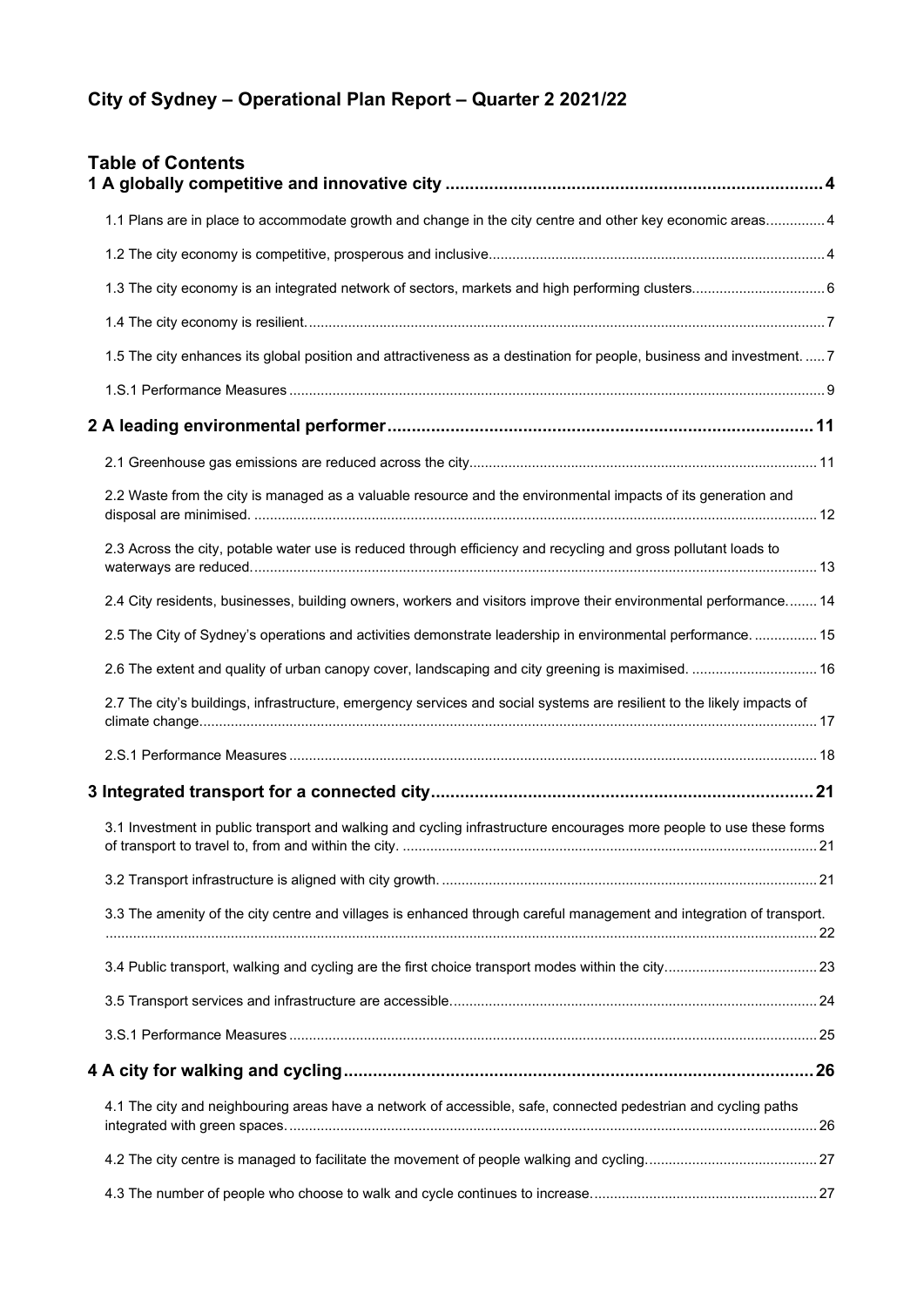# **City of Sydney – Operational Plan Report – Quarter 2 2021/22**

| <b>Table of Contents</b>                                                                                               |  |
|------------------------------------------------------------------------------------------------------------------------|--|
| 1.1 Plans are in place to accommodate growth and change in the city centre and other key economic areas 4              |  |
|                                                                                                                        |  |
|                                                                                                                        |  |
|                                                                                                                        |  |
| 1.5 The city enhances its global position and attractiveness as a destination for people, business and investment.  7  |  |
|                                                                                                                        |  |
|                                                                                                                        |  |
|                                                                                                                        |  |
| 2.2 Waste from the city is managed as a valuable resource and the environmental impacts of its generation and          |  |
| 2.3 Across the city, potable water use is reduced through efficiency and recycling and gross pollutant loads to        |  |
| 2.4 City residents, businesses, building owners, workers and visitors improve their environmental performance 14       |  |
| 2.5 The City of Sydney's operations and activities demonstrate leadership in environmental performance.  15            |  |
| 2.6 The extent and quality of urban canopy cover, landscaping and city greening is maximised.  16                      |  |
| 2.7 The city's buildings, infrastructure, emergency services and social systems are resilient to the likely impacts of |  |
|                                                                                                                        |  |
|                                                                                                                        |  |
| 3.1 Investment in public transport and walking and cycling infrastructure encourages more people to use these forms    |  |
|                                                                                                                        |  |
| 3.3 The amenity of the city centre and villages is enhanced through careful management and integration of transport.   |  |
|                                                                                                                        |  |
|                                                                                                                        |  |
|                                                                                                                        |  |
|                                                                                                                        |  |
| 4.1 The city and neighbouring areas have a network of accessible, safe, connected pedestrian and cycling paths         |  |
|                                                                                                                        |  |
|                                                                                                                        |  |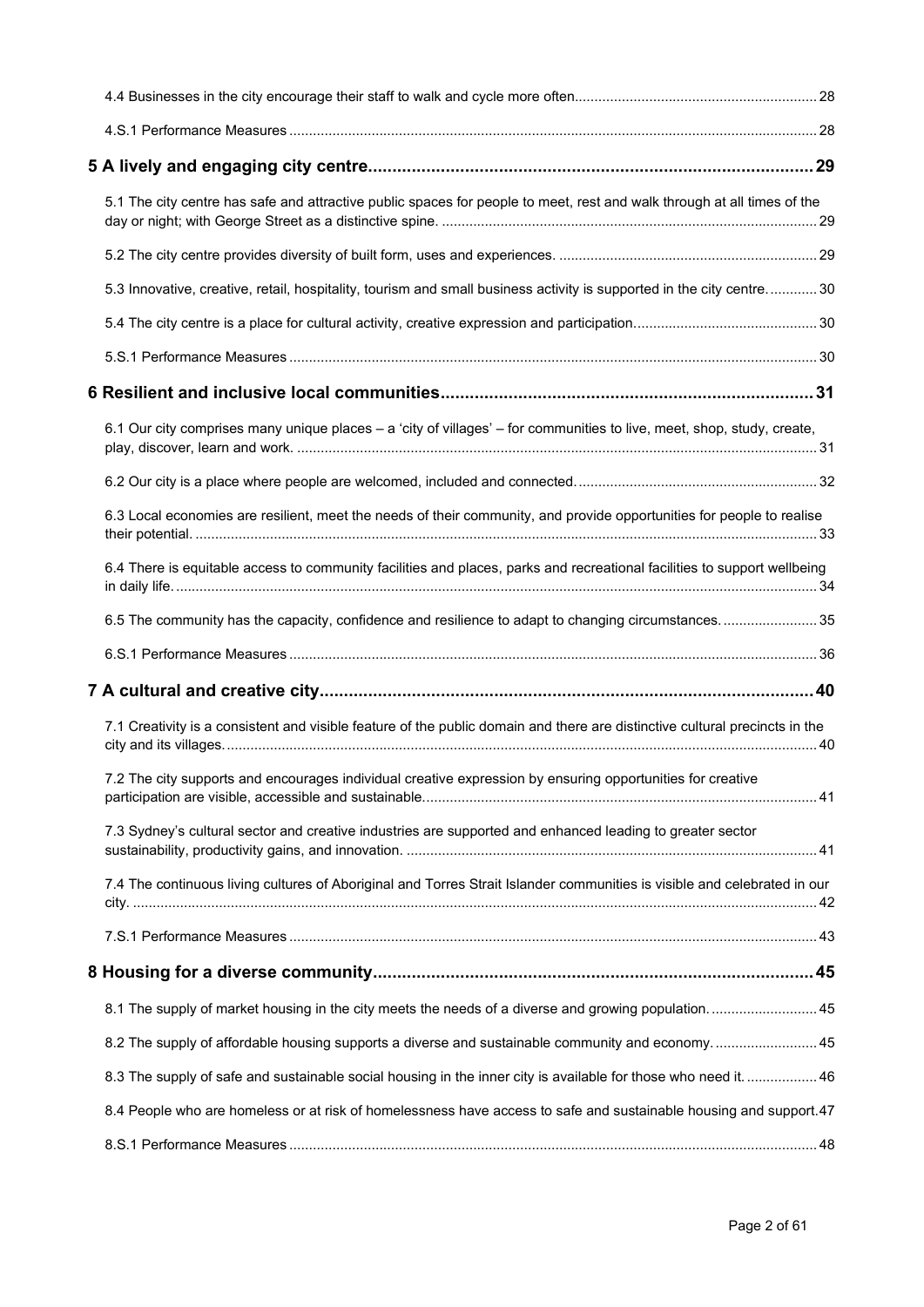| 5.1 The city centre has safe and attractive public spaces for people to meet, rest and walk through at all times of the     |  |
|-----------------------------------------------------------------------------------------------------------------------------|--|
|                                                                                                                             |  |
| 5.3 Innovative, creative, retail, hospitality, tourism and small business activity is supported in the city centre 30       |  |
|                                                                                                                             |  |
|                                                                                                                             |  |
|                                                                                                                             |  |
| 6.1 Our city comprises many unique places - a 'city of villages' - for communities to live, meet, shop, study, create,      |  |
|                                                                                                                             |  |
| 6.3 Local economies are resilient, meet the needs of their community, and provide opportunities for people to realise       |  |
| 6.4 There is equitable access to community facilities and places, parks and recreational facilities to support wellbeing    |  |
| 6.5 The community has the capacity, confidence and resilience to adapt to changing circumstances 35                         |  |
|                                                                                                                             |  |
|                                                                                                                             |  |
| 7.1 Creativity is a consistent and visible feature of the public domain and there are distinctive cultural precincts in the |  |
| 7.2 The city supports and encourages individual creative expression by ensuring opportunities for creative                  |  |
| 7.3 Sydney's cultural sector and creative industries are supported and enhanced leading to greater sector                   |  |
| 7.4 The continuous living cultures of Aboriginal and Torres Strait Islander communities is visible and celebrated in our    |  |
|                                                                                                                             |  |
|                                                                                                                             |  |
| 8.1 The supply of market housing in the city meets the needs of a diverse and growing population 45                         |  |
| 8.2 The supply of affordable housing supports a diverse and sustainable community and economy 45                            |  |
| 8.3 The supply of safe and sustainable social housing in the inner city is available for those who need it 46               |  |
| 8.4 People who are homeless or at risk of homelessness have access to safe and sustainable housing and support.47           |  |
|                                                                                                                             |  |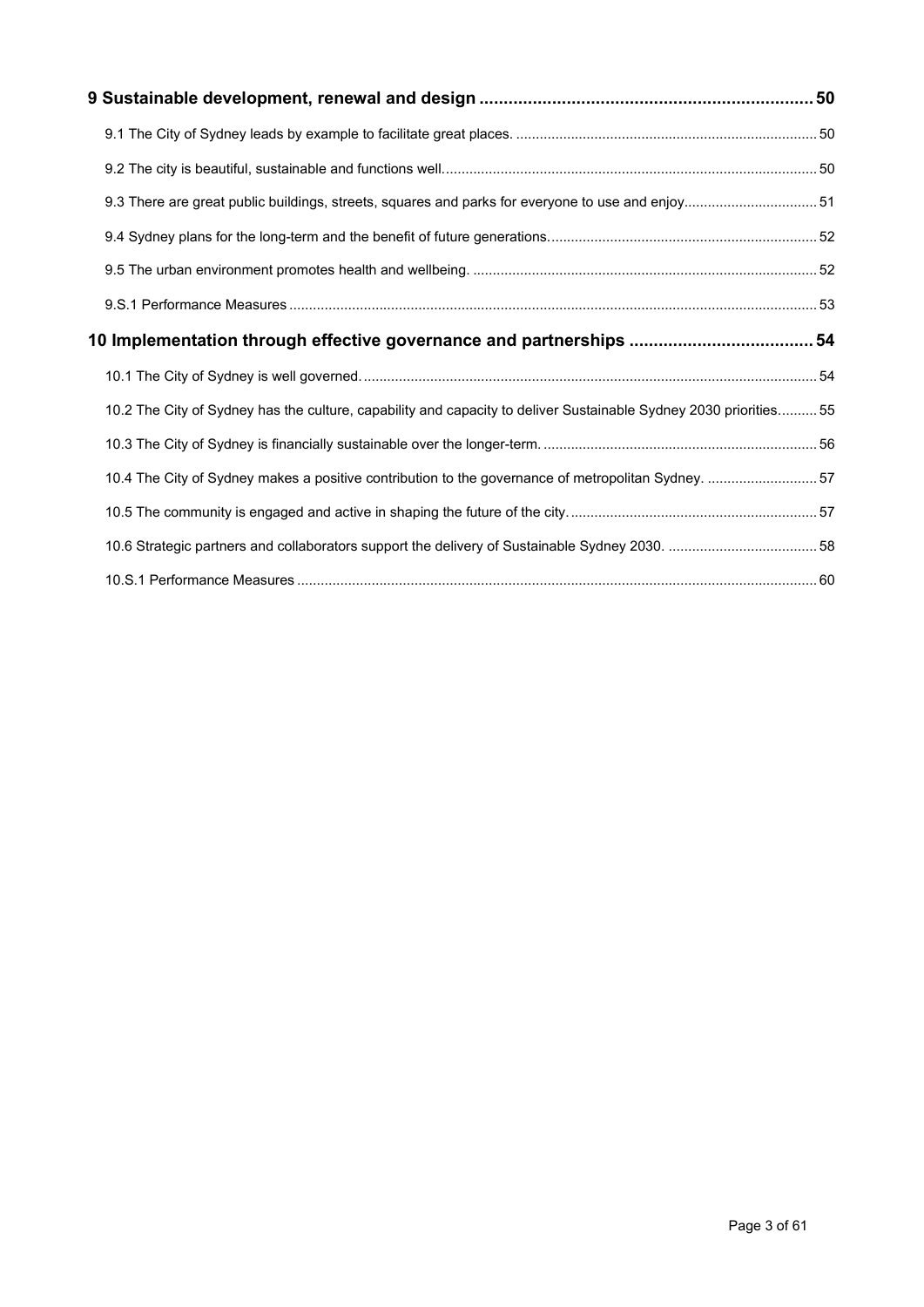| 9.3 There are great public buildings, streets, squares and parks for everyone to use and enjoy 51                 |  |
|-------------------------------------------------------------------------------------------------------------------|--|
|                                                                                                                   |  |
|                                                                                                                   |  |
|                                                                                                                   |  |
|                                                                                                                   |  |
|                                                                                                                   |  |
| 10.2 The City of Sydney has the culture, capability and capacity to deliver Sustainable Sydney 2030 priorities 55 |  |
|                                                                                                                   |  |
| 10.4 The City of Sydney makes a positive contribution to the governance of metropolitan Sydney. 57                |  |
|                                                                                                                   |  |
|                                                                                                                   |  |
|                                                                                                                   |  |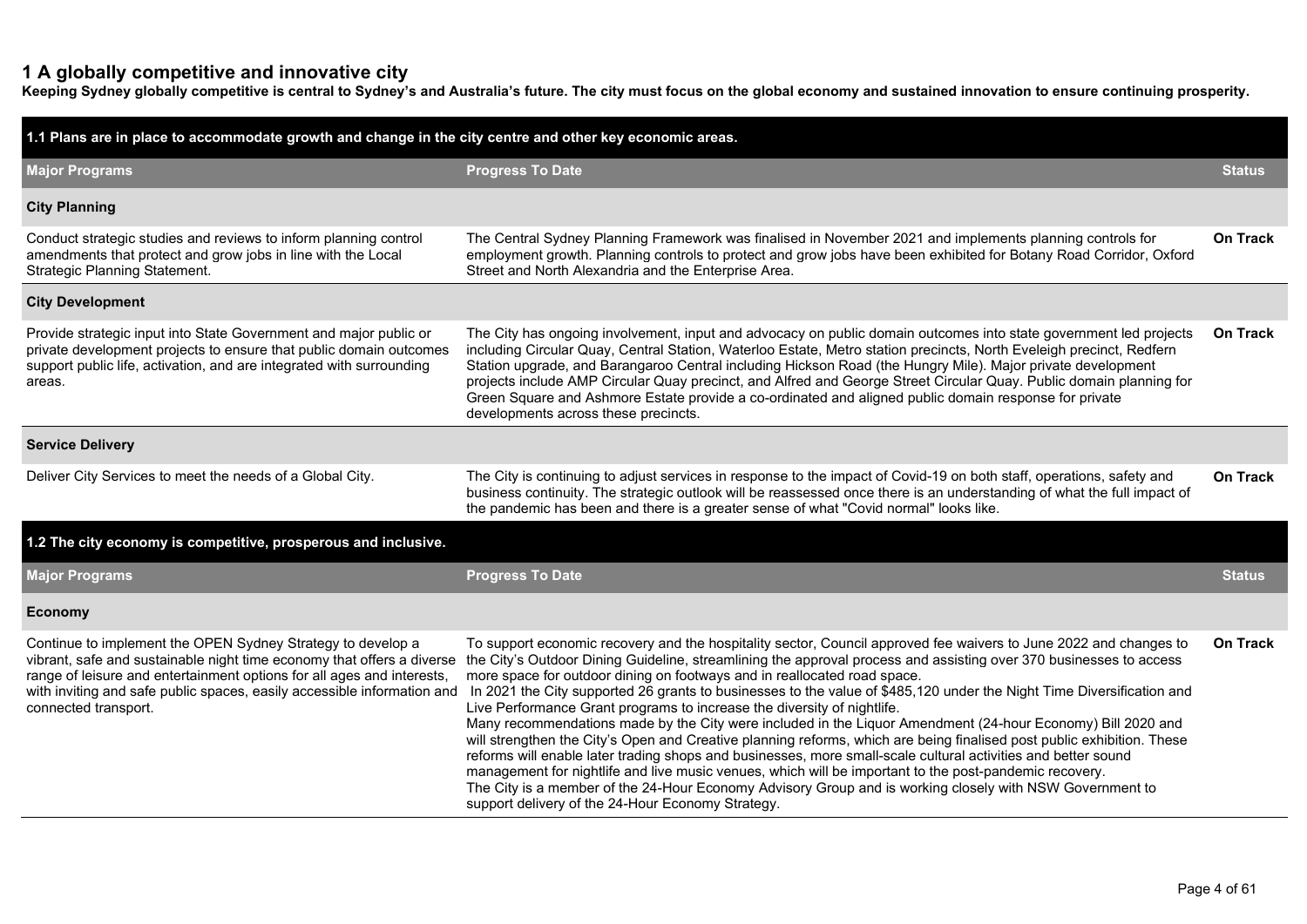### **1 A globally competitive and innovative city**

**Keeping Sydney globally competitive is central to Sydney's and Australia's future. The city must focus on the global economy and sustained innovation to ensure continuing prosperity.**

| 1.1 Plans are in place to accommodate growth and change in the city centre and other key economic areas.                                                                                                                                                                                                           |                                                                                                                                                                                                                                                                                                                                                                                                                                                                                                                                                                                                                                                                                                                                                                                                                                                                                                                                                                                                                                                                                                                                                              |                 |  |  |  |  |  |
|--------------------------------------------------------------------------------------------------------------------------------------------------------------------------------------------------------------------------------------------------------------------------------------------------------------------|--------------------------------------------------------------------------------------------------------------------------------------------------------------------------------------------------------------------------------------------------------------------------------------------------------------------------------------------------------------------------------------------------------------------------------------------------------------------------------------------------------------------------------------------------------------------------------------------------------------------------------------------------------------------------------------------------------------------------------------------------------------------------------------------------------------------------------------------------------------------------------------------------------------------------------------------------------------------------------------------------------------------------------------------------------------------------------------------------------------------------------------------------------------|-----------------|--|--|--|--|--|
| <b>Major Programs</b>                                                                                                                                                                                                                                                                                              | <b>Progress To Date</b>                                                                                                                                                                                                                                                                                                                                                                                                                                                                                                                                                                                                                                                                                                                                                                                                                                                                                                                                                                                                                                                                                                                                      | <b>Status</b>   |  |  |  |  |  |
| <b>City Planning</b>                                                                                                                                                                                                                                                                                               |                                                                                                                                                                                                                                                                                                                                                                                                                                                                                                                                                                                                                                                                                                                                                                                                                                                                                                                                                                                                                                                                                                                                                              |                 |  |  |  |  |  |
| Conduct strategic studies and reviews to inform planning control<br>amendments that protect and grow jobs in line with the Local<br>Strategic Planning Statement.                                                                                                                                                  | The Central Sydney Planning Framework was finalised in November 2021 and implements planning controls for<br>employment growth. Planning controls to protect and grow jobs have been exhibited for Botany Road Corridor, Oxford<br>Street and North Alexandria and the Enterprise Area.                                                                                                                                                                                                                                                                                                                                                                                                                                                                                                                                                                                                                                                                                                                                                                                                                                                                      | <b>On Track</b> |  |  |  |  |  |
| <b>City Development</b>                                                                                                                                                                                                                                                                                            |                                                                                                                                                                                                                                                                                                                                                                                                                                                                                                                                                                                                                                                                                                                                                                                                                                                                                                                                                                                                                                                                                                                                                              |                 |  |  |  |  |  |
| Provide strategic input into State Government and major public or<br>private development projects to ensure that public domain outcomes<br>support public life, activation, and are integrated with surrounding<br>areas.                                                                                          | The City has ongoing involvement, input and advocacy on public domain outcomes into state government led projects<br>including Circular Quay, Central Station, Waterloo Estate, Metro station precincts, North Eveleigh precinct, Redfern<br>Station upgrade, and Barangaroo Central including Hickson Road (the Hungry Mile). Major private development<br>projects include AMP Circular Quay precinct, and Alfred and George Street Circular Quay. Public domain planning for<br>Green Square and Ashmore Estate provide a co-ordinated and aligned public domain response for private<br>developments across these precincts.                                                                                                                                                                                                                                                                                                                                                                                                                                                                                                                             | On Track        |  |  |  |  |  |
| <b>Service Delivery</b>                                                                                                                                                                                                                                                                                            |                                                                                                                                                                                                                                                                                                                                                                                                                                                                                                                                                                                                                                                                                                                                                                                                                                                                                                                                                                                                                                                                                                                                                              |                 |  |  |  |  |  |
| Deliver City Services to meet the needs of a Global City.                                                                                                                                                                                                                                                          | The City is continuing to adjust services in response to the impact of Covid-19 on both staff, operations, safety and<br>business continuity. The strategic outlook will be reassessed once there is an understanding of what the full impact of<br>the pandemic has been and there is a greater sense of what "Covid normal" looks like.                                                                                                                                                                                                                                                                                                                                                                                                                                                                                                                                                                                                                                                                                                                                                                                                                    | On Track        |  |  |  |  |  |
| 1.2 The city economy is competitive, prosperous and inclusive.                                                                                                                                                                                                                                                     |                                                                                                                                                                                                                                                                                                                                                                                                                                                                                                                                                                                                                                                                                                                                                                                                                                                                                                                                                                                                                                                                                                                                                              |                 |  |  |  |  |  |
| <b>Major Programs</b>                                                                                                                                                                                                                                                                                              | <b>Progress To Date</b>                                                                                                                                                                                                                                                                                                                                                                                                                                                                                                                                                                                                                                                                                                                                                                                                                                                                                                                                                                                                                                                                                                                                      | Status          |  |  |  |  |  |
| <b>Economy</b>                                                                                                                                                                                                                                                                                                     |                                                                                                                                                                                                                                                                                                                                                                                                                                                                                                                                                                                                                                                                                                                                                                                                                                                                                                                                                                                                                                                                                                                                                              |                 |  |  |  |  |  |
| Continue to implement the OPEN Sydney Strategy to develop a<br>vibrant, safe and sustainable night time economy that offers a diverse<br>range of leisure and entertainment options for all ages and interests,<br>with inviting and safe public spaces, easily accessible information and<br>connected transport. | To support economic recovery and the hospitality sector, Council approved fee waivers to June 2022 and changes to<br>the City's Outdoor Dining Guideline, streamlining the approval process and assisting over 370 businesses to access<br>more space for outdoor dining on footways and in reallocated road space.<br>In 2021 the City supported 26 grants to businesses to the value of \$485,120 under the Night Time Diversification and<br>Live Performance Grant programs to increase the diversity of nightlife.<br>Many recommendations made by the City were included in the Liquor Amendment (24-hour Economy) Bill 2020 and<br>will strengthen the City's Open and Creative planning reforms, which are being finalised post public exhibition. These<br>reforms will enable later trading shops and businesses, more small-scale cultural activities and better sound<br>management for nightlife and live music venues, which will be important to the post-pandemic recovery.<br>The City is a member of the 24-Hour Economy Advisory Group and is working closely with NSW Government to<br>support delivery of the 24-Hour Economy Strategy. | <b>On Track</b> |  |  |  |  |  |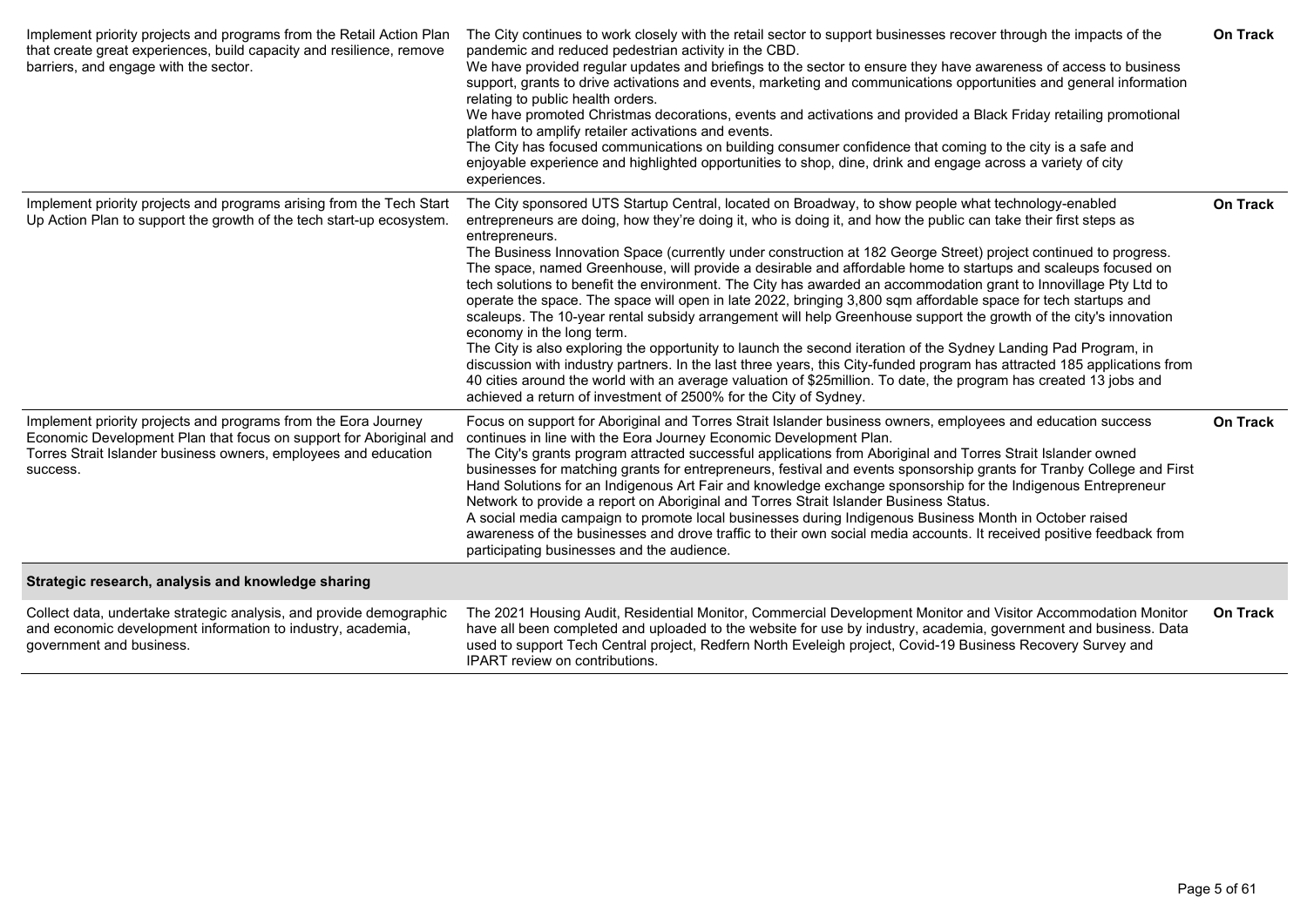| Implement priority projects and programs from the Retail Action Plan<br>that create great experiences, build capacity and resilience, remove<br>barriers, and engage with the sector.                               | The City continues to work closely with the retail sector to support businesses recover through the impacts of the<br>pandemic and reduced pedestrian activity in the CBD.<br>We have provided regular updates and briefings to the sector to ensure they have awareness of access to business<br>support, grants to drive activations and events, marketing and communications opportunities and general information<br>relating to public health orders.<br>We have promoted Christmas decorations, events and activations and provided a Black Friday retailing promotional<br>platform to amplify retailer activations and events.<br>The City has focused communications on building consumer confidence that coming to the city is a safe and<br>enjoyable experience and highlighted opportunities to shop, dine, drink and engage across a variety of city<br>experiences.                                                                                                                                                                                                                                                                                                                                                                                                                             | <b>On Track</b> |
|---------------------------------------------------------------------------------------------------------------------------------------------------------------------------------------------------------------------|----------------------------------------------------------------------------------------------------------------------------------------------------------------------------------------------------------------------------------------------------------------------------------------------------------------------------------------------------------------------------------------------------------------------------------------------------------------------------------------------------------------------------------------------------------------------------------------------------------------------------------------------------------------------------------------------------------------------------------------------------------------------------------------------------------------------------------------------------------------------------------------------------------------------------------------------------------------------------------------------------------------------------------------------------------------------------------------------------------------------------------------------------------------------------------------------------------------------------------------------------------------------------------------------------------------|-----------------|
| Implement priority projects and programs arising from the Tech Start<br>Up Action Plan to support the growth of the tech start-up ecosystem.                                                                        | The City sponsored UTS Startup Central, located on Broadway, to show people what technology-enabled<br>entrepreneurs are doing, how they're doing it, who is doing it, and how the public can take their first steps as<br>entrepreneurs.<br>The Business Innovation Space (currently under construction at 182 George Street) project continued to progress.<br>The space, named Greenhouse, will provide a desirable and affordable home to startups and scaleups focused on<br>tech solutions to benefit the environment. The City has awarded an accommodation grant to Innovillage Pty Ltd to<br>operate the space. The space will open in late 2022, bringing 3,800 sqm affordable space for tech startups and<br>scaleups. The 10-year rental subsidy arrangement will help Greenhouse support the growth of the city's innovation<br>economy in the long term.<br>The City is also exploring the opportunity to launch the second iteration of the Sydney Landing Pad Program, in<br>discussion with industry partners. In the last three years, this City-funded program has attracted 185 applications from<br>40 cities around the world with an average valuation of \$25million. To date, the program has created 13 jobs and<br>achieved a return of investment of 2500% for the City of Sydney. | <b>On Track</b> |
| Implement priority projects and programs from the Eora Journey<br>Economic Development Plan that focus on support for Aboriginal and<br>Torres Strait Islander business owners, employees and education<br>success. | Focus on support for Aboriginal and Torres Strait Islander business owners, employees and education success<br>continues in line with the Eora Journey Economic Development Plan.<br>The City's grants program attracted successful applications from Aboriginal and Torres Strait Islander owned<br>businesses for matching grants for entrepreneurs, festival and events sponsorship grants for Tranby College and First<br>Hand Solutions for an Indigenous Art Fair and knowledge exchange sponsorship for the Indigenous Entrepreneur<br>Network to provide a report on Aboriginal and Torres Strait Islander Business Status.<br>A social media campaign to promote local businesses during Indigenous Business Month in October raised<br>awareness of the businesses and drove traffic to their own social media accounts. It received positive feedback from<br>participating businesses and the audience.                                                                                                                                                                                                                                                                                                                                                                                            | <b>On Track</b> |
| Strategic research, analysis and knowledge sharing                                                                                                                                                                  |                                                                                                                                                                                                                                                                                                                                                                                                                                                                                                                                                                                                                                                                                                                                                                                                                                                                                                                                                                                                                                                                                                                                                                                                                                                                                                                |                 |
| Collect data, undertake strategic analysis, and provide demographic<br>and economic development information to industry, academia,<br>government and business.                                                      | The 2021 Housing Audit, Residential Monitor, Commercial Development Monitor and Visitor Accommodation Monitor<br>have all been completed and uploaded to the website for use by industry, academia, government and business. Data<br>used to support Tech Central project, Redfern North Eveleigh project, Covid-19 Business Recovery Survey and<br>IPART review on contributions.                                                                                                                                                                                                                                                                                                                                                                                                                                                                                                                                                                                                                                                                                                                                                                                                                                                                                                                             | On Track        |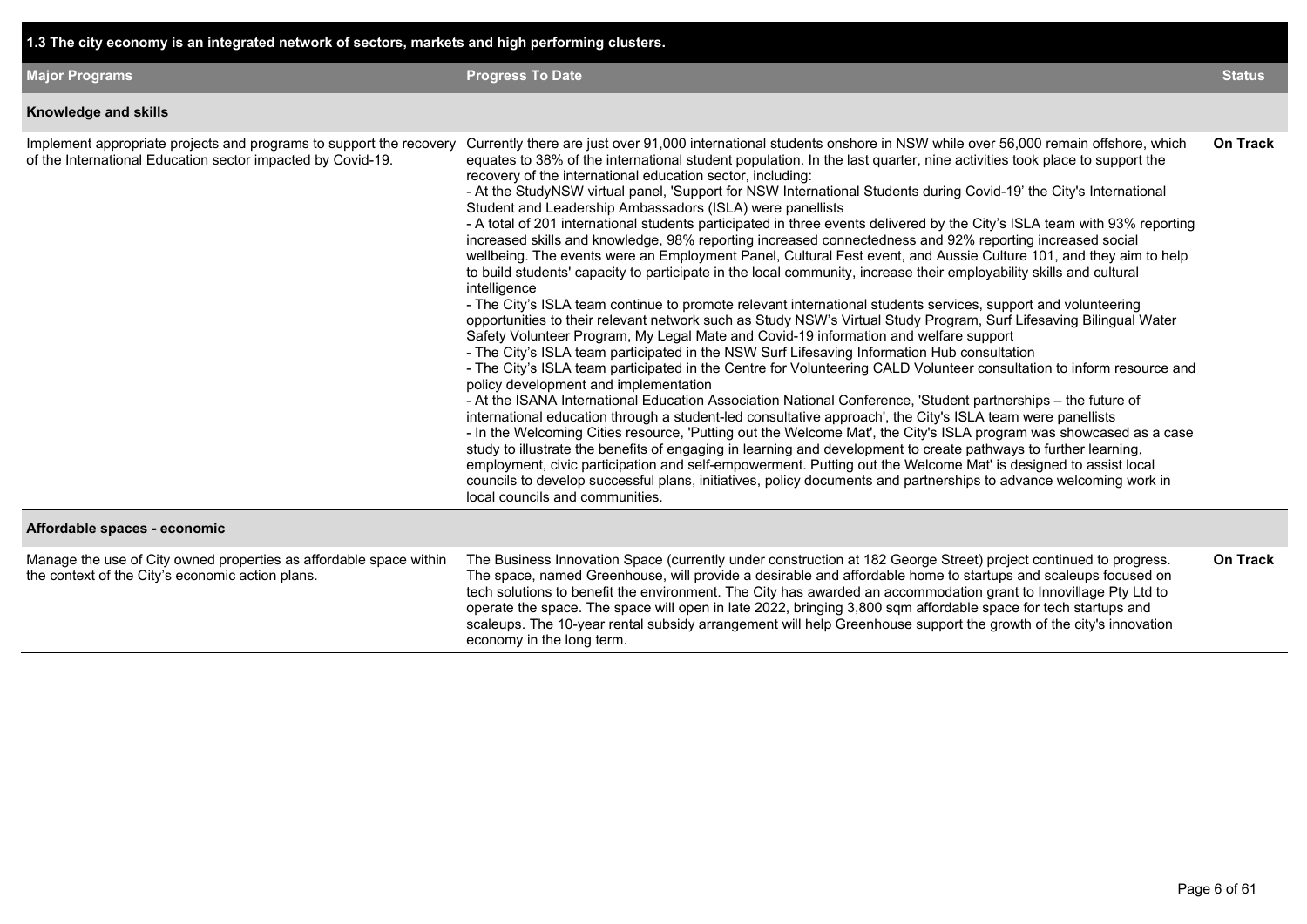|  |  |  |  |  | 1.3 The city economy is an integrated network of sectors, markets and high performing clusters. |
|--|--|--|--|--|-------------------------------------------------------------------------------------------------|
|--|--|--|--|--|-------------------------------------------------------------------------------------------------|

| <b>Major Programs</b>                                                                                                              | <b>Progress To Date</b>                                                                                                                                                                                                                                                                                                                                                                                                                                                                                                                                                                                                                                                                                                                                                                                                                                                                                                                                                                                                                                                                                                                                                                                                                                                                                                                                                                                                                                                                                                                                                                                                                                                                                                                                                                                                                                                                                                                                                                                                                                                                                                                                                                                                                                                                                                                                | <b>Status</b>   |
|------------------------------------------------------------------------------------------------------------------------------------|--------------------------------------------------------------------------------------------------------------------------------------------------------------------------------------------------------------------------------------------------------------------------------------------------------------------------------------------------------------------------------------------------------------------------------------------------------------------------------------------------------------------------------------------------------------------------------------------------------------------------------------------------------------------------------------------------------------------------------------------------------------------------------------------------------------------------------------------------------------------------------------------------------------------------------------------------------------------------------------------------------------------------------------------------------------------------------------------------------------------------------------------------------------------------------------------------------------------------------------------------------------------------------------------------------------------------------------------------------------------------------------------------------------------------------------------------------------------------------------------------------------------------------------------------------------------------------------------------------------------------------------------------------------------------------------------------------------------------------------------------------------------------------------------------------------------------------------------------------------------------------------------------------------------------------------------------------------------------------------------------------------------------------------------------------------------------------------------------------------------------------------------------------------------------------------------------------------------------------------------------------------------------------------------------------------------------------------------------------|-----------------|
| Knowledge and skills                                                                                                               |                                                                                                                                                                                                                                                                                                                                                                                                                                                                                                                                                                                                                                                                                                                                                                                                                                                                                                                                                                                                                                                                                                                                                                                                                                                                                                                                                                                                                                                                                                                                                                                                                                                                                                                                                                                                                                                                                                                                                                                                                                                                                                                                                                                                                                                                                                                                                        |                 |
| Implement appropriate projects and programs to support the recovery<br>of the International Education sector impacted by Covid-19. | Currently there are just over 91,000 international students onshore in NSW while over 56,000 remain offshore, which<br>equates to 38% of the international student population. In the last quarter, nine activities took place to support the<br>recovery of the international education sector, including:<br>- At the StudyNSW virtual panel, 'Support for NSW International Students during Covid-19' the City's International<br>Student and Leadership Ambassadors (ISLA) were panellists<br>- A total of 201 international students participated in three events delivered by the City's ISLA team with 93% reporting<br>increased skills and knowledge, 98% reporting increased connectedness and 92% reporting increased social<br>wellbeing. The events were an Employment Panel, Cultural Fest event, and Aussie Culture 101, and they aim to help<br>to build students' capacity to participate in the local community, increase their employability skills and cultural<br>intelligence<br>- The City's ISLA team continue to promote relevant international students services, support and volunteering<br>opportunities to their relevant network such as Study NSW's Virtual Study Program, Surf Lifesaving Bilingual Water<br>Safety Volunteer Program, My Legal Mate and Covid-19 information and welfare support<br>- The City's ISLA team participated in the NSW Surf Lifesaving Information Hub consultation<br>- The City's ISLA team participated in the Centre for Volunteering CALD Volunteer consultation to inform resource and<br>policy development and implementation<br>- At the ISANA International Education Association National Conference, 'Student partnerships - the future of<br>international education through a student-led consultative approach', the City's ISLA team were panellists<br>- In the Welcoming Cities resource, 'Putting out the Welcome Mat', the City's ISLA program was showcased as a case<br>study to illustrate the benefits of engaging in learning and development to create pathways to further learning,<br>employment, civic participation and self-empowerment. Putting out the Welcome Mat' is designed to assist local<br>councils to develop successful plans, initiatives, policy documents and partnerships to advance welcoming work in<br>local councils and communities. | <b>On Track</b> |
| Affordable spaces - economic                                                                                                       |                                                                                                                                                                                                                                                                                                                                                                                                                                                                                                                                                                                                                                                                                                                                                                                                                                                                                                                                                                                                                                                                                                                                                                                                                                                                                                                                                                                                                                                                                                                                                                                                                                                                                                                                                                                                                                                                                                                                                                                                                                                                                                                                                                                                                                                                                                                                                        |                 |
| Manage the use of City owned properties as affordable space within<br>the context of the City's economic action plans.             | The Business Innovation Space (currently under construction at 182 George Street) project continued to progress.<br>The space, named Greenhouse, will provide a desirable and affordable home to startups and scaleups focused on<br>tech solutions to benefit the environment. The City has awarded an accommodation grant to Innovillage Pty Ltd to<br>operate the space. The space will open in late 2022, bringing 3,800 sqm affordable space for tech startups and<br>scaleups. The 10-year rental subsidy arrangement will help Greenhouse support the growth of the city's innovation<br>economy in the long term.                                                                                                                                                                                                                                                                                                                                                                                                                                                                                                                                                                                                                                                                                                                                                                                                                                                                                                                                                                                                                                                                                                                                                                                                                                                                                                                                                                                                                                                                                                                                                                                                                                                                                                                              | On Track        |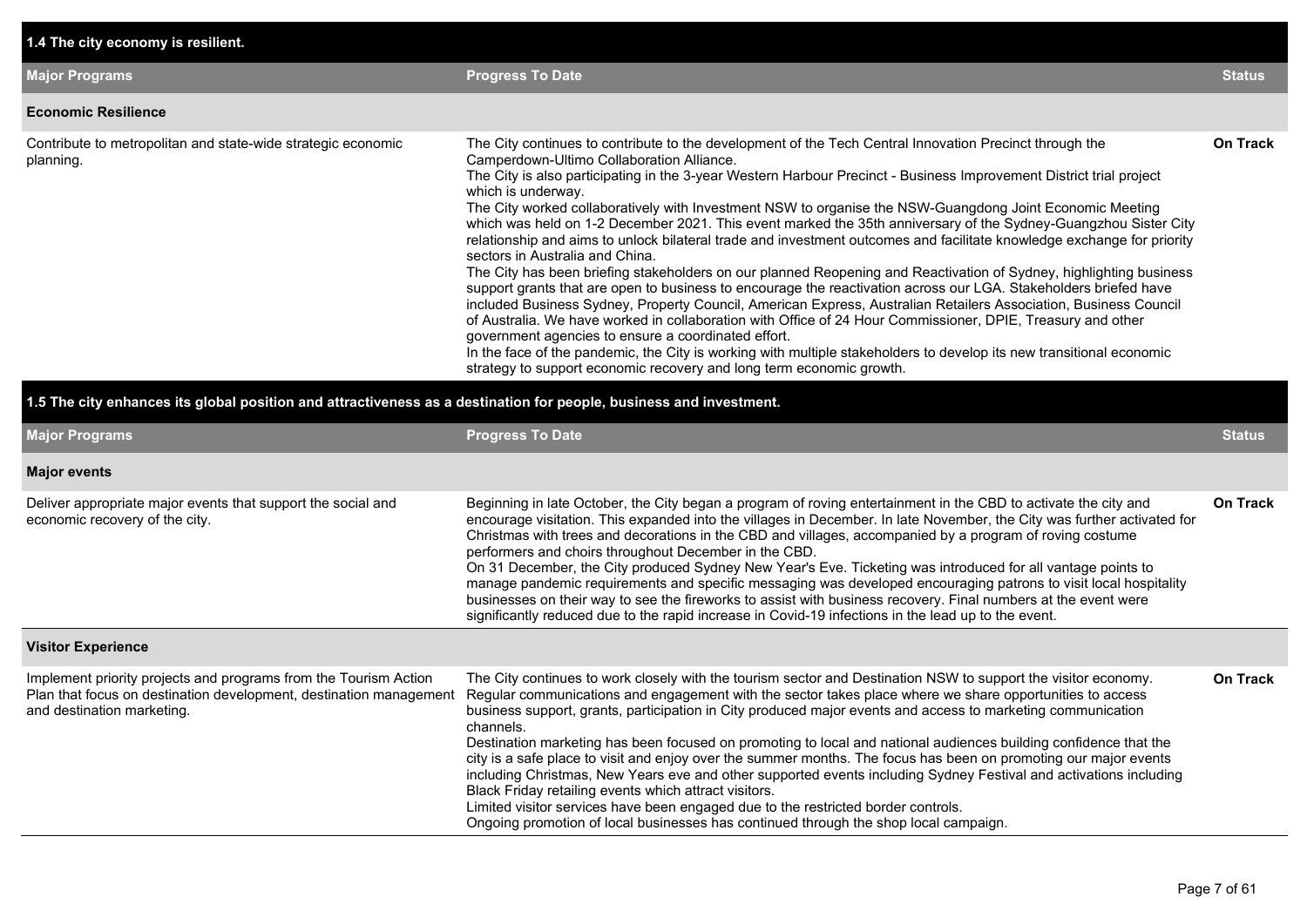| 1.4 The city economy is resilient.                                                                                                                                                                                                                                                                                                                                                                                                                                                                                                                                                                                                                                                                                                                                                                                                                                                                                                                                                                                                                                                                                                                                                                                                                                                                                                                                                                                                |                                                                                                                    |  |  |  |  |  |  |  |  |
|-----------------------------------------------------------------------------------------------------------------------------------------------------------------------------------------------------------------------------------------------------------------------------------------------------------------------------------------------------------------------------------------------------------------------------------------------------------------------------------------------------------------------------------------------------------------------------------------------------------------------------------------------------------------------------------------------------------------------------------------------------------------------------------------------------------------------------------------------------------------------------------------------------------------------------------------------------------------------------------------------------------------------------------------------------------------------------------------------------------------------------------------------------------------------------------------------------------------------------------------------------------------------------------------------------------------------------------------------------------------------------------------------------------------------------------|--------------------------------------------------------------------------------------------------------------------|--|--|--|--|--|--|--|--|
| <b>Progress To Date</b>                                                                                                                                                                                                                                                                                                                                                                                                                                                                                                                                                                                                                                                                                                                                                                                                                                                                                                                                                                                                                                                                                                                                                                                                                                                                                                                                                                                                           | <b>Status</b>                                                                                                      |  |  |  |  |  |  |  |  |
|                                                                                                                                                                                                                                                                                                                                                                                                                                                                                                                                                                                                                                                                                                                                                                                                                                                                                                                                                                                                                                                                                                                                                                                                                                                                                                                                                                                                                                   |                                                                                                                    |  |  |  |  |  |  |  |  |
| The City continues to contribute to the development of the Tech Central Innovation Precinct through the<br>Camperdown-Ultimo Collaboration Alliance.<br>The City is also participating in the 3-year Western Harbour Precinct - Business Improvement District trial project<br>which is underway.<br>The City worked collaboratively with Investment NSW to organise the NSW-Guangdong Joint Economic Meeting<br>which was held on 1-2 December 2021. This event marked the 35th anniversary of the Sydney-Guangzhou Sister City<br>relationship and aims to unlock bilateral trade and investment outcomes and facilitate knowledge exchange for priority<br>sectors in Australia and China.<br>The City has been briefing stakeholders on our planned Reopening and Reactivation of Sydney, highlighting business<br>support grants that are open to business to encourage the reactivation across our LGA. Stakeholders briefed have<br>included Business Sydney, Property Council, American Express, Australian Retailers Association, Business Council<br>of Australia. We have worked in collaboration with Office of 24 Hour Commissioner, DPIE, Treasury and other<br>government agencies to ensure a coordinated effort.<br>In the face of the pandemic, the City is working with multiple stakeholders to develop its new transitional economic<br>strategy to support economic recovery and long term economic growth. | <b>On Track</b>                                                                                                    |  |  |  |  |  |  |  |  |
|                                                                                                                                                                                                                                                                                                                                                                                                                                                                                                                                                                                                                                                                                                                                                                                                                                                                                                                                                                                                                                                                                                                                                                                                                                                                                                                                                                                                                                   |                                                                                                                    |  |  |  |  |  |  |  |  |
| <b>Progress To Date</b>                                                                                                                                                                                                                                                                                                                                                                                                                                                                                                                                                                                                                                                                                                                                                                                                                                                                                                                                                                                                                                                                                                                                                                                                                                                                                                                                                                                                           | <b>Status</b>                                                                                                      |  |  |  |  |  |  |  |  |
|                                                                                                                                                                                                                                                                                                                                                                                                                                                                                                                                                                                                                                                                                                                                                                                                                                                                                                                                                                                                                                                                                                                                                                                                                                                                                                                                                                                                                                   |                                                                                                                    |  |  |  |  |  |  |  |  |
| Beginning in late October, the City began a program of roving entertainment in the CBD to activate the city and<br>encourage visitation. This expanded into the villages in December. In late November, the City was further activated for<br>Christmas with trees and decorations in the CBD and villages, accompanied by a program of roving costume<br>performers and choirs throughout December in the CBD.<br>On 31 December, the City produced Sydney New Year's Eve. Ticketing was introduced for all vantage points to<br>manage pandemic requirements and specific messaging was developed encouraging patrons to visit local hospitality<br>businesses on their way to see the fireworks to assist with business recovery. Final numbers at the event were<br>significantly reduced due to the rapid increase in Covid-19 infections in the lead up to the event.                                                                                                                                                                                                                                                                                                                                                                                                                                                                                                                                                       | <b>On Track</b>                                                                                                    |  |  |  |  |  |  |  |  |
|                                                                                                                                                                                                                                                                                                                                                                                                                                                                                                                                                                                                                                                                                                                                                                                                                                                                                                                                                                                                                                                                                                                                                                                                                                                                                                                                                                                                                                   | 1.5 The city enhances its global position and attractiveness as a destination for people, business and investment. |  |  |  |  |  |  |  |  |

| Implement priority projects and programs from the Tourism Action<br>Plan that focus on destination development, destination management<br>and destination marketing. | The City continues to work closely with the tourism sector and Destination NSW to support the visitor economy.<br>Regular communications and engagement with the sector takes place where we share opportunities to access<br>business support, grants, participation in City produced major events and access to marketing communication<br>channels.                                                             | <b>On Track</b> |
|----------------------------------------------------------------------------------------------------------------------------------------------------------------------|--------------------------------------------------------------------------------------------------------------------------------------------------------------------------------------------------------------------------------------------------------------------------------------------------------------------------------------------------------------------------------------------------------------------|-----------------|
|                                                                                                                                                                      | Destination marketing has been focused on promoting to local and national audiences building confidence that the<br>city is a safe place to visit and enjoy over the summer months. The focus has been on promoting our major events<br>including Christmas, New Years eve and other supported events including Sydney Festival and activations including<br>Black Friday retailing events which attract visitors. |                 |
|                                                                                                                                                                      | Limited visitor services have been engaged due to the restricted border controls.<br>Ongoing promotion of local businesses has continued through the shop local campaign.                                                                                                                                                                                                                                          |                 |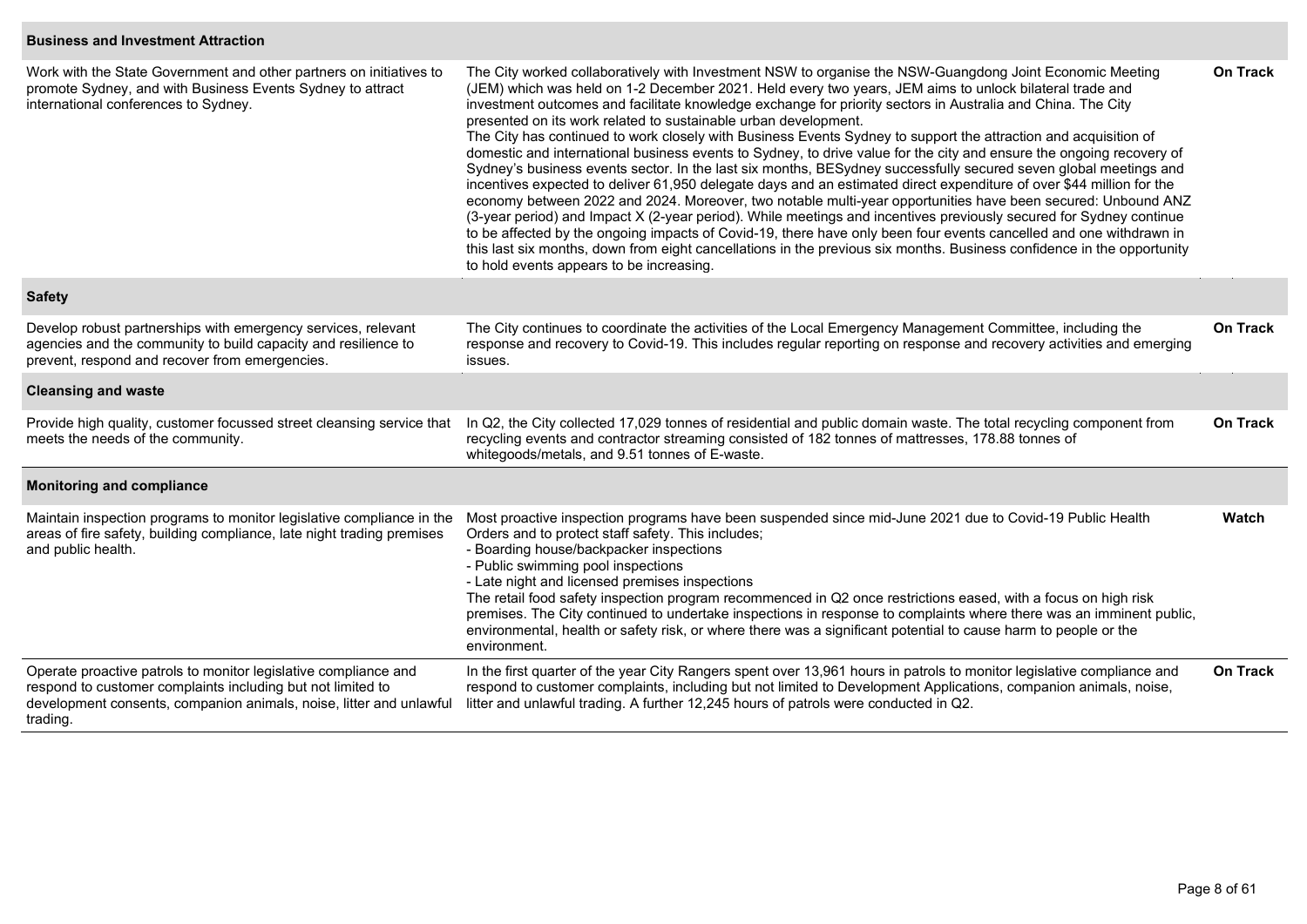#### **Business and Investment Attraction**

| Work with the State Government and other partners on initiatives to<br>promote Sydney, and with Business Events Sydney to attract<br>international conferences to Sydney.                                         | The City worked collaboratively with Investment NSW to organise the NSW-Guangdong Joint Economic Meeting<br>(JEM) which was held on 1-2 December 2021. Held every two years, JEM aims to unlock bilateral trade and<br>investment outcomes and facilitate knowledge exchange for priority sectors in Australia and China. The City<br>presented on its work related to sustainable urban development.<br>The City has continued to work closely with Business Events Sydney to support the attraction and acquisition of<br>domestic and international business events to Sydney, to drive value for the city and ensure the ongoing recovery of<br>Sydney's business events sector. In the last six months, BESydney successfully secured seven global meetings and<br>incentives expected to deliver 61,950 delegate days and an estimated direct expenditure of over \$44 million for the<br>economy between 2022 and 2024. Moreover, two notable multi-year opportunities have been secured: Unbound ANZ<br>(3-year period) and Impact X (2-year period). While meetings and incentives previously secured for Sydney continue<br>to be affected by the ongoing impacts of Covid-19, there have only been four events cancelled and one withdrawn in<br>this last six months, down from eight cancellations in the previous six months. Business confidence in the opportunity<br>to hold events appears to be increasing. |                 |  |  |  |  |
|-------------------------------------------------------------------------------------------------------------------------------------------------------------------------------------------------------------------|--------------------------------------------------------------------------------------------------------------------------------------------------------------------------------------------------------------------------------------------------------------------------------------------------------------------------------------------------------------------------------------------------------------------------------------------------------------------------------------------------------------------------------------------------------------------------------------------------------------------------------------------------------------------------------------------------------------------------------------------------------------------------------------------------------------------------------------------------------------------------------------------------------------------------------------------------------------------------------------------------------------------------------------------------------------------------------------------------------------------------------------------------------------------------------------------------------------------------------------------------------------------------------------------------------------------------------------------------------------------------------------------------------------------------------|-----------------|--|--|--|--|
| <b>Safety</b>                                                                                                                                                                                                     |                                                                                                                                                                                                                                                                                                                                                                                                                                                                                                                                                                                                                                                                                                                                                                                                                                                                                                                                                                                                                                                                                                                                                                                                                                                                                                                                                                                                                                |                 |  |  |  |  |
| Develop robust partnerships with emergency services, relevant<br>agencies and the community to build capacity and resilience to<br>prevent, respond and recover from emergencies.                                 | The City continues to coordinate the activities of the Local Emergency Management Committee, including the<br>response and recovery to Covid-19. This includes regular reporting on response and recovery activities and emerging<br>issues.                                                                                                                                                                                                                                                                                                                                                                                                                                                                                                                                                                                                                                                                                                                                                                                                                                                                                                                                                                                                                                                                                                                                                                                   |                 |  |  |  |  |
| <b>Cleansing and waste</b>                                                                                                                                                                                        |                                                                                                                                                                                                                                                                                                                                                                                                                                                                                                                                                                                                                                                                                                                                                                                                                                                                                                                                                                                                                                                                                                                                                                                                                                                                                                                                                                                                                                |                 |  |  |  |  |
| Provide high quality, customer focussed street cleansing service that<br>meets the needs of the community.                                                                                                        | In Q2, the City collected 17,029 tonnes of residential and public domain waste. The total recycling component from<br>recycling events and contractor streaming consisted of 182 tonnes of mattresses, 178.88 tonnes of<br>whitegoods/metals, and 9.51 tonnes of E-waste.                                                                                                                                                                                                                                                                                                                                                                                                                                                                                                                                                                                                                                                                                                                                                                                                                                                                                                                                                                                                                                                                                                                                                      |                 |  |  |  |  |
| <b>Monitoring and compliance</b>                                                                                                                                                                                  |                                                                                                                                                                                                                                                                                                                                                                                                                                                                                                                                                                                                                                                                                                                                                                                                                                                                                                                                                                                                                                                                                                                                                                                                                                                                                                                                                                                                                                |                 |  |  |  |  |
| Maintain inspection programs to monitor legislative compliance in the<br>areas of fire safety, building compliance, late night trading premises<br>and public health.                                             | Most proactive inspection programs have been suspended since mid-June 2021 due to Covid-19 Public Health<br>Orders and to protect staff safety. This includes;<br>- Boarding house/backpacker inspections<br>- Public swimming pool inspections<br>- Late night and licensed premises inspections<br>The retail food safety inspection program recommenced in Q2 once restrictions eased, with a focus on high risk<br>premises. The City continued to undertake inspections in response to complaints where there was an imminent public,<br>environmental, health or safety risk, or where there was a significant potential to cause harm to people or the<br>environment.                                                                                                                                                                                                                                                                                                                                                                                                                                                                                                                                                                                                                                                                                                                                                  | Watch           |  |  |  |  |
| Operate proactive patrols to monitor legislative compliance and<br>respond to customer complaints including but not limited to<br>development consents, companion animals, noise, litter and unlawful<br>trading. | In the first quarter of the year City Rangers spent over 13,961 hours in patrols to monitor legislative compliance and<br>respond to customer complaints, including but not limited to Development Applications, companion animals, noise,<br>litter and unlawful trading. A further 12,245 hours of patrols were conducted in Q2.                                                                                                                                                                                                                                                                                                                                                                                                                                                                                                                                                                                                                                                                                                                                                                                                                                                                                                                                                                                                                                                                                             | <b>On Track</b> |  |  |  |  |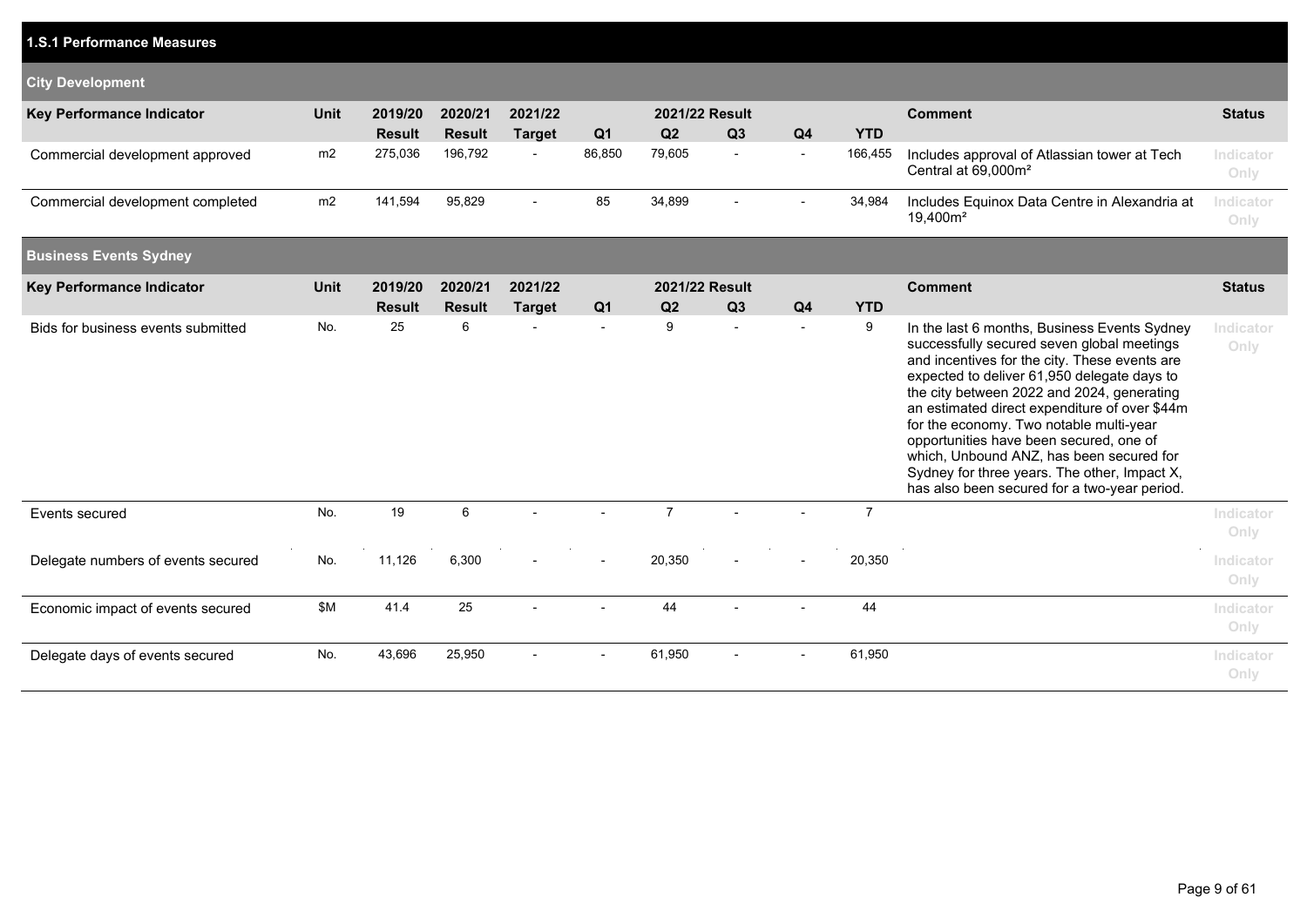| 1.S.1 Performance Measures         |             |                          |                          |                          |                          |                      |                      |                          |                 |                                                                                                                                                                                                                                                                                                                                                                                                                                                                                                                             |                   |
|------------------------------------|-------------|--------------------------|--------------------------|--------------------------|--------------------------|----------------------|----------------------|--------------------------|-----------------|-----------------------------------------------------------------------------------------------------------------------------------------------------------------------------------------------------------------------------------------------------------------------------------------------------------------------------------------------------------------------------------------------------------------------------------------------------------------------------------------------------------------------------|-------------------|
| <b>City Development</b>            |             |                          |                          |                          |                          |                      |                      |                          |                 |                                                                                                                                                                                                                                                                                                                                                                                                                                                                                                                             |                   |
| <b>Key Performance Indicator</b>   | <b>Unit</b> | 2019/20<br><b>Result</b> | 2020/21<br><b>Result</b> | 2021/22<br><b>Target</b> | Q <sub>1</sub>           | 2021/22 Result<br>Q2 | Q3                   | Q <sub>4</sub>           | <b>YTD</b>      | <b>Comment</b>                                                                                                                                                                                                                                                                                                                                                                                                                                                                                                              | <b>Status</b>     |
| Commercial development approved    | m2          | 275,036                  | 196,792                  |                          | 86,850                   | 79,605               | $\blacksquare$       | $\overline{\phantom{a}}$ | 166,455         | Includes approval of Atlassian tower at Tech<br>Central at 69,000m <sup>2</sup>                                                                                                                                                                                                                                                                                                                                                                                                                                             | Indicator<br>Only |
| Commercial development completed   | m2          | 141,594                  | 95,829                   | $\blacksquare$           | 85                       | 34,899               | $\blacksquare$       | $\sim$                   | 34,984          | Includes Equinox Data Centre in Alexandria at<br>19,400m <sup>2</sup>                                                                                                                                                                                                                                                                                                                                                                                                                                                       | Indicator<br>Only |
| <b>Business Events Sydney</b>      |             |                          |                          |                          |                          |                      |                      |                          |                 |                                                                                                                                                                                                                                                                                                                                                                                                                                                                                                                             |                   |
| <b>Key Performance Indicator</b>   | <b>Unit</b> | 2019/20                  | 2020/21                  | 2021/22                  |                          | 2021/22 Result       |                      |                          |                 | <b>Comment</b>                                                                                                                                                                                                                                                                                                                                                                                                                                                                                                              | <b>Status</b>     |
| Bids for business events submitted | No.         | <b>Result</b><br>25      | <b>Result</b><br>6       | <b>Target</b>            | Q <sub>1</sub><br>$\sim$ | Q2<br>9              | Q3<br>$\blacksquare$ | Q4                       | <b>YTD</b><br>9 | In the last 6 months, Business Events Sydney<br>successfully secured seven global meetings<br>and incentives for the city. These events are<br>expected to deliver 61,950 delegate days to<br>the city between 2022 and 2024, generating<br>an estimated direct expenditure of over \$44m<br>for the economy. Two notable multi-year<br>opportunities have been secured, one of<br>which, Unbound ANZ, has been secured for<br>Sydney for three years. The other, Impact X,<br>has also been secured for a two-year period. | Indicator<br>Only |
| Events secured                     | No.         | 19                       | 6                        |                          |                          | $\overline{7}$       |                      |                          | $\overline{7}$  |                                                                                                                                                                                                                                                                                                                                                                                                                                                                                                                             | Indicator<br>Only |
| Delegate numbers of events secured | No.         | 11,126                   | 6,300                    |                          |                          | 20,350               | $\blacksquare$       |                          | 20,350          |                                                                                                                                                                                                                                                                                                                                                                                                                                                                                                                             | Indicator<br>Only |
| Economic impact of events secured  | <b>\$M</b>  | 41.4                     | 25                       |                          |                          | 44                   |                      |                          | 44              |                                                                                                                                                                                                                                                                                                                                                                                                                                                                                                                             | Indicator<br>Only |
| Delegate days of events secured    | No.         | 43,696                   | 25,950                   |                          |                          | 61,950               |                      |                          | 61,950          |                                                                                                                                                                                                                                                                                                                                                                                                                                                                                                                             | Indicator<br>Only |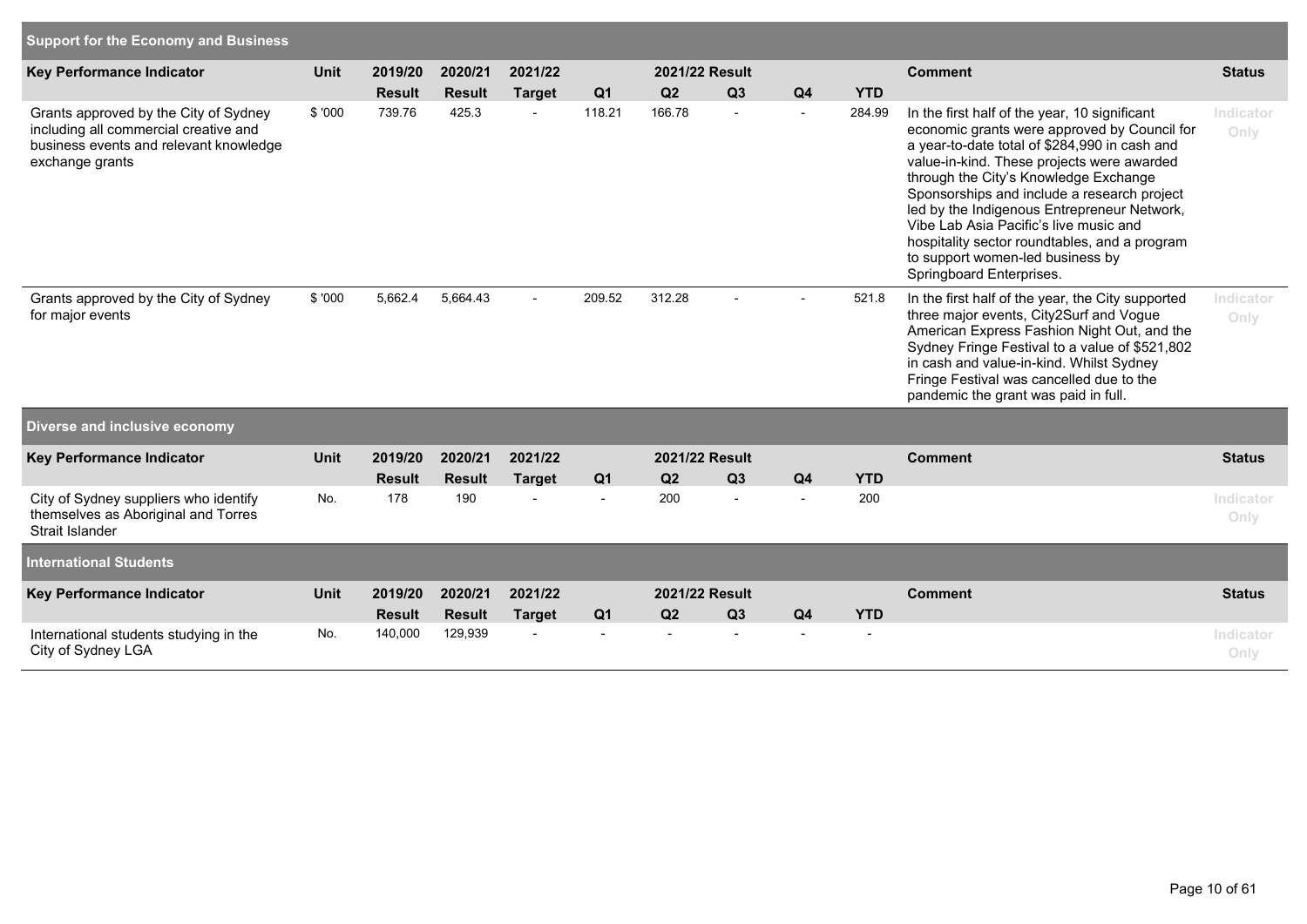| <b>Support for the Economy and Business</b>                                                                                                 |             |                          |                          |                          |                |                |                      |                |            |                                                                                                                                                                                                                                                                                                                                                                                                                                                                                                |                   |
|---------------------------------------------------------------------------------------------------------------------------------------------|-------------|--------------------------|--------------------------|--------------------------|----------------|----------------|----------------------|----------------|------------|------------------------------------------------------------------------------------------------------------------------------------------------------------------------------------------------------------------------------------------------------------------------------------------------------------------------------------------------------------------------------------------------------------------------------------------------------------------------------------------------|-------------------|
| Key Performance Indicator                                                                                                                   | Unit        | 2019/20                  | 2020/21                  | 2021/22                  |                | 2021/22 Result |                      |                |            | <b>Comment</b>                                                                                                                                                                                                                                                                                                                                                                                                                                                                                 | <b>Status</b>     |
|                                                                                                                                             |             | <b>Result</b>            | <b>Result</b>            | <b>Target</b>            | Q <sub>1</sub> | Q2             | Q3                   | Q4             | <b>YTD</b> |                                                                                                                                                                                                                                                                                                                                                                                                                                                                                                |                   |
| Grants approved by the City of Sydney<br>including all commercial creative and<br>business events and relevant knowledge<br>exchange grants | \$'000      | 739.76                   | 425.3                    | $\overline{\phantom{a}}$ | 118.21         | 166.78         | $\blacksquare$       | $\blacksquare$ | 284.99     | In the first half of the year, 10 significant<br>economic grants were approved by Council for<br>a year-to-date total of \$284,990 in cash and<br>value-in-kind. These projects were awarded<br>through the City's Knowledge Exchange<br>Sponsorships and include a research project<br>led by the Indigenous Entrepreneur Network,<br>Vibe Lab Asia Pacific's live music and<br>hospitality sector roundtables, and a program<br>to support women-led business by<br>Springboard Enterprises. | Indicator<br>Only |
| Grants approved by the City of Sydney<br>for major events                                                                                   | \$ '000     | 5,662.4                  | 5,664.43                 |                          | 209.52         | 312.28         |                      |                | 521.8      | In the first half of the year, the City supported<br>three major events, City2Surf and Vogue<br>American Express Fashion Night Out, and the<br>Sydney Fringe Festival to a value of \$521,802<br>in cash and value-in-kind. Whilst Sydney<br>Fringe Festival was cancelled due to the<br>pandemic the grant was paid in full.                                                                                                                                                                  | Indicator<br>Only |
| Diverse and inclusive economy                                                                                                               |             |                          |                          |                          |                |                |                      |                |            |                                                                                                                                                                                                                                                                                                                                                                                                                                                                                                |                   |
| Key Performance Indicator                                                                                                                   | <b>Unit</b> | 2019/20                  | 2020/21                  | 2021/22                  |                |                | 2021/22 Result       |                |            | <b>Comment</b>                                                                                                                                                                                                                                                                                                                                                                                                                                                                                 | <b>Status</b>     |
|                                                                                                                                             |             | <b>Result</b>            | <b>Result</b>            | <b>Target</b>            | Q <sub>1</sub> | Q2             | Q3                   | Q <sub>4</sub> | <b>YTD</b> |                                                                                                                                                                                                                                                                                                                                                                                                                                                                                                |                   |
| City of Sydney suppliers who identify<br>themselves as Aboriginal and Torres<br>Strait Islander                                             | No.         | 178                      | 190                      |                          |                | 200            |                      | $\overline{a}$ | 200        |                                                                                                                                                                                                                                                                                                                                                                                                                                                                                                | Indicator<br>Only |
| <b>International Students</b>                                                                                                               |             |                          |                          |                          |                |                |                      |                |            |                                                                                                                                                                                                                                                                                                                                                                                                                                                                                                |                   |
| Key Performance Indicator                                                                                                                   | <b>Unit</b> | 2019/20<br><b>Result</b> | 2020/21<br><b>Result</b> | 2021/22<br><b>Target</b> | Q <sub>1</sub> | Q2             | 2021/22 Result<br>Q3 | Q <sub>4</sub> | <b>YTD</b> | <b>Comment</b>                                                                                                                                                                                                                                                                                                                                                                                                                                                                                 | <b>Status</b>     |
| International students studying in the<br>City of Sydney LGA                                                                                | No.         | 140,000                  | 129,939                  |                          |                |                |                      |                |            |                                                                                                                                                                                                                                                                                                                                                                                                                                                                                                | Indicator<br>Only |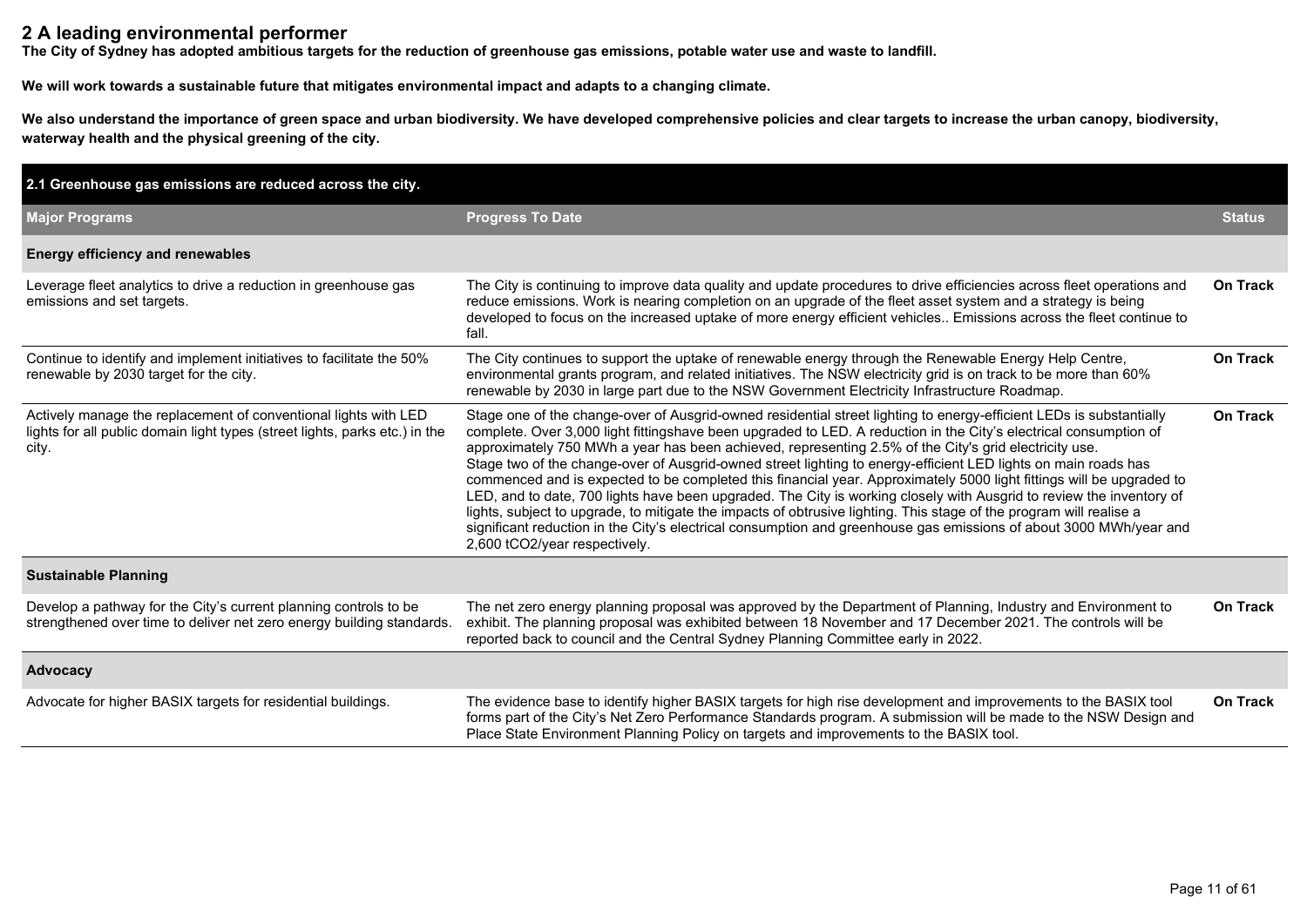### **2 A leading environmental performer**

**The City of Sydney has adopted ambitious targets for the reduction of greenhouse gas emissions, potable water use and waste to landfill.**

**We will work towards a sustainable future that mitigates environmental impact and adapts to a changing climate.**

We also understand the importance of green space and urban biodiversity. We have developed comprehensive policies and clear targets to increase the urban canopy, biodiversity, **waterway health and the physical greening of the city.**

| 2.1 Greenhouse gas emissions are reduced across the city.                                                                                               |                                                                                                                                                                                                                                                                                                                                                                                                                                                                                                                                                                                                                                                                                                                                                                                                                                                                                                                                                                                                   |                 |
|---------------------------------------------------------------------------------------------------------------------------------------------------------|---------------------------------------------------------------------------------------------------------------------------------------------------------------------------------------------------------------------------------------------------------------------------------------------------------------------------------------------------------------------------------------------------------------------------------------------------------------------------------------------------------------------------------------------------------------------------------------------------------------------------------------------------------------------------------------------------------------------------------------------------------------------------------------------------------------------------------------------------------------------------------------------------------------------------------------------------------------------------------------------------|-----------------|
| <b>Major Programs</b>                                                                                                                                   | <b>Progress To Date</b>                                                                                                                                                                                                                                                                                                                                                                                                                                                                                                                                                                                                                                                                                                                                                                                                                                                                                                                                                                           | <b>Status</b>   |
| <b>Energy efficiency and renewables</b>                                                                                                                 |                                                                                                                                                                                                                                                                                                                                                                                                                                                                                                                                                                                                                                                                                                                                                                                                                                                                                                                                                                                                   |                 |
| Leverage fleet analytics to drive a reduction in greenhouse gas<br>emissions and set targets.                                                           | The City is continuing to improve data quality and update procedures to drive efficiencies across fleet operations and<br>reduce emissions. Work is nearing completion on an upgrade of the fleet asset system and a strategy is being<br>developed to focus on the increased uptake of more energy efficient vehicles Emissions across the fleet continue to<br>fall.                                                                                                                                                                                                                                                                                                                                                                                                                                                                                                                                                                                                                            | On Track        |
| Continue to identify and implement initiatives to facilitate the 50%<br>renewable by 2030 target for the city.                                          | The City continues to support the uptake of renewable energy through the Renewable Energy Help Centre,<br>environmental grants program, and related initiatives. The NSW electricity grid is on track to be more than 60%<br>renewable by 2030 in large part due to the NSW Government Electricity Infrastructure Roadmap.                                                                                                                                                                                                                                                                                                                                                                                                                                                                                                                                                                                                                                                                        | On Track        |
| Actively manage the replacement of conventional lights with LED<br>lights for all public domain light types (street lights, parks etc.) in the<br>city. | Stage one of the change-over of Ausgrid-owned residential street lighting to energy-efficient LEDs is substantially<br>complete. Over 3,000 light fittingshave been upgraded to LED. A reduction in the City's electrical consumption of<br>approximately 750 MWh a year has been achieved, representing 2.5% of the City's grid electricity use.<br>Stage two of the change-over of Ausgrid-owned street lighting to energy-efficient LED lights on main roads has<br>commenced and is expected to be completed this financial year. Approximately 5000 light fittings will be upgraded to<br>LED, and to date, 700 lights have been upgraded. The City is working closely with Ausgrid to review the inventory of<br>lights, subject to upgrade, to mitigate the impacts of obtrusive lighting. This stage of the program will realise a<br>significant reduction in the City's electrical consumption and greenhouse gas emissions of about 3000 MWh/year and<br>2,600 tCO2/year respectively. | <b>On Track</b> |
| <b>Sustainable Planning</b>                                                                                                                             |                                                                                                                                                                                                                                                                                                                                                                                                                                                                                                                                                                                                                                                                                                                                                                                                                                                                                                                                                                                                   |                 |
| Develop a pathway for the City's current planning controls to be<br>strengthened over time to deliver net zero energy building standards.               | The net zero energy planning proposal was approved by the Department of Planning, Industry and Environment to<br>exhibit. The planning proposal was exhibited between 18 November and 17 December 2021. The controls will be<br>reported back to council and the Central Sydney Planning Committee early in 2022.                                                                                                                                                                                                                                                                                                                                                                                                                                                                                                                                                                                                                                                                                 | <b>On Track</b> |
| Advocacy                                                                                                                                                |                                                                                                                                                                                                                                                                                                                                                                                                                                                                                                                                                                                                                                                                                                                                                                                                                                                                                                                                                                                                   |                 |
| Advocate for higher BASIX targets for residential buildings.                                                                                            | The evidence base to identify higher BASIX targets for high rise development and improvements to the BASIX tool<br>forms part of the City's Net Zero Performance Standards program. A submission will be made to the NSW Design and<br>Place State Environment Planning Policy on targets and improvements to the BASIX tool.                                                                                                                                                                                                                                                                                                                                                                                                                                                                                                                                                                                                                                                                     | <b>On Track</b> |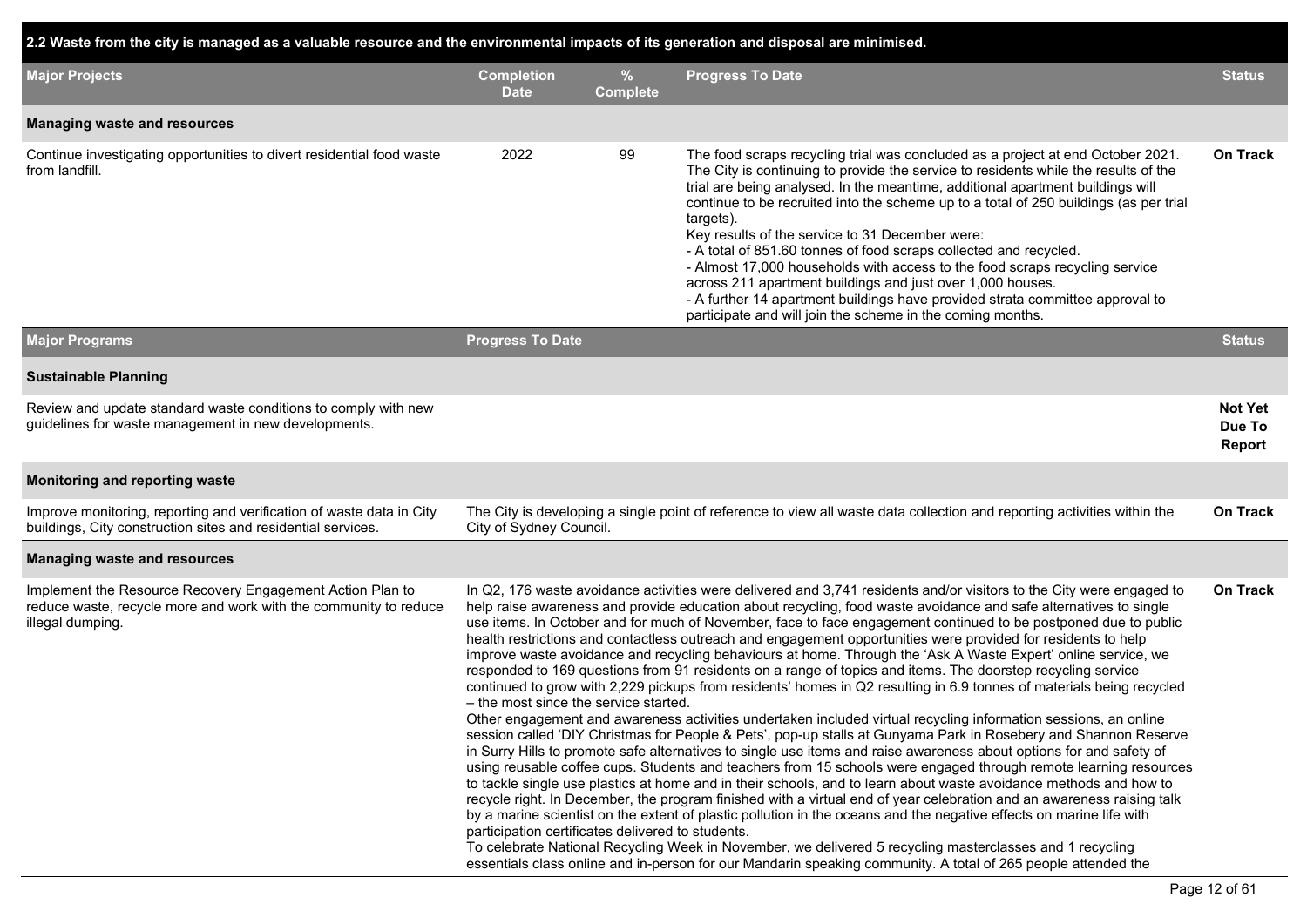### **2.2 Waste from the city is managed as a valuable resource and the environmental impacts of its generation and disposal are minimised.**

| <b>Major Projects</b>                                                                                                                             | <b>Completion</b><br><b>Date</b>                                                                                                                                                                                                                                                                                                                                                                                                                                                                                                                                                                                                                                                                                                                                                                                                                                                                                                                                                                                                                                                                                                                                                                                                                                                                                                                                                                                                                                                                                                                                                                                                                                                                                                                                                                                                                                                                                                                                                                                      | $\%$<br><b>Complete</b> | <b>Progress To Date</b>                                                                                                                                                                                                                                                                                                                                                                                                                                                                                                                                                                                                                                                                                                                                                            | <b>Status</b>                             |  |  |
|---------------------------------------------------------------------------------------------------------------------------------------------------|-----------------------------------------------------------------------------------------------------------------------------------------------------------------------------------------------------------------------------------------------------------------------------------------------------------------------------------------------------------------------------------------------------------------------------------------------------------------------------------------------------------------------------------------------------------------------------------------------------------------------------------------------------------------------------------------------------------------------------------------------------------------------------------------------------------------------------------------------------------------------------------------------------------------------------------------------------------------------------------------------------------------------------------------------------------------------------------------------------------------------------------------------------------------------------------------------------------------------------------------------------------------------------------------------------------------------------------------------------------------------------------------------------------------------------------------------------------------------------------------------------------------------------------------------------------------------------------------------------------------------------------------------------------------------------------------------------------------------------------------------------------------------------------------------------------------------------------------------------------------------------------------------------------------------------------------------------------------------------------------------------------------------|-------------------------|------------------------------------------------------------------------------------------------------------------------------------------------------------------------------------------------------------------------------------------------------------------------------------------------------------------------------------------------------------------------------------------------------------------------------------------------------------------------------------------------------------------------------------------------------------------------------------------------------------------------------------------------------------------------------------------------------------------------------------------------------------------------------------|-------------------------------------------|--|--|
| <b>Managing waste and resources</b>                                                                                                               |                                                                                                                                                                                                                                                                                                                                                                                                                                                                                                                                                                                                                                                                                                                                                                                                                                                                                                                                                                                                                                                                                                                                                                                                                                                                                                                                                                                                                                                                                                                                                                                                                                                                                                                                                                                                                                                                                                                                                                                                                       |                         |                                                                                                                                                                                                                                                                                                                                                                                                                                                                                                                                                                                                                                                                                                                                                                                    |                                           |  |  |
| Continue investigating opportunities to divert residential food waste<br>from landfill.                                                           | 2022                                                                                                                                                                                                                                                                                                                                                                                                                                                                                                                                                                                                                                                                                                                                                                                                                                                                                                                                                                                                                                                                                                                                                                                                                                                                                                                                                                                                                                                                                                                                                                                                                                                                                                                                                                                                                                                                                                                                                                                                                  | 99                      | The food scraps recycling trial was concluded as a project at end October 2021.<br>The City is continuing to provide the service to residents while the results of the<br>trial are being analysed. In the meantime, additional apartment buildings will<br>continue to be recruited into the scheme up to a total of 250 buildings (as per trial<br>targets).<br>Key results of the service to 31 December were:<br>- A total of 851.60 tonnes of food scraps collected and recycled.<br>- Almost 17,000 households with access to the food scraps recycling service<br>across 211 apartment buildings and just over 1,000 houses.<br>- A further 14 apartment buildings have provided strata committee approval to<br>participate and will join the scheme in the coming months. | <b>On Track</b>                           |  |  |
| <b>Major Programs</b>                                                                                                                             | <b>Progress To Date</b>                                                                                                                                                                                                                                                                                                                                                                                                                                                                                                                                                                                                                                                                                                                                                                                                                                                                                                                                                                                                                                                                                                                                                                                                                                                                                                                                                                                                                                                                                                                                                                                                                                                                                                                                                                                                                                                                                                                                                                                               |                         |                                                                                                                                                                                                                                                                                                                                                                                                                                                                                                                                                                                                                                                                                                                                                                                    | <b>Status</b>                             |  |  |
| <b>Sustainable Planning</b>                                                                                                                       |                                                                                                                                                                                                                                                                                                                                                                                                                                                                                                                                                                                                                                                                                                                                                                                                                                                                                                                                                                                                                                                                                                                                                                                                                                                                                                                                                                                                                                                                                                                                                                                                                                                                                                                                                                                                                                                                                                                                                                                                                       |                         |                                                                                                                                                                                                                                                                                                                                                                                                                                                                                                                                                                                                                                                                                                                                                                                    |                                           |  |  |
| Review and update standard waste conditions to comply with new<br>guidelines for waste management in new developments.                            |                                                                                                                                                                                                                                                                                                                                                                                                                                                                                                                                                                                                                                                                                                                                                                                                                                                                                                                                                                                                                                                                                                                                                                                                                                                                                                                                                                                                                                                                                                                                                                                                                                                                                                                                                                                                                                                                                                                                                                                                                       |                         |                                                                                                                                                                                                                                                                                                                                                                                                                                                                                                                                                                                                                                                                                                                                                                                    | <b>Not Yet</b><br>Due To<br><b>Report</b> |  |  |
| Monitoring and reporting waste                                                                                                                    |                                                                                                                                                                                                                                                                                                                                                                                                                                                                                                                                                                                                                                                                                                                                                                                                                                                                                                                                                                                                                                                                                                                                                                                                                                                                                                                                                                                                                                                                                                                                                                                                                                                                                                                                                                                                                                                                                                                                                                                                                       |                         |                                                                                                                                                                                                                                                                                                                                                                                                                                                                                                                                                                                                                                                                                                                                                                                    |                                           |  |  |
| Improve monitoring, reporting and verification of waste data in City<br>buildings, City construction sites and residential services.              | City of Sydney Council.                                                                                                                                                                                                                                                                                                                                                                                                                                                                                                                                                                                                                                                                                                                                                                                                                                                                                                                                                                                                                                                                                                                                                                                                                                                                                                                                                                                                                                                                                                                                                                                                                                                                                                                                                                                                                                                                                                                                                                                               |                         | The City is developing a single point of reference to view all waste data collection and reporting activities within the                                                                                                                                                                                                                                                                                                                                                                                                                                                                                                                                                                                                                                                           | On Track                                  |  |  |
| <b>Managing waste and resources</b>                                                                                                               |                                                                                                                                                                                                                                                                                                                                                                                                                                                                                                                                                                                                                                                                                                                                                                                                                                                                                                                                                                                                                                                                                                                                                                                                                                                                                                                                                                                                                                                                                                                                                                                                                                                                                                                                                                                                                                                                                                                                                                                                                       |                         |                                                                                                                                                                                                                                                                                                                                                                                                                                                                                                                                                                                                                                                                                                                                                                                    |                                           |  |  |
| Implement the Resource Recovery Engagement Action Plan to<br>reduce waste, recycle more and work with the community to reduce<br>illegal dumping. | In Q2, 176 waste avoidance activities were delivered and 3,741 residents and/or visitors to the City were engaged to<br>help raise awareness and provide education about recycling, food waste avoidance and safe alternatives to single<br>use items. In October and for much of November, face to face engagement continued to be postponed due to public<br>health restrictions and contactless outreach and engagement opportunities were provided for residents to help<br>improve waste avoidance and recycling behaviours at home. Through the 'Ask A Waste Expert' online service, we<br>responded to 169 questions from 91 residents on a range of topics and items. The doorstep recycling service<br>continued to grow with 2,229 pickups from residents' homes in Q2 resulting in 6.9 tonnes of materials being recycled<br>- the most since the service started.<br>Other engagement and awareness activities undertaken included virtual recycling information sessions, an online<br>session called 'DIY Christmas for People & Pets', pop-up stalls at Gunyama Park in Rosebery and Shannon Reserve<br>in Surry Hills to promote safe alternatives to single use items and raise awareness about options for and safety of<br>using reusable coffee cups. Students and teachers from 15 schools were engaged through remote learning resources<br>to tackle single use plastics at home and in their schools, and to learn about waste avoidance methods and how to<br>recycle right. In December, the program finished with a virtual end of year celebration and an awareness raising talk<br>by a marine scientist on the extent of plastic pollution in the oceans and the negative effects on marine life with<br>participation certificates delivered to students.<br>To celebrate National Recycling Week in November, we delivered 5 recycling masterclasses and 1 recycling<br>essentials class online and in-person for our Mandarin speaking community. A total of 265 people attended the |                         |                                                                                                                                                                                                                                                                                                                                                                                                                                                                                                                                                                                                                                                                                                                                                                                    |                                           |  |  |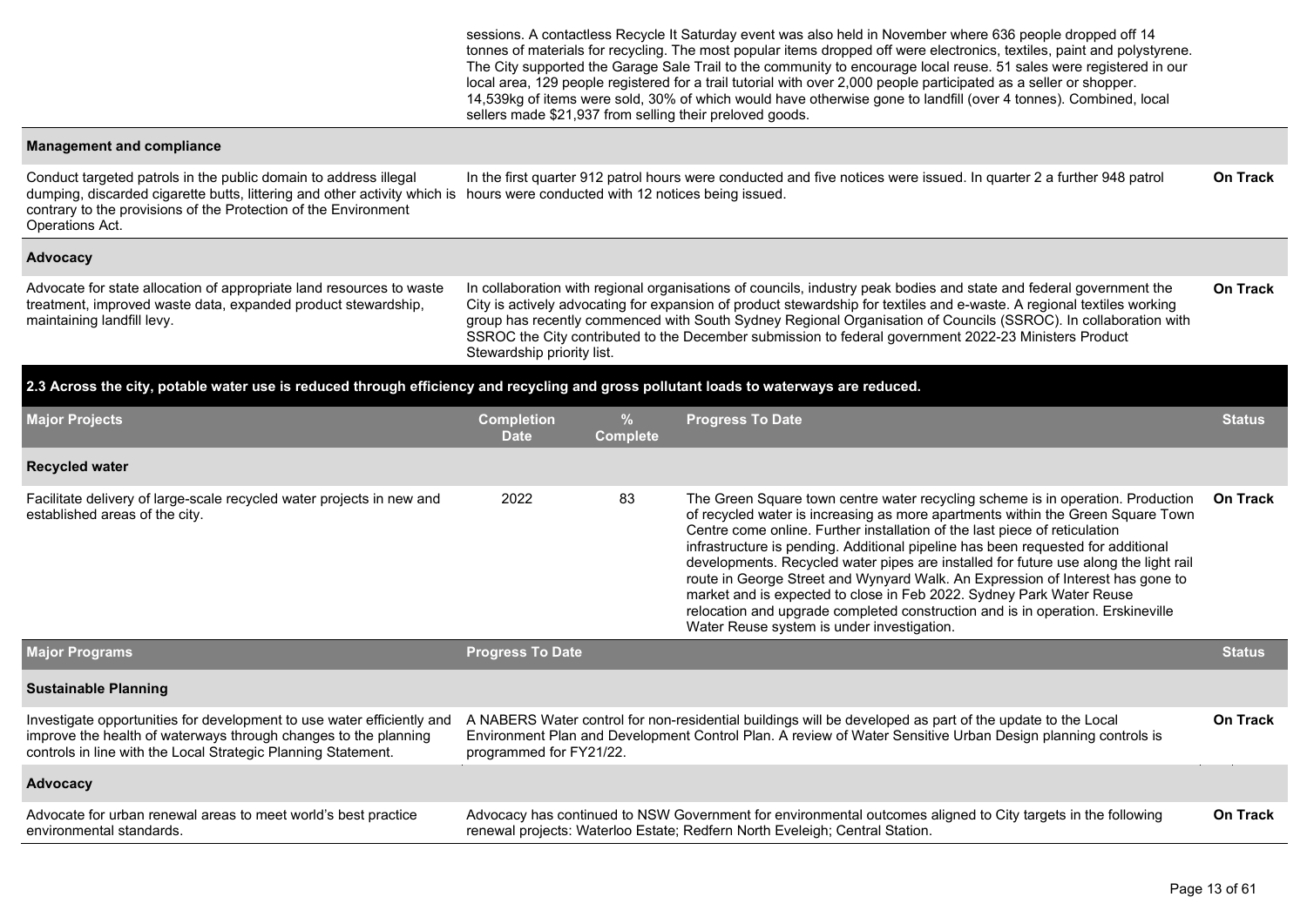sessions. A contactless Recycle It Saturday event was also held in November where 636 people dropped off 14 tonnes of materials for recycling. The most popular items dropped off were electronics, textiles, paint and polystyrene. The City supported the Garage Sale Trail to the community to encourage local reuse. 51 sales were registered in our local area, 129 people registered for a trail tutorial with over 2,000 people participated as a seller or shopper. 14,539kg of items were sold, 30% of which would have otherwise gone to landfill (over 4 tonnes). Combined, local sellers made \$21,937 from selling their preloved goods.

#### **Management and compliance**

Conduct targeted patrols in the public domain to address illegal dumping, discarded cigarette butts, littering and other activity which is hours were conducted with 12 notices being issued. contrary to the provisions of the Protection of the Environment Operations Act. In the first quarter 912 patrol hours were conducted and five notices were issued. In quarter 2 a further 948 patrol **On Track**

#### **Advocacy**

Advocate for state allocation of appropriate land resources to waste treatment, improved waste data, expanded product stewardship, maintaining landfill levy.

In collaboration with regional organisations of councils, industry peak bodies and state and federal government the City is actively advocating for expansion of product stewardship for textiles and e-waste. A regional textiles working group has recently commenced with South Sydney Regional Organisation of Councils (SSROC). In collaboration with SSROC the City contributed to the December submission to federal government 2022-23 Ministers Product Stewardship priority list. **On Track**

#### **2.3 Across the city, potable water use is reduced through efficiency and recycling and gross pollutant loads to waterways are reduced.**

| <b>Major Projects</b>                                                                                                                                                                                      | <b>Completion</b><br><b>Date</b>                                                                                                                                                                                                                                        | $\%$<br><b>Complete</b>                                                                                                                                                                     | <b>Progress To Date</b>                                                                                                                                                                                                                                                                                                                                                                                                                                                                                                                                                                                                                                                                                                 | <b>Status</b>   |  |  |  |  |  |
|------------------------------------------------------------------------------------------------------------------------------------------------------------------------------------------------------------|-------------------------------------------------------------------------------------------------------------------------------------------------------------------------------------------------------------------------------------------------------------------------|---------------------------------------------------------------------------------------------------------------------------------------------------------------------------------------------|-------------------------------------------------------------------------------------------------------------------------------------------------------------------------------------------------------------------------------------------------------------------------------------------------------------------------------------------------------------------------------------------------------------------------------------------------------------------------------------------------------------------------------------------------------------------------------------------------------------------------------------------------------------------------------------------------------------------------|-----------------|--|--|--|--|--|
| <b>Recycled water</b>                                                                                                                                                                                      |                                                                                                                                                                                                                                                                         |                                                                                                                                                                                             |                                                                                                                                                                                                                                                                                                                                                                                                                                                                                                                                                                                                                                                                                                                         |                 |  |  |  |  |  |
| Facilitate delivery of large-scale recycled water projects in new and<br>established areas of the city.                                                                                                    | 2022                                                                                                                                                                                                                                                                    | 83                                                                                                                                                                                          | The Green Square town centre water recycling scheme is in operation. Production<br>of recycled water is increasing as more apartments within the Green Square Town<br>Centre come online. Further installation of the last piece of reticulation<br>infrastructure is pending. Additional pipeline has been requested for additional<br>developments. Recycled water pipes are installed for future use along the light rail<br>route in George Street and Wynyard Walk. An Expression of Interest has gone to<br>market and is expected to close in Feb 2022. Sydney Park Water Reuse<br>relocation and upgrade completed construction and is in operation. Erskineville<br>Water Reuse system is under investigation. | <b>On Track</b> |  |  |  |  |  |
| <b>Major Programs</b>                                                                                                                                                                                      | <b>Progress To Date</b>                                                                                                                                                                                                                                                 |                                                                                                                                                                                             |                                                                                                                                                                                                                                                                                                                                                                                                                                                                                                                                                                                                                                                                                                                         | <b>Status</b>   |  |  |  |  |  |
| <b>Sustainable Planning</b>                                                                                                                                                                                |                                                                                                                                                                                                                                                                         |                                                                                                                                                                                             |                                                                                                                                                                                                                                                                                                                                                                                                                                                                                                                                                                                                                                                                                                                         |                 |  |  |  |  |  |
| Investigate opportunities for development to use water efficiently and<br>improve the health of waterways through changes to the planning<br>controls in line with the Local Strategic Planning Statement. | <b>On Track</b><br>A NABERS Water control for non-residential buildings will be developed as part of the update to the Local<br>Environment Plan and Development Control Plan. A review of Water Sensitive Urban Design planning controls is<br>programmed for FY21/22. |                                                                                                                                                                                             |                                                                                                                                                                                                                                                                                                                                                                                                                                                                                                                                                                                                                                                                                                                         |                 |  |  |  |  |  |
| Advocacy                                                                                                                                                                                                   |                                                                                                                                                                                                                                                                         |                                                                                                                                                                                             |                                                                                                                                                                                                                                                                                                                                                                                                                                                                                                                                                                                                                                                                                                                         |                 |  |  |  |  |  |
| Advocate for urban renewal areas to meet world's best practice<br>environmental standards.                                                                                                                 |                                                                                                                                                                                                                                                                         | Advocacy has continued to NSW Government for environmental outcomes aligned to City targets in the following<br>renewal projects: Waterloo Estate; Redfern North Eveleigh; Central Station. |                                                                                                                                                                                                                                                                                                                                                                                                                                                                                                                                                                                                                                                                                                                         |                 |  |  |  |  |  |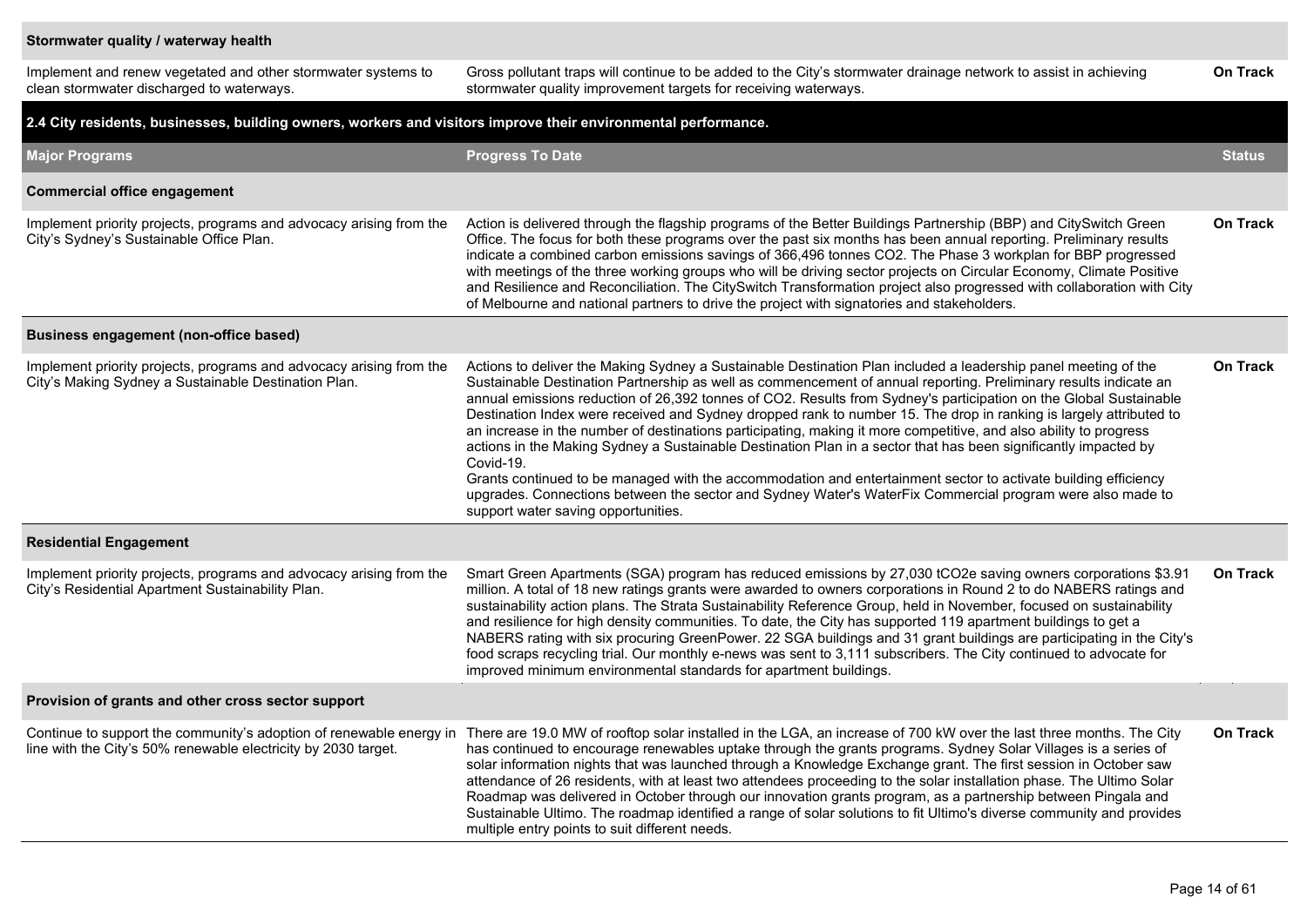#### **Stormwater quality / waterway health**

| Implement and renew vegetated and other stormwater systems to<br>clean stormwater discharged to waterways.                  | Gross pollutant traps will continue to be added to the City's stormwater drainage network to assist in achieving<br>stormwater quality improvement targets for receiving waterways.                                                                                                                                                                                                                                                                                                                                                                                                                                                                                                                                                                                                                                                                                                                                                                                                                      | <b>On Track</b> |
|-----------------------------------------------------------------------------------------------------------------------------|----------------------------------------------------------------------------------------------------------------------------------------------------------------------------------------------------------------------------------------------------------------------------------------------------------------------------------------------------------------------------------------------------------------------------------------------------------------------------------------------------------------------------------------------------------------------------------------------------------------------------------------------------------------------------------------------------------------------------------------------------------------------------------------------------------------------------------------------------------------------------------------------------------------------------------------------------------------------------------------------------------|-----------------|
| 2.4 City residents, businesses, building owners, workers and visitors improve their environmental performance.              |                                                                                                                                                                                                                                                                                                                                                                                                                                                                                                                                                                                                                                                                                                                                                                                                                                                                                                                                                                                                          |                 |
| <b>Major Programs</b>                                                                                                       | <b>Progress To Date</b>                                                                                                                                                                                                                                                                                                                                                                                                                                                                                                                                                                                                                                                                                                                                                                                                                                                                                                                                                                                  | <b>Status</b>   |
| <b>Commercial office engagement</b>                                                                                         |                                                                                                                                                                                                                                                                                                                                                                                                                                                                                                                                                                                                                                                                                                                                                                                                                                                                                                                                                                                                          |                 |
| Implement priority projects, programs and advocacy arising from the<br>City's Sydney's Sustainable Office Plan.             | Action is delivered through the flagship programs of the Better Buildings Partnership (BBP) and CitySwitch Green<br>Office. The focus for both these programs over the past six months has been annual reporting. Preliminary results<br>indicate a combined carbon emissions savings of 366,496 tonnes CO2. The Phase 3 workplan for BBP progressed<br>with meetings of the three working groups who will be driving sector projects on Circular Economy, Climate Positive<br>and Resilience and Reconciliation. The CitySwitch Transformation project also progressed with collaboration with City<br>of Melbourne and national partners to drive the project with signatories and stakeholders.                                                                                                                                                                                                                                                                                                       | <b>On Track</b> |
| <b>Business engagement (non-office based)</b>                                                                               |                                                                                                                                                                                                                                                                                                                                                                                                                                                                                                                                                                                                                                                                                                                                                                                                                                                                                                                                                                                                          |                 |
| Implement priority projects, programs and advocacy arising from the<br>City's Making Sydney a Sustainable Destination Plan. | Actions to deliver the Making Sydney a Sustainable Destination Plan included a leadership panel meeting of the<br>Sustainable Destination Partnership as well as commencement of annual reporting. Preliminary results indicate an<br>annual emissions reduction of 26,392 tonnes of CO2. Results from Sydney's participation on the Global Sustainable<br>Destination Index were received and Sydney dropped rank to number 15. The drop in ranking is largely attributed to<br>an increase in the number of destinations participating, making it more competitive, and also ability to progress<br>actions in the Making Sydney a Sustainable Destination Plan in a sector that has been significantly impacted by<br>Covid-19.<br>Grants continued to be managed with the accommodation and entertainment sector to activate building efficiency<br>upgrades. Connections between the sector and Sydney Water's WaterFix Commercial program were also made to<br>support water saving opportunities. | On Track        |
| <b>Residential Engagement</b>                                                                                               |                                                                                                                                                                                                                                                                                                                                                                                                                                                                                                                                                                                                                                                                                                                                                                                                                                                                                                                                                                                                          |                 |
| Implement priority projects, programs and advocacy arising from the<br>City's Residential Apartment Sustainability Plan.    | Smart Green Apartments (SGA) program has reduced emissions by 27,030 tCO2e saving owners corporations \$3.91<br>million. A total of 18 new ratings grants were awarded to owners corporations in Round 2 to do NABERS ratings and<br>sustainability action plans. The Strata Sustainability Reference Group, held in November, focused on sustainability<br>and resilience for high density communities. To date, the City has supported 119 apartment buildings to get a<br>NABERS rating with six procuring GreenPower. 22 SGA buildings and 31 grant buildings are participating in the City's<br>food scraps recycling trial. Our monthly e-news was sent to 3,111 subscribers. The City continued to advocate for<br>improved minimum environmental standards for apartment buildings.                                                                                                                                                                                                              | <b>On Track</b> |
| Provision of grants and other cross sector support                                                                          |                                                                                                                                                                                                                                                                                                                                                                                                                                                                                                                                                                                                                                                                                                                                                                                                                                                                                                                                                                                                          |                 |
| line with the City's 50% renewable electricity by 2030 target.                                                              | Continue to support the community's adoption of renewable energy in There are 19.0 MW of rooftop solar installed in the LGA, an increase of 700 kW over the last three months. The City<br>has continued to encourage renewables uptake through the grants programs. Sydney Solar Villages is a series of<br>solar information nights that was launched through a Knowledge Exchange grant. The first session in October saw<br>attendance of 26 residents, with at least two attendees proceeding to the solar installation phase. The Ultimo Solar<br>Roadmap was delivered in October through our innovation grants program, as a partnership between Pingala and<br>Sustainable Ultimo. The roadmap identified a range of solar solutions to fit Ultimo's diverse community and provides<br>multiple entry points to suit different needs.                                                                                                                                                           | On Track        |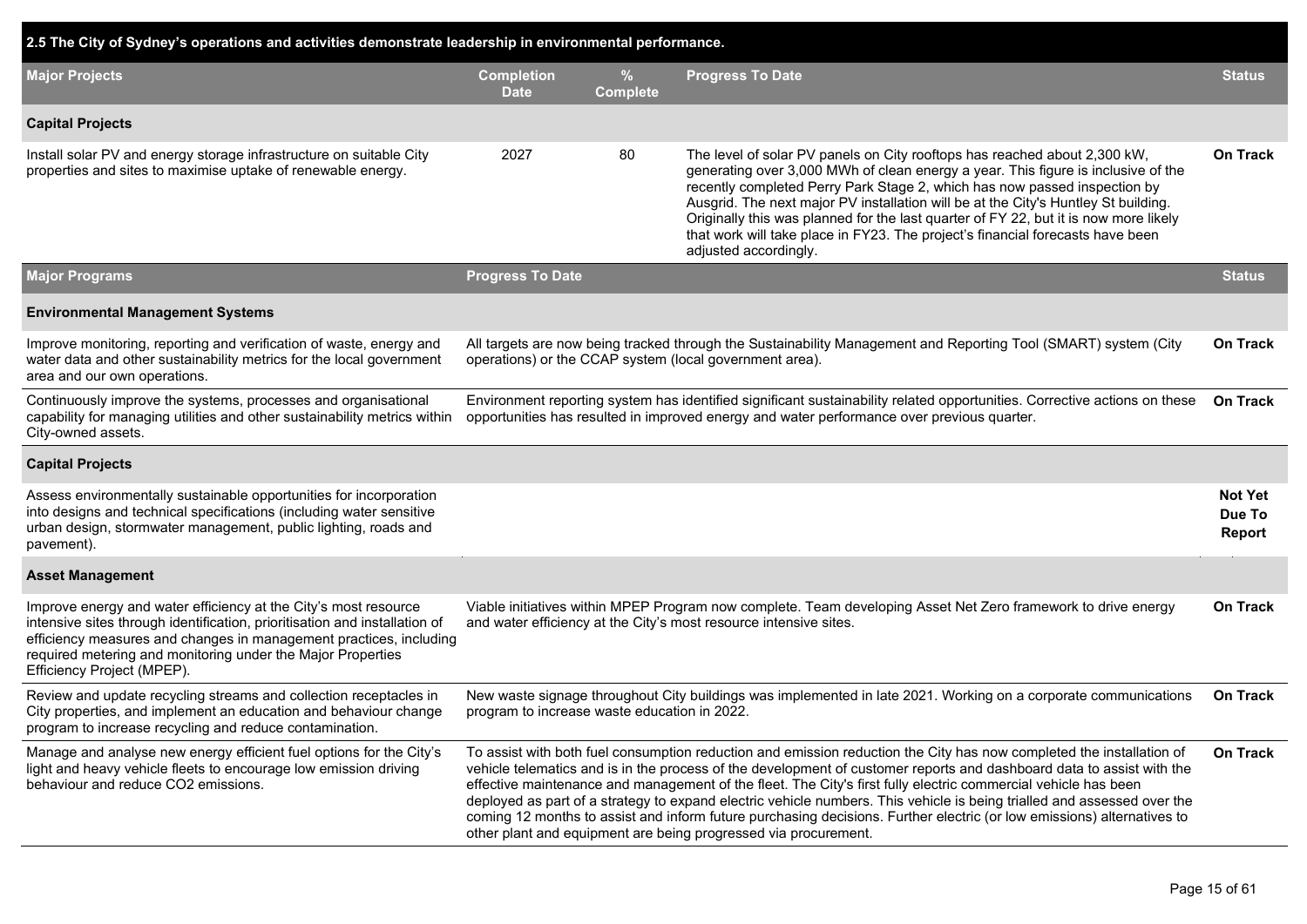| 2.5 The City of Sydney's operations and activities demonstrate leadership in environmental performance.                                                                                                                                                                                                          |                                                                                                                                                                                                                         |                                                                                                                                                                            |                                                                                                                                                                                                                                                                                                                                                                                                                                                                                                                                                                                                                                                                                         |                                    |  |  |  |  |  |
|------------------------------------------------------------------------------------------------------------------------------------------------------------------------------------------------------------------------------------------------------------------------------------------------------------------|-------------------------------------------------------------------------------------------------------------------------------------------------------------------------------------------------------------------------|----------------------------------------------------------------------------------------------------------------------------------------------------------------------------|-----------------------------------------------------------------------------------------------------------------------------------------------------------------------------------------------------------------------------------------------------------------------------------------------------------------------------------------------------------------------------------------------------------------------------------------------------------------------------------------------------------------------------------------------------------------------------------------------------------------------------------------------------------------------------------------|------------------------------------|--|--|--|--|--|
| <b>Major Projects</b>                                                                                                                                                                                                                                                                                            | <b>Completion</b><br><b>Date</b>                                                                                                                                                                                        | %<br><b>Complete</b>                                                                                                                                                       | <b>Progress To Date</b>                                                                                                                                                                                                                                                                                                                                                                                                                                                                                                                                                                                                                                                                 | <b>Status</b>                      |  |  |  |  |  |
| <b>Capital Projects</b>                                                                                                                                                                                                                                                                                          |                                                                                                                                                                                                                         |                                                                                                                                                                            |                                                                                                                                                                                                                                                                                                                                                                                                                                                                                                                                                                                                                                                                                         |                                    |  |  |  |  |  |
| Install solar PV and energy storage infrastructure on suitable City<br>properties and sites to maximise uptake of renewable energy.                                                                                                                                                                              | 2027                                                                                                                                                                                                                    | 80                                                                                                                                                                         | The level of solar PV panels on City rooftops has reached about 2,300 kW,<br>generating over 3,000 MWh of clean energy a year. This figure is inclusive of the<br>recently completed Perry Park Stage 2, which has now passed inspection by<br>Ausgrid. The next major PV installation will be at the City's Huntley St building.<br>Originally this was planned for the last quarter of FY 22, but it is now more likely<br>that work will take place in FY23. The project's financial forecasts have been<br>adjusted accordingly.                                                                                                                                                    | On Track                           |  |  |  |  |  |
| <b>Major Programs</b>                                                                                                                                                                                                                                                                                            | <b>Progress To Date</b>                                                                                                                                                                                                 |                                                                                                                                                                            |                                                                                                                                                                                                                                                                                                                                                                                                                                                                                                                                                                                                                                                                                         | <b>Status</b>                      |  |  |  |  |  |
| <b>Environmental Management Systems</b>                                                                                                                                                                                                                                                                          |                                                                                                                                                                                                                         |                                                                                                                                                                            |                                                                                                                                                                                                                                                                                                                                                                                                                                                                                                                                                                                                                                                                                         |                                    |  |  |  |  |  |
| Improve monitoring, reporting and verification of waste, energy and<br>water data and other sustainability metrics for the local government<br>area and our own operations.                                                                                                                                      |                                                                                                                                                                                                                         | All targets are now being tracked through the Sustainability Management and Reporting Tool (SMART) system (City<br>operations) or the CCAP system (local government area). |                                                                                                                                                                                                                                                                                                                                                                                                                                                                                                                                                                                                                                                                                         |                                    |  |  |  |  |  |
| Continuously improve the systems, processes and organisational<br>capability for managing utilities and other sustainability metrics within<br>City-owned assets.                                                                                                                                                | Environment reporting system has identified significant sustainability related opportunities. Corrective actions on these<br>opportunities has resulted in improved energy and water performance over previous quarter. |                                                                                                                                                                            |                                                                                                                                                                                                                                                                                                                                                                                                                                                                                                                                                                                                                                                                                         |                                    |  |  |  |  |  |
| <b>Capital Projects</b>                                                                                                                                                                                                                                                                                          |                                                                                                                                                                                                                         |                                                                                                                                                                            |                                                                                                                                                                                                                                                                                                                                                                                                                                                                                                                                                                                                                                                                                         |                                    |  |  |  |  |  |
| Assess environmentally sustainable opportunities for incorporation<br>into designs and technical specifications (including water sensitive<br>urban design, stormwater management, public lighting, roads and<br>pavement).                                                                                      |                                                                                                                                                                                                                         |                                                                                                                                                                            |                                                                                                                                                                                                                                                                                                                                                                                                                                                                                                                                                                                                                                                                                         | <b>Not Yet</b><br>Due To<br>Report |  |  |  |  |  |
| <b>Asset Management</b>                                                                                                                                                                                                                                                                                          |                                                                                                                                                                                                                         |                                                                                                                                                                            |                                                                                                                                                                                                                                                                                                                                                                                                                                                                                                                                                                                                                                                                                         |                                    |  |  |  |  |  |
| Improve energy and water efficiency at the City's most resource<br>intensive sites through identification, prioritisation and installation of<br>efficiency measures and changes in management practices, including<br>required metering and monitoring under the Major Properties<br>Efficiency Project (MPEP). | Viable initiatives within MPEP Program now complete. Team developing Asset Net Zero framework to drive energy<br>and water efficiency at the City's most resource intensive sites.                                      |                                                                                                                                                                            |                                                                                                                                                                                                                                                                                                                                                                                                                                                                                                                                                                                                                                                                                         |                                    |  |  |  |  |  |
| Review and update recycling streams and collection receptacles in<br>City properties, and implement an education and behaviour change<br>program to increase recycling and reduce contamination.                                                                                                                 | program to increase waste education in 2022.                                                                                                                                                                            |                                                                                                                                                                            | New waste signage throughout City buildings was implemented in late 2021. Working on a corporate communications                                                                                                                                                                                                                                                                                                                                                                                                                                                                                                                                                                         | <b>On Track</b>                    |  |  |  |  |  |
| Manage and analyse new energy efficient fuel options for the City's<br>light and heavy vehicle fleets to encourage low emission driving<br>behaviour and reduce CO2 emissions.                                                                                                                                   |                                                                                                                                                                                                                         |                                                                                                                                                                            | To assist with both fuel consumption reduction and emission reduction the City has now completed the installation of<br>vehicle telematics and is in the process of the development of customer reports and dashboard data to assist with the<br>effective maintenance and management of the fleet. The City's first fully electric commercial vehicle has been<br>deployed as part of a strategy to expand electric vehicle numbers. This vehicle is being trialled and assessed over the<br>coming 12 months to assist and inform future purchasing decisions. Further electric (or low emissions) alternatives to<br>other plant and equipment are being progressed via procurement. | On Track                           |  |  |  |  |  |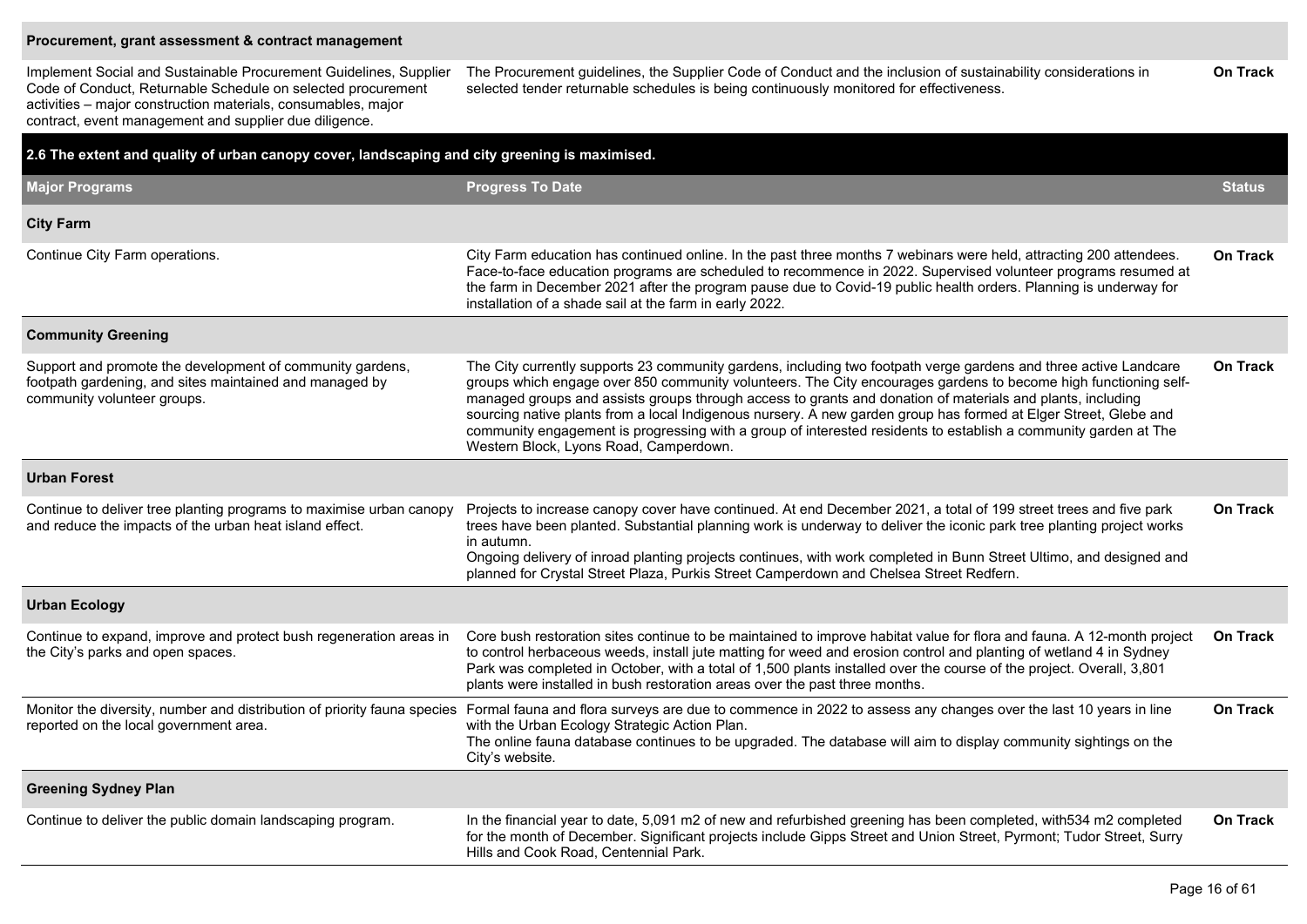#### **Procurement, grant assessment & contract management**

Implement Social and Sustainable Procurement Guidelines, Supplier Code of Conduct, Returnable Schedule on selected procurement activities – major construction materials, consumables, major contract, event management and supplier due diligence.

The Procurement guidelines, the Supplier Code of Conduct and the inclusion of sustainability considerations in selected tender returnable schedules is being continuously monitored for effectiveness. **On Track**

| 2.6 The extent and quality of urban canopy cover, landscaping and city greening is maximised.                                                       |                                                                                                                                                                                                                                                                                                                                                                                                                                                                                                                                                                                                                                    |                 |
|-----------------------------------------------------------------------------------------------------------------------------------------------------|------------------------------------------------------------------------------------------------------------------------------------------------------------------------------------------------------------------------------------------------------------------------------------------------------------------------------------------------------------------------------------------------------------------------------------------------------------------------------------------------------------------------------------------------------------------------------------------------------------------------------------|-----------------|
| <b>Major Programs</b>                                                                                                                               | <b>Progress To Date</b>                                                                                                                                                                                                                                                                                                                                                                                                                                                                                                                                                                                                            | <b>Status</b>   |
| <b>City Farm</b>                                                                                                                                    |                                                                                                                                                                                                                                                                                                                                                                                                                                                                                                                                                                                                                                    |                 |
| Continue City Farm operations.                                                                                                                      | City Farm education has continued online. In the past three months 7 webinars were held, attracting 200 attendees.<br>Face-to-face education programs are scheduled to recommence in 2022. Supervised volunteer programs resumed at<br>the farm in December 2021 after the program pause due to Covid-19 public health orders. Planning is underway for<br>installation of a shade sail at the farm in early 2022.                                                                                                                                                                                                                 | <b>On Track</b> |
| <b>Community Greening</b>                                                                                                                           |                                                                                                                                                                                                                                                                                                                                                                                                                                                                                                                                                                                                                                    |                 |
| Support and promote the development of community gardens,<br>footpath gardening, and sites maintained and managed by<br>community volunteer groups. | The City currently supports 23 community gardens, including two footpath verge gardens and three active Landcare<br>groups which engage over 850 community volunteers. The City encourages gardens to become high functioning self-<br>managed groups and assists groups through access to grants and donation of materials and plants, including<br>sourcing native plants from a local Indigenous nursery. A new garden group has formed at Elger Street, Glebe and<br>community engagement is progressing with a group of interested residents to establish a community garden at The<br>Western Block, Lyons Road, Camperdown. | <b>On Track</b> |
| <b>Urban Forest</b>                                                                                                                                 |                                                                                                                                                                                                                                                                                                                                                                                                                                                                                                                                                                                                                                    |                 |
| Continue to deliver tree planting programs to maximise urban canopy<br>and reduce the impacts of the urban heat island effect.                      | Projects to increase canopy cover have continued. At end December 2021, a total of 199 street trees and five park<br>trees have been planted. Substantial planning work is underway to deliver the iconic park tree planting project works<br>in autumn.<br>Ongoing delivery of inroad planting projects continues, with work completed in Bunn Street Ultimo, and designed and<br>planned for Crystal Street Plaza, Purkis Street Camperdown and Chelsea Street Redfern.                                                                                                                                                          | <b>On Track</b> |
| <b>Urban Ecology</b>                                                                                                                                |                                                                                                                                                                                                                                                                                                                                                                                                                                                                                                                                                                                                                                    |                 |
| Continue to expand, improve and protect bush regeneration areas in<br>the City's parks and open spaces.                                             | Core bush restoration sites continue to be maintained to improve habitat value for flora and fauna. A 12-month project<br>to control herbaceous weeds, install jute matting for weed and erosion control and planting of wetland 4 in Sydney<br>Park was completed in October, with a total of 1,500 plants installed over the course of the project. Overall, 3,801<br>plants were installed in bush restoration areas over the past three months.                                                                                                                                                                                | <b>On Track</b> |
| reported on the local government area.                                                                                                              | Monitor the diversity, number and distribution of priority fauna species Formal fauna and flora surveys are due to commence in 2022 to assess any changes over the last 10 years in line<br>with the Urban Ecology Strategic Action Plan.<br>The online fauna database continues to be upgraded. The database will aim to display community sightings on the<br>City's website.                                                                                                                                                                                                                                                    | <b>On Track</b> |
| <b>Greening Sydney Plan</b>                                                                                                                         |                                                                                                                                                                                                                                                                                                                                                                                                                                                                                                                                                                                                                                    |                 |
| Continue to deliver the public domain landscaping program.                                                                                          | In the financial year to date, 5,091 m2 of new and refurbished greening has been completed, with 534 m2 completed<br>for the month of December. Significant projects include Gipps Street and Union Street, Pyrmont; Tudor Street, Surry<br>Hills and Cook Road, Centennial Park.                                                                                                                                                                                                                                                                                                                                                  | <b>On Track</b> |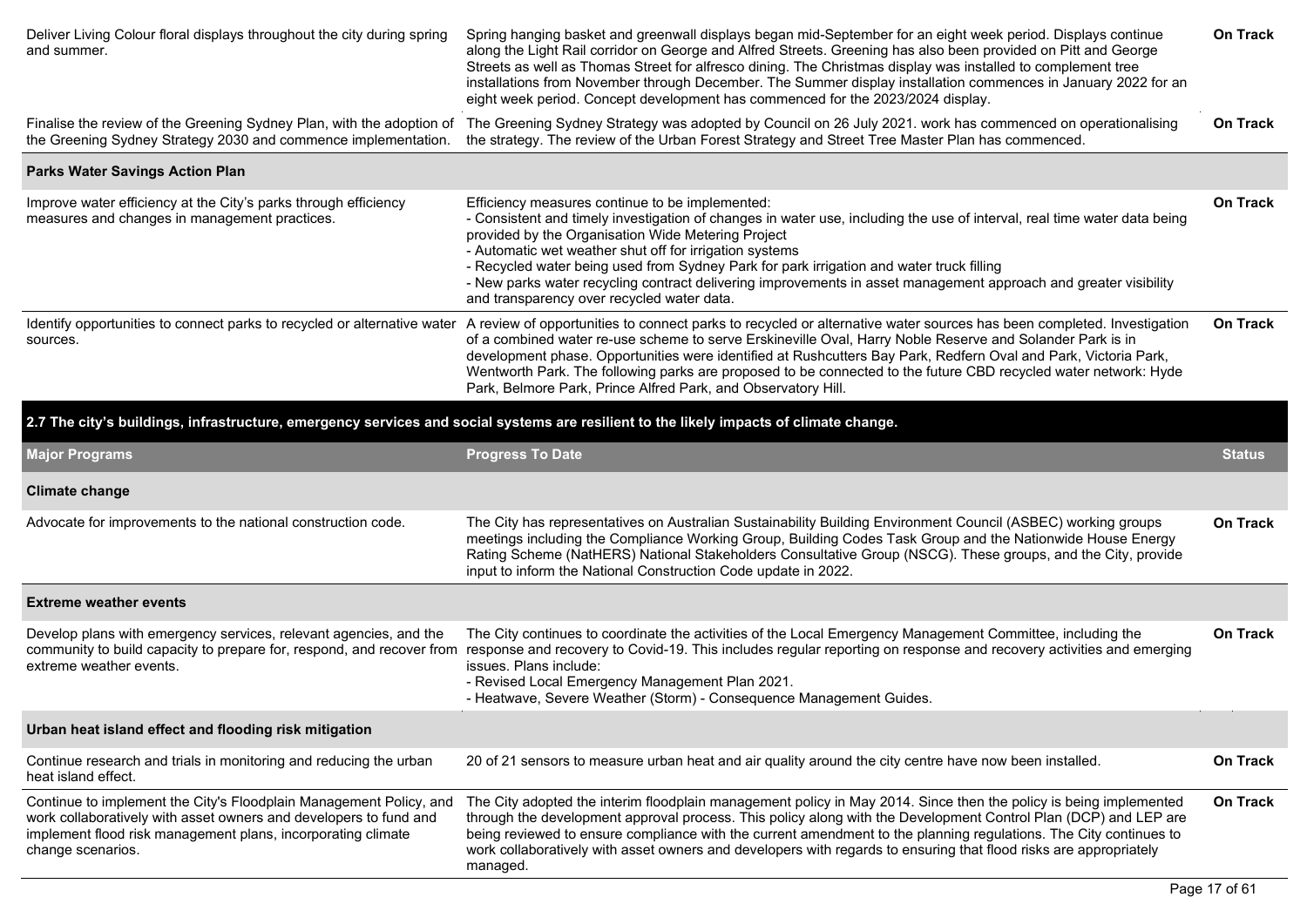| Deliver Living Colour floral displays throughout the city during spring<br>and summer.                                                                                                                                       | Spring hanging basket and greenwall displays began mid-September for an eight week period. Displays continue<br>along the Light Rail corridor on George and Alfred Streets. Greening has also been provided on Pitt and George<br>Streets as well as Thomas Street for alfresco dining. The Christmas display was installed to complement tree<br>installations from November through December. The Summer display installation commences in January 2022 for an<br>eight week period. Concept development has commenced for the 2023/2024 display.                                                                | On Track        |
|------------------------------------------------------------------------------------------------------------------------------------------------------------------------------------------------------------------------------|--------------------------------------------------------------------------------------------------------------------------------------------------------------------------------------------------------------------------------------------------------------------------------------------------------------------------------------------------------------------------------------------------------------------------------------------------------------------------------------------------------------------------------------------------------------------------------------------------------------------|-----------------|
| Finalise the review of the Greening Sydney Plan, with the adoption of<br>the Greening Sydney Strategy 2030 and commence implementation.                                                                                      | The Greening Sydney Strategy was adopted by Council on 26 July 2021. work has commenced on operationalising<br>the strategy. The review of the Urban Forest Strategy and Street Tree Master Plan has commenced.                                                                                                                                                                                                                                                                                                                                                                                                    | On Track        |
| <b>Parks Water Savings Action Plan</b>                                                                                                                                                                                       |                                                                                                                                                                                                                                                                                                                                                                                                                                                                                                                                                                                                                    |                 |
| Improve water efficiency at the City's parks through efficiency<br>measures and changes in management practices.                                                                                                             | Efficiency measures continue to be implemented:<br>- Consistent and timely investigation of changes in water use, including the use of interval, real time water data being<br>provided by the Organisation Wide Metering Project<br>- Automatic wet weather shut off for irrigation systems<br>- Recycled water being used from Sydney Park for park irrigation and water truck filling<br>- New parks water recycling contract delivering improvements in asset management approach and greater visibility<br>and transparency over recycled water data.                                                         | On Track        |
| sources.                                                                                                                                                                                                                     | Identify opportunities to connect parks to recycled or alternative water A review of opportunities to connect parks to recycled or alternative water sources has been completed. Investigation<br>of a combined water re-use scheme to serve Erskineville Oval, Harry Noble Reserve and Solander Park is in<br>development phase. Opportunities were identified at Rushcutters Bay Park, Redfern Oval and Park, Victoria Park,<br>Wentworth Park. The following parks are proposed to be connected to the future CBD recycled water network: Hyde<br>Park, Belmore Park, Prince Alfred Park, and Observatory Hill. | <b>On Track</b> |
|                                                                                                                                                                                                                              | 2.7 The city's buildings, infrastructure, emergency services and social systems are resilient to the likely impacts of climate change.                                                                                                                                                                                                                                                                                                                                                                                                                                                                             |                 |
| <b>Major Programs</b>                                                                                                                                                                                                        | <b>Progress To Date</b>                                                                                                                                                                                                                                                                                                                                                                                                                                                                                                                                                                                            | Status          |
| <b>Climate change</b>                                                                                                                                                                                                        |                                                                                                                                                                                                                                                                                                                                                                                                                                                                                                                                                                                                                    |                 |
| Advocate for improvements to the national construction code.                                                                                                                                                                 | The City has representatives on Australian Sustainability Building Environment Council (ASBEC) working groups<br>meetings including the Compliance Working Group, Building Codes Task Group and the Nationwide House Energy<br>Rating Scheme (NatHERS) National Stakeholders Consultative Group (NSCG). These groups, and the City, provide<br>input to inform the National Construction Code update in 2022.                                                                                                                                                                                                      | On Track        |
| <b>Extreme weather events</b>                                                                                                                                                                                                |                                                                                                                                                                                                                                                                                                                                                                                                                                                                                                                                                                                                                    |                 |
| Develop plans with emergency services, relevant agencies, and the<br>extreme weather events.                                                                                                                                 | The City continues to coordinate the activities of the Local Emergency Management Committee, including the<br>community to build capacity to prepare for, respond, and recover from response and recovery to Covid-19. This includes regular reporting on response and recovery activities and emerging<br>issues. Plans include:<br>- Revised Local Emergency Management Plan 2021.<br>- Heatwave, Severe Weather (Storm) - Consequence Management Guides.                                                                                                                                                        | <b>On Track</b> |
| Urban heat island effect and flooding risk mitigation                                                                                                                                                                        |                                                                                                                                                                                                                                                                                                                                                                                                                                                                                                                                                                                                                    |                 |
| Continue research and trials in monitoring and reducing the urban<br>heat island effect.                                                                                                                                     | 20 of 21 sensors to measure urban heat and air quality around the city centre have now been installed.                                                                                                                                                                                                                                                                                                                                                                                                                                                                                                             | On Track        |
| Continue to implement the City's Floodplain Management Policy, and<br>work collaboratively with asset owners and developers to fund and<br>implement flood risk management plans, incorporating climate<br>change scenarios. | The City adopted the interim floodplain management policy in May 2014. Since then the policy is being implemented<br>through the development approval process. This policy along with the Development Control Plan (DCP) and LEP are<br>being reviewed to ensure compliance with the current amendment to the planning regulations. The City continues to<br>work collaboratively with asset owners and developers with regards to ensuring that flood risks are appropriately<br>managed.                                                                                                                         | On Track        |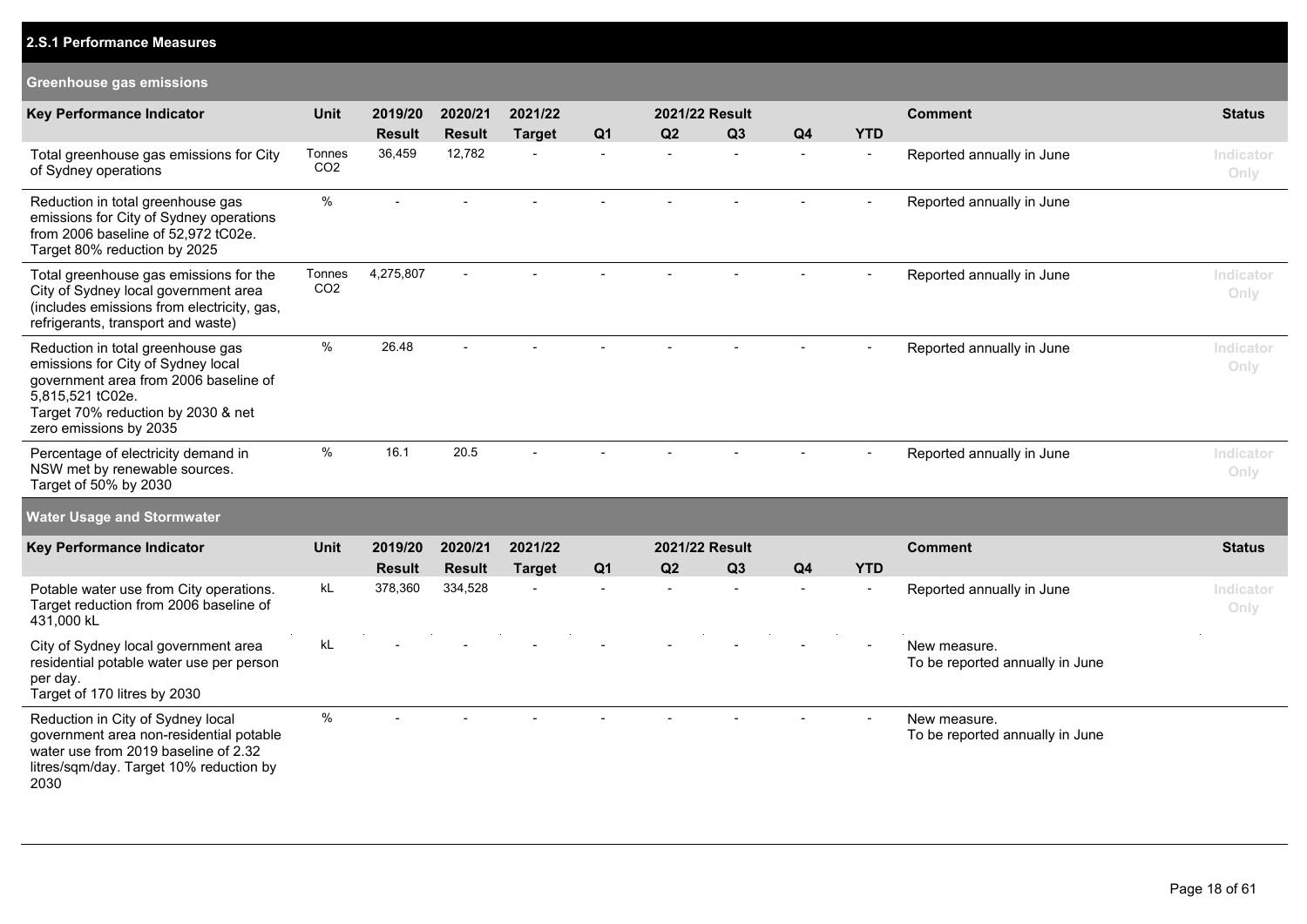| <b>Greenhouse gas emissions</b>                                                                                                                                                                      |                           |               |               |                |                |                |                |                |            |                                                 |                   |
|------------------------------------------------------------------------------------------------------------------------------------------------------------------------------------------------------|---------------------------|---------------|---------------|----------------|----------------|----------------|----------------|----------------|------------|-------------------------------------------------|-------------------|
| <b>Key Performance Indicator</b>                                                                                                                                                                     | Unit                      | 2019/20       | 2020/21       | 2021/22        |                | 2021/22 Result |                |                |            | <b>Comment</b>                                  | <b>Status</b>     |
|                                                                                                                                                                                                      |                           | <b>Result</b> | <b>Result</b> | <b>Target</b>  | Q <sub>1</sub> | Q2             | Q3             | Q <sub>4</sub> | <b>YTD</b> |                                                 |                   |
| Total greenhouse gas emissions for City<br>of Sydney operations                                                                                                                                      | Tonnes<br>CO <sub>2</sub> | 36,459        | 12,782        | $\sim$         | $\blacksquare$ |                | $\overline{a}$ |                |            | Reported annually in June                       | Indicator<br>Only |
| Reduction in total greenhouse gas<br>emissions for City of Sydney operations<br>from 2006 baseline of 52,972 tC02e.<br>Target 80% reduction by 2025                                                  | %                         |               |               |                | $\overline{a}$ |                |                |                |            | Reported annually in June                       |                   |
| Total greenhouse gas emissions for the<br>City of Sydney local government area<br>(includes emissions from electricity, gas,<br>refrigerants, transport and waste)                                   | Tonnes<br>CO <sub>2</sub> | 4,275,807     |               |                |                |                |                |                |            | Reported annually in June                       | Indicator<br>Only |
| Reduction in total greenhouse gas<br>emissions for City of Sydney local<br>government area from 2006 baseline of<br>5,815,521 tC02e.<br>Target 70% reduction by 2030 & net<br>zero emissions by 2035 | $\%$                      | 26.48         |               |                |                |                |                |                |            | Reported annually in June                       | Indicator<br>Only |
| Percentage of electricity demand in<br>NSW met by renewable sources.<br>Target of 50% by 2030                                                                                                        | $\%$                      | 16.1          | 20.5          |                |                |                |                |                |            | Reported annually in June                       | Indicator<br>Only |
| <b>Water Usage and Stormwater</b>                                                                                                                                                                    |                           |               |               |                |                |                |                |                |            |                                                 |                   |
| <b>Key Performance Indicator</b>                                                                                                                                                                     | Unit                      | 2019/20       | 2020/21       | 2021/22        |                | 2021/22 Result |                |                |            | <b>Comment</b>                                  | <b>Status</b>     |
|                                                                                                                                                                                                      |                           | <b>Result</b> | <b>Result</b> | <b>Target</b>  | Q <sub>1</sub> | Q2             | Q3             | Q <sub>4</sub> | <b>YTD</b> |                                                 |                   |
| Potable water use from City operations.<br>Target reduction from 2006 baseline of<br>431,000 kL                                                                                                      | kL                        | 378,360       | 334,528       | $\overline{a}$ | $\overline{a}$ |                |                |                |            | Reported annually in June                       | Indicator<br>Only |
| City of Sydney local government area<br>residential potable water use per person<br>per day.<br>Target of 170 litres by 2030                                                                         | kL                        |               |               |                |                |                |                |                |            | New measure.<br>To be reported annually in June |                   |
| Reduction in City of Sydney local<br>government area non-residential potable<br>water use from 2019 baseline of 2.32<br>litres/sqm/day. Target 10% reduction by<br>2030                              | $\%$                      |               |               |                |                |                |                |                |            | New measure.<br>To be reported annually in June |                   |

**2.S.1 Performance Measures**

### Page 18 of 61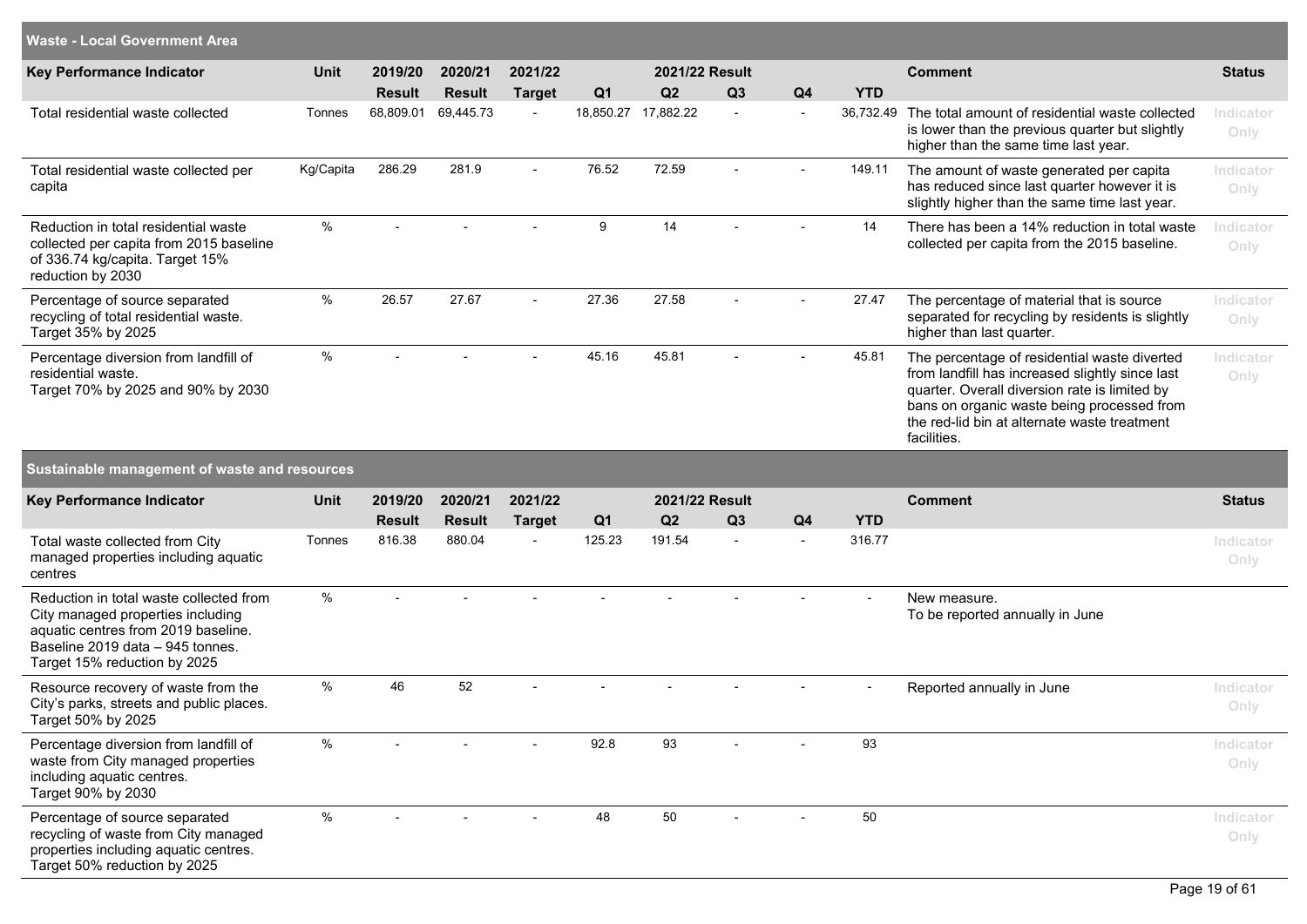| <b>Waste - Local Government Area</b>                                                                                                                                                    |               |                            |                            |                          |                             |                 |    |                |                         |                                                                                                                                                                                                                                                               |                   |
|-----------------------------------------------------------------------------------------------------------------------------------------------------------------------------------------|---------------|----------------------------|----------------------------|--------------------------|-----------------------------|-----------------|----|----------------|-------------------------|---------------------------------------------------------------------------------------------------------------------------------------------------------------------------------------------------------------------------------------------------------------|-------------------|
| Key Performance Indicator                                                                                                                                                               | <b>Unit</b>   | 2019/20                    | 2020/21                    | 2021/22                  |                             | 2021/22 Result  |    |                |                         | <b>Comment</b>                                                                                                                                                                                                                                                | <b>Status</b>     |
| Total residential waste collected                                                                                                                                                       | Tonnes        | <b>Result</b><br>68,809.01 | <b>Result</b><br>69,445.73 | <b>Target</b>            | Q <sub>1</sub><br>18,850.27 | Q2<br>17,882.22 | Q3 | Q <sub>4</sub> | <b>YTD</b><br>36,732.49 | The total amount of residential waste collected<br>is lower than the previous quarter but slightly<br>higher than the same time last year.                                                                                                                    | Indicator<br>Only |
| Total residential waste collected per<br>capita                                                                                                                                         | Kg/Capita     | 286.29                     | 281.9                      | $\overline{a}$           | 76.52                       | 72.59           |    |                | 149.11                  | The amount of waste generated per capita<br>has reduced since last quarter however it is<br>slightly higher than the same time last year.                                                                                                                     | Indicator<br>Only |
| Reduction in total residential waste<br>collected per capita from 2015 baseline<br>of 336.74 kg/capita. Target 15%<br>reduction by 2030                                                 | %             |                            |                            |                          | 9                           | 14              |    |                | 14                      | There has been a 14% reduction in total waste<br>collected per capita from the 2015 baseline.                                                                                                                                                                 | Indicator<br>Only |
| Percentage of source separated<br>recycling of total residential waste.<br>Target 35% by 2025                                                                                           | $\%$          | 26.57                      | 27.67                      | $\overline{\phantom{0}}$ | 27.36                       | 27.58           |    |                | 27.47                   | The percentage of material that is source<br>separated for recycling by residents is slightly<br>higher than last quarter.                                                                                                                                    | Indicator<br>Only |
| Percentage diversion from landfill of<br>residential waste.<br>Target 70% by 2025 and 90% by 2030                                                                                       | $\%$          |                            |                            |                          | 45.16                       | 45.81           |    |                | 45.81                   | The percentage of residential waste diverted<br>from landfill has increased slightly since last<br>quarter. Overall diversion rate is limited by<br>bans on organic waste being processed from<br>the red-lid bin at alternate waste treatment<br>facilities. | Indicator<br>Only |
| Sustainable management of waste and resources                                                                                                                                           |               |                            |                            |                          |                             |                 |    |                |                         |                                                                                                                                                                                                                                                               |                   |
| Key Performance Indicator                                                                                                                                                               | Unit          | 2019/20                    | 2020/21                    | 2021/22                  |                             | 2021/22 Result  |    |                |                         | <b>Comment</b>                                                                                                                                                                                                                                                | <b>Status</b>     |
|                                                                                                                                                                                         |               | <b>Result</b>              | <b>Result</b>              | <b>Target</b>            | Q <sub>1</sub>              | Q2              | Q3 | Q <sub>4</sub> | <b>YTD</b>              |                                                                                                                                                                                                                                                               |                   |
| Total waste collected from City<br>managed properties including aquatic<br>centres                                                                                                      | Tonnes        | 816.38                     | 880.04                     |                          | 125.23                      | 191.54          |    |                | 316.77                  |                                                                                                                                                                                                                                                               | Indicator<br>Only |
| Reduction in total waste collected from<br>City managed properties including<br>aquatic centres from 2019 baseline.<br>Baseline 2019 data - 945 tonnes.<br>Target 15% reduction by 2025 | $\%$          |                            |                            |                          |                             |                 |    |                |                         | New measure.<br>To be reported annually in June                                                                                                                                                                                                               |                   |
| Resource recovery of waste from the<br>City's parks, streets and public places.<br>Target 50% by 2025                                                                                   | $\frac{0}{0}$ | 46                         | 52                         |                          |                             |                 |    |                | $\blacksquare$          | Reported annually in June                                                                                                                                                                                                                                     | Indicator<br>Only |
| Percentage diversion from landfill of<br>waste from City managed properties<br>including aquatic centres.<br>Target 90% by 2030                                                         | $\%$          |                            |                            |                          | 92.8                        | 93              |    |                | 93                      |                                                                                                                                                                                                                                                               | Indicator<br>Only |
| Percentage of source separated<br>recycling of waste from City managed<br>properties including aquatic centres.<br>Target 50% reduction by 2025                                         | $\%$          |                            |                            |                          | 48                          | 50              |    |                | 50                      |                                                                                                                                                                                                                                                               | Indicator<br>Only |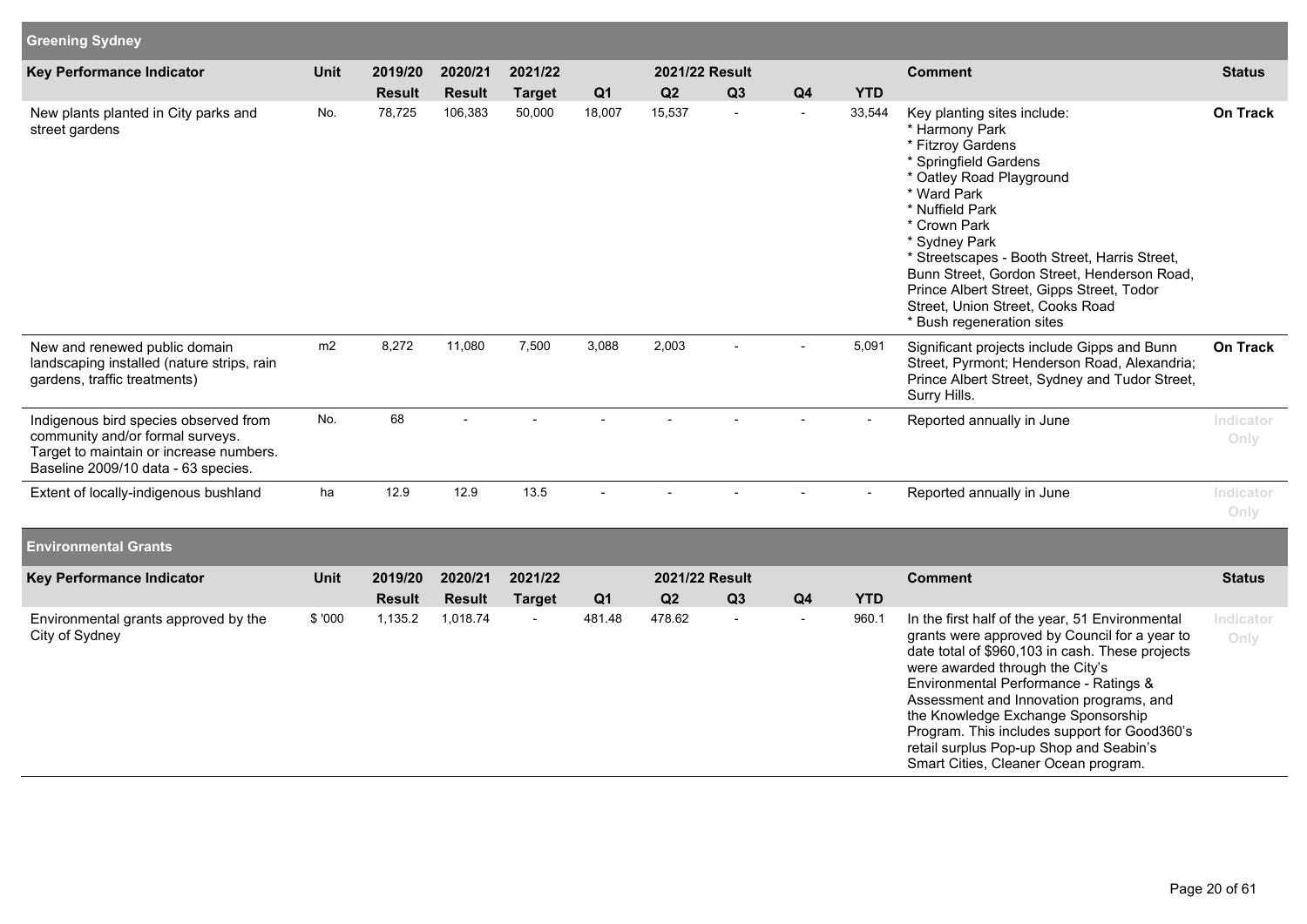| <b>Greening Sydney</b>                                                                                                                                      |             |               |               |               |                |                |    |                |                |                                                                                                                                                                                                                                                                                                                                                                                                                                                     |                   |
|-------------------------------------------------------------------------------------------------------------------------------------------------------------|-------------|---------------|---------------|---------------|----------------|----------------|----|----------------|----------------|-----------------------------------------------------------------------------------------------------------------------------------------------------------------------------------------------------------------------------------------------------------------------------------------------------------------------------------------------------------------------------------------------------------------------------------------------------|-------------------|
| Key Performance Indicator                                                                                                                                   | Unit        | 2019/20       | 2020/21       | 2021/22       |                | 2021/22 Result |    |                |                | <b>Comment</b>                                                                                                                                                                                                                                                                                                                                                                                                                                      | <b>Status</b>     |
|                                                                                                                                                             |             | <b>Result</b> | <b>Result</b> | <b>Target</b> | Q <sub>1</sub> | Q2             | Q3 | Q4             | <b>YTD</b>     |                                                                                                                                                                                                                                                                                                                                                                                                                                                     |                   |
| New plants planted in City parks and<br>street gardens                                                                                                      | No.         | 78,725        | 106,383       | 50,000        | 18,007         | 15,537         | ÷, | $\blacksquare$ | 33,544         | Key planting sites include:<br>* Harmony Park<br>* Fitzroy Gardens<br>* Springfield Gardens<br>* Oatley Road Playground<br>* Ward Park<br>* Nuffield Park<br>* Crown Park<br>* Sydney Park<br>* Streetscapes - Booth Street, Harris Street,<br>Bunn Street, Gordon Street, Henderson Road,<br>Prince Albert Street, Gipps Street, Todor<br>Street, Union Street, Cooks Road<br>* Bush regeneration sites                                            | On Track          |
| New and renewed public domain<br>landscaping installed (nature strips, rain<br>gardens, traffic treatments)                                                 | m2          | 8,272         | 11,080        | 7,500         | 3,088          | 2,003          |    |                | 5,091          | Significant projects include Gipps and Bunn<br>Street, Pyrmont; Henderson Road, Alexandria;<br>Prince Albert Street, Sydney and Tudor Street,<br>Surry Hills.                                                                                                                                                                                                                                                                                       | On Track          |
| Indigenous bird species observed from<br>community and/or formal surveys.<br>Target to maintain or increase numbers.<br>Baseline 2009/10 data - 63 species. | No.         | 68            |               |               |                |                |    |                |                | Reported annually in June                                                                                                                                                                                                                                                                                                                                                                                                                           | Indicator<br>Only |
| Extent of locally-indigenous bushland                                                                                                                       | ha          | 12.9          | 12.9          | 13.5          |                |                |    |                | $\blacksquare$ | Reported annually in June                                                                                                                                                                                                                                                                                                                                                                                                                           | Indicator<br>Only |
| <b>Environmental Grants</b>                                                                                                                                 |             |               |               |               |                |                |    |                |                |                                                                                                                                                                                                                                                                                                                                                                                                                                                     |                   |
| Key Performance Indicator                                                                                                                                   | <b>Unit</b> | 2019/20       | 2020/21       | 2021/22       |                | 2021/22 Result |    |                |                | <b>Comment</b>                                                                                                                                                                                                                                                                                                                                                                                                                                      | <b>Status</b>     |
|                                                                                                                                                             |             | <b>Result</b> | <b>Result</b> | <b>Target</b> | Q <sub>1</sub> | Q2             | Q3 | Q4             | <b>YTD</b>     |                                                                                                                                                                                                                                                                                                                                                                                                                                                     |                   |
| Environmental grants approved by the<br>City of Sydney                                                                                                      | \$'000      | 1,135.2       | 1,018.74      |               | 481.48         | 478.62         | ÷, |                | 960.1          | In the first half of the year, 51 Environmental<br>grants were approved by Council for a year to<br>date total of \$960,103 in cash. These projects<br>were awarded through the City's<br>Environmental Performance - Ratings &<br>Assessment and Innovation programs, and<br>the Knowledge Exchange Sponsorship<br>Program. This includes support for Good360's<br>retail surplus Pop-up Shop and Seabin's<br>Smart Cities, Cleaner Ocean program. | Indicator<br>Only |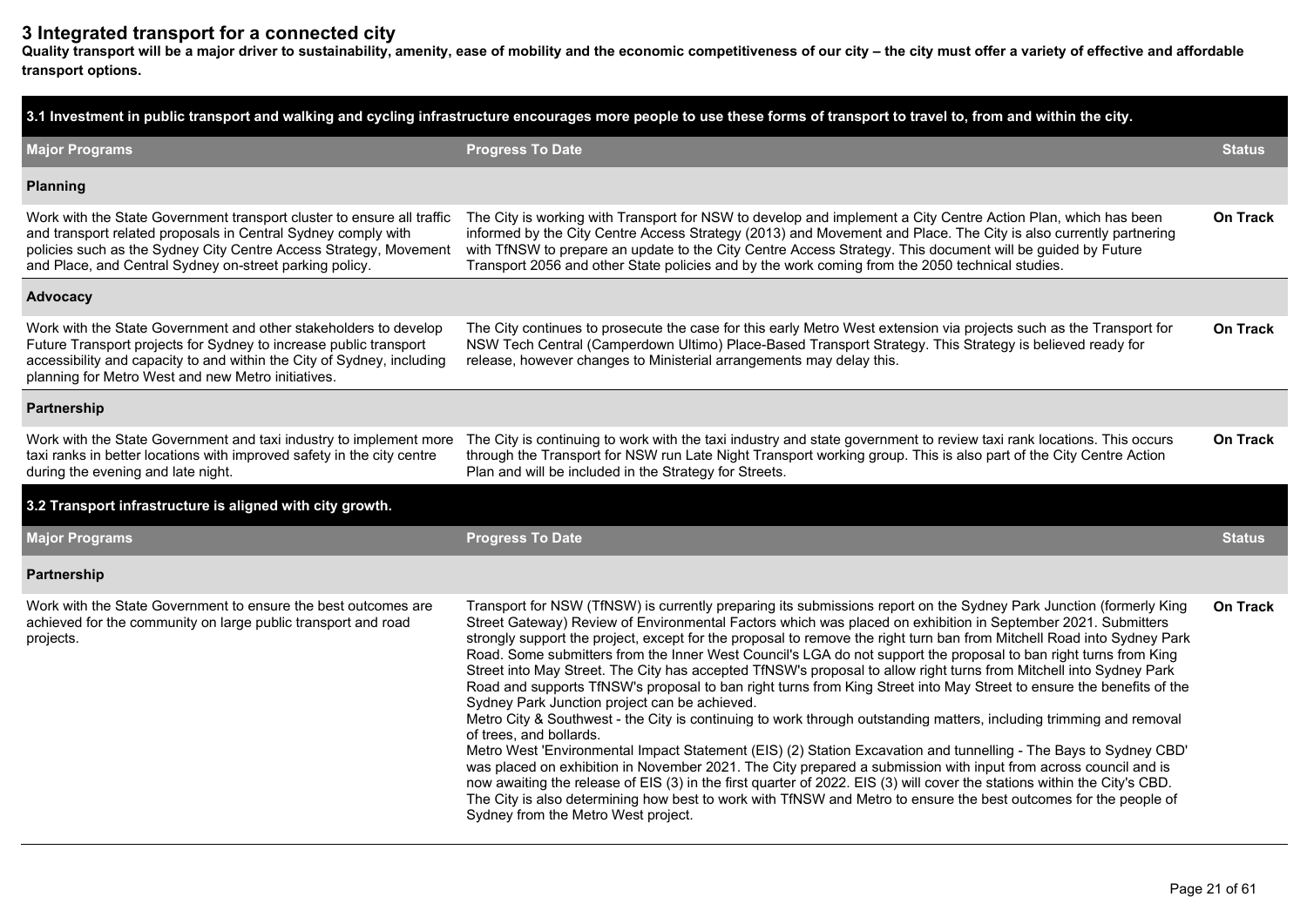## **3 Integrated transport for a connected city**

**Quality transport will be a major driver to sustainability, amenity, ease of mobility and the economic competitiveness of our city – the city must offer a variety of effective and affordable transport options.**

| 3.1 Investment in public transport and walking and cycling infrastructure encourages more people to use these forms of transport to travel to, from and within the city.                                                                                                |                                                                                                                                                                                                                                                                                                                                                                                                                                                                                                                                                                                                                                                                                                                                                                                                                                                                                                                                                                                                                                                                                                                                                                                                                                                                                                                                                                                                                                                                 |                 |  |  |  |  |  |  |
|-------------------------------------------------------------------------------------------------------------------------------------------------------------------------------------------------------------------------------------------------------------------------|-----------------------------------------------------------------------------------------------------------------------------------------------------------------------------------------------------------------------------------------------------------------------------------------------------------------------------------------------------------------------------------------------------------------------------------------------------------------------------------------------------------------------------------------------------------------------------------------------------------------------------------------------------------------------------------------------------------------------------------------------------------------------------------------------------------------------------------------------------------------------------------------------------------------------------------------------------------------------------------------------------------------------------------------------------------------------------------------------------------------------------------------------------------------------------------------------------------------------------------------------------------------------------------------------------------------------------------------------------------------------------------------------------------------------------------------------------------------|-----------------|--|--|--|--|--|--|
| <b>Major Programs</b>                                                                                                                                                                                                                                                   | <b>Progress To Date</b>                                                                                                                                                                                                                                                                                                                                                                                                                                                                                                                                                                                                                                                                                                                                                                                                                                                                                                                                                                                                                                                                                                                                                                                                                                                                                                                                                                                                                                         | <b>Status</b>   |  |  |  |  |  |  |
| <b>Planning</b>                                                                                                                                                                                                                                                         |                                                                                                                                                                                                                                                                                                                                                                                                                                                                                                                                                                                                                                                                                                                                                                                                                                                                                                                                                                                                                                                                                                                                                                                                                                                                                                                                                                                                                                                                 |                 |  |  |  |  |  |  |
| Work with the State Government transport cluster to ensure all traffic<br>and transport related proposals in Central Sydney comply with<br>policies such as the Sydney City Centre Access Strategy, Movement<br>and Place, and Central Sydney on-street parking policy. | The City is working with Transport for NSW to develop and implement a City Centre Action Plan, which has been<br>informed by the City Centre Access Strategy (2013) and Movement and Place. The City is also currently partnering<br>with TfNSW to prepare an update to the City Centre Access Strategy. This document will be guided by Future<br>Transport 2056 and other State policies and by the work coming from the 2050 technical studies.                                                                                                                                                                                                                                                                                                                                                                                                                                                                                                                                                                                                                                                                                                                                                                                                                                                                                                                                                                                                              | <b>On Track</b> |  |  |  |  |  |  |
| Advocacy                                                                                                                                                                                                                                                                |                                                                                                                                                                                                                                                                                                                                                                                                                                                                                                                                                                                                                                                                                                                                                                                                                                                                                                                                                                                                                                                                                                                                                                                                                                                                                                                                                                                                                                                                 |                 |  |  |  |  |  |  |
| Work with the State Government and other stakeholders to develop<br>Future Transport projects for Sydney to increase public transport<br>accessibility and capacity to and within the City of Sydney, including<br>planning for Metro West and new Metro initiatives.   | The City continues to prosecute the case for this early Metro West extension via projects such as the Transport for<br>NSW Tech Central (Camperdown Ultimo) Place-Based Transport Strategy. This Strategy is believed ready for<br>release, however changes to Ministerial arrangements may delay this.                                                                                                                                                                                                                                                                                                                                                                                                                                                                                                                                                                                                                                                                                                                                                                                                                                                                                                                                                                                                                                                                                                                                                         | <b>On Track</b> |  |  |  |  |  |  |
| Partnership                                                                                                                                                                                                                                                             |                                                                                                                                                                                                                                                                                                                                                                                                                                                                                                                                                                                                                                                                                                                                                                                                                                                                                                                                                                                                                                                                                                                                                                                                                                                                                                                                                                                                                                                                 |                 |  |  |  |  |  |  |
| Work with the State Government and taxi industry to implement more<br>taxi ranks in better locations with improved safety in the city centre<br>during the evening and late night.                                                                                      | The City is continuing to work with the taxi industry and state government to review taxi rank locations. This occurs<br>through the Transport for NSW run Late Night Transport working group. This is also part of the City Centre Action<br>Plan and will be included in the Strategy for Streets.                                                                                                                                                                                                                                                                                                                                                                                                                                                                                                                                                                                                                                                                                                                                                                                                                                                                                                                                                                                                                                                                                                                                                            | On Track        |  |  |  |  |  |  |
| 3.2 Transport infrastructure is aligned with city growth.                                                                                                                                                                                                               |                                                                                                                                                                                                                                                                                                                                                                                                                                                                                                                                                                                                                                                                                                                                                                                                                                                                                                                                                                                                                                                                                                                                                                                                                                                                                                                                                                                                                                                                 |                 |  |  |  |  |  |  |
| <b>Major Programs</b>                                                                                                                                                                                                                                                   | <b>Progress To Date</b>                                                                                                                                                                                                                                                                                                                                                                                                                                                                                                                                                                                                                                                                                                                                                                                                                                                                                                                                                                                                                                                                                                                                                                                                                                                                                                                                                                                                                                         | <b>Status</b>   |  |  |  |  |  |  |
| Partnership                                                                                                                                                                                                                                                             |                                                                                                                                                                                                                                                                                                                                                                                                                                                                                                                                                                                                                                                                                                                                                                                                                                                                                                                                                                                                                                                                                                                                                                                                                                                                                                                                                                                                                                                                 |                 |  |  |  |  |  |  |
| Work with the State Government to ensure the best outcomes are<br>achieved for the community on large public transport and road<br>projects.                                                                                                                            | Transport for NSW (TfNSW) is currently preparing its submissions report on the Sydney Park Junction (formerly King<br>Street Gateway) Review of Environmental Factors which was placed on exhibition in September 2021. Submitters<br>strongly support the project, except for the proposal to remove the right turn ban from Mitchell Road into Sydney Park<br>Road. Some submitters from the Inner West Council's LGA do not support the proposal to ban right turns from King<br>Street into May Street. The City has accepted TfNSW's proposal to allow right turns from Mitchell into Sydney Park<br>Road and supports TfNSW's proposal to ban right turns from King Street into May Street to ensure the benefits of the<br>Sydney Park Junction project can be achieved.<br>Metro City & Southwest - the City is continuing to work through outstanding matters, including trimming and removal<br>of trees, and bollards.<br>Metro West 'Environmental Impact Statement (EIS) (2) Station Excavation and tunnelling - The Bays to Sydney CBD'<br>was placed on exhibition in November 2021. The City prepared a submission with input from across council and is<br>now awaiting the release of EIS (3) in the first quarter of 2022. EIS (3) will cover the stations within the City's CBD.<br>The City is also determining how best to work with TfNSW and Metro to ensure the best outcomes for the people of<br>Sydney from the Metro West project. | <b>On Track</b> |  |  |  |  |  |  |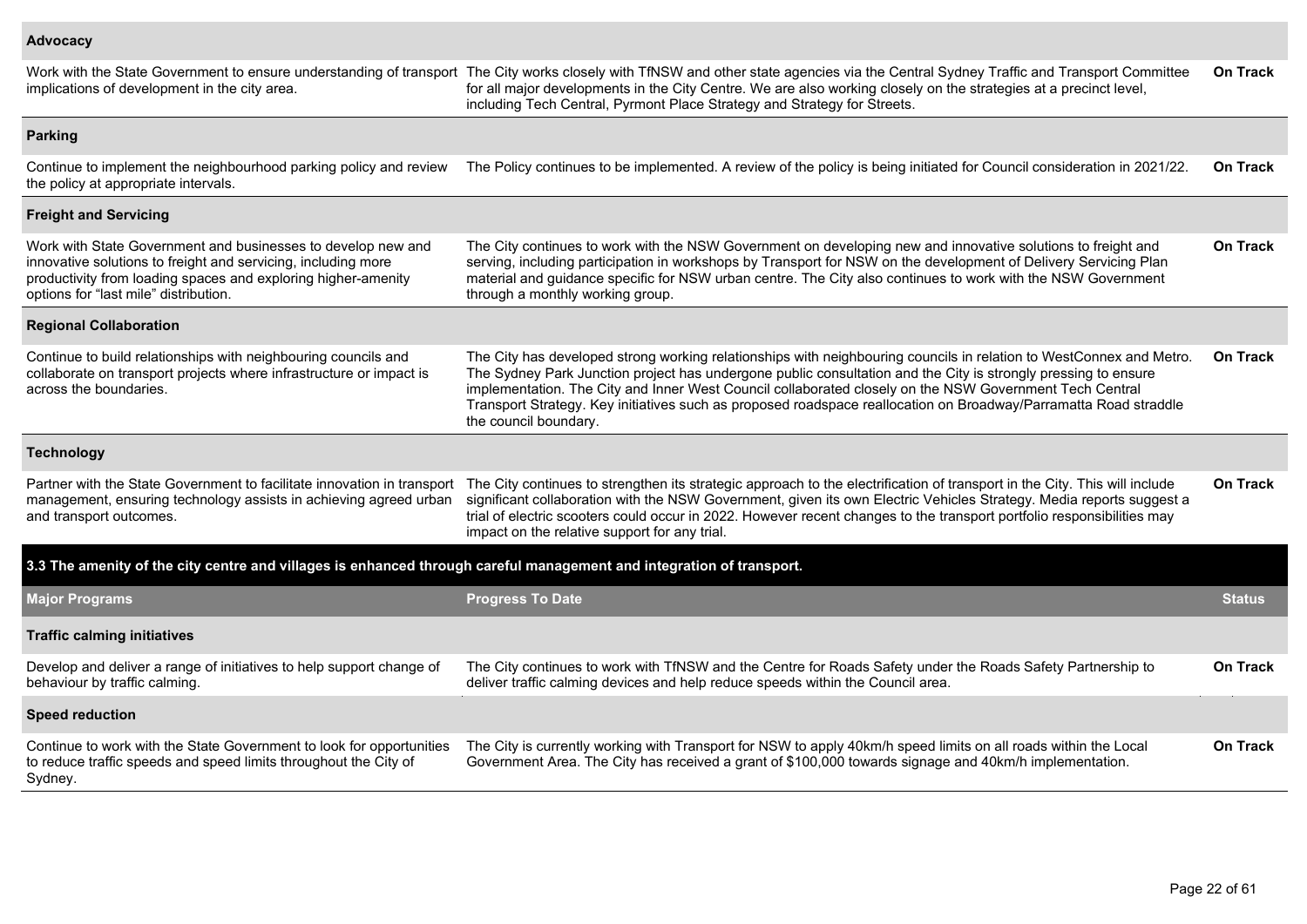#### **Advocacy**

Work with the State Government to ensure understanding of transport The City works closely with TfNSW and other state agencies via the Central Sydney Traffic and Transport Committee implications of development in the city area. for all major developments in the City Centre. We are also working closely on the strategies at a precinct level, including Tech Central, Pyrmont Place Strategy and Strategy for Streets. **On Track Parking**

Continue to implement the neighbourhood parking policy and review the policy at appropriate intervals. The Policy continues to be implemented. A review of the policy is being initiated for Council consideration in 2021/22. **On Track Freight and Servicing**

| The City continues to work with the NSW Government on developing new and innovative solutions to freight and<br>serving, including participation in workshops by Transport for NSW on the development of Delivery Servicing Plan<br>material and guidance specific for NSW urban centre. The City also continues to work with the NSW Government<br>through a monthly working group.                                                                                                          | On Track        |
|-----------------------------------------------------------------------------------------------------------------------------------------------------------------------------------------------------------------------------------------------------------------------------------------------------------------------------------------------------------------------------------------------------------------------------------------------------------------------------------------------|-----------------|
|                                                                                                                                                                                                                                                                                                                                                                                                                                                                                               |                 |
| The City has developed strong working relationships with neighbouring councils in relation to WestConnex and Metro.<br>The Sydney Park Junction project has undergone public consultation and the City is strongly pressing to ensure<br>implementation. The City and Inner West Council collaborated closely on the NSW Government Tech Central<br>Transport Strategy. Key initiatives such as proposed roadspace reallocation on Broadway/Parramatta Road straddle<br>the council boundary. | <b>On Track</b> |
|                                                                                                                                                                                                                                                                                                                                                                                                                                                                                               |                 |
| The City continues to strengthen its strategic approach to the electrification of transport in the City. This will include<br>significant collaboration with the NSW Government, given its own Electric Vehicles Strategy. Media reports suggest a<br>trial of electric scooters could occur in 2022. However recent changes to the transport portfolio responsibilities may<br>impact on the relative support for any trial.                                                                 | <b>On Track</b> |
| 3.3 The amenity of the city centre and villages is enhanced through careful management and integration of transport.                                                                                                                                                                                                                                                                                                                                                                          |                 |
| <b>Progress To Date</b>                                                                                                                                                                                                                                                                                                                                                                                                                                                                       | <b>Status</b>   |
|                                                                                                                                                                                                                                                                                                                                                                                                                                                                                               |                 |
| The City continues to work with TfNSW and the Centre for Roads Safety under the Roads Safety Partnership to<br>deliver traffic calming devices and help reduce speeds within the Council area.                                                                                                                                                                                                                                                                                                | <b>On Track</b> |
|                                                                                                                                                                                                                                                                                                                                                                                                                                                                                               |                 |
| The City is currently working with Transport for NSW to apply 40km/h speed limits on all roads within the Local<br>Government Area. The City has received a grant of \$100,000 towards signage and 40km/h implementation.                                                                                                                                                                                                                                                                     | <b>On Track</b> |
|                                                                                                                                                                                                                                                                                                                                                                                                                                                                                               |                 |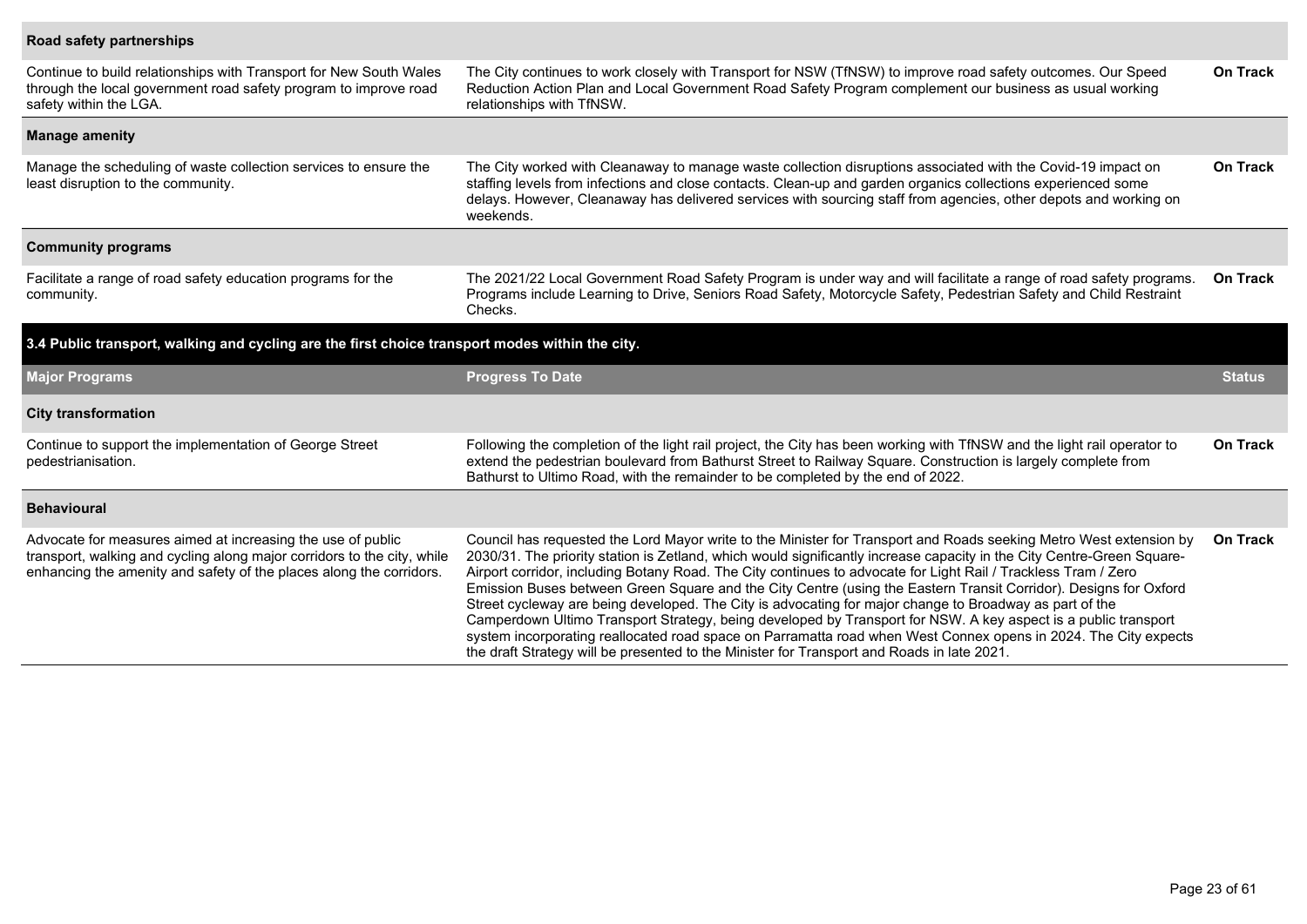### **Road safety partnerships**

| Continue to build relationships with Transport for New South Wales<br>through the local government road safety program to improve road<br>safety within the LGA.                                              | The City continues to work closely with Transport for NSW (TfNSW) to improve road safety outcomes. Our Speed<br>Reduction Action Plan and Local Government Road Safety Program complement our business as usual working<br>relationships with TfNSW.                                                                                                                                                                                                                                                                                                                                                                                                                                                                                                                                                                               | <b>On Track</b> |
|---------------------------------------------------------------------------------------------------------------------------------------------------------------------------------------------------------------|------------------------------------------------------------------------------------------------------------------------------------------------------------------------------------------------------------------------------------------------------------------------------------------------------------------------------------------------------------------------------------------------------------------------------------------------------------------------------------------------------------------------------------------------------------------------------------------------------------------------------------------------------------------------------------------------------------------------------------------------------------------------------------------------------------------------------------|-----------------|
| <b>Manage amenity</b>                                                                                                                                                                                         |                                                                                                                                                                                                                                                                                                                                                                                                                                                                                                                                                                                                                                                                                                                                                                                                                                    |                 |
| Manage the scheduling of waste collection services to ensure the<br>least disruption to the community.                                                                                                        | The City worked with Cleanaway to manage waste collection disruptions associated with the Covid-19 impact on<br>staffing levels from infections and close contacts. Clean-up and garden organics collections experienced some<br>delays. However, Cleanaway has delivered services with sourcing staff from agencies, other depots and working on<br>weekends.                                                                                                                                                                                                                                                                                                                                                                                                                                                                     | <b>On Track</b> |
| <b>Community programs</b>                                                                                                                                                                                     |                                                                                                                                                                                                                                                                                                                                                                                                                                                                                                                                                                                                                                                                                                                                                                                                                                    |                 |
| Facilitate a range of road safety education programs for the<br>community.                                                                                                                                    | The 2021/22 Local Government Road Safety Program is under way and will facilitate a range of road safety programs.<br>Programs include Learning to Drive, Seniors Road Safety, Motorcycle Safety, Pedestrian Safety and Child Restraint<br>Checks.                                                                                                                                                                                                                                                                                                                                                                                                                                                                                                                                                                                 | <b>On Track</b> |
| 3.4 Public transport, walking and cycling are the first choice transport modes within the city.                                                                                                               |                                                                                                                                                                                                                                                                                                                                                                                                                                                                                                                                                                                                                                                                                                                                                                                                                                    |                 |
| <b>Major Programs</b>                                                                                                                                                                                         | <b>Progress To Date</b>                                                                                                                                                                                                                                                                                                                                                                                                                                                                                                                                                                                                                                                                                                                                                                                                            | <b>Status</b>   |
| <b>City transformation</b>                                                                                                                                                                                    |                                                                                                                                                                                                                                                                                                                                                                                                                                                                                                                                                                                                                                                                                                                                                                                                                                    |                 |
| Continue to support the implementation of George Street<br>pedestrianisation.                                                                                                                                 | Following the completion of the light rail project, the City has been working with TfNSW and the light rail operator to<br>extend the pedestrian boulevard from Bathurst Street to Railway Square. Construction is largely complete from<br>Bathurst to Ultimo Road, with the remainder to be completed by the end of 2022.                                                                                                                                                                                                                                                                                                                                                                                                                                                                                                        | <b>On Track</b> |
| <b>Behavioural</b>                                                                                                                                                                                            |                                                                                                                                                                                                                                                                                                                                                                                                                                                                                                                                                                                                                                                                                                                                                                                                                                    |                 |
| Advocate for measures aimed at increasing the use of public<br>transport, walking and cycling along major corridors to the city, while<br>enhancing the amenity and safety of the places along the corridors. | Council has requested the Lord Mayor write to the Minister for Transport and Roads seeking Metro West extension by<br>2030/31. The priority station is Zetland, which would significantly increase capacity in the City Centre-Green Square-<br>Airport corridor, including Botany Road. The City continues to advocate for Light Rail / Trackless Tram / Zero<br>Emission Buses between Green Square and the City Centre (using the Eastern Transit Corridor). Designs for Oxford<br>Street cycleway are being developed. The City is advocating for major change to Broadway as part of the<br>Camperdown Ultimo Transport Strategy, being developed by Transport for NSW. A key aspect is a public transport<br>system incorporating reallocated road space on Parramatta road when West Connex opens in 2024. The City expects | <b>On Track</b> |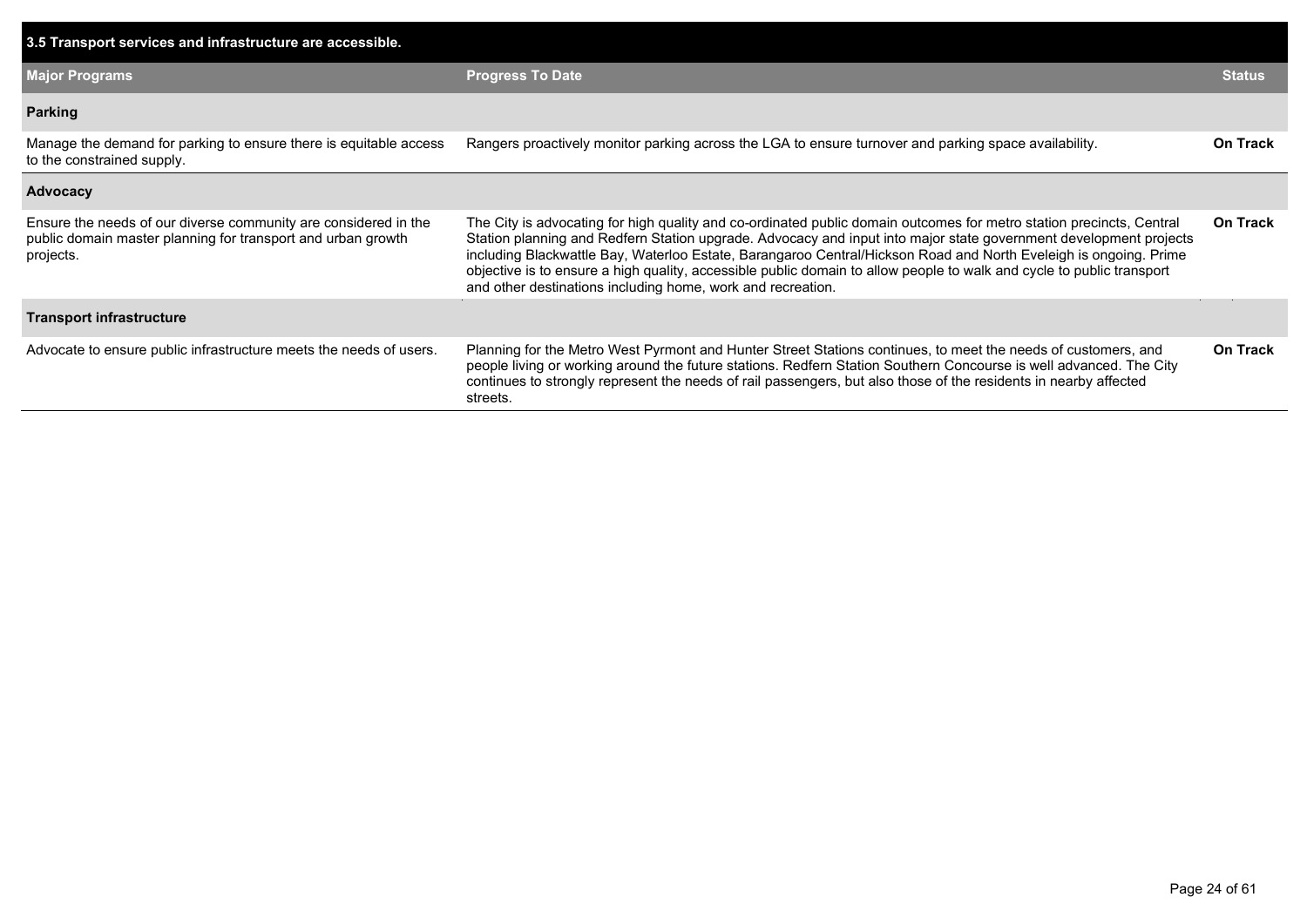| 3.5 Transport services and infrastructure are accessible.                                                                                    |                                                                                                                                                                                                                                                                                                                                                                                                                                                                                                                                                       |                 |
|----------------------------------------------------------------------------------------------------------------------------------------------|-------------------------------------------------------------------------------------------------------------------------------------------------------------------------------------------------------------------------------------------------------------------------------------------------------------------------------------------------------------------------------------------------------------------------------------------------------------------------------------------------------------------------------------------------------|-----------------|
| <b>Major Programs</b>                                                                                                                        | <b>Progress To Date</b>                                                                                                                                                                                                                                                                                                                                                                                                                                                                                                                               | <b>Status</b>   |
| <b>Parking</b>                                                                                                                               |                                                                                                                                                                                                                                                                                                                                                                                                                                                                                                                                                       |                 |
| Manage the demand for parking to ensure there is equitable access<br>to the constrained supply.                                              | Rangers proactively monitor parking across the LGA to ensure turnover and parking space availability.                                                                                                                                                                                                                                                                                                                                                                                                                                                 | <b>On Track</b> |
| Advocacy                                                                                                                                     |                                                                                                                                                                                                                                                                                                                                                                                                                                                                                                                                                       |                 |
| Ensure the needs of our diverse community are considered in the<br>public domain master planning for transport and urban growth<br>projects. | The City is advocating for high quality and co-ordinated public domain outcomes for metro station precincts, Central<br>Station planning and Redfern Station upgrade. Advocacy and input into major state government development projects<br>including Blackwattle Bay, Waterloo Estate, Barangaroo Central/Hickson Road and North Eveleigh is ongoing. Prime<br>objective is to ensure a high quality, accessible public domain to allow people to walk and cycle to public transport<br>and other destinations including home, work and recreation. | On Track        |
| <b>Transport infrastructure</b>                                                                                                              |                                                                                                                                                                                                                                                                                                                                                                                                                                                                                                                                                       |                 |
| Advocate to ensure public infrastructure meets the needs of users.                                                                           | Planning for the Metro West Pyrmont and Hunter Street Stations continues, to meet the needs of customers, and<br>people living or working around the future stations. Redfern Station Southern Concourse is well advanced. The City<br>continues to strongly represent the needs of rail passengers, but also those of the residents in nearby affected<br>streets.                                                                                                                                                                                   | On Track        |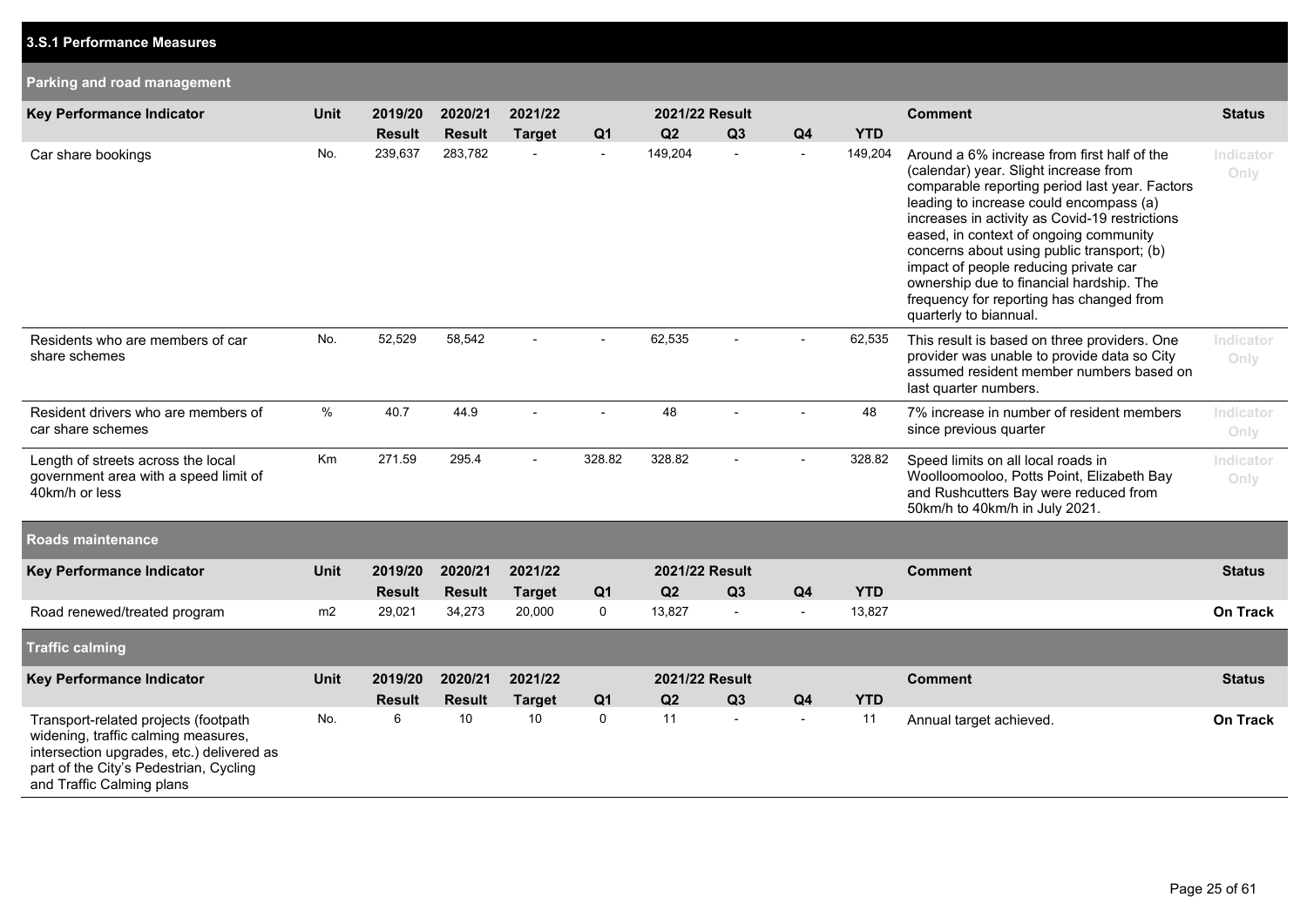| Parking and road management                                                                                                                                                                     |             |               |               |                |                |                       |                |                          |            |                                                                                                                                                                                                                                                                                                                                                                                                                                                                                        |                   |
|-------------------------------------------------------------------------------------------------------------------------------------------------------------------------------------------------|-------------|---------------|---------------|----------------|----------------|-----------------------|----------------|--------------------------|------------|----------------------------------------------------------------------------------------------------------------------------------------------------------------------------------------------------------------------------------------------------------------------------------------------------------------------------------------------------------------------------------------------------------------------------------------------------------------------------------------|-------------------|
| <b>Key Performance Indicator</b>                                                                                                                                                                | <b>Unit</b> | 2019/20       | 2020/21       | 2021/22        |                | 2021/22 Result        |                |                          |            | <b>Comment</b>                                                                                                                                                                                                                                                                                                                                                                                                                                                                         | <b>Status</b>     |
|                                                                                                                                                                                                 |             | <b>Result</b> | <b>Result</b> | <b>Target</b>  | Q <sub>1</sub> | Q2                    | Q3             | Q <sub>4</sub>           | <b>YTD</b> |                                                                                                                                                                                                                                                                                                                                                                                                                                                                                        |                   |
| Car share bookings                                                                                                                                                                              | No.         | 239,637       | 283,782       |                | $\blacksquare$ | 149,204               | $\blacksquare$ |                          | 149,204    | Around a 6% increase from first half of the<br>(calendar) year. Slight increase from<br>comparable reporting period last year. Factors<br>leading to increase could encompass (a)<br>increases in activity as Covid-19 restrictions<br>eased, in context of ongoing community<br>concerns about using public transport; (b)<br>impact of people reducing private car<br>ownership due to financial hardship. The<br>frequency for reporting has changed from<br>quarterly to biannual. | Indicator<br>Only |
| Residents who are members of car<br>share schemes                                                                                                                                               | No.         | 52,529        | 58,542        |                |                | 62,535                |                |                          | 62,535     | This result is based on three providers. One<br>provider was unable to provide data so City<br>assumed resident member numbers based on<br>last quarter numbers.                                                                                                                                                                                                                                                                                                                       | Indicator<br>Only |
| Resident drivers who are members of<br>car share schemes                                                                                                                                        | $\%$        | 40.7          | 44.9          | $\overline{a}$ |                | 48                    |                |                          | 48         | 7% increase in number of resident members<br>since previous quarter                                                                                                                                                                                                                                                                                                                                                                                                                    | Indicator<br>Only |
| Length of streets across the local<br>government area with a speed limit of<br>40km/h or less                                                                                                   | Km          | 271.59        | 295.4         |                | 328.82         | 328.82                |                |                          | 328.82     | Speed limits on all local roads in<br>Woolloomooloo, Potts Point, Elizabeth Bay<br>and Rushcutters Bay were reduced from<br>50km/h to 40km/h in July 2021.                                                                                                                                                                                                                                                                                                                             | Indicator<br>Only |
| Roads maintenance                                                                                                                                                                               |             |               |               |                |                |                       |                |                          |            |                                                                                                                                                                                                                                                                                                                                                                                                                                                                                        |                   |
| Key Performance Indicator                                                                                                                                                                       | <b>Unit</b> | 2019/20       | 2020/21       | 2021/22        |                | <b>2021/22 Result</b> |                |                          |            | <b>Comment</b>                                                                                                                                                                                                                                                                                                                                                                                                                                                                         | <b>Status</b>     |
|                                                                                                                                                                                                 |             | <b>Result</b> | <b>Result</b> | <b>Target</b>  | Q <sub>1</sub> | Q2                    | Q3             | Q <sub>4</sub>           | <b>YTD</b> |                                                                                                                                                                                                                                                                                                                                                                                                                                                                                        |                   |
| Road renewed/treated program                                                                                                                                                                    | m2          | 29,021        | 34,273        | 20,000         | 0              | 13,827                | $\blacksquare$ | $\overline{\phantom{a}}$ | 13,827     |                                                                                                                                                                                                                                                                                                                                                                                                                                                                                        | <b>On Track</b>   |
| <b>Traffic calming</b>                                                                                                                                                                          |             |               |               |                |                |                       |                |                          |            |                                                                                                                                                                                                                                                                                                                                                                                                                                                                                        |                   |
| Key Performance Indicator                                                                                                                                                                       | Unit        | 2019/20       | 2020/21       | 2021/22        |                | 2021/22 Result        |                |                          |            | <b>Comment</b>                                                                                                                                                                                                                                                                                                                                                                                                                                                                         | <b>Status</b>     |
|                                                                                                                                                                                                 |             | <b>Result</b> | <b>Result</b> | <b>Target</b>  | Q <sub>1</sub> | Q2                    | Q3             | Q <sub>4</sub>           | <b>YTD</b> |                                                                                                                                                                                                                                                                                                                                                                                                                                                                                        |                   |
| Transport-related projects (footpath<br>widening, traffic calming measures,<br>intersection upgrades, etc.) delivered as<br>part of the City's Pedestrian, Cycling<br>and Traffic Calming plans | No.         | $\,6\,$       | 10            | 10             | $\mathsf 0$    | 11                    | $\sim$         | $\sim$                   | 11         | Annual target achieved.                                                                                                                                                                                                                                                                                                                                                                                                                                                                | <b>On Track</b>   |

**3.S.1 Performance Measures**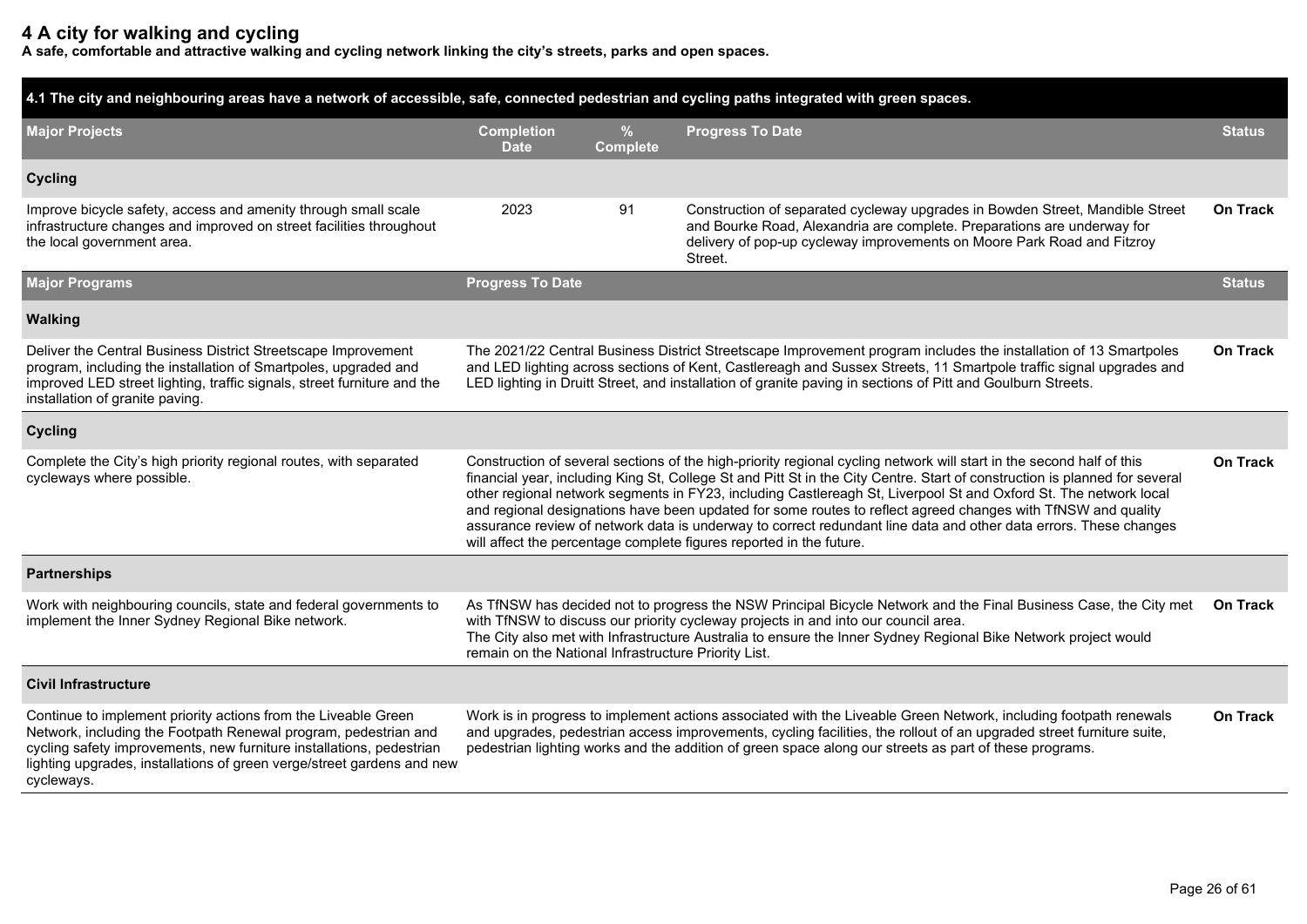## **4 A city for walking and cycling**

**A safe, comfortable and attractive walking and cycling network linking the city's streets, parks and open spaces.**

| 4.1 The city and neighbouring areas have a network of accessible, safe, connected pedestrian and cycling paths integrated with green spaces.                                                                                                                                                      |                                                                                                                                                                                                                                                                                                                                                                                                                                                                                                                                                                                                                                                                                               |                                  |                                                                                                                                                                                                                                                                                                                                                    |                 |  |  |  |  |
|---------------------------------------------------------------------------------------------------------------------------------------------------------------------------------------------------------------------------------------------------------------------------------------------------|-----------------------------------------------------------------------------------------------------------------------------------------------------------------------------------------------------------------------------------------------------------------------------------------------------------------------------------------------------------------------------------------------------------------------------------------------------------------------------------------------------------------------------------------------------------------------------------------------------------------------------------------------------------------------------------------------|----------------------------------|----------------------------------------------------------------------------------------------------------------------------------------------------------------------------------------------------------------------------------------------------------------------------------------------------------------------------------------------------|-----------------|--|--|--|--|
| <b>Major Projects</b>                                                                                                                                                                                                                                                                             | <b>Completion</b><br><b>Date</b>                                                                                                                                                                                                                                                                                                                                                                                                                                                                                                                                                                                                                                                              | $\frac{9}{6}$<br><b>Complete</b> | <b>Progress To Date</b>                                                                                                                                                                                                                                                                                                                            | <b>Status</b>   |  |  |  |  |
| <b>Cycling</b>                                                                                                                                                                                                                                                                                    |                                                                                                                                                                                                                                                                                                                                                                                                                                                                                                                                                                                                                                                                                               |                                  |                                                                                                                                                                                                                                                                                                                                                    |                 |  |  |  |  |
| Improve bicycle safety, access and amenity through small scale<br>infrastructure changes and improved on street facilities throughout<br>the local government area.                                                                                                                               | 2023                                                                                                                                                                                                                                                                                                                                                                                                                                                                                                                                                                                                                                                                                          | 91                               | Construction of separated cycleway upgrades in Bowden Street, Mandible Street<br>and Bourke Road, Alexandria are complete. Preparations are underway for<br>delivery of pop-up cycleway improvements on Moore Park Road and Fitzroy<br>Street.                                                                                                     | <b>On Track</b> |  |  |  |  |
| <b>Major Programs</b>                                                                                                                                                                                                                                                                             | <b>Progress To Date</b>                                                                                                                                                                                                                                                                                                                                                                                                                                                                                                                                                                                                                                                                       |                                  |                                                                                                                                                                                                                                                                                                                                                    | <b>Status</b>   |  |  |  |  |
| <b>Walking</b>                                                                                                                                                                                                                                                                                    |                                                                                                                                                                                                                                                                                                                                                                                                                                                                                                                                                                                                                                                                                               |                                  |                                                                                                                                                                                                                                                                                                                                                    |                 |  |  |  |  |
| Deliver the Central Business District Streetscape Improvement<br>program, including the installation of Smartpoles, upgraded and<br>improved LED street lighting, traffic signals, street furniture and the<br>installation of granite paving.                                                    | The 2021/22 Central Business District Streetscape Improvement program includes the installation of 13 Smartpoles<br>On Track<br>and LED lighting across sections of Kent, Castlereagh and Sussex Streets, 11 Smartpole traffic signal upgrades and<br>LED lighting in Druitt Street, and installation of granite paving in sections of Pitt and Goulburn Streets.                                                                                                                                                                                                                                                                                                                             |                                  |                                                                                                                                                                                                                                                                                                                                                    |                 |  |  |  |  |
| <b>Cycling</b>                                                                                                                                                                                                                                                                                    |                                                                                                                                                                                                                                                                                                                                                                                                                                                                                                                                                                                                                                                                                               |                                  |                                                                                                                                                                                                                                                                                                                                                    |                 |  |  |  |  |
| Complete the City's high priority regional routes, with separated<br>cycleways where possible.                                                                                                                                                                                                    | Construction of several sections of the high-priority regional cycling network will start in the second half of this<br>On Track<br>financial year, including King St, College St and Pitt St in the City Centre. Start of construction is planned for several<br>other regional network segments in FY23, including Castlereagh St, Liverpool St and Oxford St. The network local<br>and regional designations have been updated for some routes to reflect agreed changes with TfNSW and quality<br>assurance review of network data is underway to correct redundant line data and other data errors. These changes<br>will affect the percentage complete figures reported in the future. |                                  |                                                                                                                                                                                                                                                                                                                                                    |                 |  |  |  |  |
| <b>Partnerships</b>                                                                                                                                                                                                                                                                               |                                                                                                                                                                                                                                                                                                                                                                                                                                                                                                                                                                                                                                                                                               |                                  |                                                                                                                                                                                                                                                                                                                                                    |                 |  |  |  |  |
| Work with neighbouring councils, state and federal governments to<br>implement the Inner Sydney Regional Bike network.                                                                                                                                                                            | <b>On Track</b><br>As TfNSW has decided not to progress the NSW Principal Bicycle Network and the Final Business Case, the City met<br>with TfNSW to discuss our priority cycleway projects in and into our council area.<br>The City also met with Infrastructure Australia to ensure the Inner Sydney Regional Bike Network project would<br>remain on the National Infrastructure Priority List.                                                                                                                                                                                                                                                                                           |                                  |                                                                                                                                                                                                                                                                                                                                                    |                 |  |  |  |  |
| <b>Civil Infrastructure</b>                                                                                                                                                                                                                                                                       |                                                                                                                                                                                                                                                                                                                                                                                                                                                                                                                                                                                                                                                                                               |                                  |                                                                                                                                                                                                                                                                                                                                                    |                 |  |  |  |  |
| Continue to implement priority actions from the Liveable Green<br>Network, including the Footpath Renewal program, pedestrian and<br>cycling safety improvements, new furniture installations, pedestrian<br>lighting upgrades, installations of green verge/street gardens and new<br>cycleways. |                                                                                                                                                                                                                                                                                                                                                                                                                                                                                                                                                                                                                                                                                               |                                  | Work is in progress to implement actions associated with the Liveable Green Network, including footpath renewals<br>and upgrades, pedestrian access improvements, cycling facilities, the rollout of an upgraded street furniture suite,<br>pedestrian lighting works and the addition of green space along our streets as part of these programs. | On Track        |  |  |  |  |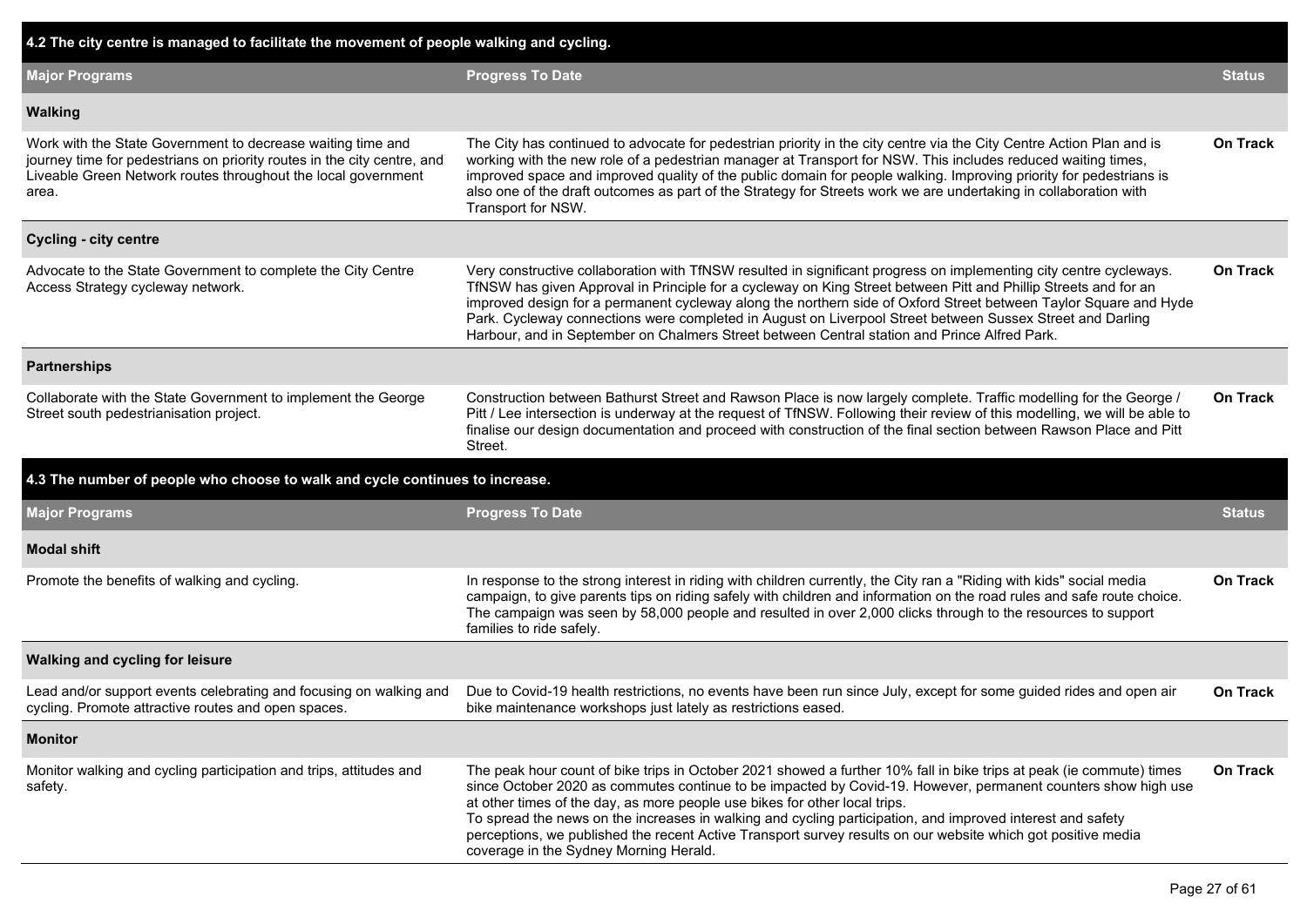| 4.2 The city centre is managed to facilitate the movement of people walking and cycling.                                                                                                                         |                                                                                                                                                                                                                                                                                                                                                                                                                                                                                                                                                                                             |                 |  |  |  |  |  |
|------------------------------------------------------------------------------------------------------------------------------------------------------------------------------------------------------------------|---------------------------------------------------------------------------------------------------------------------------------------------------------------------------------------------------------------------------------------------------------------------------------------------------------------------------------------------------------------------------------------------------------------------------------------------------------------------------------------------------------------------------------------------------------------------------------------------|-----------------|--|--|--|--|--|
| <b>Major Programs</b>                                                                                                                                                                                            | <b>Progress To Date</b>                                                                                                                                                                                                                                                                                                                                                                                                                                                                                                                                                                     | <b>Status</b>   |  |  |  |  |  |
| <b>Walking</b>                                                                                                                                                                                                   |                                                                                                                                                                                                                                                                                                                                                                                                                                                                                                                                                                                             |                 |  |  |  |  |  |
| Work with the State Government to decrease waiting time and<br>journey time for pedestrians on priority routes in the city centre, and<br>Liveable Green Network routes throughout the local government<br>area. | The City has continued to advocate for pedestrian priority in the city centre via the City Centre Action Plan and is<br>working with the new role of a pedestrian manager at Transport for NSW. This includes reduced waiting times,<br>improved space and improved quality of the public domain for people walking. Improving priority for pedestrians is<br>also one of the draft outcomes as part of the Strategy for Streets work we are undertaking in collaboration with<br>Transport for NSW.                                                                                        | <b>On Track</b> |  |  |  |  |  |
| <b>Cycling - city centre</b>                                                                                                                                                                                     |                                                                                                                                                                                                                                                                                                                                                                                                                                                                                                                                                                                             |                 |  |  |  |  |  |
| Advocate to the State Government to complete the City Centre<br>Access Strategy cycleway network.                                                                                                                | Very constructive collaboration with TfNSW resulted in significant progress on implementing city centre cycleways.<br>TfNSW has given Approval in Principle for a cycleway on King Street between Pitt and Phillip Streets and for an<br>improved design for a permanent cycleway along the northern side of Oxford Street between Taylor Square and Hyde<br>Park. Cycleway connections were completed in August on Liverpool Street between Sussex Street and Darling<br>Harbour, and in September on Chalmers Street between Central station and Prince Alfred Park.                      | <b>On Track</b> |  |  |  |  |  |
| <b>Partnerships</b>                                                                                                                                                                                              |                                                                                                                                                                                                                                                                                                                                                                                                                                                                                                                                                                                             |                 |  |  |  |  |  |
| Collaborate with the State Government to implement the George<br>Street south pedestrianisation project.                                                                                                         | Construction between Bathurst Street and Rawson Place is now largely complete. Traffic modelling for the George /<br>Pitt / Lee intersection is underway at the request of TfNSW. Following their review of this modelling, we will be able to<br>finalise our design documentation and proceed with construction of the final section between Rawson Place and Pitt<br>Street.                                                                                                                                                                                                             | <b>On Track</b> |  |  |  |  |  |
| 4.3 The number of people who choose to walk and cycle continues to increase.                                                                                                                                     |                                                                                                                                                                                                                                                                                                                                                                                                                                                                                                                                                                                             |                 |  |  |  |  |  |
| <b>Major Programs</b>                                                                                                                                                                                            | <b>Progress To Date</b>                                                                                                                                                                                                                                                                                                                                                                                                                                                                                                                                                                     | <b>Status</b>   |  |  |  |  |  |
| <b>Modal shift</b>                                                                                                                                                                                               |                                                                                                                                                                                                                                                                                                                                                                                                                                                                                                                                                                                             |                 |  |  |  |  |  |
| Promote the benefits of walking and cycling.                                                                                                                                                                     | In response to the strong interest in riding with children currently, the City ran a "Riding with kids" social media<br>campaign, to give parents tips on riding safely with children and information on the road rules and safe route choice.<br>The campaign was seen by 58,000 people and resulted in over 2,000 clicks through to the resources to support<br>families to ride safely.                                                                                                                                                                                                  | <b>On Track</b> |  |  |  |  |  |
| Walking and cycling for leisure                                                                                                                                                                                  |                                                                                                                                                                                                                                                                                                                                                                                                                                                                                                                                                                                             |                 |  |  |  |  |  |
| Lead and/or support events celebrating and focusing on walking and<br>cycling. Promote attractive routes and open spaces.                                                                                        | Due to Covid-19 health restrictions, no events have been run since July, except for some guided rides and open air<br>bike maintenance workshops just lately as restrictions eased.                                                                                                                                                                                                                                                                                                                                                                                                         | <b>On Track</b> |  |  |  |  |  |
| <b>Monitor</b>                                                                                                                                                                                                   |                                                                                                                                                                                                                                                                                                                                                                                                                                                                                                                                                                                             |                 |  |  |  |  |  |
| Monitor walking and cycling participation and trips, attitudes and<br>safety.                                                                                                                                    | The peak hour count of bike trips in October 2021 showed a further 10% fall in bike trips at peak (ie commute) times<br>since October 2020 as commutes continue to be impacted by Covid-19. However, permanent counters show high use<br>at other times of the day, as more people use bikes for other local trips.<br>To spread the news on the increases in walking and cycling participation, and improved interest and safety<br>perceptions, we published the recent Active Transport survey results on our website which got positive media<br>coverage in the Sydney Morning Herald. | On Track        |  |  |  |  |  |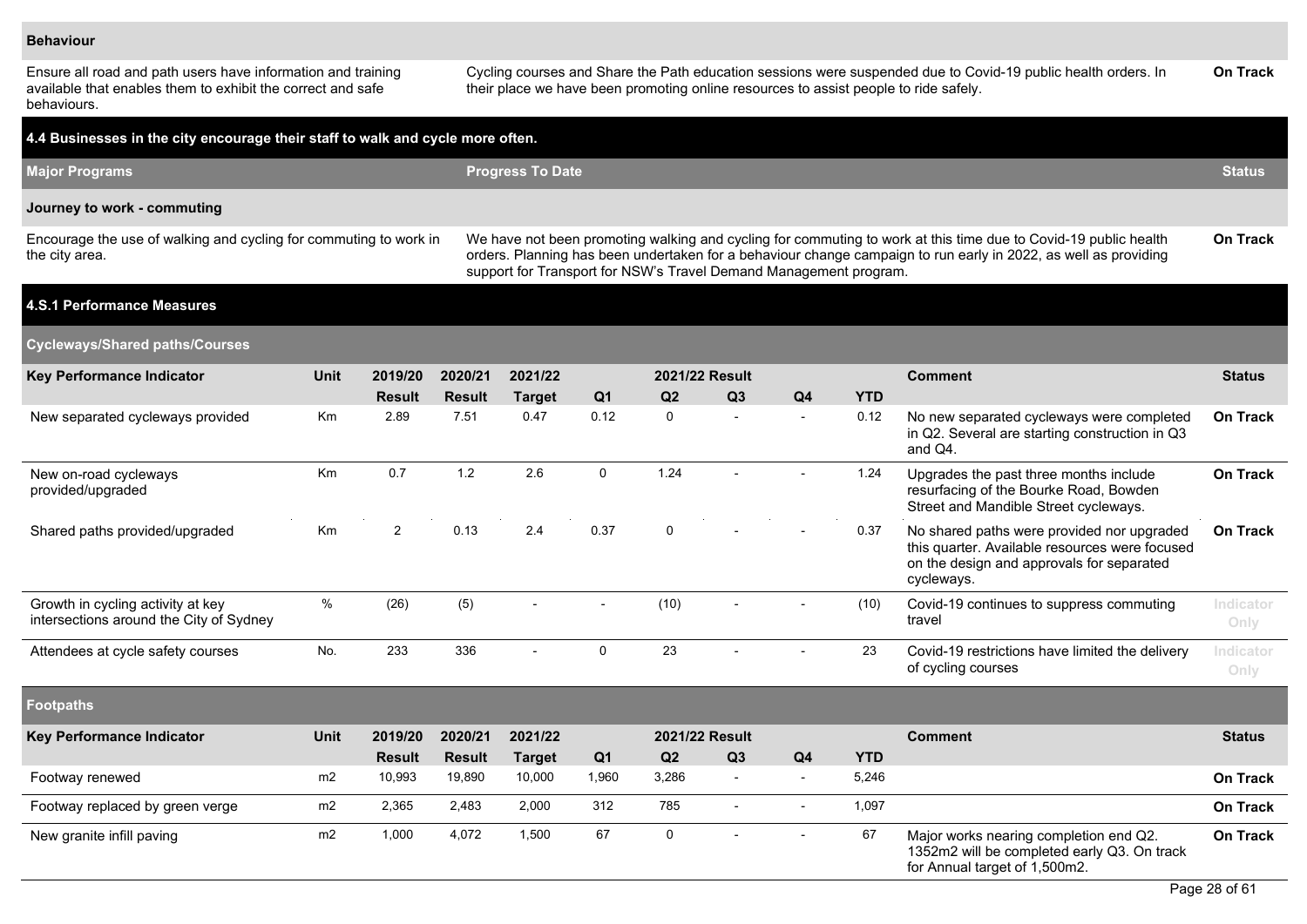#### **Behaviour**

Ensure all road and path users have information and training available that enables them to exhibit the correct and safe behaviours.

Cycling courses and Share the Path education sessions were suspended due to Covid-19 public health orders. In their place we have been promoting online resources to assist people to ride safely. **On Track**

| 4.4 Businesses in the city encourage their staff to walk and cycle more often.      |                |                |               |                                                                   |                |                       |                |                |            |                                                                                                                                                                                                                                    |                   |
|-------------------------------------------------------------------------------------|----------------|----------------|---------------|-------------------------------------------------------------------|----------------|-----------------------|----------------|----------------|------------|------------------------------------------------------------------------------------------------------------------------------------------------------------------------------------------------------------------------------------|-------------------|
| <b>Major Programs</b>                                                               |                |                |               | <b>Progress To Date</b>                                           |                |                       |                |                |            |                                                                                                                                                                                                                                    | <b>Status</b>     |
| Journey to work - commuting                                                         |                |                |               |                                                                   |                |                       |                |                |            |                                                                                                                                                                                                                                    |                   |
| Encourage the use of walking and cycling for commuting to work in<br>the city area. |                |                |               | support for Transport for NSW's Travel Demand Management program. |                |                       |                |                |            | We have not been promoting walking and cycling for commuting to work at this time due to Covid-19 public health<br>orders. Planning has been undertaken for a behaviour change campaign to run early in 2022, as well as providing | On Track          |
| <b>4.S.1 Performance Measures</b>                                                   |                |                |               |                                                                   |                |                       |                |                |            |                                                                                                                                                                                                                                    |                   |
| <b>Cycleways/Shared paths/Courses</b>                                               |                |                |               |                                                                   |                |                       |                |                |            |                                                                                                                                                                                                                                    |                   |
| <b>Key Performance Indicator</b>                                                    | Unit           | 2019/20        | 2020/21       | 2021/22                                                           |                | <b>2021/22 Result</b> |                |                |            | <b>Comment</b>                                                                                                                                                                                                                     | <b>Status</b>     |
|                                                                                     |                | <b>Result</b>  | <b>Result</b> | <b>Target</b>                                                     | Q <sub>1</sub> | Q <sub>2</sub>        | Q3             | Q4             | <b>YTD</b> |                                                                                                                                                                                                                                    |                   |
| New separated cycleways provided                                                    | Km             | 2.89           | 7.51          | 0.47                                                              | 0.12           | $\mathbf 0$           | $\overline{a}$ |                | 0.12       | No new separated cycleways were completed<br>in Q2. Several are starting construction in Q3<br>and Q4.                                                                                                                             | On Track          |
| New on-road cycleways<br>provided/upgraded                                          | Km             | 0.7            | $1.2$         | 2.6                                                               | $\mathbf 0$    | 1.24                  |                |                | 1.24       | Upgrades the past three months include<br>resurfacing of the Bourke Road, Bowden<br>Street and Mandible Street cycleways.                                                                                                          | <b>On Track</b>   |
| Shared paths provided/upgraded                                                      | Km             | $\overline{2}$ | 0.13          | 2.4                                                               | 0.37           | $\mathsf{O}$          | $\overline{a}$ |                | 0.37       | No shared paths were provided nor upgraded<br>this quarter. Available resources were focused<br>on the design and approvals for separated<br>cycleways.                                                                            | On Track          |
| Growth in cycling activity at key<br>intersections around the City of Sydney        | $\%$           | (26)           | (5)           | $\overline{\phantom{a}}$                                          |                | (10)                  | $\blacksquare$ |                | (10)       | Covid-19 continues to suppress commuting<br>travel                                                                                                                                                                                 | Indicator<br>Only |
| Attendees at cycle safety courses                                                   | No.            | 233            | 336           | ÷,                                                                | $\mathbf 0$    | 23                    |                |                | 23         | Covid-19 restrictions have limited the delivery<br>of cycling courses                                                                                                                                                              | Indicator<br>Only |
| <b>Footpaths</b>                                                                    |                |                |               |                                                                   |                |                       |                |                |            |                                                                                                                                                                                                                                    |                   |
| <b>Key Performance Indicator</b>                                                    | <b>Unit</b>    | 2019/20        | 2020/21       | 2021/22                                                           |                | 2021/22 Result        |                |                |            | <b>Comment</b>                                                                                                                                                                                                                     | <b>Status</b>     |
|                                                                                     |                | <b>Result</b>  | <b>Result</b> | <b>Target</b>                                                     | Q <sub>1</sub> | Q2                    | Q3             | Q <sub>4</sub> | <b>YTD</b> |                                                                                                                                                                                                                                    |                   |
| Footway renewed                                                                     | m <sub>2</sub> | 10,993         | 19,890        | 10,000                                                            | 1,960          | 3,286                 | $\sim$         | $\sim$         | 5,246      |                                                                                                                                                                                                                                    | On Track          |
| Footway replaced by green verge                                                     | m2             | 2,365          | 2,483         | 2,000                                                             | 312            | 785                   | $\blacksquare$ | $\sim$         | 1,097      |                                                                                                                                                                                                                                    | On Track          |
| New granite infill paving                                                           | m <sub>2</sub> | 1,000          | 4,072         | 1,500                                                             | 67             | $\mathbf 0$           | $\overline{a}$ | $\sim$         | 67         | Major works nearing completion end Q2.<br>1352m2 will be completed early Q3. On track<br>for Annual target of 1,500m2.                                                                                                             | <b>On Track</b>   |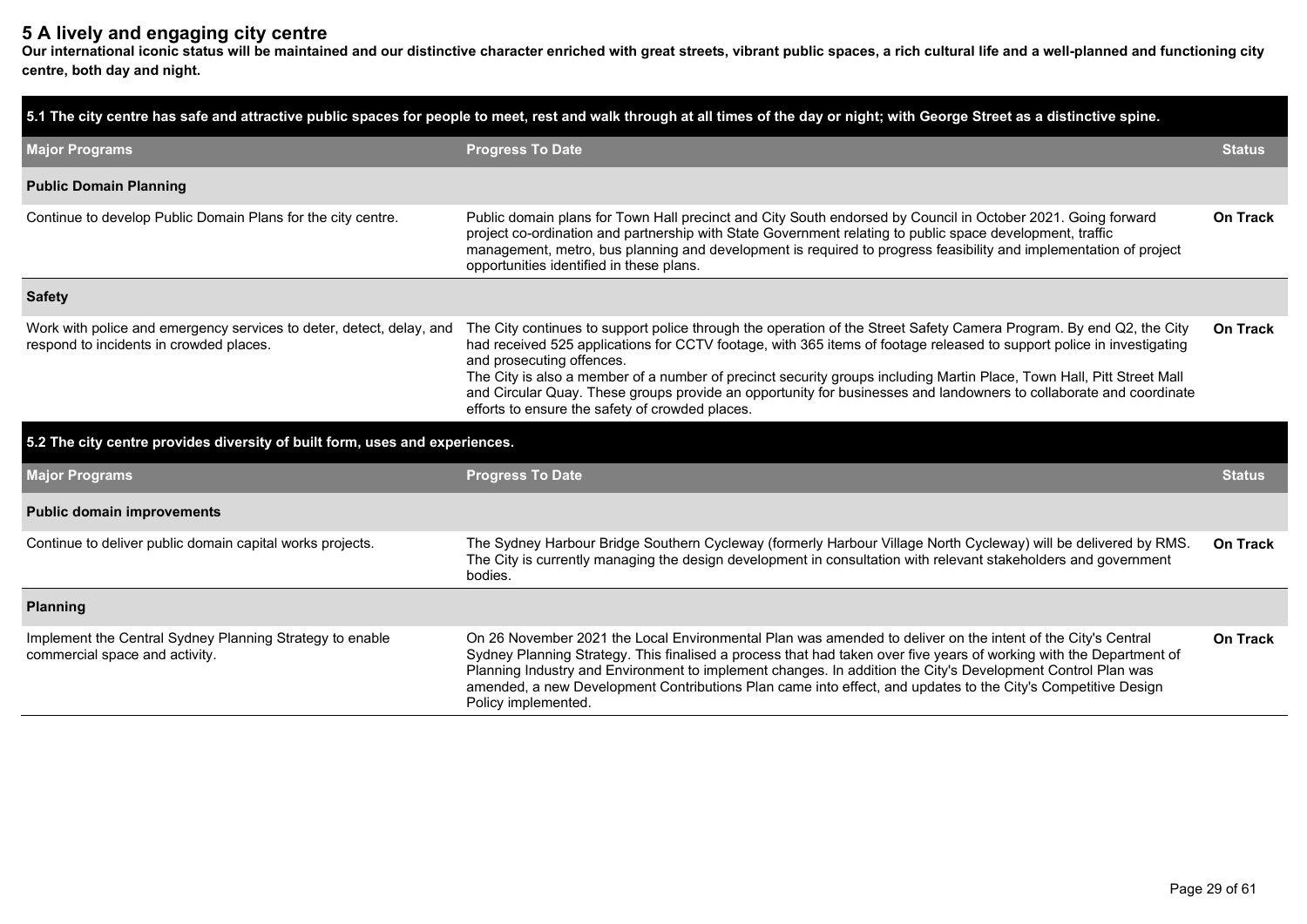## **5 A lively and engaging city centre**

**Our international iconic status will be maintained and our distinctive character enriched with great streets, vibrant public spaces, a rich cultural life and a well-planned and functioning city centre, both day and night.**

|                                                                                                                 | 5.1 The city centre has safe and attractive public spaces for people to meet, rest and walk through at all times of the day or night; with George Street as a distinctive spine.                                                                                                                                                                                                                                                                                                                                                                                            |                 |  |  |  |
|-----------------------------------------------------------------------------------------------------------------|-----------------------------------------------------------------------------------------------------------------------------------------------------------------------------------------------------------------------------------------------------------------------------------------------------------------------------------------------------------------------------------------------------------------------------------------------------------------------------------------------------------------------------------------------------------------------------|-----------------|--|--|--|
| <b>Major Programs</b>                                                                                           | <b>Progress To Date</b>                                                                                                                                                                                                                                                                                                                                                                                                                                                                                                                                                     |                 |  |  |  |
| <b>Public Domain Planning</b>                                                                                   |                                                                                                                                                                                                                                                                                                                                                                                                                                                                                                                                                                             |                 |  |  |  |
| Continue to develop Public Domain Plans for the city centre.                                                    | Public domain plans for Town Hall precinct and City South endorsed by Council in October 2021. Going forward<br>project co-ordination and partnership with State Government relating to public space development, traffic<br>management, metro, bus planning and development is required to progress feasibility and implementation of project<br>opportunities identified in these plans.                                                                                                                                                                                  | On Track        |  |  |  |
| <b>Safety</b>                                                                                                   |                                                                                                                                                                                                                                                                                                                                                                                                                                                                                                                                                                             |                 |  |  |  |
| Work with police and emergency services to deter, detect, delay, and<br>respond to incidents in crowded places. | The City continues to support police through the operation of the Street Safety Camera Program. By end Q2, the City<br>had received 525 applications for CCTV footage, with 365 items of footage released to support police in investigating<br>and prosecuting offences.<br>The City is also a member of a number of precinct security groups including Martin Place, Town Hall, Pitt Street Mall<br>and Circular Quay. These groups provide an opportunity for businesses and landowners to collaborate and coordinate<br>efforts to ensure the safety of crowded places. | <b>On Track</b> |  |  |  |
| 5.2 The city centre provides diversity of built form, uses and experiences.                                     |                                                                                                                                                                                                                                                                                                                                                                                                                                                                                                                                                                             |                 |  |  |  |
| <b>Major Programs</b>                                                                                           | <b>Progress To Date</b>                                                                                                                                                                                                                                                                                                                                                                                                                                                                                                                                                     | <b>Status</b>   |  |  |  |
| <b>Public domain improvements</b>                                                                               |                                                                                                                                                                                                                                                                                                                                                                                                                                                                                                                                                                             |                 |  |  |  |
| Continue to deliver public domain capital works projects.                                                       | The Sydney Harbour Bridge Southern Cycleway (formerly Harbour Village North Cycleway) will be delivered by RMS.<br>The City is currently managing the design development in consultation with relevant stakeholders and government<br>bodies.                                                                                                                                                                                                                                                                                                                               | <b>On Track</b> |  |  |  |
| <b>Planning</b>                                                                                                 |                                                                                                                                                                                                                                                                                                                                                                                                                                                                                                                                                                             |                 |  |  |  |
| Implement the Central Sydney Planning Strategy to enable<br>commercial space and activity.                      | On 26 November 2021 the Local Environmental Plan was amended to deliver on the intent of the City's Central<br>Sydney Planning Strategy. This finalised a process that had taken over five years of working with the Department of<br>Planning Industry and Environment to implement changes. In addition the City's Development Control Plan was<br>amended, a new Development Contributions Plan came into effect, and updates to the City's Competitive Design<br>Policy implemented.                                                                                    | <b>On Track</b> |  |  |  |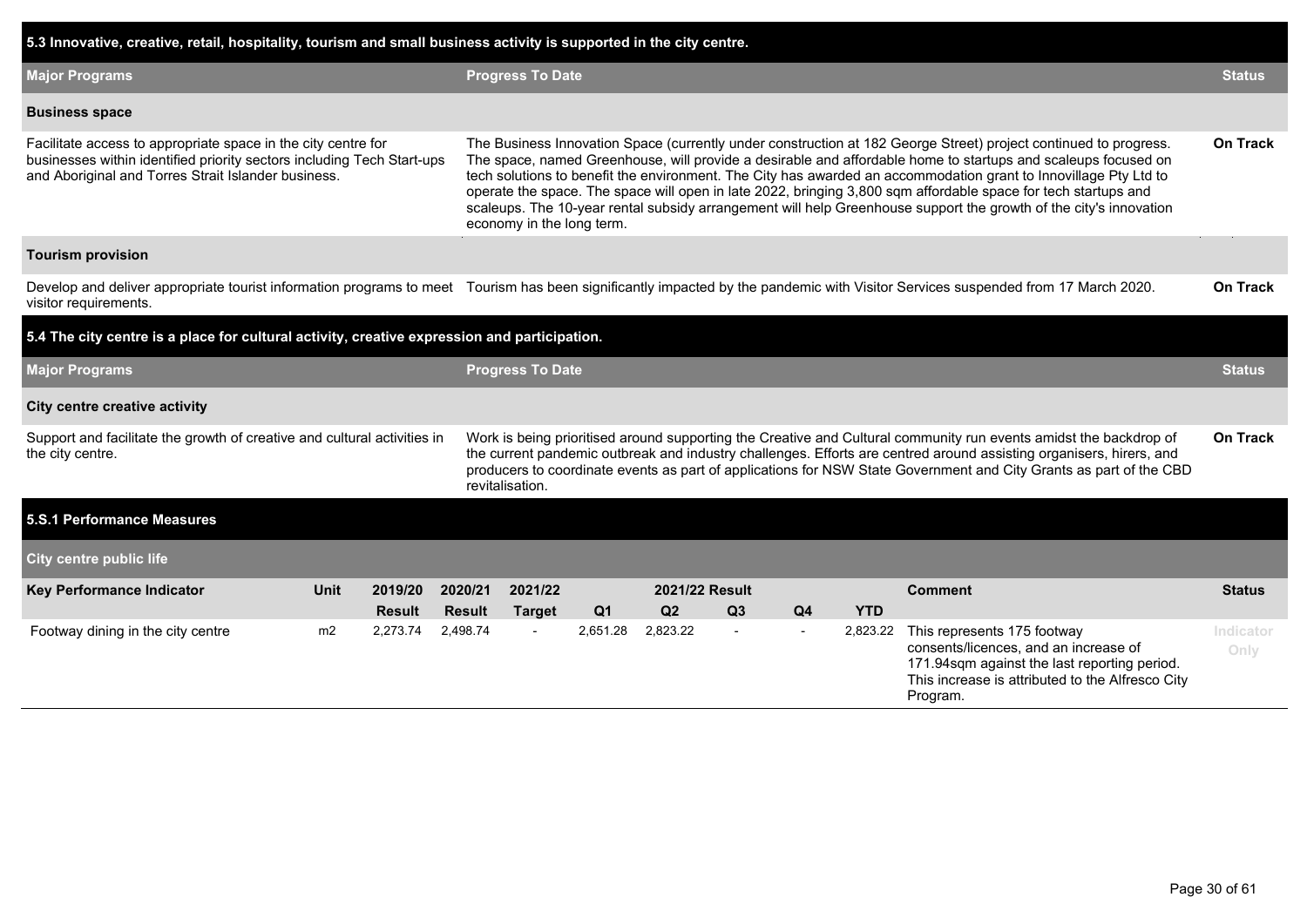| 5.3 Innovative, creative, retail, hospitality, tourism and small business activity is supported in the city centre.                                                                            |      |                                                                                                                                                                                                                                                                                                                                                                                                                                                                                                                                                                                                                           |                          |                                                                                                                                                                                                                                                                                                                                                                                   |                |                |                                  |                         |            |                                                                                                                                                                                      |                   |  |  |  |  |  |  |  |
|------------------------------------------------------------------------------------------------------------------------------------------------------------------------------------------------|------|---------------------------------------------------------------------------------------------------------------------------------------------------------------------------------------------------------------------------------------------------------------------------------------------------------------------------------------------------------------------------------------------------------------------------------------------------------------------------------------------------------------------------------------------------------------------------------------------------------------------------|--------------------------|-----------------------------------------------------------------------------------------------------------------------------------------------------------------------------------------------------------------------------------------------------------------------------------------------------------------------------------------------------------------------------------|----------------|----------------|----------------------------------|-------------------------|------------|--------------------------------------------------------------------------------------------------------------------------------------------------------------------------------------|-------------------|--|--|--|--|--|--|--|
| <b>Major Programs</b>                                                                                                                                                                          |      |                                                                                                                                                                                                                                                                                                                                                                                                                                                                                                                                                                                                                           |                          |                                                                                                                                                                                                                                                                                                                                                                                   |                |                |                                  | <b>Progress To Date</b> |            |                                                                                                                                                                                      |                   |  |  |  |  |  |  |  |
| <b>Business space</b>                                                                                                                                                                          |      |                                                                                                                                                                                                                                                                                                                                                                                                                                                                                                                                                                                                                           |                          |                                                                                                                                                                                                                                                                                                                                                                                   |                |                |                                  |                         |            |                                                                                                                                                                                      |                   |  |  |  |  |  |  |  |
| Facilitate access to appropriate space in the city centre for<br>businesses within identified priority sectors including Tech Start-ups<br>and Aboriginal and Torres Strait Islander business. |      | The Business Innovation Space (currently under construction at 182 George Street) project continued to progress.<br>The space, named Greenhouse, will provide a desirable and affordable home to startups and scaleups focused on<br>tech solutions to benefit the environment. The City has awarded an accommodation grant to Innovillage Pty Ltd to<br>operate the space. The space will open in late 2022, bringing 3,800 sqm affordable space for tech startups and<br>scaleups. The 10-year rental subsidy arrangement will help Greenhouse support the growth of the city's innovation<br>economy in the long term. |                          |                                                                                                                                                                                                                                                                                                                                                                                   |                |                |                                  |                         |            |                                                                                                                                                                                      |                   |  |  |  |  |  |  |  |
| <b>Tourism provision</b>                                                                                                                                                                       |      |                                                                                                                                                                                                                                                                                                                                                                                                                                                                                                                                                                                                                           |                          |                                                                                                                                                                                                                                                                                                                                                                                   |                |                |                                  |                         |            |                                                                                                                                                                                      |                   |  |  |  |  |  |  |  |
| visitor requirements.                                                                                                                                                                          |      | Develop and deliver appropriate tourist information programs to meet Tourism has been significantly impacted by the pandemic with Visitor Services suspended from 17 March 2020.                                                                                                                                                                                                                                                                                                                                                                                                                                          |                          |                                                                                                                                                                                                                                                                                                                                                                                   |                |                |                                  |                         |            |                                                                                                                                                                                      |                   |  |  |  |  |  |  |  |
| 5.4 The city centre is a place for cultural activity, creative expression and participation.                                                                                                   |      |                                                                                                                                                                                                                                                                                                                                                                                                                                                                                                                                                                                                                           |                          |                                                                                                                                                                                                                                                                                                                                                                                   |                |                |                                  |                         |            |                                                                                                                                                                                      |                   |  |  |  |  |  |  |  |
| <b>Major Programs</b>                                                                                                                                                                          |      |                                                                                                                                                                                                                                                                                                                                                                                                                                                                                                                                                                                                                           |                          | <b>Progress To Date</b>                                                                                                                                                                                                                                                                                                                                                           |                |                |                                  |                         |            |                                                                                                                                                                                      |                   |  |  |  |  |  |  |  |
| <b>City centre creative activity</b>                                                                                                                                                           |      |                                                                                                                                                                                                                                                                                                                                                                                                                                                                                                                                                                                                                           |                          |                                                                                                                                                                                                                                                                                                                                                                                   |                |                |                                  |                         |            |                                                                                                                                                                                      |                   |  |  |  |  |  |  |  |
| Support and facilitate the growth of creative and cultural activities in<br>the city centre.                                                                                                   |      |                                                                                                                                                                                                                                                                                                                                                                                                                                                                                                                                                                                                                           |                          | Work is being prioritised around supporting the Creative and Cultural community run events amidst the backdrop of<br>the current pandemic outbreak and industry challenges. Efforts are centred around assisting organisers, hirers, and<br>producers to coordinate events as part of applications for NSW State Government and City Grants as part of the CBD<br>revitalisation. |                |                |                                  |                         |            |                                                                                                                                                                                      |                   |  |  |  |  |  |  |  |
| 5.S.1 Performance Measures                                                                                                                                                                     |      |                                                                                                                                                                                                                                                                                                                                                                                                                                                                                                                                                                                                                           |                          |                                                                                                                                                                                                                                                                                                                                                                                   |                |                |                                  |                         |            |                                                                                                                                                                                      |                   |  |  |  |  |  |  |  |
| <b>City centre public life</b>                                                                                                                                                                 |      |                                                                                                                                                                                                                                                                                                                                                                                                                                                                                                                                                                                                                           |                          |                                                                                                                                                                                                                                                                                                                                                                                   |                |                |                                  |                         |            |                                                                                                                                                                                      |                   |  |  |  |  |  |  |  |
| Key Performance Indicator                                                                                                                                                                      | Unit | 2019/20<br><b>Result</b>                                                                                                                                                                                                                                                                                                                                                                                                                                                                                                                                                                                                  | 2020/21<br><b>Result</b> | 2021/22<br><b>Target</b>                                                                                                                                                                                                                                                                                                                                                          | Q <sub>1</sub> | Q <sub>2</sub> | 2021/22 Result<br>Q <sub>3</sub> | Q4                      | <b>YTD</b> | <b>Comment</b>                                                                                                                                                                       | <b>Status</b>     |  |  |  |  |  |  |  |
| Footway dining in the city centre                                                                                                                                                              | m2   | 2.273.74                                                                                                                                                                                                                                                                                                                                                                                                                                                                                                                                                                                                                  | 2.498.74                 | $\overline{\phantom{a}}$                                                                                                                                                                                                                                                                                                                                                          | 2,651.28       | 2,823.22       | $\mathbf{r}$                     | $\sim$                  | 2,823.22   | This represents 175 footway<br>consents/licences, and an increase of<br>171.94sqm against the last reporting period.<br>This increase is attributed to the Alfresco City<br>Program. | Indicator<br>Only |  |  |  |  |  |  |  |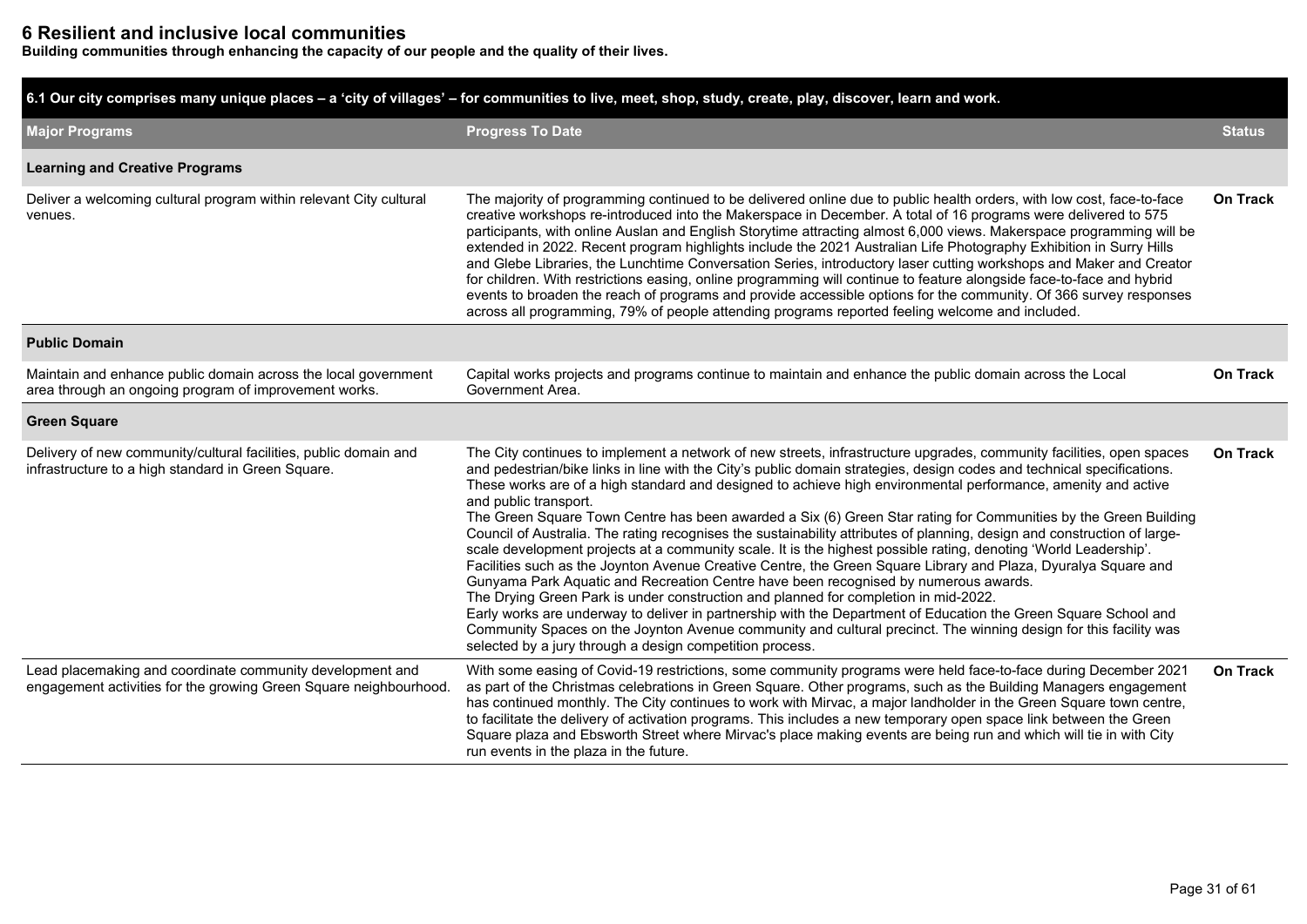### **6 Resilient and inclusive local communities**

**Building communities through enhancing the capacity of our people and the quality of their lives.**

**6.1 Our city comprises many unique places – a 'city of villages' – for communities to live, meet, shop, study, create, play, discover, learn and work.**

| <b>Major Programs</b>                                                                                                          | <b>Progress To Date</b>                                                                                                                                                                                                                                                                                                                                                                                                                                                                                                                                                                                                                                                                                                                                                                                                                                                                                                                                                                                                                                                                                                                                                                                                                                                                                                                                        | <b>Status</b>   |
|--------------------------------------------------------------------------------------------------------------------------------|----------------------------------------------------------------------------------------------------------------------------------------------------------------------------------------------------------------------------------------------------------------------------------------------------------------------------------------------------------------------------------------------------------------------------------------------------------------------------------------------------------------------------------------------------------------------------------------------------------------------------------------------------------------------------------------------------------------------------------------------------------------------------------------------------------------------------------------------------------------------------------------------------------------------------------------------------------------------------------------------------------------------------------------------------------------------------------------------------------------------------------------------------------------------------------------------------------------------------------------------------------------------------------------------------------------------------------------------------------------|-----------------|
| <b>Learning and Creative Programs</b>                                                                                          |                                                                                                                                                                                                                                                                                                                                                                                                                                                                                                                                                                                                                                                                                                                                                                                                                                                                                                                                                                                                                                                                                                                                                                                                                                                                                                                                                                |                 |
| Deliver a welcoming cultural program within relevant City cultural<br>venues.                                                  | The majority of programming continued to be delivered online due to public health orders, with low cost, face-to-face<br>creative workshops re-introduced into the Makerspace in December. A total of 16 programs were delivered to 575<br>participants, with online Auslan and English Storytime attracting almost 6,000 views. Makerspace programming will be<br>extended in 2022. Recent program highlights include the 2021 Australian Life Photography Exhibition in Surry Hills<br>and Glebe Libraries, the Lunchtime Conversation Series, introductory laser cutting workshops and Maker and Creator<br>for children. With restrictions easing, online programming will continue to feature alongside face-to-face and hybrid<br>events to broaden the reach of programs and provide accessible options for the community. Of 366 survey responses<br>across all programming, 79% of people attending programs reported feeling welcome and included.                                                                                                                                                                                                                                                                                                                                                                                                   | <b>On Track</b> |
| <b>Public Domain</b>                                                                                                           |                                                                                                                                                                                                                                                                                                                                                                                                                                                                                                                                                                                                                                                                                                                                                                                                                                                                                                                                                                                                                                                                                                                                                                                                                                                                                                                                                                |                 |
| Maintain and enhance public domain across the local government<br>area through an ongoing program of improvement works.        | Capital works projects and programs continue to maintain and enhance the public domain across the Local<br>Government Area.                                                                                                                                                                                                                                                                                                                                                                                                                                                                                                                                                                                                                                                                                                                                                                                                                                                                                                                                                                                                                                                                                                                                                                                                                                    | <b>On Track</b> |
| <b>Green Square</b>                                                                                                            |                                                                                                                                                                                                                                                                                                                                                                                                                                                                                                                                                                                                                                                                                                                                                                                                                                                                                                                                                                                                                                                                                                                                                                                                                                                                                                                                                                |                 |
| Delivery of new community/cultural facilities, public domain and<br>infrastructure to a high standard in Green Square.         | The City continues to implement a network of new streets, infrastructure upgrades, community facilities, open spaces<br>and pedestrian/bike links in line with the City's public domain strategies, design codes and technical specifications.<br>These works are of a high standard and designed to achieve high environmental performance, amenity and active<br>and public transport.<br>The Green Square Town Centre has been awarded a Six (6) Green Star rating for Communities by the Green Building<br>Council of Australia. The rating recognises the sustainability attributes of planning, design and construction of large-<br>scale development projects at a community scale. It is the highest possible rating, denoting 'World Leadership'.<br>Facilities such as the Joynton Avenue Creative Centre, the Green Square Library and Plaza, Dyuralya Square and<br>Gunyama Park Aquatic and Recreation Centre have been recognised by numerous awards.<br>The Drying Green Park is under construction and planned for completion in mid-2022.<br>Early works are underway to deliver in partnership with the Department of Education the Green Square School and<br>Community Spaces on the Joynton Avenue community and cultural precinct. The winning design for this facility was<br>selected by a jury through a design competition process. | <b>On Track</b> |
| Lead placemaking and coordinate community development and<br>engagement activities for the growing Green Square neighbourhood. | With some easing of Covid-19 restrictions, some community programs were held face-to-face during December 2021<br>as part of the Christmas celebrations in Green Square. Other programs, such as the Building Managers engagement<br>has continued monthly. The City continues to work with Mirvac, a major landholder in the Green Square town centre,<br>to facilitate the delivery of activation programs. This includes a new temporary open space link between the Green<br>Square plaza and Ebsworth Street where Mirvac's place making events are being run and which will tie in with City<br>run events in the plaza in the future.                                                                                                                                                                                                                                                                                                                                                                                                                                                                                                                                                                                                                                                                                                                   | <b>On Track</b> |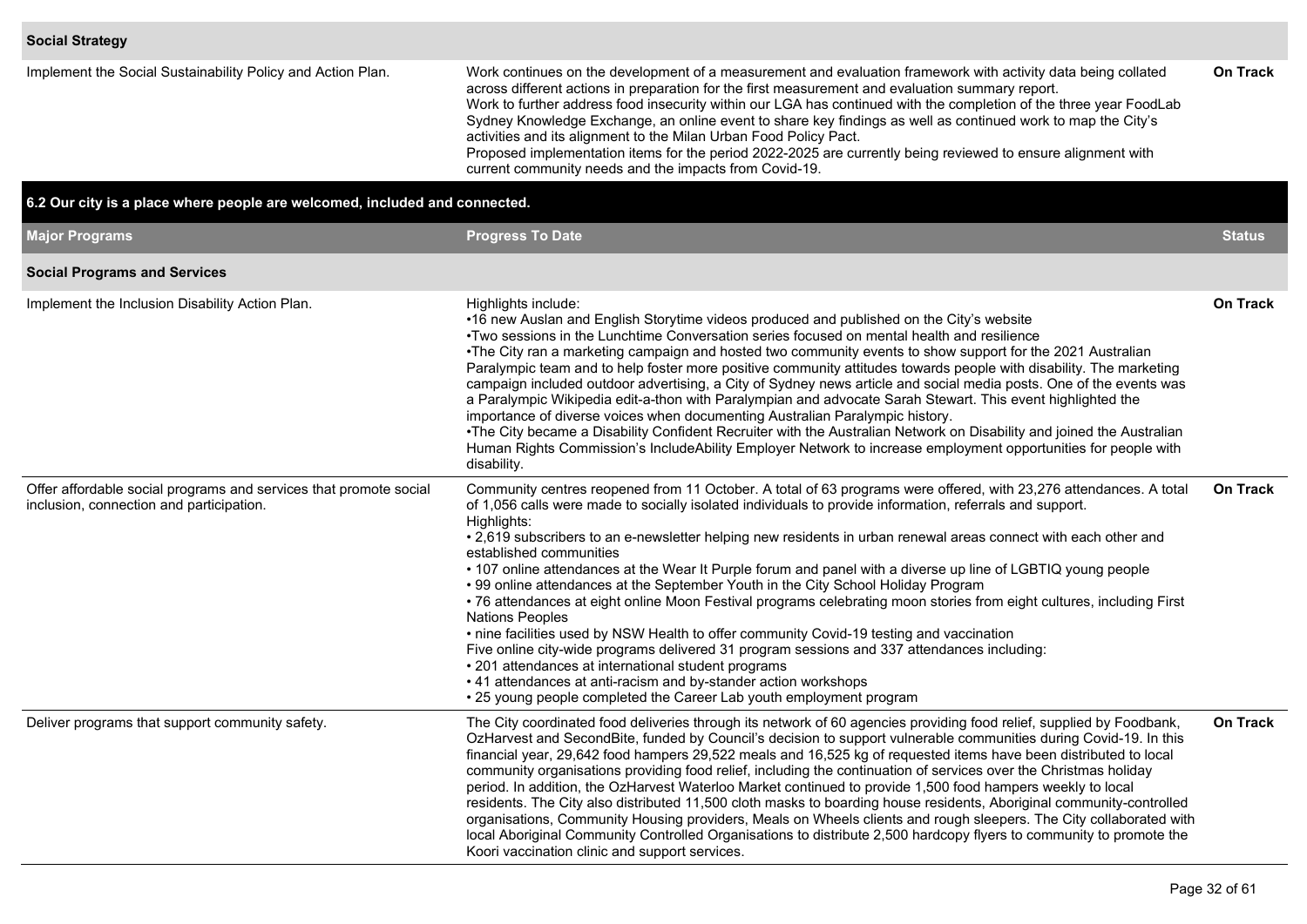| Implement the Social Sustainability Policy and Action Plan.                | Work continues on the development of a measurement and evaluation framework with activity data being collated<br>across different actions in preparation for the first measurement and evaluation summary report.<br>Work to further address food insecurity within our LGA has continued with the completion of the three year FoodLab<br>Sydney Knowledge Exchange, an online event to share key findings as well as continued work to map the City's<br>activities and its alignment to the Milan Urban Food Policy Pact.<br>Proposed implementation items for the period 2022-2025 are currently being reviewed to ensure alignment with<br>current community needs and the impacts from Covid-19. | <b>On Track</b> |
|----------------------------------------------------------------------------|--------------------------------------------------------------------------------------------------------------------------------------------------------------------------------------------------------------------------------------------------------------------------------------------------------------------------------------------------------------------------------------------------------------------------------------------------------------------------------------------------------------------------------------------------------------------------------------------------------------------------------------------------------------------------------------------------------|-----------------|
| 6.2 Our city is a place where people are welcomed, included and connected. |                                                                                                                                                                                                                                                                                                                                                                                                                                                                                                                                                                                                                                                                                                        |                 |
| <b>Major Programs</b>                                                      | <b>Progress To Date</b>                                                                                                                                                                                                                                                                                                                                                                                                                                                                                                                                                                                                                                                                                | <b>Status</b>   |
| <b>Social Programs and Services</b>                                        |                                                                                                                                                                                                                                                                                                                                                                                                                                                                                                                                                                                                                                                                                                        |                 |
| Implement the Inclusion Disability Action Plan.                            | Highlights include:<br>•16 new Auslan and English Storytime videos produced and published on the City's website<br>•Two sessions in the Lunchtime Conversation series focused on mental health and resilience<br>•The City ran a marketing campaign and hosted two community events to show support for the 2021 Australian<br>Paralympic team and to help foster more positive community attitudes towards people with disability. The marketing<br>campaign included outdoor advertising, a City of Sydney news article and social media posts. One of the events was<br>Paralympic Wikipedia edit a thon with Paralympian and advocate Sarah Stewart. This event highlighted the                    | <b>On Track</b> |

|                                                                                                               | I WO SESSIONS IN THE LUNCHMINE CONVERSATION SENES TOCUSED ON MICHIAL HEATH AND TESTIFICE<br>•The City ran a marketing campaign and hosted two community events to show support for the 2021 Australian<br>Paralympic team and to help foster more positive community attitudes towards people with disability. The marketing<br>campaign included outdoor advertising, a City of Sydney news article and social media posts. One of the events was<br>a Paralympic Wikipedia edit-a-thon with Paralympian and advocate Sarah Stewart. This event highlighted the<br>importance of diverse voices when documenting Australian Paralympic history.<br>•The City became a Disability Confident Recruiter with the Australian Network on Disability and joined the Australian<br>Human Rights Commission's IncludeAbility Employer Network to increase employment opportunities for people with<br>disability.                                                                                                                                                                                                                                     |                 |
|---------------------------------------------------------------------------------------------------------------|------------------------------------------------------------------------------------------------------------------------------------------------------------------------------------------------------------------------------------------------------------------------------------------------------------------------------------------------------------------------------------------------------------------------------------------------------------------------------------------------------------------------------------------------------------------------------------------------------------------------------------------------------------------------------------------------------------------------------------------------------------------------------------------------------------------------------------------------------------------------------------------------------------------------------------------------------------------------------------------------------------------------------------------------------------------------------------------------------------------------------------------------|-----------------|
| Offer affordable social programs and services that promote social<br>inclusion, connection and participation. | Community centres reopened from 11 October. A total of 63 programs were offered, with 23,276 attendances. A total<br>of 1,056 calls were made to socially isolated individuals to provide information, referrals and support.<br>Highlights:<br>• 2,619 subscribers to an e-newsletter helping new residents in urban renewal areas connect with each other and<br>established communities<br>• 107 online attendances at the Wear It Purple forum and panel with a diverse up line of LGBTIQ young people<br>• 99 online attendances at the September Youth in the City School Holiday Program<br>• 76 attendances at eight online Moon Festival programs celebrating moon stories from eight cultures, including First<br><b>Nations Peoples</b><br>• nine facilities used by NSW Health to offer community Covid-19 testing and vaccination<br>Five online city-wide programs delivered 31 program sessions and 337 attendances including:<br>• 201 attendances at international student programs<br>• 41 attendances at anti-racism and by-stander action workshops<br>• 25 young people completed the Career Lab youth employment program | <b>On Track</b> |
| Deliver programs that support community safety.                                                               | The City coordinated food deliveries through its network of 60 agencies providing food relief, supplied by Foodbank,<br>OzHarvest and SecondBite, funded by Council's decision to support vulnerable communities during Covid-19. In this<br>financial year, 29,642 food hampers 29,522 meals and 16,525 kg of requested items have been distributed to local<br>community organisations providing food relief, including the continuation of services over the Christmas holiday<br>period. In addition, the OzHarvest Waterloo Market continued to provide 1,500 food hampers weekly to local<br>residents. The City also distributed 11,500 cloth masks to boarding house residents, Aboriginal community-controlled<br>organisations, Community Housing providers, Meals on Wheels clients and rough sleepers. The City collaborated with<br>local Aboriginal Community Controlled Organisations to distribute 2,500 hardcopy flyers to community to promote the<br>Koori vaccination clinic and support services.                                                                                                                         | <b>On Track</b> |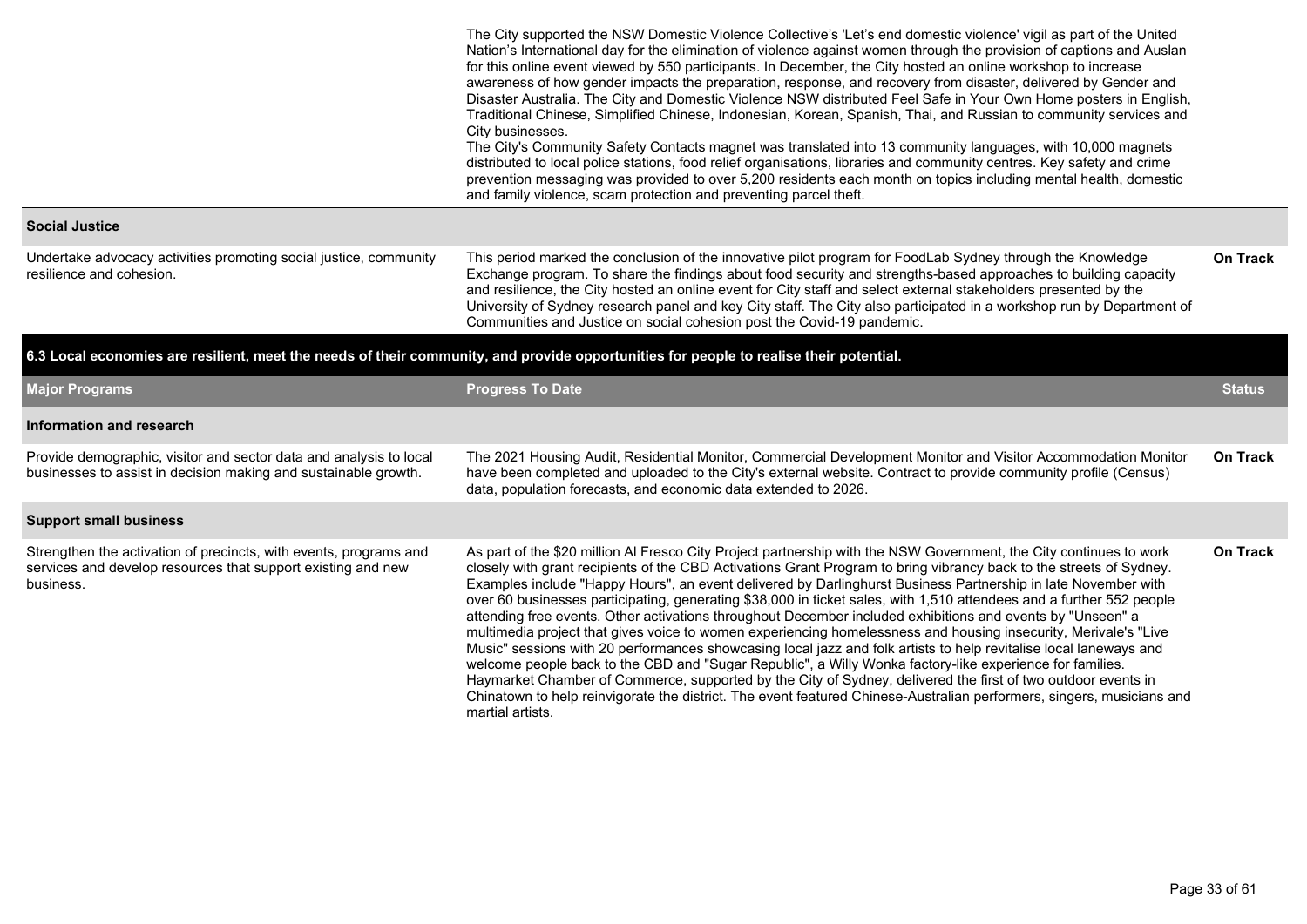|                                                                                                                                                | The City supported the NSW Domestic Violence Collective's 'Let's end domestic violence' vigil as part of the United<br>Nation's International day for the elimination of violence against women through the provision of captions and Auslan<br>for this online event viewed by 550 participants. In December, the City hosted an online workshop to increase<br>awareness of how gender impacts the preparation, response, and recovery from disaster, delivered by Gender and<br>Disaster Australia. The City and Domestic Violence NSW distributed Feel Safe in Your Own Home posters in English,<br>Traditional Chinese, Simplified Chinese, Indonesian, Korean, Spanish, Thai, and Russian to community services and<br>City businesses.<br>The City's Community Safety Contacts magnet was translated into 13 community languages, with 10,000 magnets<br>distributed to local police stations, food relief organisations, libraries and community centres. Key safety and crime<br>prevention messaging was provided to over 5,200 residents each month on topics including mental health, domestic<br>and family violence, scam protection and preventing parcel theft. |                 |
|------------------------------------------------------------------------------------------------------------------------------------------------|---------------------------------------------------------------------------------------------------------------------------------------------------------------------------------------------------------------------------------------------------------------------------------------------------------------------------------------------------------------------------------------------------------------------------------------------------------------------------------------------------------------------------------------------------------------------------------------------------------------------------------------------------------------------------------------------------------------------------------------------------------------------------------------------------------------------------------------------------------------------------------------------------------------------------------------------------------------------------------------------------------------------------------------------------------------------------------------------------------------------------------------------------------------------------------|-----------------|
| <b>Social Justice</b>                                                                                                                          |                                                                                                                                                                                                                                                                                                                                                                                                                                                                                                                                                                                                                                                                                                                                                                                                                                                                                                                                                                                                                                                                                                                                                                                 |                 |
| Undertake advocacy activities promoting social justice, community<br>resilience and cohesion.                                                  | This period marked the conclusion of the innovative pilot program for FoodLab Sydney through the Knowledge<br>Exchange program. To share the findings about food security and strengths-based approaches to building capacity<br>and resilience, the City hosted an online event for City staff and select external stakeholders presented by the<br>University of Sydney research panel and key City staff. The City also participated in a workshop run by Department of<br>Communities and Justice on social cohesion post the Covid-19 pandemic.                                                                                                                                                                                                                                                                                                                                                                                                                                                                                                                                                                                                                            | <b>On Track</b> |
|                                                                                                                                                | 6.3 Local economies are resilient, meet the needs of their community, and provide opportunities for people to realise their potential.                                                                                                                                                                                                                                                                                                                                                                                                                                                                                                                                                                                                                                                                                                                                                                                                                                                                                                                                                                                                                                          |                 |
| <b>Major Programs</b>                                                                                                                          | <b>Progress To Date</b>                                                                                                                                                                                                                                                                                                                                                                                                                                                                                                                                                                                                                                                                                                                                                                                                                                                                                                                                                                                                                                                                                                                                                         | <b>Status</b>   |
| Information and research                                                                                                                       |                                                                                                                                                                                                                                                                                                                                                                                                                                                                                                                                                                                                                                                                                                                                                                                                                                                                                                                                                                                                                                                                                                                                                                                 |                 |
| Provide demographic, visitor and sector data and analysis to local<br>businesses to assist in decision making and sustainable growth.          | The 2021 Housing Audit, Residential Monitor, Commercial Development Monitor and Visitor Accommodation Monitor<br>have been completed and uploaded to the City's external website. Contract to provide community profile (Census)<br>data, population forecasts, and economic data extended to 2026.                                                                                                                                                                                                                                                                                                                                                                                                                                                                                                                                                                                                                                                                                                                                                                                                                                                                             | <b>On Track</b> |
| <b>Support small business</b>                                                                                                                  |                                                                                                                                                                                                                                                                                                                                                                                                                                                                                                                                                                                                                                                                                                                                                                                                                                                                                                                                                                                                                                                                                                                                                                                 |                 |
| Strengthen the activation of precincts, with events, programs and<br>services and develop resources that support existing and new<br>business. | As part of the \$20 million Al Fresco City Project partnership with the NSW Government, the City continues to work<br>closely with grant recipients of the CBD Activations Grant Program to bring vibrancy back to the streets of Sydney.<br>Examples include "Happy Hours", an event delivered by Darlinghurst Business Partnership in late November with<br>over 60 businesses participating, generating \$38,000 in ticket sales, with 1,510 attendees and a further 552 people<br>attending free events. Other activations throughout December included exhibitions and events by "Unseen" a<br>multimedia project that gives voice to women experiencing homelessness and housing insecurity, Merivale's "Live<br>Music" sessions with 20 performances showcasing local jazz and folk artists to help revitalise local laneways and<br>welcome people back to the CBD and "Sugar Republic", a Willy Wonka factory-like experience for families.                                                                                                                                                                                                                            | <b>On Track</b> |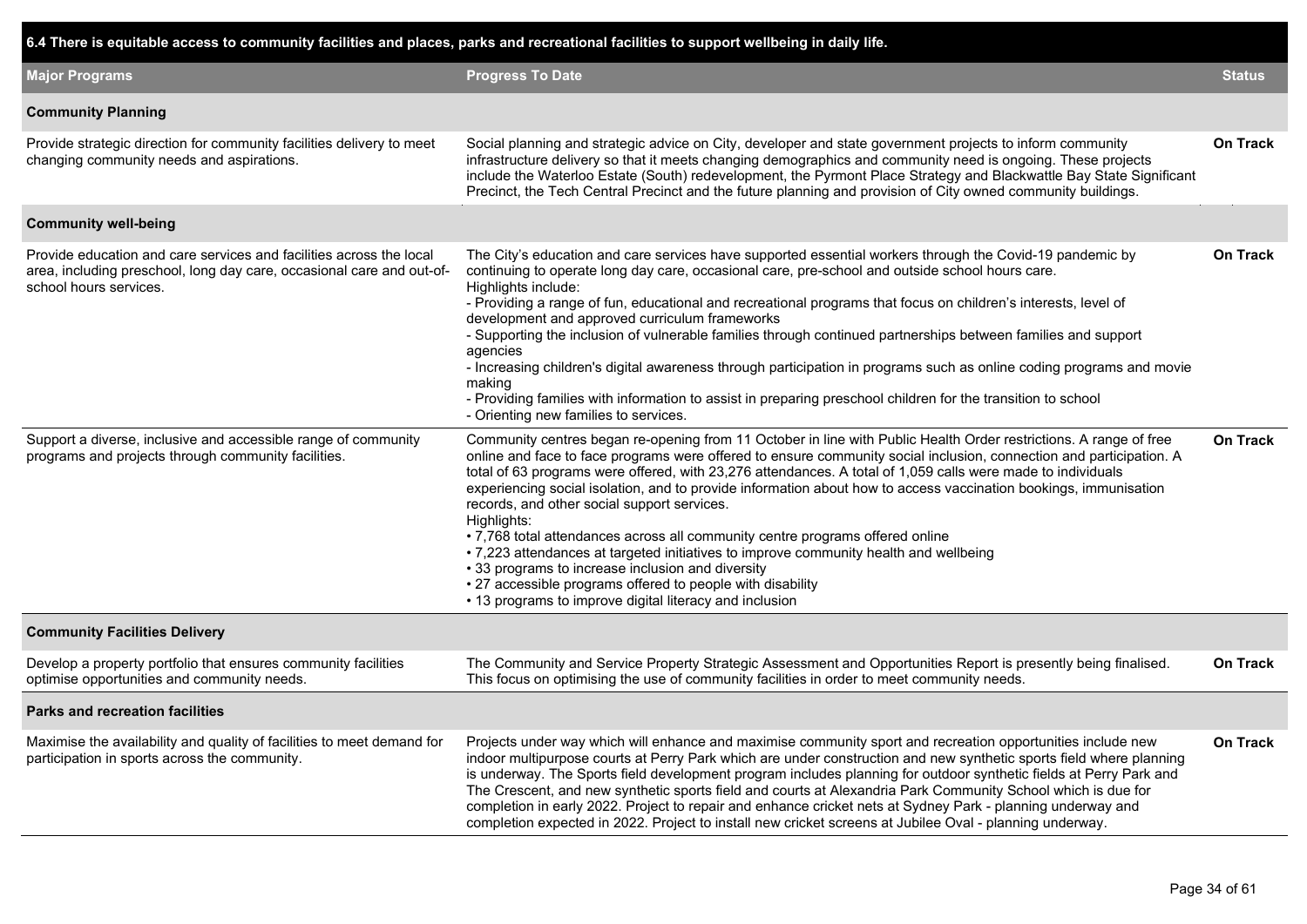| 6.4 There is equitable access to community facilities and places, parks and recreational facilities to support wellbeing in daily life.                                |                                                                                                                                                                                                                                                                                                                                                                                                                                                                                                                                                                                                                                                                                                                                                                                                                                                                                                   |                 |
|------------------------------------------------------------------------------------------------------------------------------------------------------------------------|---------------------------------------------------------------------------------------------------------------------------------------------------------------------------------------------------------------------------------------------------------------------------------------------------------------------------------------------------------------------------------------------------------------------------------------------------------------------------------------------------------------------------------------------------------------------------------------------------------------------------------------------------------------------------------------------------------------------------------------------------------------------------------------------------------------------------------------------------------------------------------------------------|-----------------|
| <b>Major Programs</b>                                                                                                                                                  | <b>Progress To Date</b>                                                                                                                                                                                                                                                                                                                                                                                                                                                                                                                                                                                                                                                                                                                                                                                                                                                                           | <b>Status</b>   |
| <b>Community Planning</b>                                                                                                                                              |                                                                                                                                                                                                                                                                                                                                                                                                                                                                                                                                                                                                                                                                                                                                                                                                                                                                                                   |                 |
| Provide strategic direction for community facilities delivery to meet<br>changing community needs and aspirations.                                                     | Social planning and strategic advice on City, developer and state government projects to inform community<br>infrastructure delivery so that it meets changing demographics and community need is ongoing. These projects<br>include the Waterloo Estate (South) redevelopment, the Pyrmont Place Strategy and Blackwattle Bay State Significant<br>Precinct, the Tech Central Precinct and the future planning and provision of City owned community buildings.                                                                                                                                                                                                                                                                                                                                                                                                                                  | <b>On Track</b> |
| <b>Community well-being</b>                                                                                                                                            |                                                                                                                                                                                                                                                                                                                                                                                                                                                                                                                                                                                                                                                                                                                                                                                                                                                                                                   |                 |
| Provide education and care services and facilities across the local<br>area, including preschool, long day care, occasional care and out-of-<br>school hours services. | The City's education and care services have supported essential workers through the Covid-19 pandemic by<br>continuing to operate long day care, occasional care, pre-school and outside school hours care.<br>Highlights include:<br>- Providing a range of fun, educational and recreational programs that focus on children's interests, level of<br>development and approved curriculum frameworks<br>- Supporting the inclusion of vulnerable families through continued partnerships between families and support<br>agencies<br>- Increasing children's digital awareness through participation in programs such as online coding programs and movie<br>making<br>- Providing families with information to assist in preparing preschool children for the transition to school<br>- Orienting new families to services.                                                                    | <b>On Track</b> |
| Support a diverse, inclusive and accessible range of community<br>programs and projects through community facilities.                                                  | Community centres began re-opening from 11 October in line with Public Health Order restrictions. A range of free<br>online and face to face programs were offered to ensure community social inclusion, connection and participation. A<br>total of 63 programs were offered, with 23,276 attendances. A total of 1,059 calls were made to individuals<br>experiencing social isolation, and to provide information about how to access vaccination bookings, immunisation<br>records, and other social support services.<br>Highlights:<br>• 7,768 total attendances across all community centre programs offered online<br>. 7,223 attendances at targeted initiatives to improve community health and wellbeing<br>• 33 programs to increase inclusion and diversity<br>• 27 accessible programs offered to people with disability<br>• 13 programs to improve digital literacy and inclusion | <b>On Track</b> |
| <b>Community Facilities Delivery</b>                                                                                                                                   |                                                                                                                                                                                                                                                                                                                                                                                                                                                                                                                                                                                                                                                                                                                                                                                                                                                                                                   |                 |
| Develop a property portfolio that ensures community facilities<br>optimise opportunities and community needs.                                                          | The Community and Service Property Strategic Assessment and Opportunities Report is presently being finalised.<br>This focus on optimising the use of community facilities in order to meet community needs.                                                                                                                                                                                                                                                                                                                                                                                                                                                                                                                                                                                                                                                                                      | On Track        |
| <b>Parks and recreation facilities</b>                                                                                                                                 |                                                                                                                                                                                                                                                                                                                                                                                                                                                                                                                                                                                                                                                                                                                                                                                                                                                                                                   |                 |
| Maximise the availability and quality of facilities to meet demand for<br>participation in sports across the community.                                                | Projects under way which will enhance and maximise community sport and recreation opportunities include new<br>indoor multipurpose courts at Perry Park which are under construction and new synthetic sports field where planning<br>is underway. The Sports field development program includes planning for outdoor synthetic fields at Perry Park and<br>The Crescent, and new synthetic sports field and courts at Alexandria Park Community School which is due for<br>completion in early 2022. Project to repair and enhance cricket nets at Sydney Park - planning underway and<br>completion expected in 2022. Project to install new cricket screens at Jubilee Oval - planning underway.                                                                                                                                                                                               | On Track        |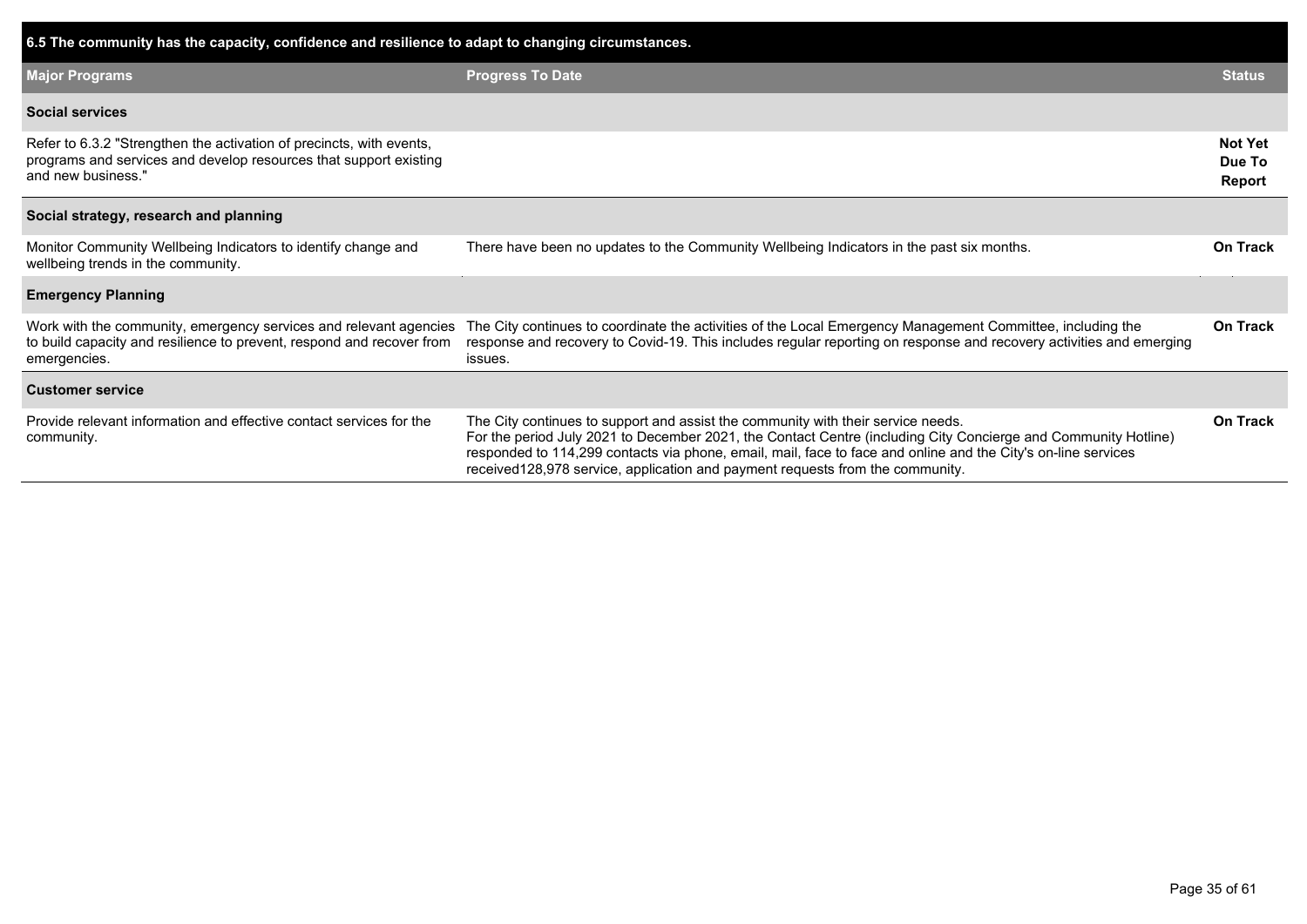| 6.5 The community has the capacity, confidence and resilience to adapt to changing circumstances.                                                               |                                                                                                                                                                                                                                                                                                                                                                                                       |                                    |  |  |  |  |  |  |  |  |  |
|-----------------------------------------------------------------------------------------------------------------------------------------------------------------|-------------------------------------------------------------------------------------------------------------------------------------------------------------------------------------------------------------------------------------------------------------------------------------------------------------------------------------------------------------------------------------------------------|------------------------------------|--|--|--|--|--|--|--|--|--|
| <b>Major Programs</b>                                                                                                                                           | <b>Progress To Date</b>                                                                                                                                                                                                                                                                                                                                                                               | <b>Status</b>                      |  |  |  |  |  |  |  |  |  |
| <b>Social services</b>                                                                                                                                          |                                                                                                                                                                                                                                                                                                                                                                                                       |                                    |  |  |  |  |  |  |  |  |  |
| Refer to 6.3.2 "Strengthen the activation of precincts, with events,<br>programs and services and develop resources that support existing<br>and new business." |                                                                                                                                                                                                                                                                                                                                                                                                       | <b>Not Yet</b><br>Due To<br>Report |  |  |  |  |  |  |  |  |  |
| Social strategy, research and planning                                                                                                                          |                                                                                                                                                                                                                                                                                                                                                                                                       |                                    |  |  |  |  |  |  |  |  |  |
| Monitor Community Wellbeing Indicators to identify change and<br>wellbeing trends in the community.                                                             | There have been no updates to the Community Wellbeing Indicators in the past six months.                                                                                                                                                                                                                                                                                                              | <b>On Track</b>                    |  |  |  |  |  |  |  |  |  |
| <b>Emergency Planning</b>                                                                                                                                       |                                                                                                                                                                                                                                                                                                                                                                                                       |                                    |  |  |  |  |  |  |  |  |  |
| Work with the community, emergency services and relevant agencies<br>to build capacity and resilience to prevent, respond and recover from<br>emergencies.      | The City continues to coordinate the activities of the Local Emergency Management Committee, including the<br>response and recovery to Covid-19. This includes regular reporting on response and recovery activities and emerging<br>issues.                                                                                                                                                          | On Track                           |  |  |  |  |  |  |  |  |  |
| <b>Customer service</b>                                                                                                                                         |                                                                                                                                                                                                                                                                                                                                                                                                       |                                    |  |  |  |  |  |  |  |  |  |
| Provide relevant information and effective contact services for the<br>community.                                                                               | The City continues to support and assist the community with their service needs.<br>For the period July 2021 to December 2021, the Contact Centre (including City Concierge and Community Hotline)<br>responded to 114,299 contacts via phone, email, mail, face to face and online and the City's on-line services<br>received 128,978 service, application and payment requests from the community. | On Track                           |  |  |  |  |  |  |  |  |  |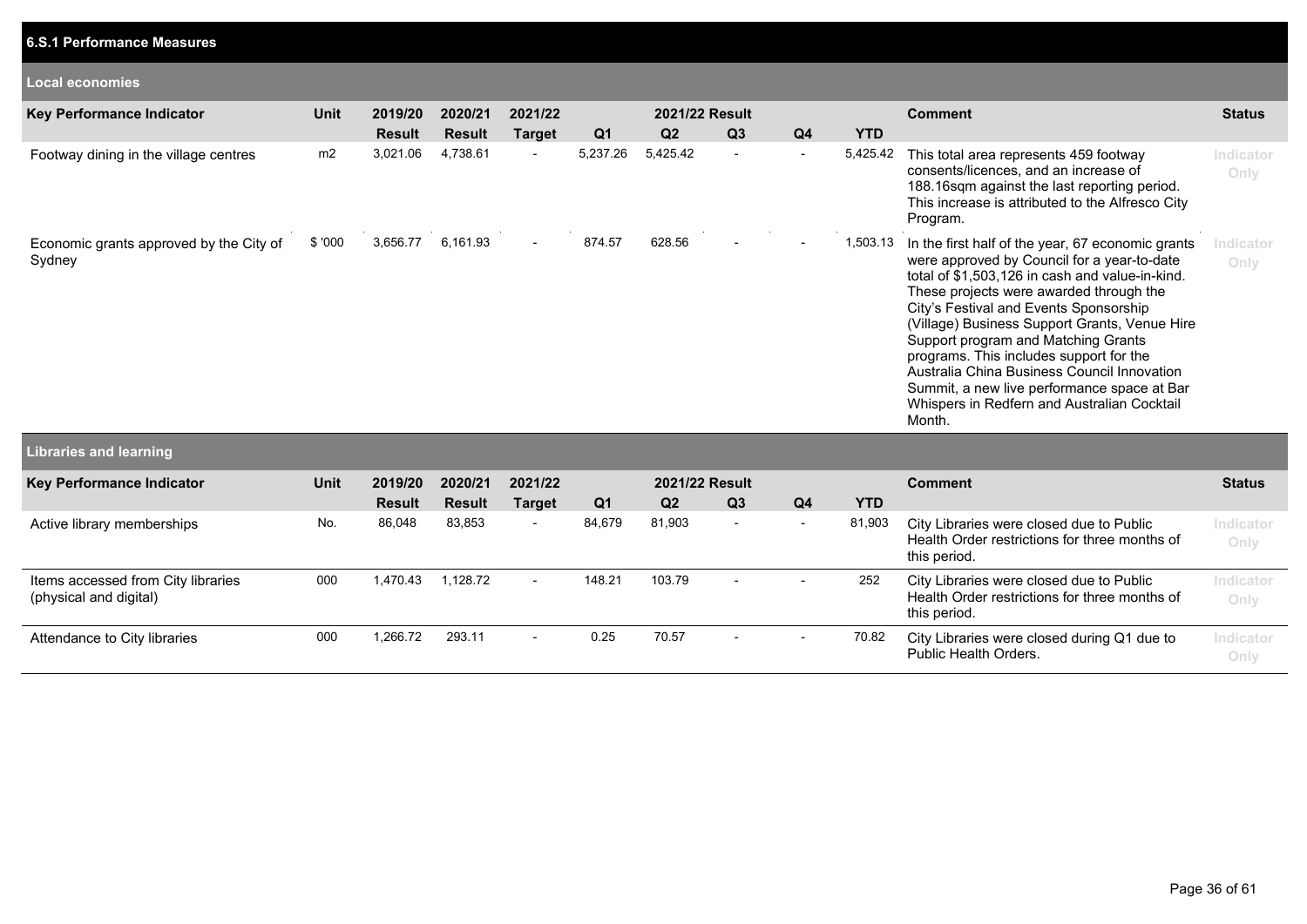| <b>Local economies</b>                            |        |                          |                          |                          |          |                                  |                          |                          |            |                                                                                                                                                                                                                                                                                                                                                                                                                                                                                                                                    |                   |
|---------------------------------------------------|--------|--------------------------|--------------------------|--------------------------|----------|----------------------------------|--------------------------|--------------------------|------------|------------------------------------------------------------------------------------------------------------------------------------------------------------------------------------------------------------------------------------------------------------------------------------------------------------------------------------------------------------------------------------------------------------------------------------------------------------------------------------------------------------------------------------|-------------------|
| Key Performance Indicator                         | Unit   | 2019/20<br><b>Result</b> | 2020/21<br><b>Result</b> | 2021/22<br><b>Target</b> | Q1       | 2021/22 Result<br>Q <sub>2</sub> | Q <sub>3</sub>           | Q4                       | <b>YTD</b> | <b>Comment</b>                                                                                                                                                                                                                                                                                                                                                                                                                                                                                                                     | <b>Status</b>     |
| Footway dining in the village centres             | m2     | 3,021.06                 | 4,738.61                 | $\overline{\phantom{a}}$ | 5,237.26 | 5,425.42                         | $\overline{\phantom{a}}$ | $\sim$                   | 5,425.42   | This total area represents 459 footway<br>consents/licences, and an increase of<br>188.16 sqm against the last reporting period.<br>This increase is attributed to the Alfresco City<br>Program.                                                                                                                                                                                                                                                                                                                                   | Indicator<br>Only |
| Economic grants approved by the City of<br>Sydney | \$'000 | 3,656.77                 | 6,161.93                 | $\overline{\phantom{a}}$ | 874.57   | 628.56                           |                          | $\overline{\phantom{a}}$ | 1,503.13   | In the first half of the year, 67 economic grants<br>were approved by Council for a year-to-date<br>total of \$1,503,126 in cash and value-in-kind.<br>These projects were awarded through the<br>City's Festival and Events Sponsorship<br>(Village) Business Support Grants, Venue Hire<br>Support program and Matching Grants<br>programs. This includes support for the<br>Australia China Business Council Innovation<br>Summit, a new live performance space at Bar<br>Whispers in Redfern and Australian Cocktail<br>Month. | Indicator<br>Only |

**6.S.1 Performance Measures**

| Libraries and learning                                       |             |               |               |                          |                |                |                          |                          |        |                                                                                                           |                   |
|--------------------------------------------------------------|-------------|---------------|---------------|--------------------------|----------------|----------------|--------------------------|--------------------------|--------|-----------------------------------------------------------------------------------------------------------|-------------------|
| Key Performance Indicator                                    | <b>Unit</b> | 2019/20       | 2020/21       | 2021/22                  |                | 2021/22 Result |                          |                          |        | <b>Comment</b>                                                                                            | <b>Status</b>     |
|                                                              |             | <b>Result</b> | <b>Result</b> | <b>Target</b>            | Q <sub>1</sub> | Q <sub>2</sub> | Q <sub>3</sub>           | Q <sub>4</sub>           | YTD.   |                                                                                                           |                   |
| Active library memberships                                   | No.         | 86,048        | 83,853        | $\overline{\phantom{0}}$ | 84,679         | 81,903         | $\overline{\phantom{a}}$ | $\overline{\phantom{a}}$ | 81,903 | City Libraries were closed due to Public<br>Health Order restrictions for three months of<br>this period. | Indicator<br>Only |
| Items accessed from City libraries<br>(physical and digital) | 000         | 1.470.43      | 1,128.72      | $\overline{\phantom{0}}$ | 148.21         | 103.79         | $\overline{\phantom{a}}$ | $\overline{\phantom{0}}$ | 252    | City Libraries were closed due to Public<br>Health Order restrictions for three months of<br>this period. | Indicator<br>Only |
| Attendance to City libraries                                 | 000         | 1,266.72      | 293.11        | $\overline{\phantom{0}}$ | 0.25           | 70.57          | $\overline{\phantom{a}}$ | $\overline{\phantom{a}}$ | 70.82  | City Libraries were closed during Q1 due to<br>Public Health Orders.                                      | Indicator<br>Only |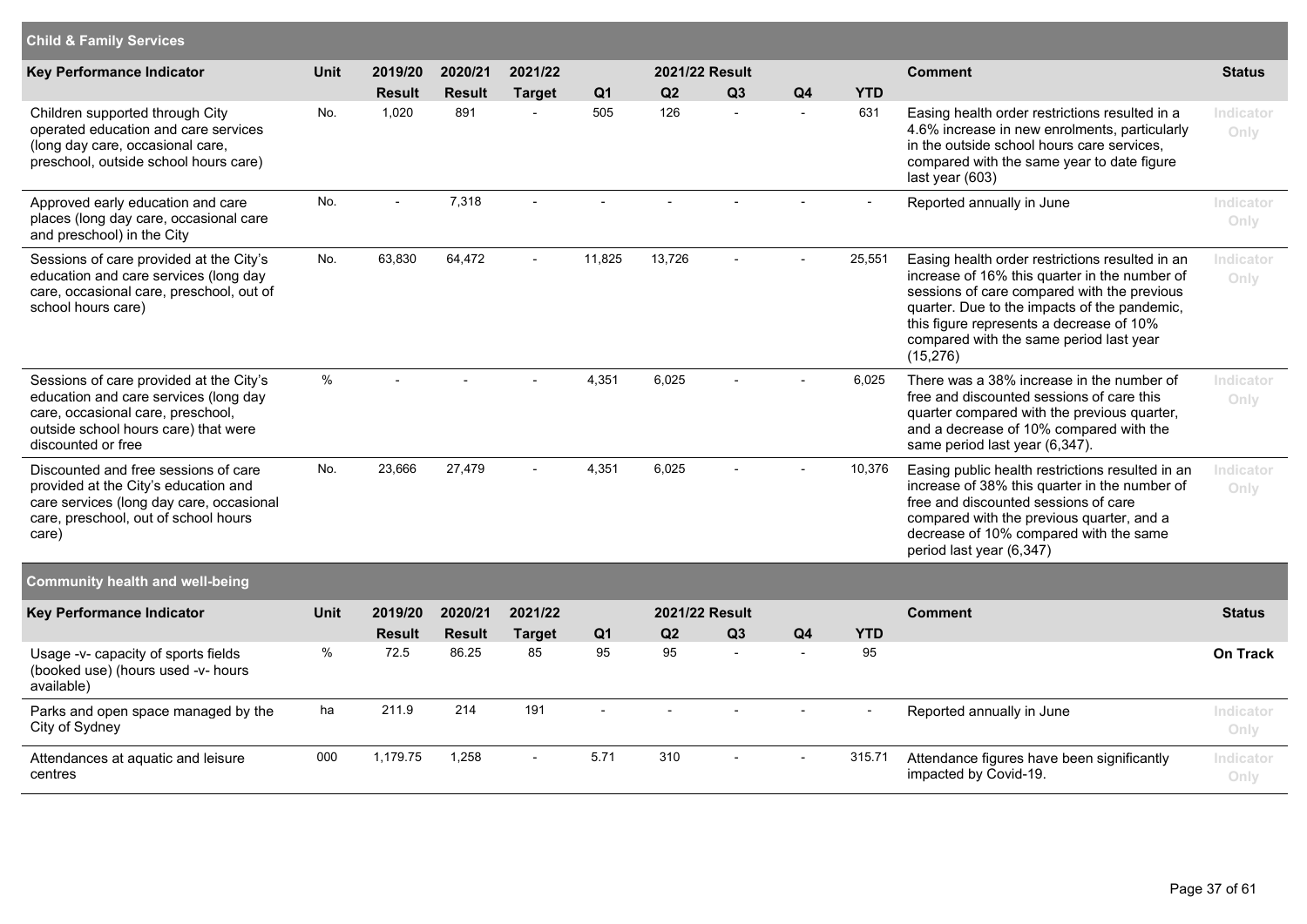| <b>Child &amp; Family Services</b>                                                                                                                                                  |             |                          |                          |                          |                       |                       |                                |                                            |                   |                                                                                                                                                                                                                                                                                                     |                   |
|-------------------------------------------------------------------------------------------------------------------------------------------------------------------------------------|-------------|--------------------------|--------------------------|--------------------------|-----------------------|-----------------------|--------------------------------|--------------------------------------------|-------------------|-----------------------------------------------------------------------------------------------------------------------------------------------------------------------------------------------------------------------------------------------------------------------------------------------------|-------------------|
| <b>Key Performance Indicator</b>                                                                                                                                                    | <b>Unit</b> | 2019/20                  | 2020/21                  | 2021/22                  |                       |                       | 2021/22 Result                 |                                            |                   | <b>Comment</b>                                                                                                                                                                                                                                                                                      | <b>Status</b>     |
| Children supported through City<br>operated education and care services<br>(long day care, occasional care,<br>preschool, outside school hours care)                                | No.         | <b>Result</b><br>1,020   | <b>Result</b><br>891     | <b>Target</b><br>÷,      | Q <sub>1</sub><br>505 | Q <sub>2</sub><br>126 | Q3<br>$\overline{\phantom{a}}$ | Q <sub>4</sub><br>$\overline{\phantom{a}}$ | <b>YTD</b><br>631 | Easing health order restrictions resulted in a<br>4.6% increase in new enrolments, particularly<br>in the outside school hours care services,<br>compared with the same year to date figure<br>last year (603)                                                                                      | Indicator<br>Only |
| Approved early education and care<br>places (long day care, occasional care<br>and preschool) in the City                                                                           | No.         |                          | 7,318                    |                          |                       |                       |                                |                                            |                   | Reported annually in June                                                                                                                                                                                                                                                                           | Indicator<br>Only |
| Sessions of care provided at the City's<br>education and care services (long day<br>care, occasional care, preschool, out of<br>school hours care)                                  | No.         | 63,830                   | 64,472                   |                          | 11,825                | 13,726                |                                |                                            | 25,551            | Easing health order restrictions resulted in an<br>increase of 16% this quarter in the number of<br>sessions of care compared with the previous<br>quarter. Due to the impacts of the pandemic,<br>this figure represents a decrease of 10%<br>compared with the same period last year<br>(15, 276) | Indicator<br>Only |
| Sessions of care provided at the City's<br>education and care services (long day<br>care, occasional care, preschool,<br>outside school hours care) that were<br>discounted or free | $\%$        |                          |                          |                          | 4,351                 | 6,025                 |                                |                                            | 6,025             | There was a 38% increase in the number of<br>free and discounted sessions of care this<br>quarter compared with the previous quarter,<br>and a decrease of 10% compared with the<br>same period last year (6,347).                                                                                  | Indicator<br>Only |
| Discounted and free sessions of care<br>provided at the City's education and<br>care services (long day care, occasional<br>care, preschool, out of school hours<br>care)           | No.         | 23,666                   | 27,479                   | $\overline{a}$           | 4,351                 | 6,025                 |                                |                                            | 10,376            | Easing public health restrictions resulted in an<br>increase of 38% this quarter in the number of<br>free and discounted sessions of care<br>compared with the previous quarter, and a<br>decrease of 10% compared with the same<br>period last year (6,347)                                        | Indicator<br>Only |
| <b>Community health and well-being</b>                                                                                                                                              |             |                          |                          |                          |                       |                       |                                |                                            |                   |                                                                                                                                                                                                                                                                                                     |                   |
| <b>Key Performance Indicator</b>                                                                                                                                                    | <b>Unit</b> | 2019/20<br><b>Result</b> | 2020/21<br><b>Result</b> | 2021/22<br><b>Target</b> | Q <sub>1</sub>        | Q <sub>2</sub>        | 2021/22 Result<br>Q3           | Q <sub>4</sub>                             | <b>YTD</b>        | <b>Comment</b>                                                                                                                                                                                                                                                                                      | <b>Status</b>     |
| Usage -v- capacity of sports fields<br>(booked use) (hours used -v- hours<br>available)                                                                                             | $\%$        | 72.5                     | 86.25                    | 85                       | 95                    | 95                    | $\overline{a}$                 | $\sim$                                     | 95                |                                                                                                                                                                                                                                                                                                     | <b>On Track</b>   |
| Parks and open space managed by the<br>City of Sydney                                                                                                                               | ha          | 211.9                    | 214                      | 191                      | $\sim$                | $\overline{a}$        | $\overline{a}$                 | $\overline{a}$                             | $\sim$            | Reported annually in June                                                                                                                                                                                                                                                                           | Indicator<br>Only |
| Attendances at aquatic and leisure<br>centres                                                                                                                                       | 000         | 1,179.75                 | 1,258                    | ÷,                       | 5.71                  | 310                   |                                |                                            | 315.71            | Attendance figures have been significantly<br>impacted by Covid-19.                                                                                                                                                                                                                                 | Indicator<br>Only |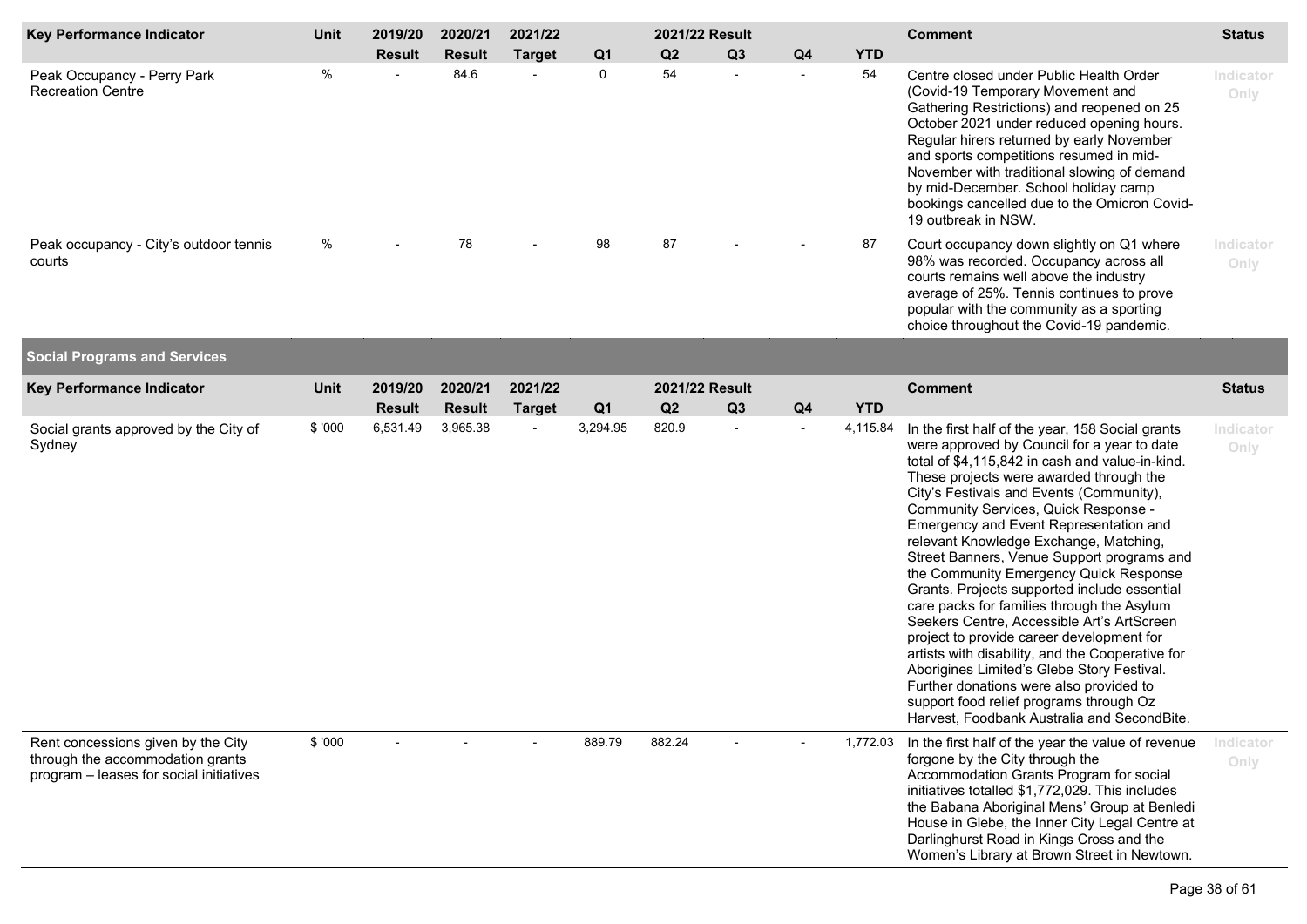| Key Performance Indicator                                                                                         | Unit    | 2019/20       | 2020/21       | 2021/22        |                |        | 2021/22 Result           |                          |            | <b>Comment</b>                                                                                                                                                                                                                                                                                                                                                                                                                                                                                                                                                                                                                                                                                                                                                                                                                                                                                | <b>Status</b>     |
|-------------------------------------------------------------------------------------------------------------------|---------|---------------|---------------|----------------|----------------|--------|--------------------------|--------------------------|------------|-----------------------------------------------------------------------------------------------------------------------------------------------------------------------------------------------------------------------------------------------------------------------------------------------------------------------------------------------------------------------------------------------------------------------------------------------------------------------------------------------------------------------------------------------------------------------------------------------------------------------------------------------------------------------------------------------------------------------------------------------------------------------------------------------------------------------------------------------------------------------------------------------|-------------------|
|                                                                                                                   |         | <b>Result</b> | <b>Result</b> | <b>Target</b>  | Q <sub>1</sub> | Q2     | Q3                       | Q <sub>4</sub>           | <b>YTD</b> |                                                                                                                                                                                                                                                                                                                                                                                                                                                                                                                                                                                                                                                                                                                                                                                                                                                                                               |                   |
| Peak Occupancy - Perry Park<br><b>Recreation Centre</b>                                                           | $\%$    |               | 84.6          |                | 0              | 54     |                          | $\overline{a}$           | 54         | Centre closed under Public Health Order<br>(Covid-19 Temporary Movement and<br>Gathering Restrictions) and reopened on 25<br>October 2021 under reduced opening hours.<br>Regular hirers returned by early November<br>and sports competitions resumed in mid-<br>November with traditional slowing of demand<br>by mid-December. School holiday camp<br>bookings cancelled due to the Omicron Covid-<br>19 outbreak in NSW.                                                                                                                                                                                                                                                                                                                                                                                                                                                                  | Indicator<br>Only |
| Peak occupancy - City's outdoor tennis<br>courts                                                                  | %       |               | 78            |                | 98             | 87     |                          |                          | 87         | Court occupancy down slightly on Q1 where<br>98% was recorded. Occupancy across all<br>courts remains well above the industry<br>average of 25%. Tennis continues to prove<br>popular with the community as a sporting<br>choice throughout the Covid-19 pandemic.                                                                                                                                                                                                                                                                                                                                                                                                                                                                                                                                                                                                                            | Indicator<br>Only |
| <b>Social Programs and Services</b>                                                                               |         |               |               |                |                |        |                          |                          |            |                                                                                                                                                                                                                                                                                                                                                                                                                                                                                                                                                                                                                                                                                                                                                                                                                                                                                               |                   |
| Key Performance Indicator                                                                                         | Unit    | 2019/20       | 2020/21       | 2021/22        |                |        | 2021/22 Result           |                          |            | <b>Comment</b>                                                                                                                                                                                                                                                                                                                                                                                                                                                                                                                                                                                                                                                                                                                                                                                                                                                                                | <b>Status</b>     |
|                                                                                                                   |         | <b>Result</b> | <b>Result</b> | <b>Target</b>  | Q <sub>1</sub> | Q2     | Q3                       | Q <sub>4</sub>           | <b>YTD</b> |                                                                                                                                                                                                                                                                                                                                                                                                                                                                                                                                                                                                                                                                                                                                                                                                                                                                                               |                   |
| Social grants approved by the City of<br>Sydney                                                                   | \$ '000 | 6,531.49      | 3,965.38      | $\blacksquare$ | 3,294.95       | 820.9  | $\overline{\phantom{a}}$ | $\overline{\phantom{a}}$ | 4,115.84   | In the first half of the year, 158 Social grants<br>were approved by Council for a year to date<br>total of \$4,115,842 in cash and value-in-kind.<br>These projects were awarded through the<br>City's Festivals and Events (Community),<br>Community Services, Quick Response -<br>Emergency and Event Representation and<br>relevant Knowledge Exchange, Matching,<br>Street Banners, Venue Support programs and<br>the Community Emergency Quick Response<br>Grants. Projects supported include essential<br>care packs for families through the Asylum<br>Seekers Centre, Accessible Art's ArtScreen<br>project to provide career development for<br>artists with disability, and the Cooperative for<br>Aborigines Limited's Glebe Story Festival.<br>Further donations were also provided to<br>support food relief programs through Oz<br>Harvest, Foodbank Australia and SecondBite. | Indicator<br>Only |
| Rent concessions given by the City<br>through the accommodation grants<br>program - leases for social initiatives | \$ '000 |               |               |                | 889.79         | 882.24 |                          |                          | 1,772.03   | In the first half of the year the value of revenue<br>forgone by the City through the<br>Accommodation Grants Program for social<br>initiatives totalled \$1,772,029. This includes<br>the Babana Aboriginal Mens' Group at Benledi<br>House in Glebe, the Inner City Legal Centre at<br>Darlinghurst Road in Kings Cross and the<br>Women's Library at Brown Street in Newtown.                                                                                                                                                                                                                                                                                                                                                                                                                                                                                                              | Indicator<br>Only |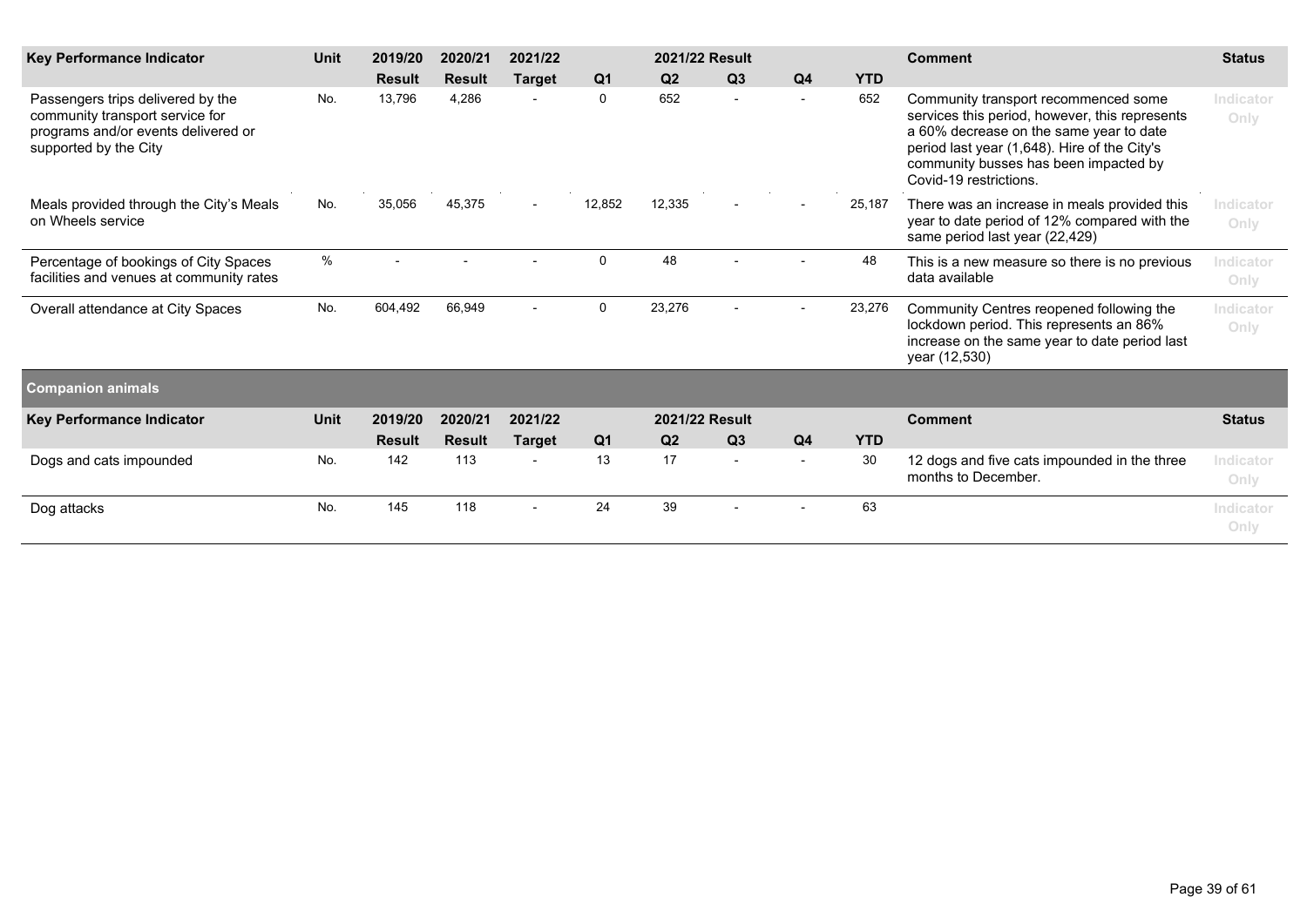| <b>Key Performance Indicator</b>                                                                                                     | <b>Unit</b> | 2019/20       | 2020/21       | 2021/22                  |                | 2021/22 Result |                |                |            | <b>Comment</b>                                                                                                                                                                                                                                       | <b>Status</b>     |
|--------------------------------------------------------------------------------------------------------------------------------------|-------------|---------------|---------------|--------------------------|----------------|----------------|----------------|----------------|------------|------------------------------------------------------------------------------------------------------------------------------------------------------------------------------------------------------------------------------------------------------|-------------------|
|                                                                                                                                      |             | <b>Result</b> | <b>Result</b> | <b>Target</b>            | Q <sub>1</sub> | Q <sub>2</sub> | Q <sub>3</sub> | Q <sub>4</sub> | <b>YTD</b> |                                                                                                                                                                                                                                                      |                   |
| Passengers trips delivered by the<br>community transport service for<br>programs and/or events delivered or<br>supported by the City | No.         | 13,796        | 4,286         |                          | $\mathbf 0$    | 652            |                |                | 652        | Community transport recommenced some<br>services this period, however, this represents<br>a 60% decrease on the same year to date<br>period last year (1,648). Hire of the City's<br>community busses has been impacted by<br>Covid-19 restrictions. | Indicator<br>Only |
| Meals provided through the City's Meals<br>on Wheels service                                                                         | No.         | 35,056        | 45,375        | $\overline{\phantom{a}}$ | 12,852         | 12,335         |                |                | 25,187     | There was an increase in meals provided this<br>year to date period of 12% compared with the<br>same period last year (22,429)                                                                                                                       | Indicator<br>Only |
| Percentage of bookings of City Spaces<br>facilities and venues at community rates                                                    | $\%$        |               |               |                          | $\mathbf 0$    | 48             |                |                | 48         | This is a new measure so there is no previous<br>data available                                                                                                                                                                                      | Indicator<br>Only |
| Overall attendance at City Spaces                                                                                                    | No.         | 604,492       | 66,949        |                          | $\mathbf 0$    | 23,276         |                |                | 23,276     | Community Centres reopened following the<br>lockdown period. This represents an 86%<br>increase on the same year to date period last<br>year (12,530)                                                                                                | Indicator<br>Only |
| <b>Companion animals</b>                                                                                                             |             |               |               |                          |                |                |                |                |            |                                                                                                                                                                                                                                                      |                   |
| <b>Key Performance Indicator</b>                                                                                                     | <b>Unit</b> | 2019/20       | 2020/21       | 2021/22                  |                | 2021/22 Result |                |                |            | <b>Comment</b>                                                                                                                                                                                                                                       | <b>Status</b>     |
|                                                                                                                                      |             | <b>Result</b> | <b>Result</b> | <b>Target</b>            | Q <sub>1</sub> | Q2             | Q <sub>3</sub> | Q <sub>4</sub> | <b>YTD</b> |                                                                                                                                                                                                                                                      |                   |
| Dogs and cats impounded                                                                                                              | No.         | 142           | 113           |                          | 13             | 17             |                |                | 30         | 12 dogs and five cats impounded in the three<br>months to December.                                                                                                                                                                                  | Indicator<br>Only |
| Dog attacks                                                                                                                          | No.         | 145           | 118           |                          | 24             | 39             |                |                | 63         |                                                                                                                                                                                                                                                      | Indicator<br>Only |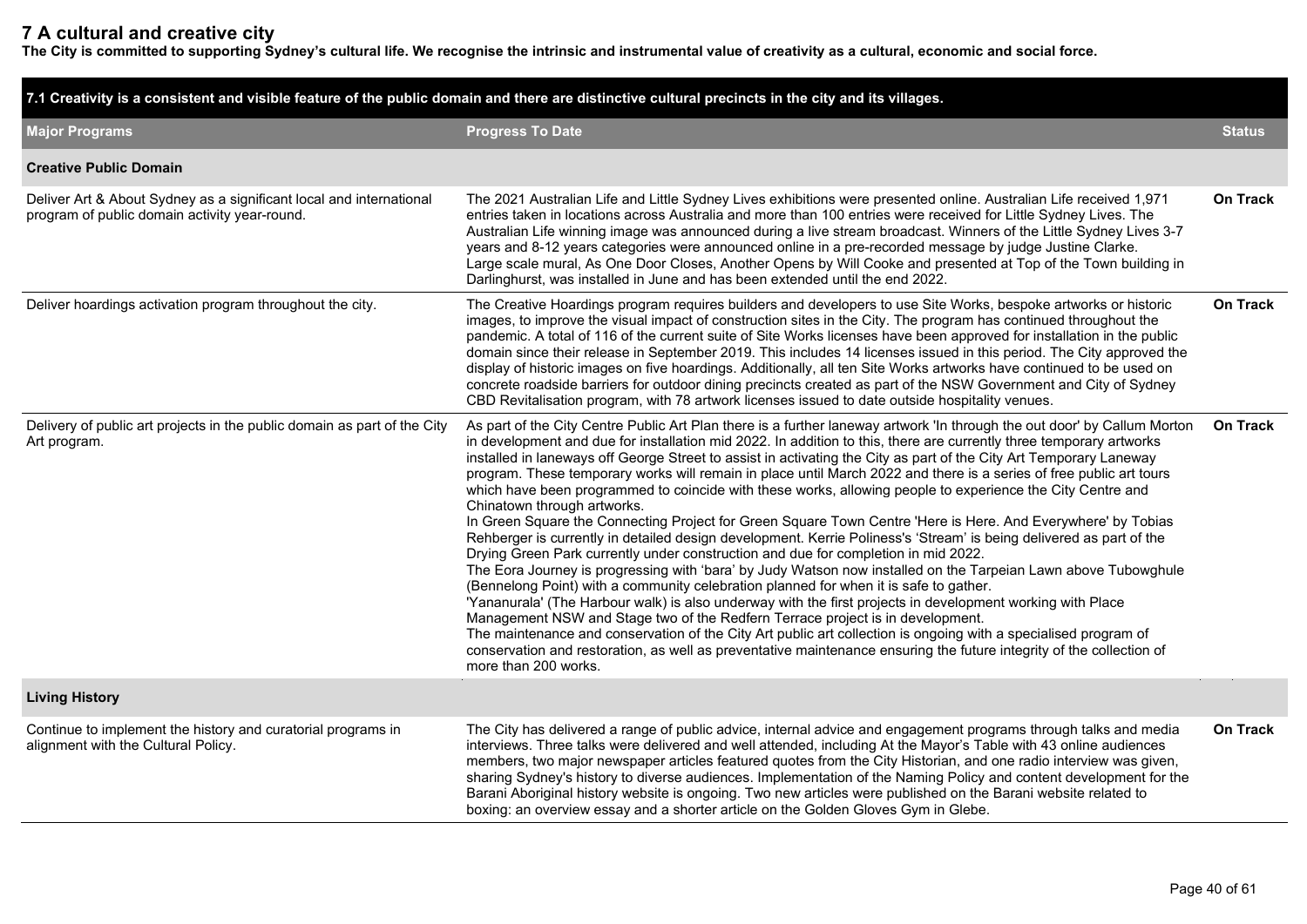## **7 A cultural and creative city**

**The City is committed to supporting Sydney's cultural life. We recognise the intrinsic and instrumental value of creativity as a cultural, economic and social force.**

|                                                                                                                      | 7.1 Creativity is a consistent and visible feature of the public domain and there are distinctive cultural precincts in the city and its villages.                                                                                                                                                                                                                                                                                                                                                                                                                                                                                                                                                                                                                                                                                                                                                                                                                                                                                                                                                                                                                                                                                                                                                                                                                                                                                                                                                                                                                                                                                                   |                 |
|----------------------------------------------------------------------------------------------------------------------|------------------------------------------------------------------------------------------------------------------------------------------------------------------------------------------------------------------------------------------------------------------------------------------------------------------------------------------------------------------------------------------------------------------------------------------------------------------------------------------------------------------------------------------------------------------------------------------------------------------------------------------------------------------------------------------------------------------------------------------------------------------------------------------------------------------------------------------------------------------------------------------------------------------------------------------------------------------------------------------------------------------------------------------------------------------------------------------------------------------------------------------------------------------------------------------------------------------------------------------------------------------------------------------------------------------------------------------------------------------------------------------------------------------------------------------------------------------------------------------------------------------------------------------------------------------------------------------------------------------------------------------------------|-----------------|
| <b>Major Programs</b>                                                                                                | <b>Progress To Date</b>                                                                                                                                                                                                                                                                                                                                                                                                                                                                                                                                                                                                                                                                                                                                                                                                                                                                                                                                                                                                                                                                                                                                                                                                                                                                                                                                                                                                                                                                                                                                                                                                                              | <b>Status</b>   |
| <b>Creative Public Domain</b>                                                                                        |                                                                                                                                                                                                                                                                                                                                                                                                                                                                                                                                                                                                                                                                                                                                                                                                                                                                                                                                                                                                                                                                                                                                                                                                                                                                                                                                                                                                                                                                                                                                                                                                                                                      |                 |
| Deliver Art & About Sydney as a significant local and international<br>program of public domain activity year-round. | The 2021 Australian Life and Little Sydney Lives exhibitions were presented online. Australian Life received 1,971<br>entries taken in locations across Australia and more than 100 entries were received for Little Sydney Lives. The<br>Australian Life winning image was announced during a live stream broadcast. Winners of the Little Sydney Lives 3-7<br>years and 8-12 years categories were announced online in a pre-recorded message by judge Justine Clarke.<br>Large scale mural, As One Door Closes, Another Opens by Will Cooke and presented at Top of the Town building in<br>Darlinghurst, was installed in June and has been extended until the end 2022.                                                                                                                                                                                                                                                                                                                                                                                                                                                                                                                                                                                                                                                                                                                                                                                                                                                                                                                                                                         | On Track        |
| Deliver hoardings activation program throughout the city.                                                            | The Creative Hoardings program requires builders and developers to use Site Works, bespoke artworks or historic<br>images, to improve the visual impact of construction sites in the City. The program has continued throughout the<br>pandemic. A total of 116 of the current suite of Site Works licenses have been approved for installation in the public<br>domain since their release in September 2019. This includes 14 licenses issued in this period. The City approved the<br>display of historic images on five hoardings. Additionally, all ten Site Works artworks have continued to be used on<br>concrete roadside barriers for outdoor dining precincts created as part of the NSW Government and City of Sydney<br>CBD Revitalisation program, with 78 artwork licenses issued to date outside hospitality venues.                                                                                                                                                                                                                                                                                                                                                                                                                                                                                                                                                                                                                                                                                                                                                                                                                 | On Track        |
| Delivery of public art projects in the public domain as part of the City<br>Art program.                             | As part of the City Centre Public Art Plan there is a further laneway artwork 'In through the out door' by Callum Morton<br>in development and due for installation mid 2022. In addition to this, there are currently three temporary artworks<br>installed in laneways off George Street to assist in activating the City as part of the City Art Temporary Laneway<br>program. These temporary works will remain in place until March 2022 and there is a series of free public art tours<br>which have been programmed to coincide with these works, allowing people to experience the City Centre and<br>Chinatown through artworks.<br>In Green Square the Connecting Project for Green Square Town Centre 'Here is Here. And Everywhere' by Tobias<br>Rehberger is currently in detailed design development. Kerrie Poliness's 'Stream' is being delivered as part of the<br>Drying Green Park currently under construction and due for completion in mid 2022.<br>The Eora Journey is progressing with 'bara' by Judy Watson now installed on the Tarpeian Lawn above Tubowghule<br>(Bennelong Point) with a community celebration planned for when it is safe to gather.<br>'Yananurala' (The Harbour walk) is also underway with the first projects in development working with Place<br>Management NSW and Stage two of the Redfern Terrace project is in development.<br>The maintenance and conservation of the City Art public art collection is ongoing with a specialised program of<br>conservation and restoration, as well as preventative maintenance ensuring the future integrity of the collection of<br>more than 200 works. | <b>On Track</b> |
| <b>Living History</b>                                                                                                |                                                                                                                                                                                                                                                                                                                                                                                                                                                                                                                                                                                                                                                                                                                                                                                                                                                                                                                                                                                                                                                                                                                                                                                                                                                                                                                                                                                                                                                                                                                                                                                                                                                      |                 |
| Continue to implement the history and curatorial programs in<br>alignment with the Cultural Policy.                  | The City has delivered a range of public advice, internal advice and engagement programs through talks and media<br>interviews. Three talks were delivered and well attended, including At the Mayor's Table with 43 online audiences<br>members, two major newspaper articles featured quotes from the City Historian, and one radio interview was given,<br>sharing Sydney's history to diverse audiences. Implementation of the Naming Policy and content development for the<br>Barani Aboriginal history website is ongoing. Two new articles were published on the Barani website related to<br>boxing: an overview essay and a shorter article on the Golden Gloves Gym in Glebe.                                                                                                                                                                                                                                                                                                                                                                                                                                                                                                                                                                                                                                                                                                                                                                                                                                                                                                                                                             | <b>On Track</b> |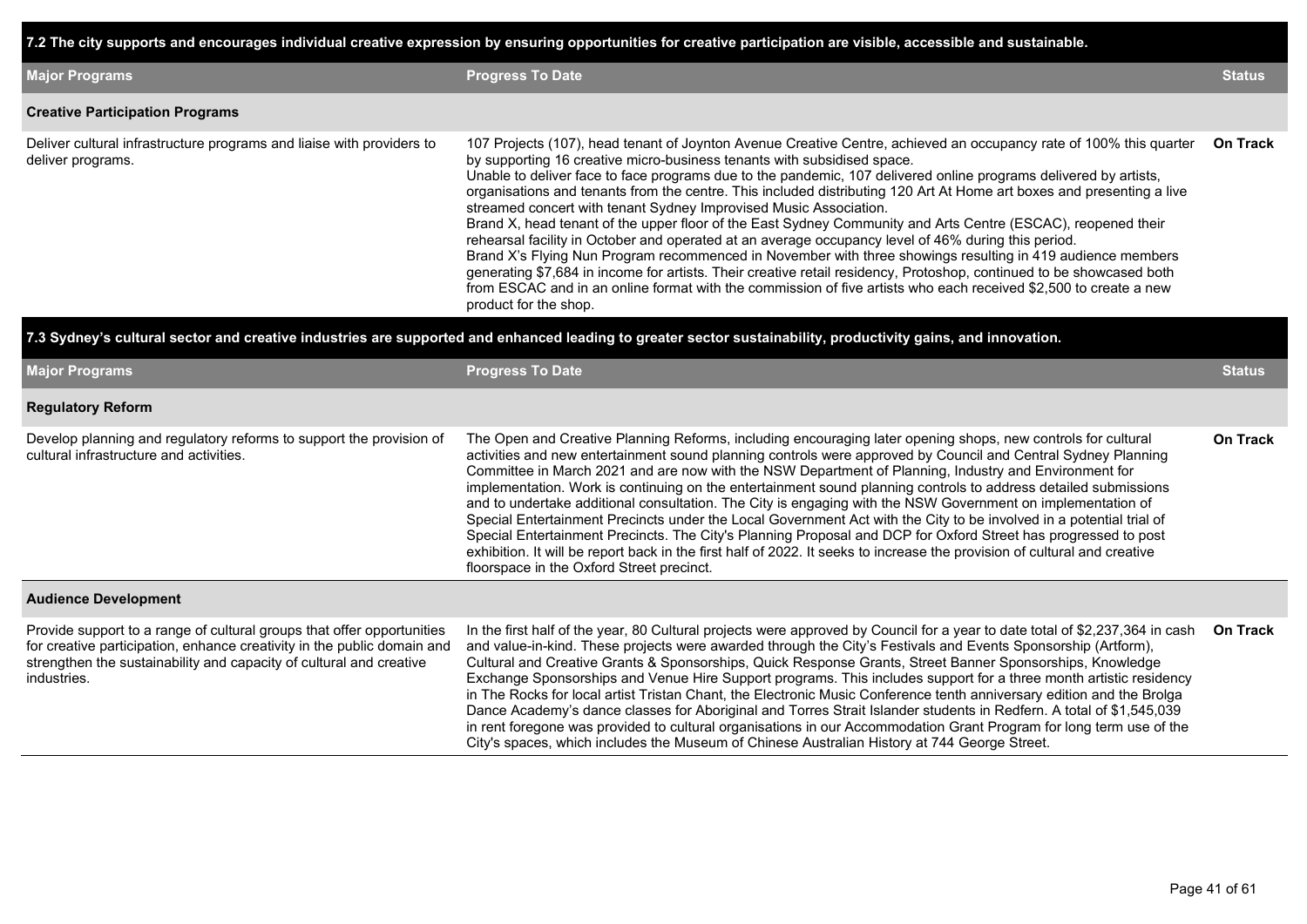**7.2 The city supports and encourages individual creative expression by ensuring opportunities for creative participation are visible, accessible and sustainable.**

| <b>Major Programs</b>                                                                      | <b>Progress To Date</b>                                                                                                                                                                                                                                                                                                                                                                                                                                                                                                                                                                                                                                                                                                                                                                                                                                                                                                                                                                                                                                                                                                   | <b>Status</b>   |
|--------------------------------------------------------------------------------------------|---------------------------------------------------------------------------------------------------------------------------------------------------------------------------------------------------------------------------------------------------------------------------------------------------------------------------------------------------------------------------------------------------------------------------------------------------------------------------------------------------------------------------------------------------------------------------------------------------------------------------------------------------------------------------------------------------------------------------------------------------------------------------------------------------------------------------------------------------------------------------------------------------------------------------------------------------------------------------------------------------------------------------------------------------------------------------------------------------------------------------|-----------------|
| <b>Creative Participation Programs</b>                                                     |                                                                                                                                                                                                                                                                                                                                                                                                                                                                                                                                                                                                                                                                                                                                                                                                                                                                                                                                                                                                                                                                                                                           |                 |
| Deliver cultural infrastructure programs and liaise with providers to<br>deliver programs. | 107 Projects (107), head tenant of Joynton Avenue Creative Centre, achieved an occupancy rate of 100% this quarter<br>by supporting 16 creative micro-business tenants with subsidised space.<br>Unable to deliver face to face programs due to the pandemic, 107 delivered online programs delivered by artists,<br>organisations and tenants from the centre. This included distributing 120 Art At Home art boxes and presenting a live<br>streamed concert with tenant Sydney Improvised Music Association.<br>Brand X, head tenant of the upper floor of the East Sydney Community and Arts Centre (ESCAC), reopened their<br>rehearsal facility in October and operated at an average occupancy level of 46% during this period.<br>Brand X's Flying Nun Program recommenced in November with three showings resulting in 419 audience members<br>generating \$7,684 in income for artists. Their creative retail residency, Protoshop, continued to be showcased both<br>from ESCAC and in an online format with the commission of five artists who each received \$2,500 to create a new<br>product for the shop. | <b>On Track</b> |

#### **7.3 Sydney's cultural sector and creative industries are supported and enhanced leading to greater sector sustainability, productivity gains, and innovation.**

| <b>Major Programs</b>                                                                                                                                                                                                                   | <b>Progress To Date</b>                                                                                                                                                                                                                                                                                                                                                                                                                                                                                                                                                                                                                                                                                                                                                                                                                                                                                                                                                                     | <b>Status</b>   |
|-----------------------------------------------------------------------------------------------------------------------------------------------------------------------------------------------------------------------------------------|---------------------------------------------------------------------------------------------------------------------------------------------------------------------------------------------------------------------------------------------------------------------------------------------------------------------------------------------------------------------------------------------------------------------------------------------------------------------------------------------------------------------------------------------------------------------------------------------------------------------------------------------------------------------------------------------------------------------------------------------------------------------------------------------------------------------------------------------------------------------------------------------------------------------------------------------------------------------------------------------|-----------------|
| <b>Regulatory Reform</b>                                                                                                                                                                                                                |                                                                                                                                                                                                                                                                                                                                                                                                                                                                                                                                                                                                                                                                                                                                                                                                                                                                                                                                                                                             |                 |
| Develop planning and regulatory reforms to support the provision of<br>cultural infrastructure and activities.                                                                                                                          | The Open and Creative Planning Reforms, including encouraging later opening shops, new controls for cultural<br>activities and new entertainment sound planning controls were approved by Council and Central Sydney Planning<br>Committee in March 2021 and are now with the NSW Department of Planning, Industry and Environment for<br>implementation. Work is continuing on the entertainment sound planning controls to address detailed submissions<br>and to undertake additional consultation. The City is engaging with the NSW Government on implementation of<br>Special Entertainment Precincts under the Local Government Act with the City to be involved in a potential trial of<br>Special Entertainment Precincts. The City's Planning Proposal and DCP for Oxford Street has progressed to post<br>exhibition. It will be report back in the first half of 2022. It seeks to increase the provision of cultural and creative<br>floorspace in the Oxford Street precinct. | <b>On Track</b> |
| <b>Audience Development</b>                                                                                                                                                                                                             |                                                                                                                                                                                                                                                                                                                                                                                                                                                                                                                                                                                                                                                                                                                                                                                                                                                                                                                                                                                             |                 |
| Provide support to a range of cultural groups that offer opportunities<br>for creative participation, enhance creativity in the public domain and<br>strengthen the sustainability and capacity of cultural and creative<br>industries. | In the first half of the year, 80 Cultural projects were approved by Council for a year to date total of \$2,237,364 in cash<br>and value-in-kind. These projects were awarded through the City's Festivals and Events Sponsorship (Artform),<br>Cultural and Creative Grants & Sponsorships, Quick Response Grants, Street Banner Sponsorships, Knowledge<br>Exchange Sponsorships and Venue Hire Support programs. This includes support for a three month artistic residency<br>in The Rocks for local artist Tristan Chant, the Electronic Music Conference tenth anniversary edition and the Brolga<br>Dance Academy's dance classes for Aboriginal and Torres Strait Islander students in Redfern. A total of \$1,545,039<br>in rent foregone was provided to cultural organisations in our Accommodation Grant Program for long term use of the<br>City's spaces, which includes the Museum of Chinese Australian History at 744 George Street.                                      | <b>On Track</b> |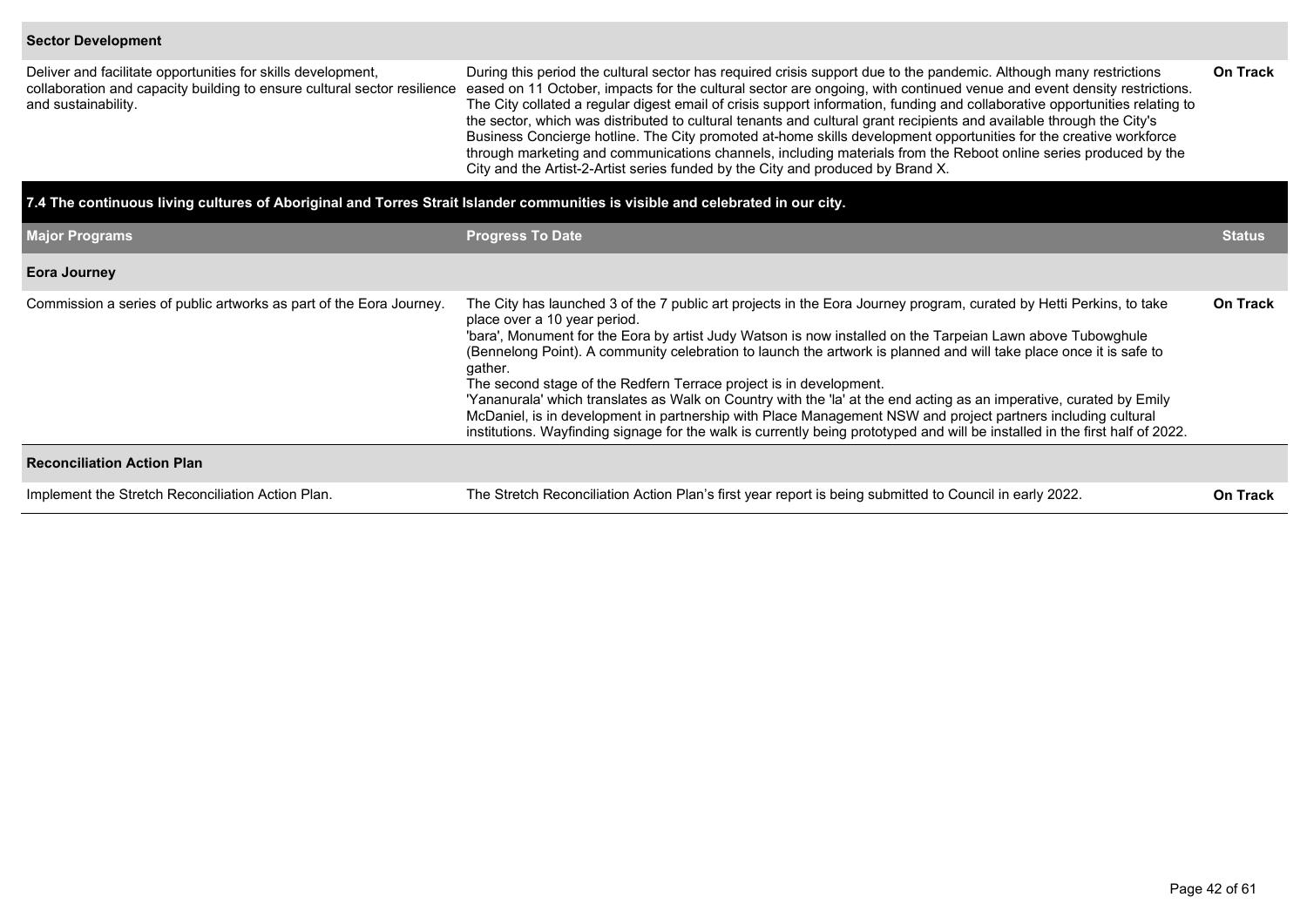#### **Sector Development**

Deliver and facilitate opportunities for skills development, collaboration and capacity building to ensure cultural sector resilience and sustainability. During this period the cultural sector has required crisis support due to the pandemic. Although many restrictions eased on 11 October, impacts for the cultural sector are ongoing, with continued venue and event density restrictions.

The City collated a regular digest email of crisis support information, funding and collaborative opportunities relating to the sector, which was distributed to cultural tenants and cultural grant recipients and available through the City's Business Concierge hotline. The City promoted at-home skills development opportunities for the creative workforce through marketing and communications channels, including materials from the Reboot online series produced by the City and the Artist-2-Artist series funded by the City and produced by Brand X.

| 7.4 The continuous living cultures of Aboriginal and Torres Strait Islander communities is visible and celebrated in our city. |                                                                                                                                                                                                                                                                                                                                                                                                                                                                                                                                                                                                                                                                                                                                                                                                                                                 |                 |  |  |  |  |  |  |  |  |
|--------------------------------------------------------------------------------------------------------------------------------|-------------------------------------------------------------------------------------------------------------------------------------------------------------------------------------------------------------------------------------------------------------------------------------------------------------------------------------------------------------------------------------------------------------------------------------------------------------------------------------------------------------------------------------------------------------------------------------------------------------------------------------------------------------------------------------------------------------------------------------------------------------------------------------------------------------------------------------------------|-----------------|--|--|--|--|--|--|--|--|
| <b>Major Programs</b>                                                                                                          | <b>Progress To Date</b>                                                                                                                                                                                                                                                                                                                                                                                                                                                                                                                                                                                                                                                                                                                                                                                                                         | <b>Status</b>   |  |  |  |  |  |  |  |  |
| <b>Eora Journey</b>                                                                                                            |                                                                                                                                                                                                                                                                                                                                                                                                                                                                                                                                                                                                                                                                                                                                                                                                                                                 |                 |  |  |  |  |  |  |  |  |
| Commission a series of public artworks as part of the Eora Journey.                                                            | The City has launched 3 of the 7 public art projects in the Eora Journey program, curated by Hetti Perkins, to take<br>place over a 10 year period.<br>'bara', Monument for the Eora by artist Judy Watson is now installed on the Tarpeian Lawn above Tubowghule<br>(Bennelong Point). A community celebration to launch the artwork is planned and will take place once it is safe to<br>gather.<br>The second stage of the Redfern Terrace project is in development.<br>'Yananurala' which translates as Walk on Country with the 'la' at the end acting as an imperative, curated by Emily<br>McDaniel, is in development in partnership with Place Management NSW and project partners including cultural<br>institutions. Wayfinding signage for the walk is currently being prototyped and will be installed in the first half of 2022. | On Track        |  |  |  |  |  |  |  |  |
| <b>Reconciliation Action Plan</b>                                                                                              |                                                                                                                                                                                                                                                                                                                                                                                                                                                                                                                                                                                                                                                                                                                                                                                                                                                 |                 |  |  |  |  |  |  |  |  |
| Implement the Stretch Reconciliation Action Plan.                                                                              | The Stretch Reconciliation Action Plan's first year report is being submitted to Council in early 2022.                                                                                                                                                                                                                                                                                                                                                                                                                                                                                                                                                                                                                                                                                                                                         | <b>On Track</b> |  |  |  |  |  |  |  |  |

**On Track**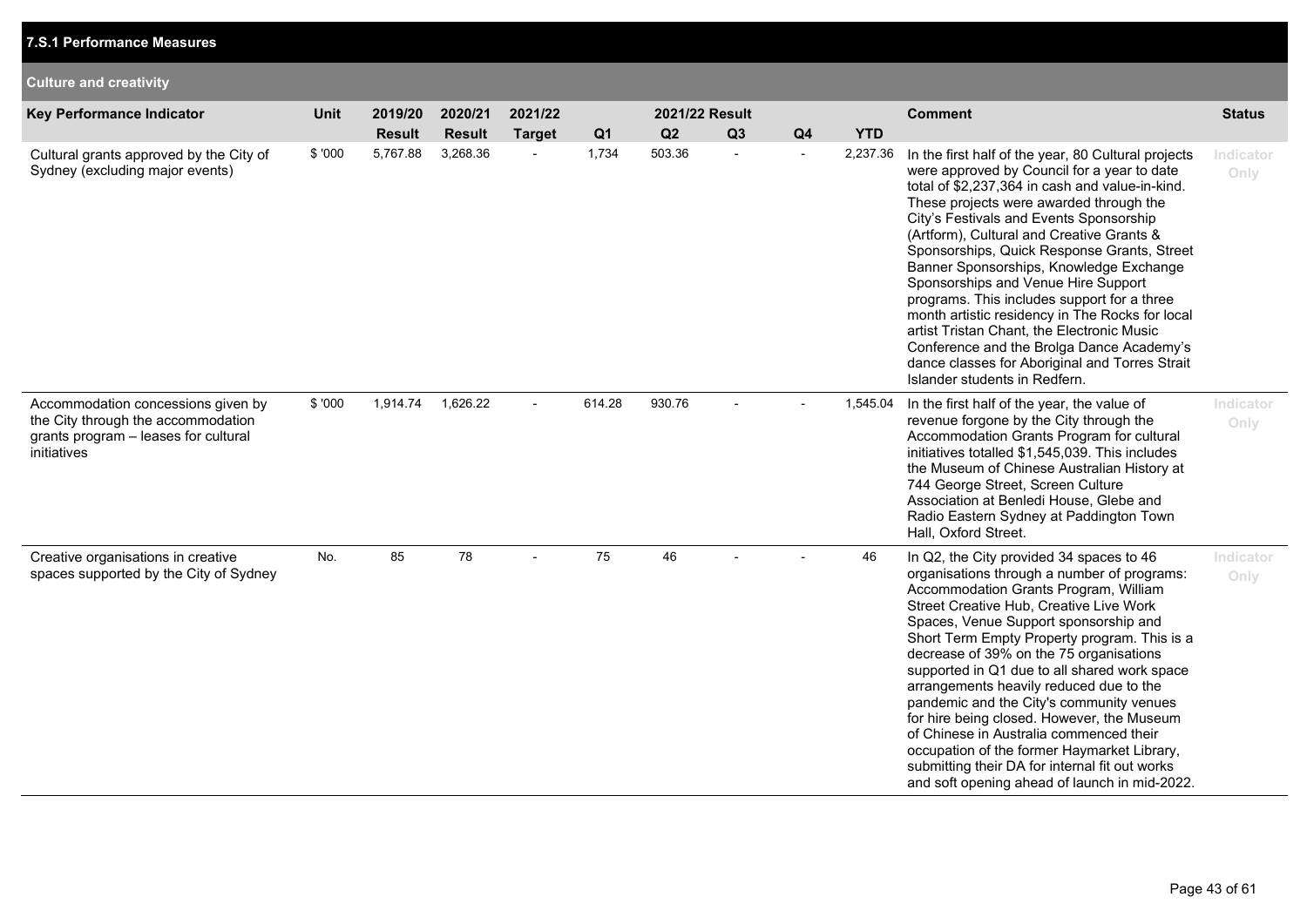| <b>Culture and creativity</b>                                                                                                   |        |                          |                          |                          |                |                      |    |                |            |                                                                                                                                                                                                                                                                                                                                                                                                                                                                                                                                                                                                                                                                                                           |                   |
|---------------------------------------------------------------------------------------------------------------------------------|--------|--------------------------|--------------------------|--------------------------|----------------|----------------------|----|----------------|------------|-----------------------------------------------------------------------------------------------------------------------------------------------------------------------------------------------------------------------------------------------------------------------------------------------------------------------------------------------------------------------------------------------------------------------------------------------------------------------------------------------------------------------------------------------------------------------------------------------------------------------------------------------------------------------------------------------------------|-------------------|
| Key Performance Indicator                                                                                                       | Unit   | 2019/20<br><b>Result</b> | 2020/21<br><b>Result</b> | 2021/22<br><b>Target</b> | Q <sub>1</sub> | 2021/22 Result<br>Q2 | Q3 | Q <sub>4</sub> | <b>YTD</b> | <b>Comment</b>                                                                                                                                                                                                                                                                                                                                                                                                                                                                                                                                                                                                                                                                                            | <b>Status</b>     |
| Cultural grants approved by the City of<br>Sydney (excluding major events)                                                      | \$'000 | 5,767.88                 | 3,268.36                 |                          | 1,734          | 503.36               |    |                | 2,237.36   | In the first half of the year, 80 Cultural projects<br>were approved by Council for a year to date<br>total of \$2,237,364 in cash and value-in-kind.<br>These projects were awarded through the<br>City's Festivals and Events Sponsorship<br>(Artform), Cultural and Creative Grants &<br>Sponsorships, Quick Response Grants, Street<br>Banner Sponsorships, Knowledge Exchange<br>Sponsorships and Venue Hire Support<br>programs. This includes support for a three<br>month artistic residency in The Rocks for local<br>artist Tristan Chant, the Electronic Music<br>Conference and the Brolga Dance Academy's<br>dance classes for Aboriginal and Torres Strait<br>Islander students in Redfern. | Indicator<br>Only |
| Accommodation concessions given by<br>the City through the accommodation<br>grants program - leases for cultural<br>initiatives | \$'000 | 1,914.74                 | 1,626.22                 | $\overline{\phantom{a}}$ | 614.28         | 930.76               |    |                | 1,545.04   | In the first half of the year, the value of<br>revenue forgone by the City through the<br>Accommodation Grants Program for cultural<br>initiatives totalled \$1,545,039. This includes<br>the Museum of Chinese Australian History at<br>744 George Street, Screen Culture<br>Association at Benledi House, Glebe and<br>Radio Eastern Sydney at Paddington Town<br>Hall, Oxford Street.                                                                                                                                                                                                                                                                                                                  | Indicator<br>Only |
| Creative organisations in creative<br>spaces supported by the City of Sydney                                                    | No.    | 85                       | 78                       |                          | 75             | 46                   |    |                | 46         | In Q2, the City provided 34 spaces to 46<br>organisations through a number of programs:<br>Accommodation Grants Program, William<br>Street Creative Hub, Creative Live Work<br>Spaces, Venue Support sponsorship and<br>Short Term Empty Property program. This is a<br>decrease of 39% on the 75 organisations<br>supported in Q1 due to all shared work space<br>arrangements heavily reduced due to the<br>pandemic and the City's community venues<br>for hire being closed. However, the Museum<br>of Chinese in Australia commenced their<br>occupation of the former Haymarket Library,<br>submitting their DA for internal fit out works<br>and soft opening ahead of launch in mid-2022.         | Indicator<br>Only |

**7.S.1 Performance Measures**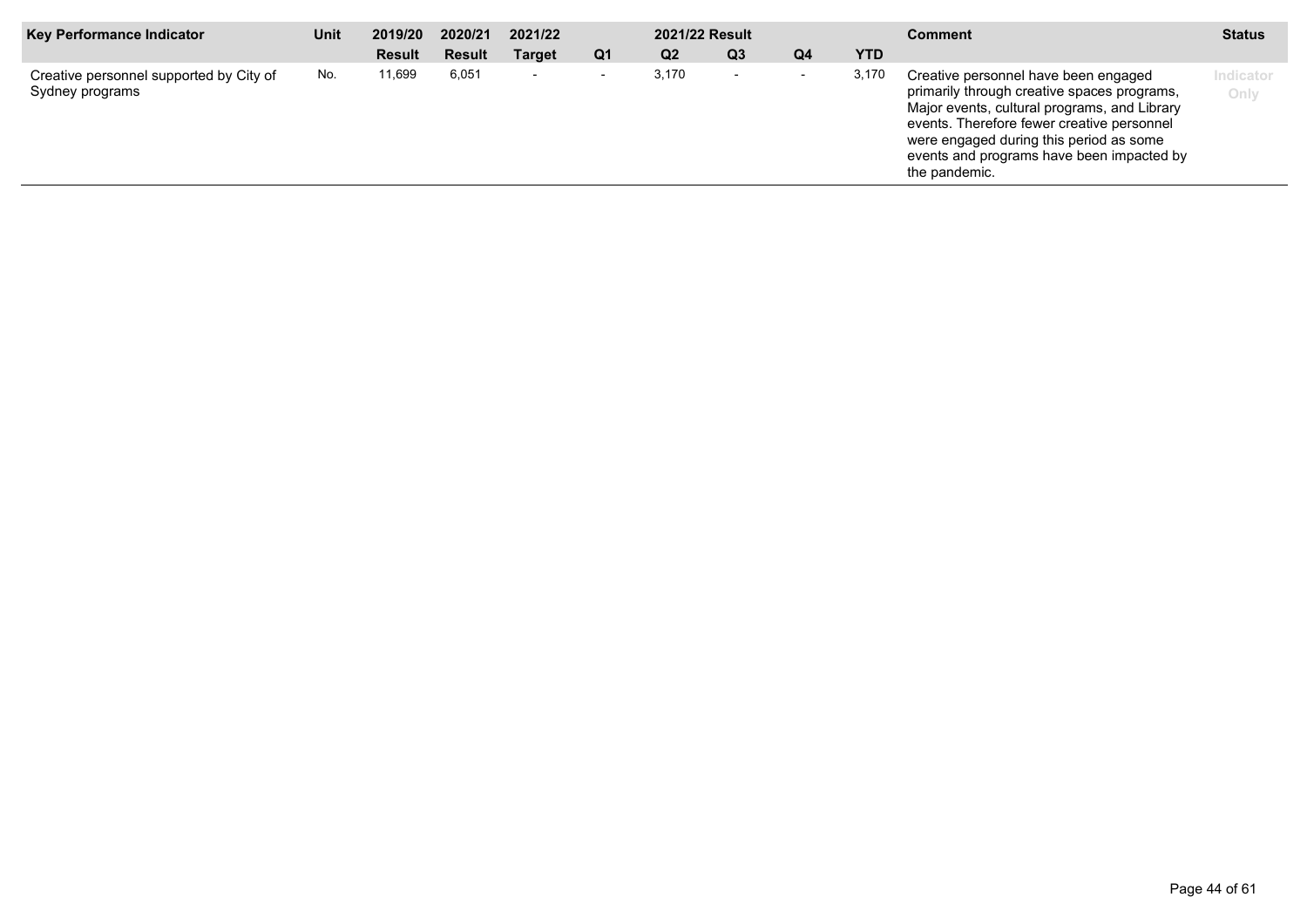| <b>Key Performance Indicator</b>                           | Unit | 2019/20       | 2020/21       | 2021/22                  |                          | 2021/22 Result |                          |                          |            | <b>Comment</b>                                                                                                                                                                                                                                                                             | <b>Status</b>     |
|------------------------------------------------------------|------|---------------|---------------|--------------------------|--------------------------|----------------|--------------------------|--------------------------|------------|--------------------------------------------------------------------------------------------------------------------------------------------------------------------------------------------------------------------------------------------------------------------------------------------|-------------------|
|                                                            |      | <b>Result</b> | <b>Result</b> | <b>Target</b>            | Q <sub>1</sub>           | Q <sub>2</sub> | Q <sub>3</sub>           | Q4                       | <b>YTD</b> |                                                                                                                                                                                                                                                                                            |                   |
| Creative personnel supported by City of<br>Sydney programs | No.  | 11,699        | 6,051         | $\overline{\phantom{a}}$ | $\overline{\phantom{a}}$ | 3,170          | $\overline{\phantom{0}}$ | $\overline{\phantom{0}}$ | 3,170      | Creative personnel have been engaged<br>primarily through creative spaces programs,<br>Major events, cultural programs, and Library<br>events. Therefore fewer creative personnel<br>were engaged during this period as some<br>events and programs have been impacted by<br>the pandemic. | Indicator<br>Only |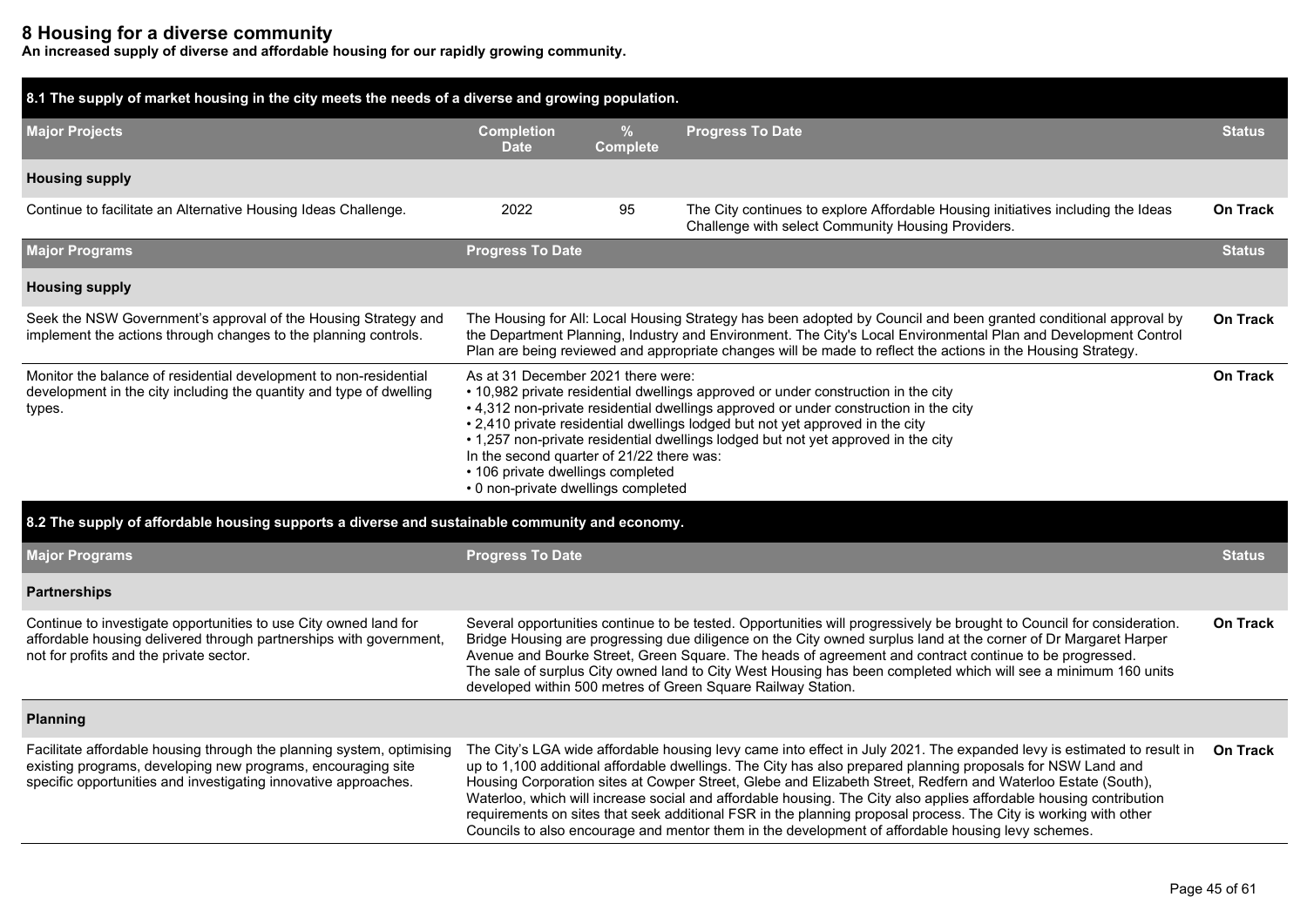## **8 Housing for a diverse community**

**An increased supply of diverse and affordable housing for our rapidly growing community.**

| 8.1 The supply of market housing in the city meets the needs of a diverse and growing population.                                                                                                        |                                                                                                                                                                                                                                                                                                                                                                                                                                                                                                                                                   |                                  |                                                                                                                                                                                                                                                                                                                                                                                                                                                                                                                                                                                                                                                                                                     |                 |  |  |  |  |
|----------------------------------------------------------------------------------------------------------------------------------------------------------------------------------------------------------|---------------------------------------------------------------------------------------------------------------------------------------------------------------------------------------------------------------------------------------------------------------------------------------------------------------------------------------------------------------------------------------------------------------------------------------------------------------------------------------------------------------------------------------------------|----------------------------------|-----------------------------------------------------------------------------------------------------------------------------------------------------------------------------------------------------------------------------------------------------------------------------------------------------------------------------------------------------------------------------------------------------------------------------------------------------------------------------------------------------------------------------------------------------------------------------------------------------------------------------------------------------------------------------------------------------|-----------------|--|--|--|--|
| <b>Major Projects</b>                                                                                                                                                                                    | <b>Completion</b><br><b>Date</b>                                                                                                                                                                                                                                                                                                                                                                                                                                                                                                                  | $\frac{9}{6}$<br><b>Complete</b> | <b>Progress To Date</b>                                                                                                                                                                                                                                                                                                                                                                                                                                                                                                                                                                                                                                                                             | <b>Status</b>   |  |  |  |  |
| <b>Housing supply</b>                                                                                                                                                                                    |                                                                                                                                                                                                                                                                                                                                                                                                                                                                                                                                                   |                                  |                                                                                                                                                                                                                                                                                                                                                                                                                                                                                                                                                                                                                                                                                                     |                 |  |  |  |  |
| Continue to facilitate an Alternative Housing Ideas Challenge.                                                                                                                                           | 2022                                                                                                                                                                                                                                                                                                                                                                                                                                                                                                                                              | 95                               | The City continues to explore Affordable Housing initiatives including the Ideas<br>Challenge with select Community Housing Providers.                                                                                                                                                                                                                                                                                                                                                                                                                                                                                                                                                              | <b>On Track</b> |  |  |  |  |
| <b>Major Programs</b>                                                                                                                                                                                    | <b>Progress To Date</b>                                                                                                                                                                                                                                                                                                                                                                                                                                                                                                                           |                                  |                                                                                                                                                                                                                                                                                                                                                                                                                                                                                                                                                                                                                                                                                                     | <b>Status</b>   |  |  |  |  |
| <b>Housing supply</b>                                                                                                                                                                                    |                                                                                                                                                                                                                                                                                                                                                                                                                                                                                                                                                   |                                  |                                                                                                                                                                                                                                                                                                                                                                                                                                                                                                                                                                                                                                                                                                     |                 |  |  |  |  |
| Seek the NSW Government's approval of the Housing Strategy and<br>implement the actions through changes to the planning controls.                                                                        | The Housing for All: Local Housing Strategy has been adopted by Council and been granted conditional approval by<br>the Department Planning, Industry and Environment. The City's Local Environmental Plan and Development Control<br>Plan are being reviewed and appropriate changes will be made to reflect the actions in the Housing Strategy.                                                                                                                                                                                                |                                  |                                                                                                                                                                                                                                                                                                                                                                                                                                                                                                                                                                                                                                                                                                     |                 |  |  |  |  |
| Monitor the balance of residential development to non-residential<br>development in the city including the quantity and type of dwelling<br>types.                                                       | <b>On Track</b><br>As at 31 December 2021 there were:<br>• 10,982 private residential dwellings approved or under construction in the city<br>• 4,312 non-private residential dwellings approved or under construction in the city<br>• 2,410 private residential dwellings lodged but not yet approved in the city<br>• 1,257 non-private residential dwellings lodged but not yet approved in the city<br>In the second quarter of 21/22 there was:<br>• 106 private dwellings completed<br>• 0 non-private dwellings completed                 |                                  |                                                                                                                                                                                                                                                                                                                                                                                                                                                                                                                                                                                                                                                                                                     |                 |  |  |  |  |
| 8.2 The supply of affordable housing supports a diverse and sustainable community and economy.                                                                                                           |                                                                                                                                                                                                                                                                                                                                                                                                                                                                                                                                                   |                                  |                                                                                                                                                                                                                                                                                                                                                                                                                                                                                                                                                                                                                                                                                                     |                 |  |  |  |  |
| <b>Major Programs</b>                                                                                                                                                                                    | <b>Progress To Date</b>                                                                                                                                                                                                                                                                                                                                                                                                                                                                                                                           |                                  |                                                                                                                                                                                                                                                                                                                                                                                                                                                                                                                                                                                                                                                                                                     | <b>Status</b>   |  |  |  |  |
| <b>Partnerships</b>                                                                                                                                                                                      |                                                                                                                                                                                                                                                                                                                                                                                                                                                                                                                                                   |                                  |                                                                                                                                                                                                                                                                                                                                                                                                                                                                                                                                                                                                                                                                                                     |                 |  |  |  |  |
| Continue to investigate opportunities to use City owned land for<br>affordable housing delivered through partnerships with government,<br>not for profits and the private sector.                        | Several opportunities continue to be tested. Opportunities will progressively be brought to Council for consideration.<br>On Track<br>Bridge Housing are progressing due diligence on the City owned surplus land at the corner of Dr Margaret Harper<br>Avenue and Bourke Street, Green Square. The heads of agreement and contract continue to be progressed.<br>The sale of surplus City owned land to City West Housing has been completed which will see a minimum 160 units<br>developed within 500 metres of Green Square Railway Station. |                                  |                                                                                                                                                                                                                                                                                                                                                                                                                                                                                                                                                                                                                                                                                                     |                 |  |  |  |  |
| <b>Planning</b>                                                                                                                                                                                          |                                                                                                                                                                                                                                                                                                                                                                                                                                                                                                                                                   |                                  |                                                                                                                                                                                                                                                                                                                                                                                                                                                                                                                                                                                                                                                                                                     |                 |  |  |  |  |
| Facilitate affordable housing through the planning system, optimising<br>existing programs, developing new programs, encouraging site<br>specific opportunities and investigating innovative approaches. |                                                                                                                                                                                                                                                                                                                                                                                                                                                                                                                                                   |                                  | The City's LGA wide affordable housing levy came into effect in July 2021. The expanded levy is estimated to result in<br>up to 1,100 additional affordable dwellings. The City has also prepared planning proposals for NSW Land and<br>Housing Corporation sites at Cowper Street, Glebe and Elizabeth Street, Redfern and Waterloo Estate (South),<br>Waterloo, which will increase social and affordable housing. The City also applies affordable housing contribution<br>requirements on sites that seek additional FSR in the planning proposal process. The City is working with other<br>Councils to also encourage and mentor them in the development of affordable housing levy schemes. | <b>On Track</b> |  |  |  |  |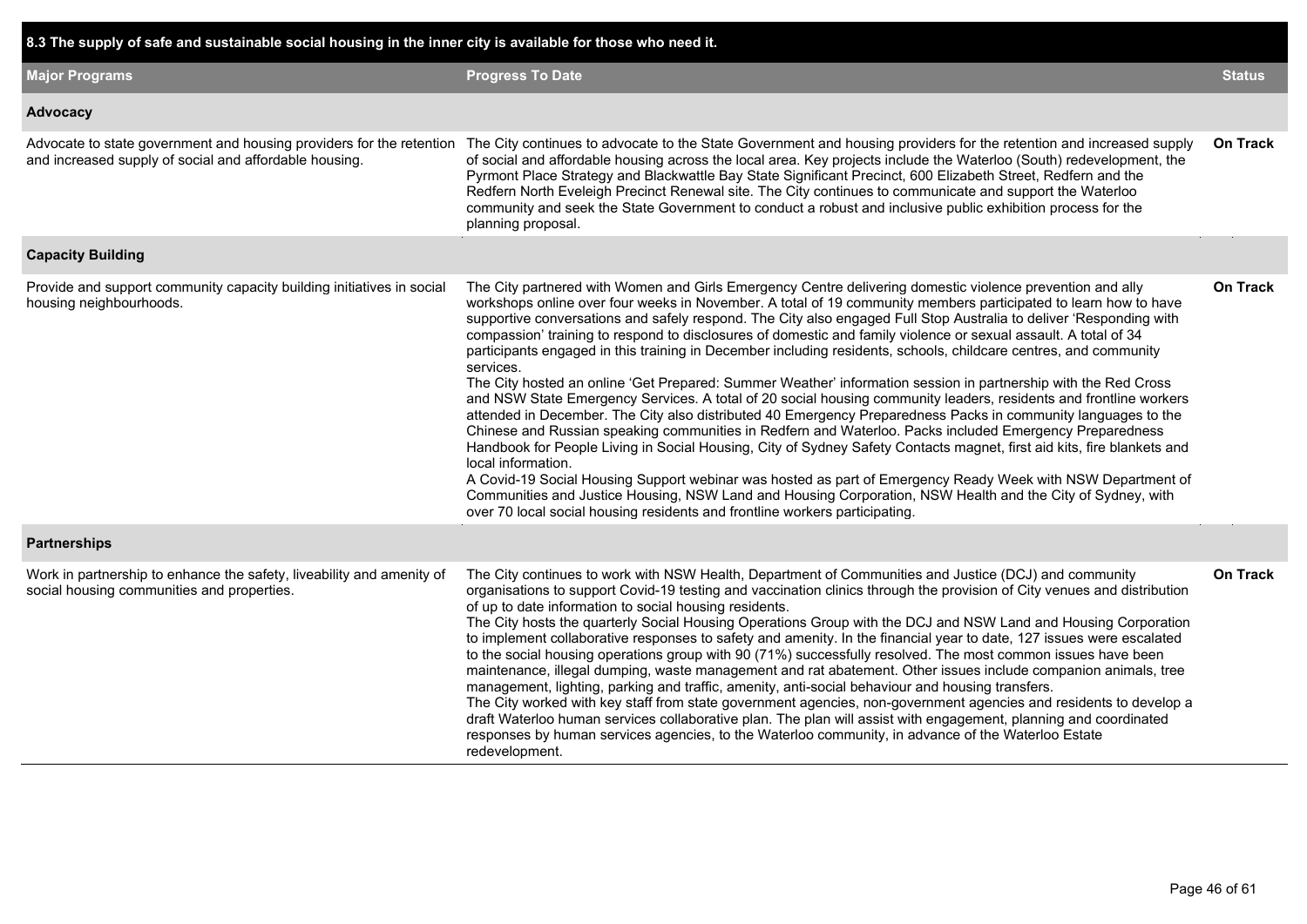| 8.3 The supply of safe and sustainable social housing in the inner city is available for those who need it.                    |                                                                                                                                                                                                                                                                                                                                                                                                                                                                                                                                                                                                                                                                                                                                                                                                                                                                                                                                                                                                                                                                                                                                                                                                                                                                                                                                                                                                                                                                                                                                       |                 |
|--------------------------------------------------------------------------------------------------------------------------------|---------------------------------------------------------------------------------------------------------------------------------------------------------------------------------------------------------------------------------------------------------------------------------------------------------------------------------------------------------------------------------------------------------------------------------------------------------------------------------------------------------------------------------------------------------------------------------------------------------------------------------------------------------------------------------------------------------------------------------------------------------------------------------------------------------------------------------------------------------------------------------------------------------------------------------------------------------------------------------------------------------------------------------------------------------------------------------------------------------------------------------------------------------------------------------------------------------------------------------------------------------------------------------------------------------------------------------------------------------------------------------------------------------------------------------------------------------------------------------------------------------------------------------------|-----------------|
| <b>Major Programs</b>                                                                                                          | <b>Progress To Date</b>                                                                                                                                                                                                                                                                                                                                                                                                                                                                                                                                                                                                                                                                                                                                                                                                                                                                                                                                                                                                                                                                                                                                                                                                                                                                                                                                                                                                                                                                                                               | <b>Status</b>   |
| Advocacy                                                                                                                       |                                                                                                                                                                                                                                                                                                                                                                                                                                                                                                                                                                                                                                                                                                                                                                                                                                                                                                                                                                                                                                                                                                                                                                                                                                                                                                                                                                                                                                                                                                                                       |                 |
| Advocate to state government and housing providers for the retention<br>and increased supply of social and affordable housing. | The City continues to advocate to the State Government and housing providers for the retention and increased supply<br>of social and affordable housing across the local area. Key projects include the Waterloo (South) redevelopment, the<br>Pyrmont Place Strategy and Blackwattle Bay State Significant Precinct, 600 Elizabeth Street, Redfern and the<br>Redfern North Eveleigh Precinct Renewal site. The City continues to communicate and support the Waterloo<br>community and seek the State Government to conduct a robust and inclusive public exhibition process for the<br>planning proposal.                                                                                                                                                                                                                                                                                                                                                                                                                                                                                                                                                                                                                                                                                                                                                                                                                                                                                                                          | <b>On Track</b> |
| <b>Capacity Building</b>                                                                                                       |                                                                                                                                                                                                                                                                                                                                                                                                                                                                                                                                                                                                                                                                                                                                                                                                                                                                                                                                                                                                                                                                                                                                                                                                                                                                                                                                                                                                                                                                                                                                       |                 |
| Provide and support community capacity building initiatives in social<br>housing neighbourhoods.                               | The City partnered with Women and Girls Emergency Centre delivering domestic violence prevention and ally<br>workshops online over four weeks in November. A total of 19 community members participated to learn how to have<br>supportive conversations and safely respond. The City also engaged Full Stop Australia to deliver 'Responding with<br>compassion' training to respond to disclosures of domestic and family violence or sexual assault. A total of 34<br>participants engaged in this training in December including residents, schools, childcare centres, and community<br>services.<br>The City hosted an online 'Get Prepared: Summer Weather' information session in partnership with the Red Cross<br>and NSW State Emergency Services. A total of 20 social housing community leaders, residents and frontline workers<br>attended in December. The City also distributed 40 Emergency Preparedness Packs in community languages to the<br>Chinese and Russian speaking communities in Redfern and Waterloo. Packs included Emergency Preparedness<br>Handbook for People Living in Social Housing, City of Sydney Safety Contacts magnet, first aid kits, fire blankets and<br>local information.<br>A Covid-19 Social Housing Support webinar was hosted as part of Emergency Ready Week with NSW Department of<br>Communities and Justice Housing, NSW Land and Housing Corporation, NSW Health and the City of Sydney, with<br>over 70 local social housing residents and frontline workers participating. | <b>On Track</b> |
| <b>Partnerships</b>                                                                                                            |                                                                                                                                                                                                                                                                                                                                                                                                                                                                                                                                                                                                                                                                                                                                                                                                                                                                                                                                                                                                                                                                                                                                                                                                                                                                                                                                                                                                                                                                                                                                       |                 |
| Work in partnership to enhance the safety, liveability and amenity of<br>social housing communities and properties.            | The City continues to work with NSW Health, Department of Communities and Justice (DCJ) and community<br>organisations to support Covid-19 testing and vaccination clinics through the provision of City venues and distribution<br>of up to date information to social housing residents.<br>The City hosts the quarterly Social Housing Operations Group with the DCJ and NSW Land and Housing Corporation<br>to implement collaborative responses to safety and amenity. In the financial year to date, 127 issues were escalated<br>to the social housing operations group with 90 (71%) successfully resolved. The most common issues have been<br>maintenance, illegal dumping, waste management and rat abatement. Other issues include companion animals, tree<br>management, lighting, parking and traffic, amenity, anti-social behaviour and housing transfers.<br>The City worked with key staff from state government agencies, non-government agencies and residents to develop a<br>draft Waterloo human services collaborative plan. The plan will assist with engagement, planning and coordinated<br>responses by human services agencies, to the Waterloo community, in advance of the Waterloo Estate<br>redevelopment.                                                                                                                                                                                                                                                                                           | On Track        |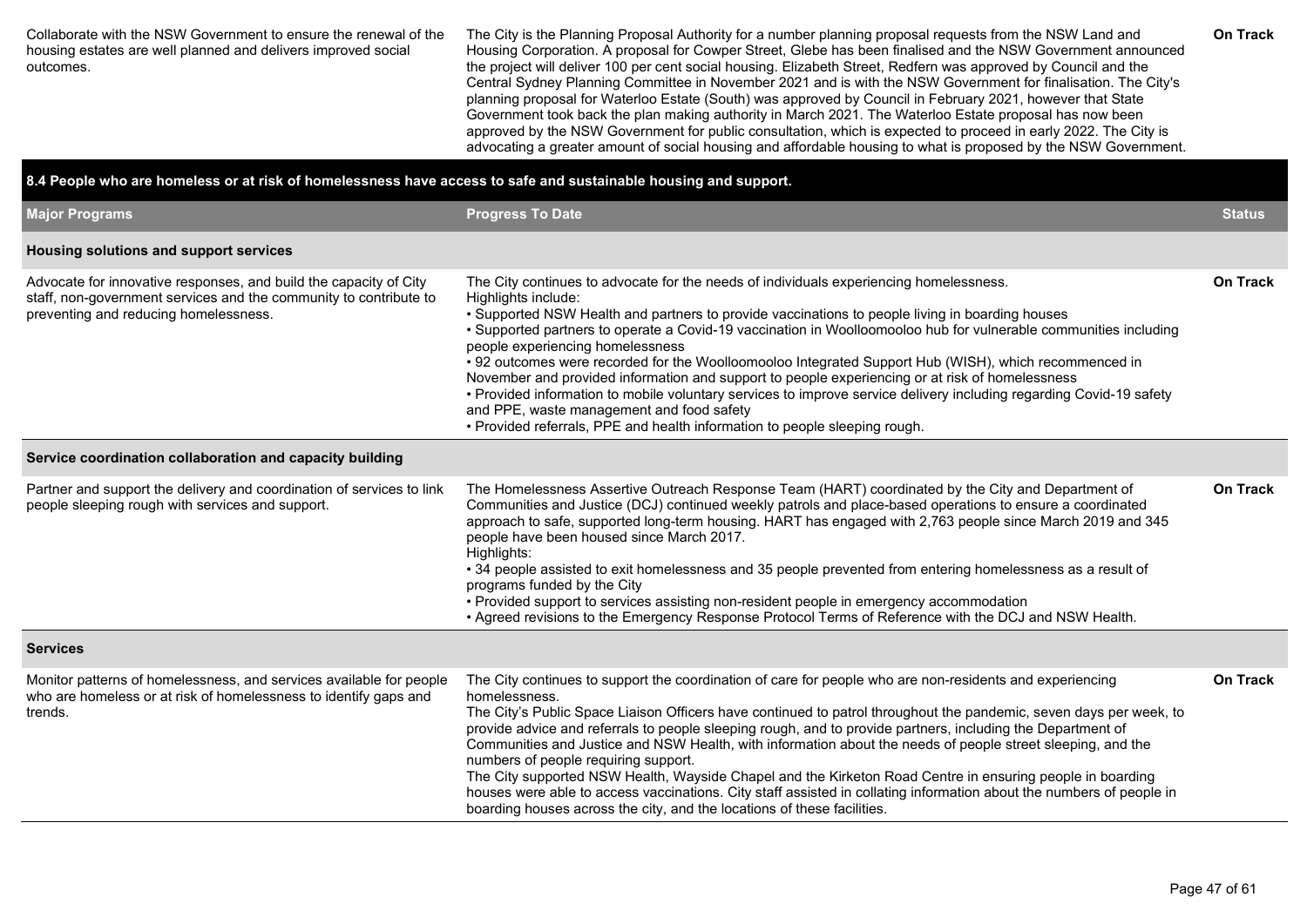Collaborate with the NSW Government to ensure the renewal of the housing estates are well planned and delivers improved social outcomes.

The City is the Planning Proposal Authority for a number planning proposal requests from the NSW Land and Housing Corporation. A proposal for Cowper Street, Glebe has been finalised and the NSW Government announced the project will deliver 100 per cent social housing. Elizabeth Street, Redfern was approved by Council and the Central Sydney Planning Committee in November 2021 and is with the NSW Government for finalisation. The City's planning proposal for Waterloo Estate (South) was approved by Council in February 2021, however that State Government took back the plan making authority in March 2021. The Waterloo Estate proposal has now been approved by the NSW Government for public consultation, which is expected to proceed in early 2022. The City is advocating a greater amount of social housing and affordable housing to what is proposed by the NSW Government.

#### **8.4 People who are homeless or at risk of homelessness have access to safe and sustainable housing and support.**

| <b>Major Programs</b>                                                                                                                                                           | <b>Progress To Date</b>                                                                                                                                                                                                                                                                                                                                                                                                                                                                                                                                                                                                                                                                                                                                                                                                                | <b>Status</b>   |
|---------------------------------------------------------------------------------------------------------------------------------------------------------------------------------|----------------------------------------------------------------------------------------------------------------------------------------------------------------------------------------------------------------------------------------------------------------------------------------------------------------------------------------------------------------------------------------------------------------------------------------------------------------------------------------------------------------------------------------------------------------------------------------------------------------------------------------------------------------------------------------------------------------------------------------------------------------------------------------------------------------------------------------|-----------------|
| Housing solutions and support services                                                                                                                                          |                                                                                                                                                                                                                                                                                                                                                                                                                                                                                                                                                                                                                                                                                                                                                                                                                                        |                 |
| Advocate for innovative responses, and build the capacity of City<br>staff, non-government services and the community to contribute to<br>preventing and reducing homelessness. | The City continues to advocate for the needs of individuals experiencing homelessness.<br>Highlights include:<br>• Supported NSW Health and partners to provide vaccinations to people living in boarding houses<br>• Supported partners to operate a Covid-19 vaccination in Woolloomooloo hub for vulnerable communities including<br>people experiencing homelessness<br>• 92 outcomes were recorded for the Woolloomooloo Integrated Support Hub (WISH), which recommenced in<br>November and provided information and support to people experiencing or at risk of homelessness<br>• Provided information to mobile voluntary services to improve service delivery including regarding Covid-19 safety<br>and PPE, waste management and food safety<br>• Provided referrals, PPE and health information to people sleeping rough. | <b>On Track</b> |
| Service coordination collaboration and capacity building                                                                                                                        |                                                                                                                                                                                                                                                                                                                                                                                                                                                                                                                                                                                                                                                                                                                                                                                                                                        |                 |
| Partner and support the delivery and coordination of services to link<br>people sleeping rough with services and support.                                                       | The Homelessness Assertive Outreach Response Team (HART) coordinated by the City and Department of<br>Communities and Justice (DCJ) continued weekly patrols and place-based operations to ensure a coordinated<br>approach to safe, supported long-term housing. HART has engaged with 2,763 people since March 2019 and 345<br>people have been housed since March 2017.<br>Highlights:<br>• 34 people assisted to exit homelessness and 35 people prevented from entering homelessness as a result of<br>programs funded by the City<br>• Provided support to services assisting non-resident people in emergency accommodation<br>• Agreed revisions to the Emergency Response Protocol Terms of Reference with the DCJ and NSW Health.                                                                                            | <b>On Track</b> |
| <b>Services</b>                                                                                                                                                                 |                                                                                                                                                                                                                                                                                                                                                                                                                                                                                                                                                                                                                                                                                                                                                                                                                                        |                 |
| Monitor patterns of homelessness, and services available for people<br>who are homeless or at risk of homelessness to identify gaps and<br>trends.                              | The City continues to support the coordination of care for people who are non-residents and experiencing<br>homelessness.<br>The City's Public Space Liaison Officers have continued to patrol throughout the pandemic, seven days per week, to<br>provide advice and referrals to people sleeping rough, and to provide partners, including the Department of<br>Communities and Justice and NSW Health, with information about the needs of people street sleeping, and the<br>numbers of people requiring support.<br>The City supported NSW Health, Wayside Chapel and the Kirketon Road Centre in ensuring people in boarding<br>houses were able to access vaccinations. City staff assisted in collating information about the numbers of people in<br>boarding houses across the city, and the locations of these facilities.  | <b>On Track</b> |

**On Track**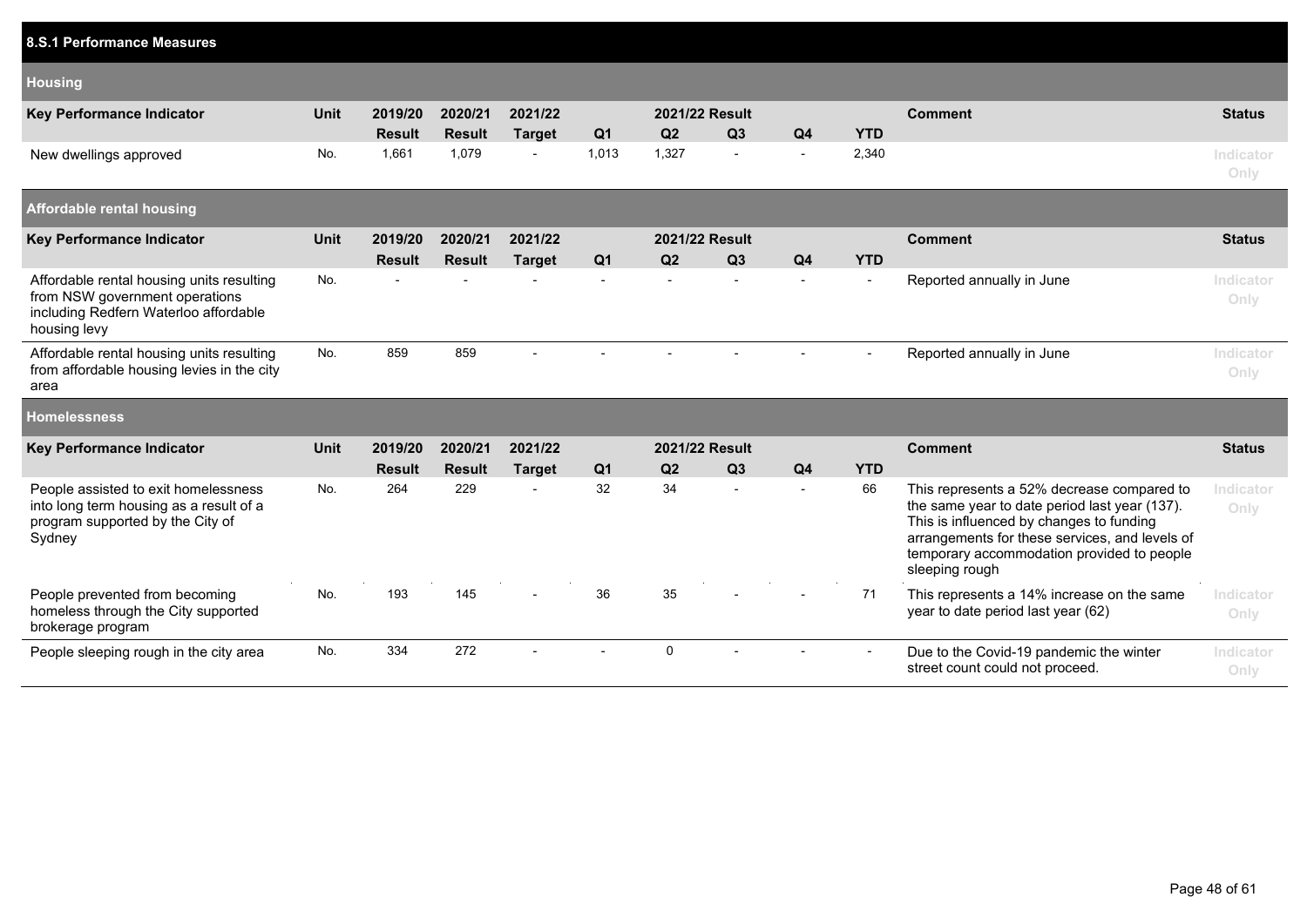| 8.S.1 Performance Measures                                                                                                           |             |                          |                          |                          |                |                          |                          |                |            |                                                                                                                                                                                                                                                           |                   |
|--------------------------------------------------------------------------------------------------------------------------------------|-------------|--------------------------|--------------------------|--------------------------|----------------|--------------------------|--------------------------|----------------|------------|-----------------------------------------------------------------------------------------------------------------------------------------------------------------------------------------------------------------------------------------------------------|-------------------|
| <b>Housing</b>                                                                                                                       |             |                          |                          |                          |                |                          |                          |                |            |                                                                                                                                                                                                                                                           |                   |
| <b>Key Performance Indicator</b>                                                                                                     | <b>Unit</b> | 2019/20<br><b>Result</b> | 2020/21<br><b>Result</b> | 2021/22<br><b>Target</b> | Q <sub>1</sub> | Q2                       | 2021/22 Result<br>Q3     | Q <sub>4</sub> | <b>YTD</b> | <b>Comment</b>                                                                                                                                                                                                                                            | <b>Status</b>     |
| New dwellings approved                                                                                                               | No.         | 1,661                    | 1,079                    |                          | 1,013          | 1,327                    | $\blacksquare$           | $\blacksquare$ | 2,340      |                                                                                                                                                                                                                                                           | Indicator<br>Only |
| <b>Affordable rental housing</b>                                                                                                     |             |                          |                          |                          |                |                          |                          |                |            |                                                                                                                                                                                                                                                           |                   |
| <b>Key Performance Indicator</b>                                                                                                     | <b>Unit</b> | 2019/20<br><b>Result</b> | 2020/21<br><b>Result</b> | 2021/22<br><b>Target</b> | Q <sub>1</sub> | Q2                       | 2021/22 Result<br>Q3     | Q <sub>4</sub> | <b>YTD</b> | <b>Comment</b>                                                                                                                                                                                                                                            | <b>Status</b>     |
| Affordable rental housing units resulting<br>from NSW government operations<br>including Redfern Waterloo affordable<br>housing levy | No.         |                          |                          |                          |                | $\overline{\phantom{a}}$ |                          | $\blacksquare$ | $\sim$     | Reported annually in June                                                                                                                                                                                                                                 | Indicator<br>Only |
| Affordable rental housing units resulting<br>from affordable housing levies in the city<br>area                                      | No.         | 859                      | 859                      |                          |                |                          |                          |                | $\sim$     | Reported annually in June                                                                                                                                                                                                                                 | Indicator<br>Only |
| <b>Homelessness</b>                                                                                                                  |             |                          |                          |                          |                |                          |                          |                |            |                                                                                                                                                                                                                                                           |                   |
| <b>Key Performance Indicator</b>                                                                                                     | <b>Unit</b> | 2019/20<br><b>Result</b> | 2020/21<br><b>Result</b> | 2021/22<br><b>Target</b> | Q <sub>1</sub> | Q2                       | 2021/22 Result<br>Q3     | Q <sub>4</sub> | <b>YTD</b> | <b>Comment</b>                                                                                                                                                                                                                                            | <b>Status</b>     |
| People assisted to exit homelessness<br>into long term housing as a result of a<br>program supported by the City of<br>Sydney        | No.         | 264                      | 229                      |                          | 32             | 34                       | $\overline{\phantom{a}}$ | $\overline{a}$ | 66         | This represents a 52% decrease compared to<br>the same year to date period last year (137).<br>This is influenced by changes to funding<br>arrangements for these services, and levels of<br>temporary accommodation provided to people<br>sleeping rough | Indicator<br>Only |
| People prevented from becoming<br>homeless through the City supported<br>brokerage program                                           | No.         | 193                      | 145                      |                          | 36             | 35                       |                          |                | 71         | This represents a 14% increase on the same<br>year to date period last year (62)                                                                                                                                                                          | Indicator<br>Only |
| People sleeping rough in the city area                                                                                               | No.         | 334                      | 272                      |                          |                | $\mathbf 0$              |                          |                |            | Due to the Covid-19 pandemic the winter<br>street count could not proceed.                                                                                                                                                                                | Indicator<br>Only |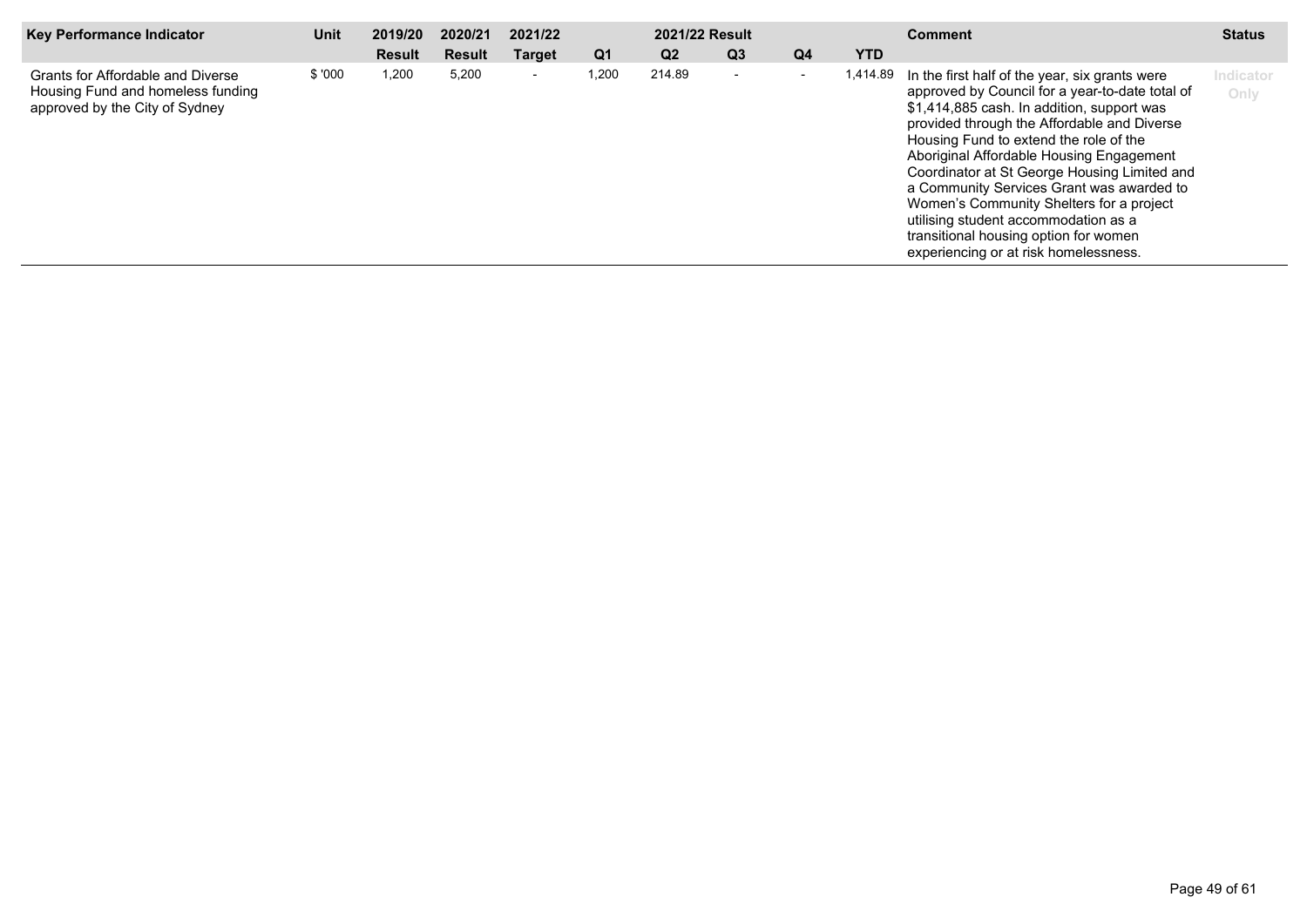| Key Performance Indicator                                                                                | Unit   | 2019/20       | 2020/21 | 2021/22                  |                | <b>2021/22 Result</b> |                          |                |            | <b>Comment</b>                                                                                                                                                                                                                                                                                                                                                                                                                                                                                                                                                   | <b>Status</b>     |
|----------------------------------------------------------------------------------------------------------|--------|---------------|---------|--------------------------|----------------|-----------------------|--------------------------|----------------|------------|------------------------------------------------------------------------------------------------------------------------------------------------------------------------------------------------------------------------------------------------------------------------------------------------------------------------------------------------------------------------------------------------------------------------------------------------------------------------------------------------------------------------------------------------------------------|-------------------|
|                                                                                                          |        | <b>Result</b> | Result  | <b>Target</b>            | Q <sub>1</sub> | Q <sub>2</sub>        | Q <sub>3</sub>           | Q <sub>4</sub> | <b>YTD</b> |                                                                                                                                                                                                                                                                                                                                                                                                                                                                                                                                                                  |                   |
| Grants for Affordable and Diverse<br>Housing Fund and homeless funding<br>approved by the City of Sydney | \$'000 | 1,200         | 5,200   | $\overline{\phantom{a}}$ | 1,200          | 214.89                | $\overline{\phantom{0}}$ |                |            | 1,414.89 In the first half of the year, six grants were<br>approved by Council for a year-to-date total of<br>\$1,414,885 cash. In addition, support was<br>provided through the Affordable and Diverse<br>Housing Fund to extend the role of the<br>Aboriginal Affordable Housing Engagement<br>Coordinator at St George Housing Limited and<br>a Community Services Grant was awarded to<br>Women's Community Shelters for a project<br>utilising student accommodation as a<br>transitional housing option for women<br>experiencing or at risk homelessness. | Indicator<br>Only |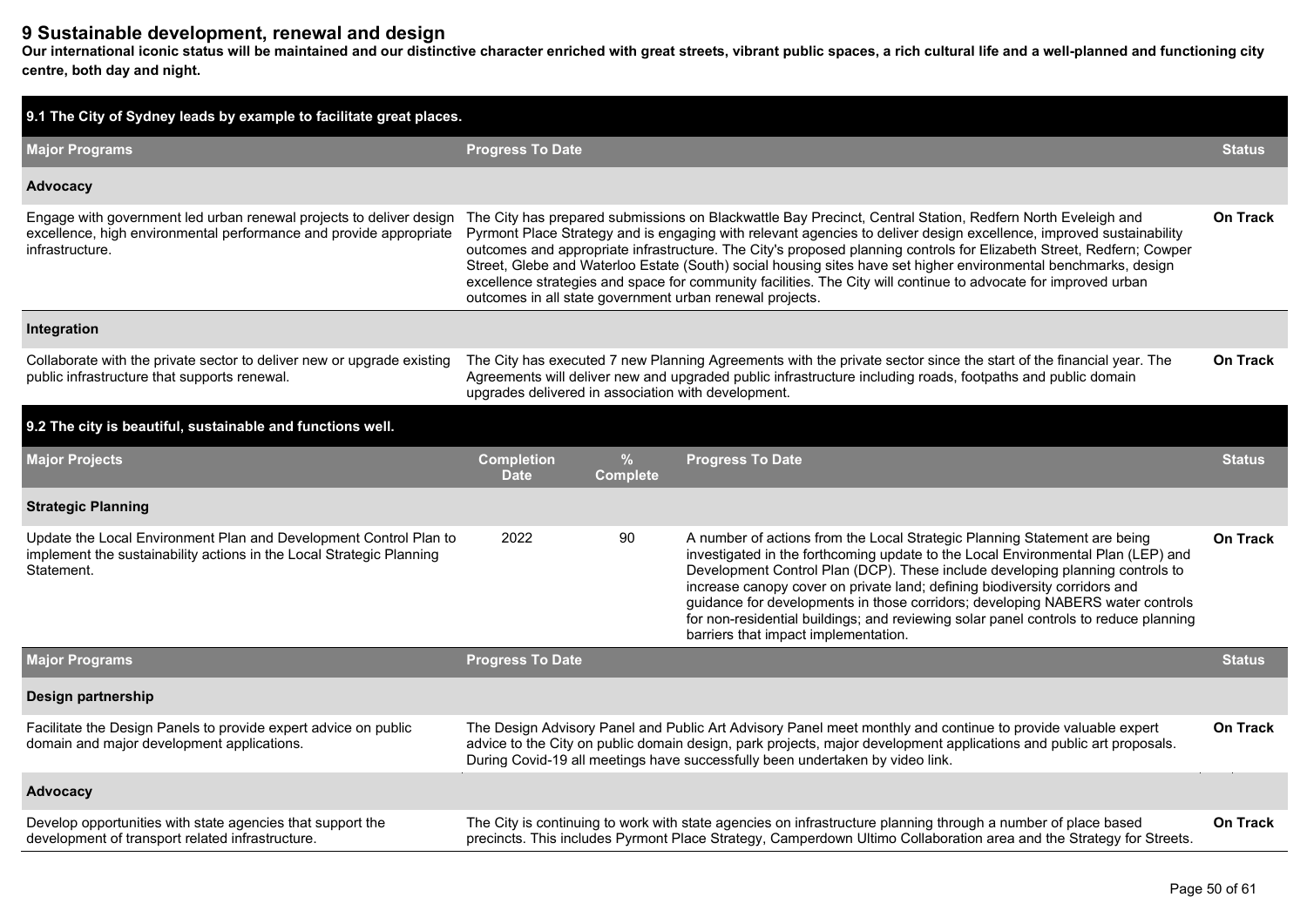## **9 Sustainable development, renewal and design**

**Our international iconic status will be maintained and our distinctive character enriched with great streets, vibrant public spaces, a rich cultural life and a well-planned and functioning city centre, both day and night.**

| 9.1 The City of Sydney leads by example to facilitate great places.                                                                                          |                                  |                                                                                                                                                                                                                                                                                                                                                                                                                                                                                                                                                                                                                                                                         |                                                                                                                                                                                                                                                                                                                                                                                                                                                                                                                                                |                 |  |  |  |  |  |  |
|--------------------------------------------------------------------------------------------------------------------------------------------------------------|----------------------------------|-------------------------------------------------------------------------------------------------------------------------------------------------------------------------------------------------------------------------------------------------------------------------------------------------------------------------------------------------------------------------------------------------------------------------------------------------------------------------------------------------------------------------------------------------------------------------------------------------------------------------------------------------------------------------|------------------------------------------------------------------------------------------------------------------------------------------------------------------------------------------------------------------------------------------------------------------------------------------------------------------------------------------------------------------------------------------------------------------------------------------------------------------------------------------------------------------------------------------------|-----------------|--|--|--|--|--|--|
| <b>Major Programs</b>                                                                                                                                        | <b>Progress To Date</b>          |                                                                                                                                                                                                                                                                                                                                                                                                                                                                                                                                                                                                                                                                         |                                                                                                                                                                                                                                                                                                                                                                                                                                                                                                                                                |                 |  |  |  |  |  |  |
| Advocacy                                                                                                                                                     |                                  |                                                                                                                                                                                                                                                                                                                                                                                                                                                                                                                                                                                                                                                                         |                                                                                                                                                                                                                                                                                                                                                                                                                                                                                                                                                |                 |  |  |  |  |  |  |
| Engage with government led urban renewal projects to deliver design<br>excellence, high environmental performance and provide appropriate<br>infrastructure. |                                  | The City has prepared submissions on Blackwattle Bay Precinct, Central Station, Redfern North Eveleigh and<br>On Track<br>Pyrmont Place Strategy and is engaging with relevant agencies to deliver design excellence, improved sustainability<br>outcomes and appropriate infrastructure. The City's proposed planning controls for Elizabeth Street, Redfern; Cowper<br>Street, Glebe and Waterloo Estate (South) social housing sites have set higher environmental benchmarks, design<br>excellence strategies and space for community facilities. The City will continue to advocate for improved urban<br>outcomes in all state government urban renewal projects. |                                                                                                                                                                                                                                                                                                                                                                                                                                                                                                                                                |                 |  |  |  |  |  |  |
| Integration                                                                                                                                                  |                                  |                                                                                                                                                                                                                                                                                                                                                                                                                                                                                                                                                                                                                                                                         |                                                                                                                                                                                                                                                                                                                                                                                                                                                                                                                                                |                 |  |  |  |  |  |  |
| Collaborate with the private sector to deliver new or upgrade existing<br>public infrastructure that supports renewal.                                       |                                  | The City has executed 7 new Planning Agreements with the private sector since the start of the financial year. The<br><b>On Track</b><br>Agreements will deliver new and upgraded public infrastructure including roads, footpaths and public domain<br>upgrades delivered in association with development.                                                                                                                                                                                                                                                                                                                                                             |                                                                                                                                                                                                                                                                                                                                                                                                                                                                                                                                                |                 |  |  |  |  |  |  |
| 9.2 The city is beautiful, sustainable and functions well.                                                                                                   |                                  |                                                                                                                                                                                                                                                                                                                                                                                                                                                                                                                                                                                                                                                                         |                                                                                                                                                                                                                                                                                                                                                                                                                                                                                                                                                |                 |  |  |  |  |  |  |
| <b>Major Projects</b>                                                                                                                                        | <b>Completion</b><br><b>Date</b> | $\frac{9}{6}$<br><b>Complete</b>                                                                                                                                                                                                                                                                                                                                                                                                                                                                                                                                                                                                                                        | <b>Progress To Date</b>                                                                                                                                                                                                                                                                                                                                                                                                                                                                                                                        | <b>Status</b>   |  |  |  |  |  |  |
| <b>Strategic Planning</b>                                                                                                                                    |                                  |                                                                                                                                                                                                                                                                                                                                                                                                                                                                                                                                                                                                                                                                         |                                                                                                                                                                                                                                                                                                                                                                                                                                                                                                                                                |                 |  |  |  |  |  |  |
| Update the Local Environment Plan and Development Control Plan to<br>implement the sustainability actions in the Local Strategic Planning<br>Statement.      | 2022                             | 90                                                                                                                                                                                                                                                                                                                                                                                                                                                                                                                                                                                                                                                                      | A number of actions from the Local Strategic Planning Statement are being<br>investigated in the forthcoming update to the Local Environmental Plan (LEP) and<br>Development Control Plan (DCP). These include developing planning controls to<br>increase canopy cover on private land; defining biodiversity corridors and<br>guidance for developments in those corridors; developing NABERS water controls<br>for non-residential buildings; and reviewing solar panel controls to reduce planning<br>barriers that impact implementation. | <b>On Track</b> |  |  |  |  |  |  |
| <b>Major Programs</b>                                                                                                                                        | <b>Progress To Date</b>          |                                                                                                                                                                                                                                                                                                                                                                                                                                                                                                                                                                                                                                                                         |                                                                                                                                                                                                                                                                                                                                                                                                                                                                                                                                                | <b>Status</b>   |  |  |  |  |  |  |
| Design partnership                                                                                                                                           |                                  |                                                                                                                                                                                                                                                                                                                                                                                                                                                                                                                                                                                                                                                                         |                                                                                                                                                                                                                                                                                                                                                                                                                                                                                                                                                |                 |  |  |  |  |  |  |
| Facilitate the Design Panels to provide expert advice on public<br>domain and major development applications.                                                |                                  |                                                                                                                                                                                                                                                                                                                                                                                                                                                                                                                                                                                                                                                                         | The Design Advisory Panel and Public Art Advisory Panel meet monthly and continue to provide valuable expert<br>advice to the City on public domain design, park projects, major development applications and public art proposals.<br>During Covid-19 all meetings have successfully been undertaken by video link.                                                                                                                                                                                                                           | <b>On Track</b> |  |  |  |  |  |  |
| Advocacy                                                                                                                                                     |                                  |                                                                                                                                                                                                                                                                                                                                                                                                                                                                                                                                                                                                                                                                         |                                                                                                                                                                                                                                                                                                                                                                                                                                                                                                                                                |                 |  |  |  |  |  |  |
| Develop opportunities with state agencies that support the<br>development of transport related infrastructure.                                               |                                  |                                                                                                                                                                                                                                                                                                                                                                                                                                                                                                                                                                                                                                                                         | The City is continuing to work with state agencies on infrastructure planning through a number of place based<br>precincts. This includes Pyrmont Place Strategy, Camperdown Ultimo Collaboration area and the Strategy for Streets.                                                                                                                                                                                                                                                                                                           | On Track        |  |  |  |  |  |  |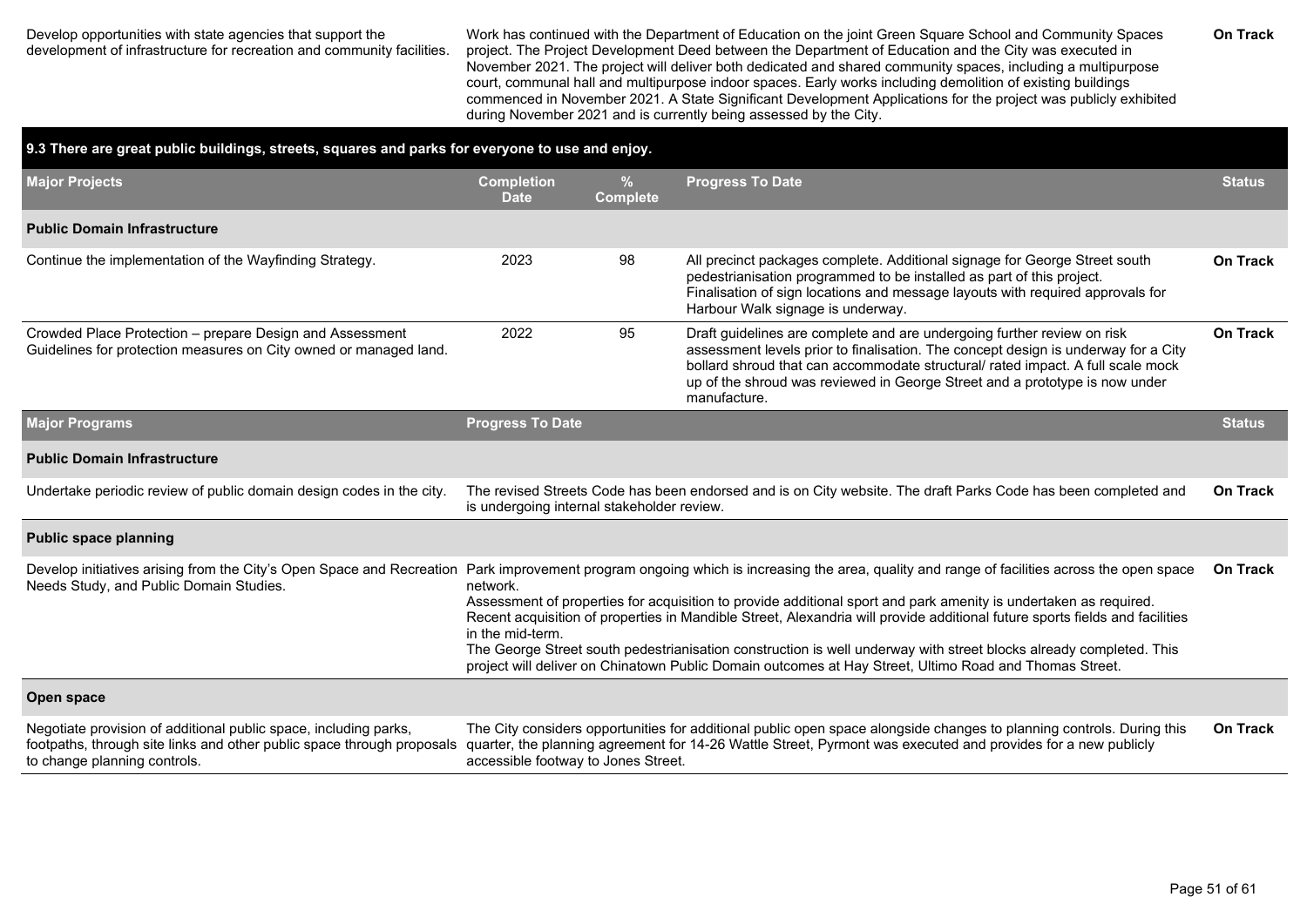#### Develop opportunities with state agencies that support the development of infrastructure for recreation and community facilities.

Work has continued with the Department of Education on the joint Green Square School and Community Spaces project. The Project Development Deed between the Department of Education and the City was executed in November 2021. The project will deliver both dedicated and shared community spaces, including a multipurpose court, communal hall and multipurpose indoor spaces. Early works including demolition of existing buildings commenced in November 2021. A State Significant Development Applications for the project was publicly exhibited during November 2021 and is currently being assessed by the City.

| 9.3 There are great public buildings, streets, squares and parks for everyone to use and enjoy.                                                                            |                                                                                                                                                                                                                                                                                                                                                                                                                                                                                                                                                                                                                                                                                                               |                                                                                                                                                                                 |                                                                                                                                                                                                                                                                                                                                                 |                 |  |  |  |  |
|----------------------------------------------------------------------------------------------------------------------------------------------------------------------------|---------------------------------------------------------------------------------------------------------------------------------------------------------------------------------------------------------------------------------------------------------------------------------------------------------------------------------------------------------------------------------------------------------------------------------------------------------------------------------------------------------------------------------------------------------------------------------------------------------------------------------------------------------------------------------------------------------------|---------------------------------------------------------------------------------------------------------------------------------------------------------------------------------|-------------------------------------------------------------------------------------------------------------------------------------------------------------------------------------------------------------------------------------------------------------------------------------------------------------------------------------------------|-----------------|--|--|--|--|
| <b>Major Projects</b>                                                                                                                                                      | <b>Completion</b><br><b>Date</b>                                                                                                                                                                                                                                                                                                                                                                                                                                                                                                                                                                                                                                                                              | <b>Progress To Date</b><br>%<br><b>Complete</b>                                                                                                                                 |                                                                                                                                                                                                                                                                                                                                                 |                 |  |  |  |  |
| <b>Public Domain Infrastructure</b>                                                                                                                                        |                                                                                                                                                                                                                                                                                                                                                                                                                                                                                                                                                                                                                                                                                                               |                                                                                                                                                                                 |                                                                                                                                                                                                                                                                                                                                                 |                 |  |  |  |  |
| Continue the implementation of the Wayfinding Strategy.                                                                                                                    | 2023                                                                                                                                                                                                                                                                                                                                                                                                                                                                                                                                                                                                                                                                                                          | 98                                                                                                                                                                              | All precinct packages complete. Additional signage for George Street south<br>pedestrianisation programmed to be installed as part of this project.<br>Finalisation of sign locations and message layouts with required approvals for<br>Harbour Walk signage is underway.                                                                      | <b>On Track</b> |  |  |  |  |
| Crowded Place Protection - prepare Design and Assessment<br>Guidelines for protection measures on City owned or managed land.                                              | 2022                                                                                                                                                                                                                                                                                                                                                                                                                                                                                                                                                                                                                                                                                                          | 95                                                                                                                                                                              | Draft guidelines are complete and are undergoing further review on risk<br>assessment levels prior to finalisation. The concept design is underway for a City<br>bollard shroud that can accommodate structural/ rated impact. A full scale mock<br>up of the shroud was reviewed in George Street and a prototype is now under<br>manufacture. | <b>On Track</b> |  |  |  |  |
| <b>Major Programs</b>                                                                                                                                                      | <b>Progress To Date</b>                                                                                                                                                                                                                                                                                                                                                                                                                                                                                                                                                                                                                                                                                       |                                                                                                                                                                                 |                                                                                                                                                                                                                                                                                                                                                 | <b>Status</b>   |  |  |  |  |
| <b>Public Domain Infrastructure</b>                                                                                                                                        |                                                                                                                                                                                                                                                                                                                                                                                                                                                                                                                                                                                                                                                                                                               |                                                                                                                                                                                 |                                                                                                                                                                                                                                                                                                                                                 |                 |  |  |  |  |
| Undertake periodic review of public domain design codes in the city.                                                                                                       |                                                                                                                                                                                                                                                                                                                                                                                                                                                                                                                                                                                                                                                                                                               | <b>On Track</b><br>The revised Streets Code has been endorsed and is on City website. The draft Parks Code has been completed and<br>is undergoing internal stakeholder review. |                                                                                                                                                                                                                                                                                                                                                 |                 |  |  |  |  |
| <b>Public space planning</b>                                                                                                                                               |                                                                                                                                                                                                                                                                                                                                                                                                                                                                                                                                                                                                                                                                                                               |                                                                                                                                                                                 |                                                                                                                                                                                                                                                                                                                                                 |                 |  |  |  |  |
| Needs Study, and Public Domain Studies.                                                                                                                                    | Develop initiatives arising from the City's Open Space and Recreation Park improvement program ongoing which is increasing the area, quality and range of facilities across the open space<br>network.<br>Assessment of properties for acquisition to provide additional sport and park amenity is undertaken as required.<br>Recent acquisition of properties in Mandible Street, Alexandria will provide additional future sports fields and facilities<br>in the mid-term.<br>The George Street south pedestrianisation construction is well underway with street blocks already completed. This<br>project will deliver on Chinatown Public Domain outcomes at Hay Street, Ultimo Road and Thomas Street. |                                                                                                                                                                                 |                                                                                                                                                                                                                                                                                                                                                 |                 |  |  |  |  |
| Open space                                                                                                                                                                 |                                                                                                                                                                                                                                                                                                                                                                                                                                                                                                                                                                                                                                                                                                               |                                                                                                                                                                                 |                                                                                                                                                                                                                                                                                                                                                 |                 |  |  |  |  |
| Negotiate provision of additional public space, including parks,<br>footpaths, through site links and other public space through proposals<br>to change planning controls. | accessible footway to Jones Street.                                                                                                                                                                                                                                                                                                                                                                                                                                                                                                                                                                                                                                                                           |                                                                                                                                                                                 | The City considers opportunities for additional public open space alongside changes to planning controls. During this<br>quarter, the planning agreement for 14-26 Wattle Street, Pyrmont was executed and provides for a new publicly                                                                                                          | <b>On Track</b> |  |  |  |  |

**On Track**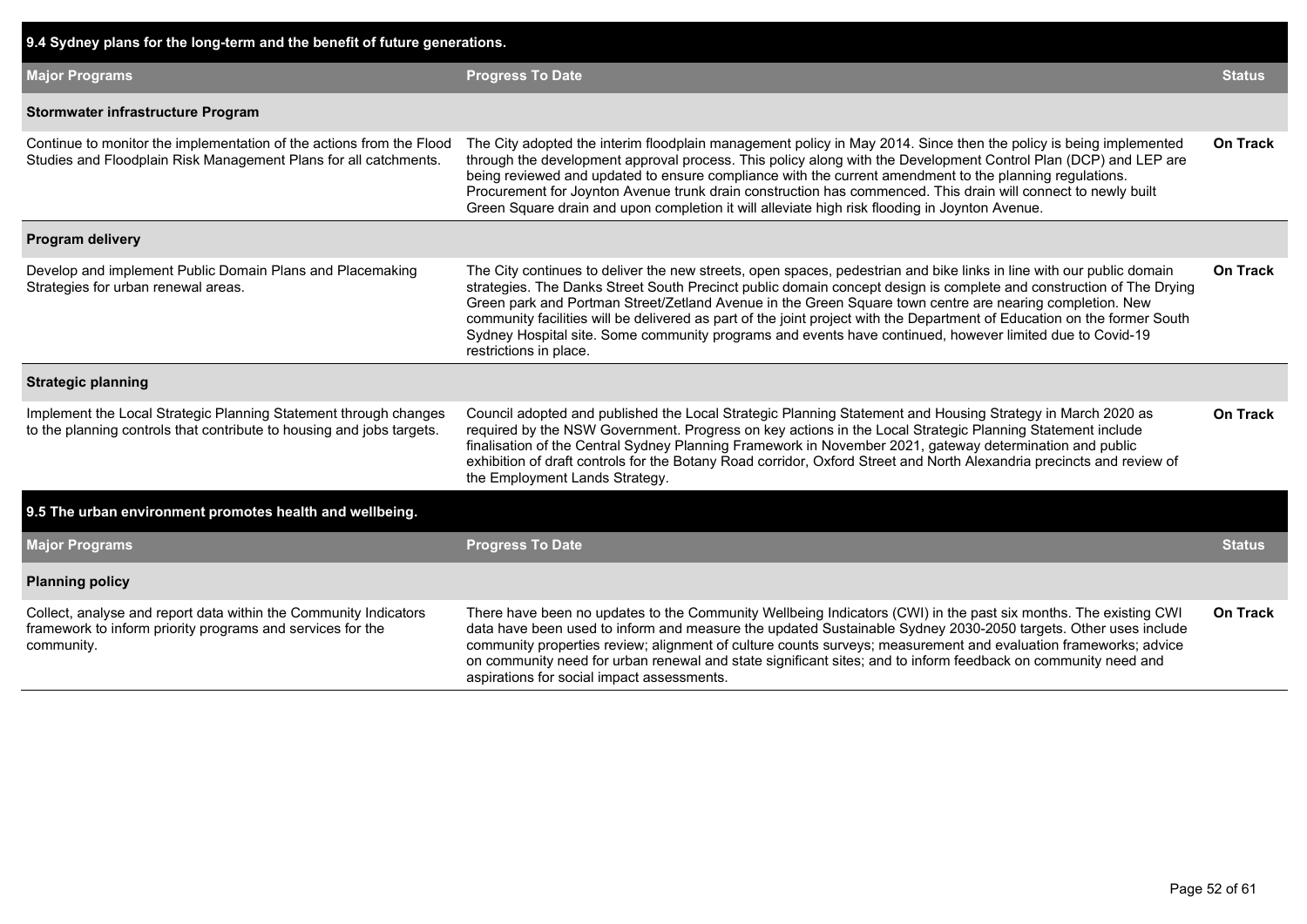| 9.4 Sydney plans for the long-term and the benefit of future generations.                                                                    |                                                                                                                                                                                                                                                                                                                                                                                                                                                                                                                                                                                                                           |                 |
|----------------------------------------------------------------------------------------------------------------------------------------------|---------------------------------------------------------------------------------------------------------------------------------------------------------------------------------------------------------------------------------------------------------------------------------------------------------------------------------------------------------------------------------------------------------------------------------------------------------------------------------------------------------------------------------------------------------------------------------------------------------------------------|-----------------|
| <b>Major Programs</b>                                                                                                                        | <b>Progress To Date</b>                                                                                                                                                                                                                                                                                                                                                                                                                                                                                                                                                                                                   | <b>Status</b>   |
| Stormwater infrastructure Program                                                                                                            |                                                                                                                                                                                                                                                                                                                                                                                                                                                                                                                                                                                                                           |                 |
| Continue to monitor the implementation of the actions from the Flood<br>Studies and Floodplain Risk Management Plans for all catchments.     | The City adopted the interim floodplain management policy in May 2014. Since then the policy is being implemented<br>through the development approval process. This policy along with the Development Control Plan (DCP) and LEP are<br>being reviewed and updated to ensure compliance with the current amendment to the planning regulations.<br>Procurement for Joynton Avenue trunk drain construction has commenced. This drain will connect to newly built<br>Green Square drain and upon completion it will alleviate high risk flooding in Joynton Avenue.                                                        | On Track        |
| Program delivery                                                                                                                             |                                                                                                                                                                                                                                                                                                                                                                                                                                                                                                                                                                                                                           |                 |
| Develop and implement Public Domain Plans and Placemaking<br>Strategies for urban renewal areas.                                             | The City continues to deliver the new streets, open spaces, pedestrian and bike links in line with our public domain<br>strategies. The Danks Street South Precinct public domain concept design is complete and construction of The Drying<br>Green park and Portman Street/Zetland Avenue in the Green Square town centre are nearing completion. New<br>community facilities will be delivered as part of the joint project with the Department of Education on the former South<br>Sydney Hospital site. Some community programs and events have continued, however limited due to Covid-19<br>restrictions in place. | <b>On Track</b> |
| <b>Strategic planning</b>                                                                                                                    |                                                                                                                                                                                                                                                                                                                                                                                                                                                                                                                                                                                                                           |                 |
| Implement the Local Strategic Planning Statement through changes<br>to the planning controls that contribute to housing and jobs targets.    | Council adopted and published the Local Strategic Planning Statement and Housing Strategy in March 2020 as<br>required by the NSW Government. Progress on key actions in the Local Strategic Planning Statement include<br>finalisation of the Central Sydney Planning Framework in November 2021, gateway determination and public<br>exhibition of draft controls for the Botany Road corridor, Oxford Street and North Alexandria precincts and review of<br>the Employment Lands Strategy.                                                                                                                            | On Track        |
| 9.5 The urban environment promotes health and wellbeing.                                                                                     |                                                                                                                                                                                                                                                                                                                                                                                                                                                                                                                                                                                                                           |                 |
| <b>Major Programs</b>                                                                                                                        | <b>Progress To Date</b>                                                                                                                                                                                                                                                                                                                                                                                                                                                                                                                                                                                                   | <b>Status</b>   |
| <b>Planning policy</b>                                                                                                                       |                                                                                                                                                                                                                                                                                                                                                                                                                                                                                                                                                                                                                           |                 |
| Collect, analyse and report data within the Community Indicators<br>framework to inform priority programs and services for the<br>community. | There have been no updates to the Community Wellbeing Indicators (CWI) in the past six months. The existing CWI<br>data have been used to inform and measure the updated Sustainable Sydney 2030-2050 targets. Other uses include<br>community properties review; alignment of culture counts surveys; measurement and evaluation frameworks; advice<br>on community need for urban renewal and state significant sites; and to inform feedback on community need and<br>aspirations for social impact assessments.                                                                                                       | <b>On Track</b> |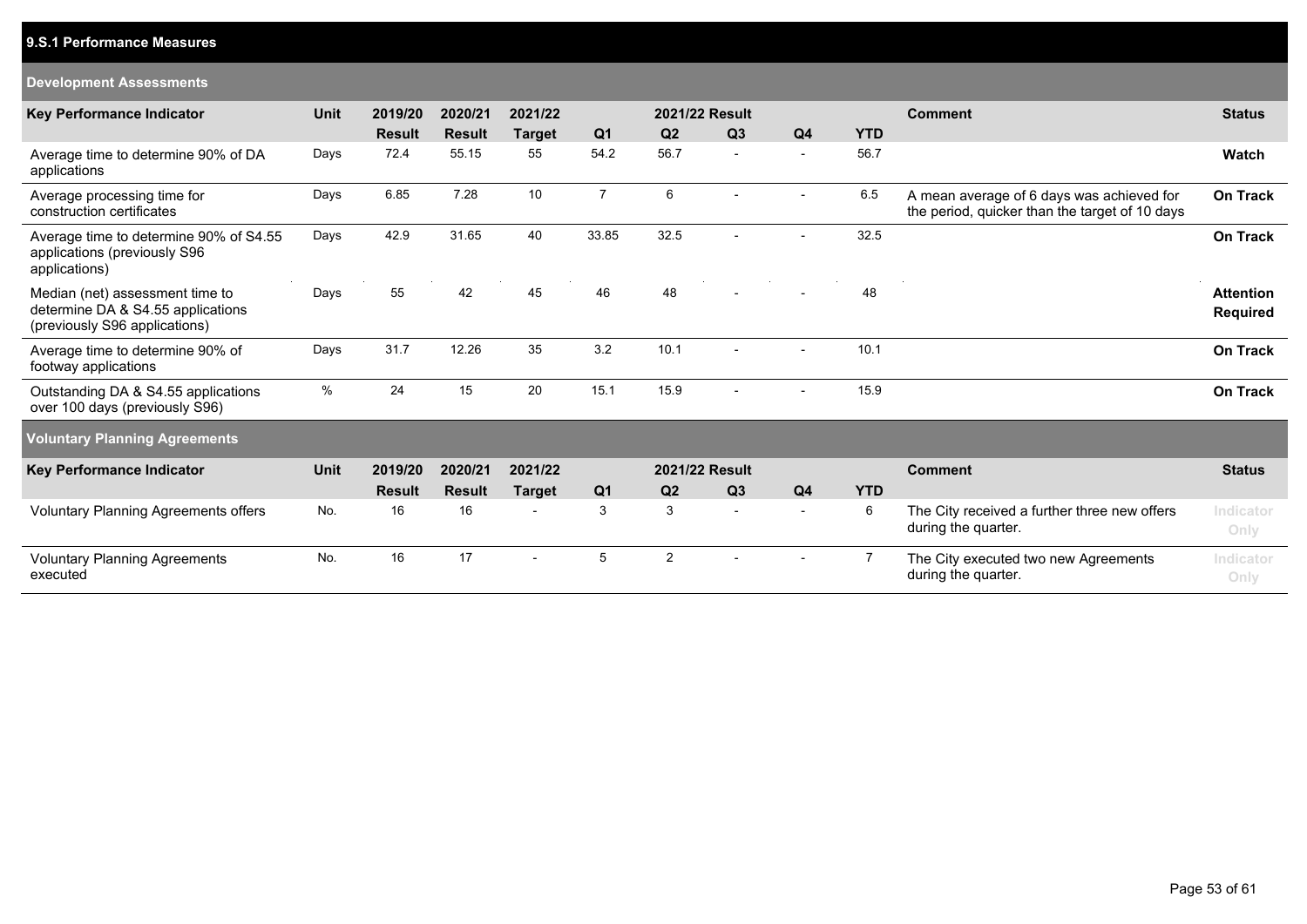### **9.S.1 Performance Measures**

#### **Development Assessments**

| <b>Key Performance Indicator</b>                                                                      | <b>Unit</b> | 2019/20       | 2020/21       | 2021/22                  |                | 2021/22 Result |                          |                |            | <b>Comment</b>                                                                              | <b>Status</b>                       |
|-------------------------------------------------------------------------------------------------------|-------------|---------------|---------------|--------------------------|----------------|----------------|--------------------------|----------------|------------|---------------------------------------------------------------------------------------------|-------------------------------------|
|                                                                                                       |             | <b>Result</b> | <b>Result</b> | <b>Target</b>            | Q <sub>1</sub> | Q <sub>2</sub> | Q <sub>3</sub>           | Q <sub>4</sub> | <b>YTD</b> |                                                                                             |                                     |
| Average time to determine 90% of DA<br>applications                                                   | Days        | 72.4          | 55.15         | 55                       | 54.2           | 56.7           | $\overline{\phantom{a}}$ |                | 56.7       |                                                                                             | Watch                               |
| Average processing time for<br>construction certificates                                              | Days        | 6.85          | 7.28          | 10                       | $\overline{7}$ | 6              |                          |                | 6.5        | A mean average of 6 days was achieved for<br>the period, quicker than the target of 10 days | <b>On Track</b>                     |
| Average time to determine 90% of S4.55<br>applications (previously S96<br>applications)               | Days        | 42.9          | 31.65         | 40                       | 33.85          | 32.5           |                          |                | 32.5       |                                                                                             | On Track                            |
| Median (net) assessment time to<br>determine DA & S4.55 applications<br>(previously S96 applications) | Days        | 55            | 42            | 45                       | 46             | 48             |                          |                | 48         |                                                                                             | <b>Attention</b><br><b>Required</b> |
| Average time to determine 90% of<br>footway applications                                              | Days        | 31.7          | 12.26         | 35                       | 3.2            | 10.1           |                          |                | 10.1       |                                                                                             | <b>On Track</b>                     |
| Outstanding DA & S4.55 applications<br>over 100 days (previously S96)                                 | %           | 24            | 15            | 20                       | 15.1           | 15.9           | $\blacksquare$           |                | 15.9       |                                                                                             | <b>On Track</b>                     |
| <b>Voluntary Planning Agreements</b>                                                                  |             |               |               |                          |                |                |                          |                |            |                                                                                             |                                     |
| <b>Key Performance Indicator</b>                                                                      | <b>Unit</b> | 2019/20       | 2020/21       | 2021/22                  |                | 2021/22 Result |                          |                |            | <b>Comment</b>                                                                              | <b>Status</b>                       |
|                                                                                                       |             | <b>Result</b> | <b>Result</b> | <b>Target</b>            | Q <sub>1</sub> | Q2             | Q <sub>3</sub>           | Q <sub>4</sub> | <b>YTD</b> |                                                                                             |                                     |
| Voluntary Planning Agreements offers                                                                  | No.         | 16            | 16            | $\overline{\phantom{a}}$ | 3              | 3              | $\overline{\phantom{a}}$ |                | 6          | The City received a further three new offers<br>during the quarter.                         | Indicator<br>Only                   |
| <b>Voluntary Planning Agreements</b><br>executed                                                      | No.         | 16            | 17            |                          | 5              | $\overline{2}$ |                          |                |            | The City executed two new Agreements<br>during the quarter.                                 | Indicator<br>Only                   |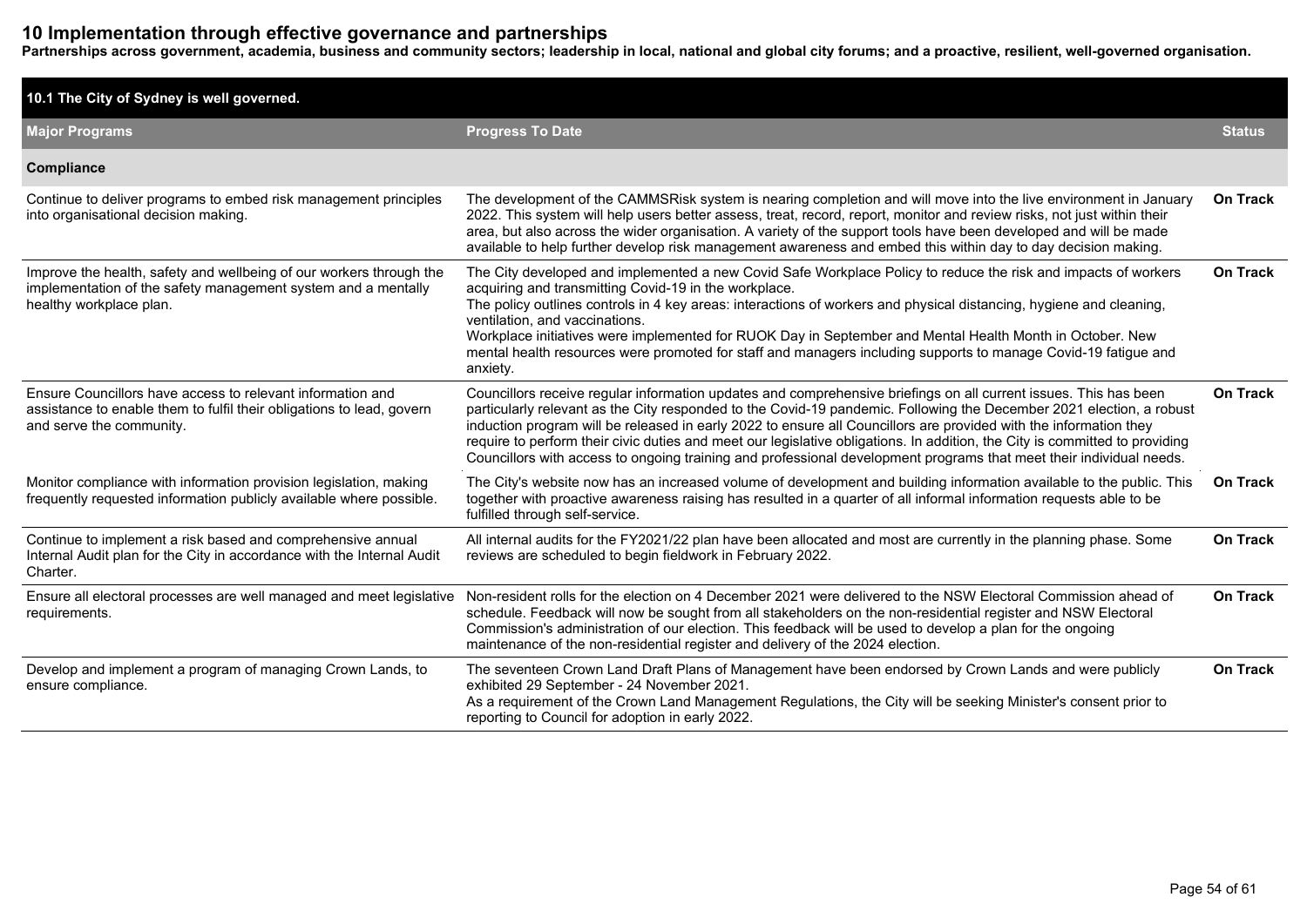## **10 Implementation through effective governance and partnerships**

**Partnerships across government, academia, business and community sectors; leadership in local, national and global city forums; and a proactive, resilient, well-governed organisation.**

| 10.1 The City of Sydney is well governed.                                                                                                                       |                                                                                                                                                                                                                                                                                                                                                                                                                                                                                                                                                                                                                     |                 |
|-----------------------------------------------------------------------------------------------------------------------------------------------------------------|---------------------------------------------------------------------------------------------------------------------------------------------------------------------------------------------------------------------------------------------------------------------------------------------------------------------------------------------------------------------------------------------------------------------------------------------------------------------------------------------------------------------------------------------------------------------------------------------------------------------|-----------------|
| <b>Major Programs</b>                                                                                                                                           | <b>Progress To Date</b>                                                                                                                                                                                                                                                                                                                                                                                                                                                                                                                                                                                             | <b>Status</b>   |
| Compliance                                                                                                                                                      |                                                                                                                                                                                                                                                                                                                                                                                                                                                                                                                                                                                                                     |                 |
| Continue to deliver programs to embed risk management principles<br>into organisational decision making.                                                        | The development of the CAMMSRisk system is nearing completion and will move into the live environment in January<br>2022. This system will help users better assess, treat, record, report, monitor and review risks, not just within their<br>area, but also across the wider organisation. A variety of the support tools have been developed and will be made<br>available to help further develop risk management awareness and embed this within day to day decision making.                                                                                                                                   | <b>On Track</b> |
| Improve the health, safety and wellbeing of our workers through the<br>implementation of the safety management system and a mentally<br>healthy workplace plan. | The City developed and implemented a new Covid Safe Workplace Policy to reduce the risk and impacts of workers<br>acquiring and transmitting Covid-19 in the workplace.<br>The policy outlines controls in 4 key areas: interactions of workers and physical distancing, hygiene and cleaning,<br>ventilation, and vaccinations.<br>Workplace initiatives were implemented for RUOK Day in September and Mental Health Month in October. New<br>mental health resources were promoted for staff and managers including supports to manage Covid-19 fatigue and<br>anxiety.                                          | <b>On Track</b> |
| Ensure Councillors have access to relevant information and<br>assistance to enable them to fulfil their obligations to lead, govern<br>and serve the community. | Councillors receive regular information updates and comprehensive briefings on all current issues. This has been<br>particularly relevant as the City responded to the Covid-19 pandemic. Following the December 2021 election, a robust<br>induction program will be released in early 2022 to ensure all Councillors are provided with the information they<br>require to perform their civic duties and meet our legislative obligations. In addition, the City is committed to providing<br>Councillors with access to ongoing training and professional development programs that meet their individual needs. | <b>On Track</b> |
| Monitor compliance with information provision legislation, making<br>frequently requested information publicly available where possible.                        | The City's website now has an increased volume of development and building information available to the public. This<br>together with proactive awareness raising has resulted in a quarter of all informal information requests able to be<br>fulfilled through self-service.                                                                                                                                                                                                                                                                                                                                      | <b>On Track</b> |
| Continue to implement a risk based and comprehensive annual<br>Internal Audit plan for the City in accordance with the Internal Audit<br>Charter.               | All internal audits for the FY2021/22 plan have been allocated and most are currently in the planning phase. Some<br>reviews are scheduled to begin fieldwork in February 2022.                                                                                                                                                                                                                                                                                                                                                                                                                                     | <b>On Track</b> |
| Ensure all electoral processes are well managed and meet legislative<br>requirements.                                                                           | Non-resident rolls for the election on 4 December 2021 were delivered to the NSW Electoral Commission ahead of<br>schedule. Feedback will now be sought from all stakeholders on the non-residential register and NSW Electoral<br>Commission's administration of our election. This feedback will be used to develop a plan for the ongoing<br>maintenance of the non-residential register and delivery of the 2024 election.                                                                                                                                                                                      | <b>On Track</b> |
| Develop and implement a program of managing Crown Lands, to<br>ensure compliance.                                                                               | The seventeen Crown Land Draft Plans of Management have been endorsed by Crown Lands and were publicly<br>exhibited 29 September - 24 November 2021.<br>As a requirement of the Crown Land Management Regulations, the City will be seeking Minister's consent prior to<br>reporting to Council for adoption in early 2022.                                                                                                                                                                                                                                                                                         | <b>On Track</b> |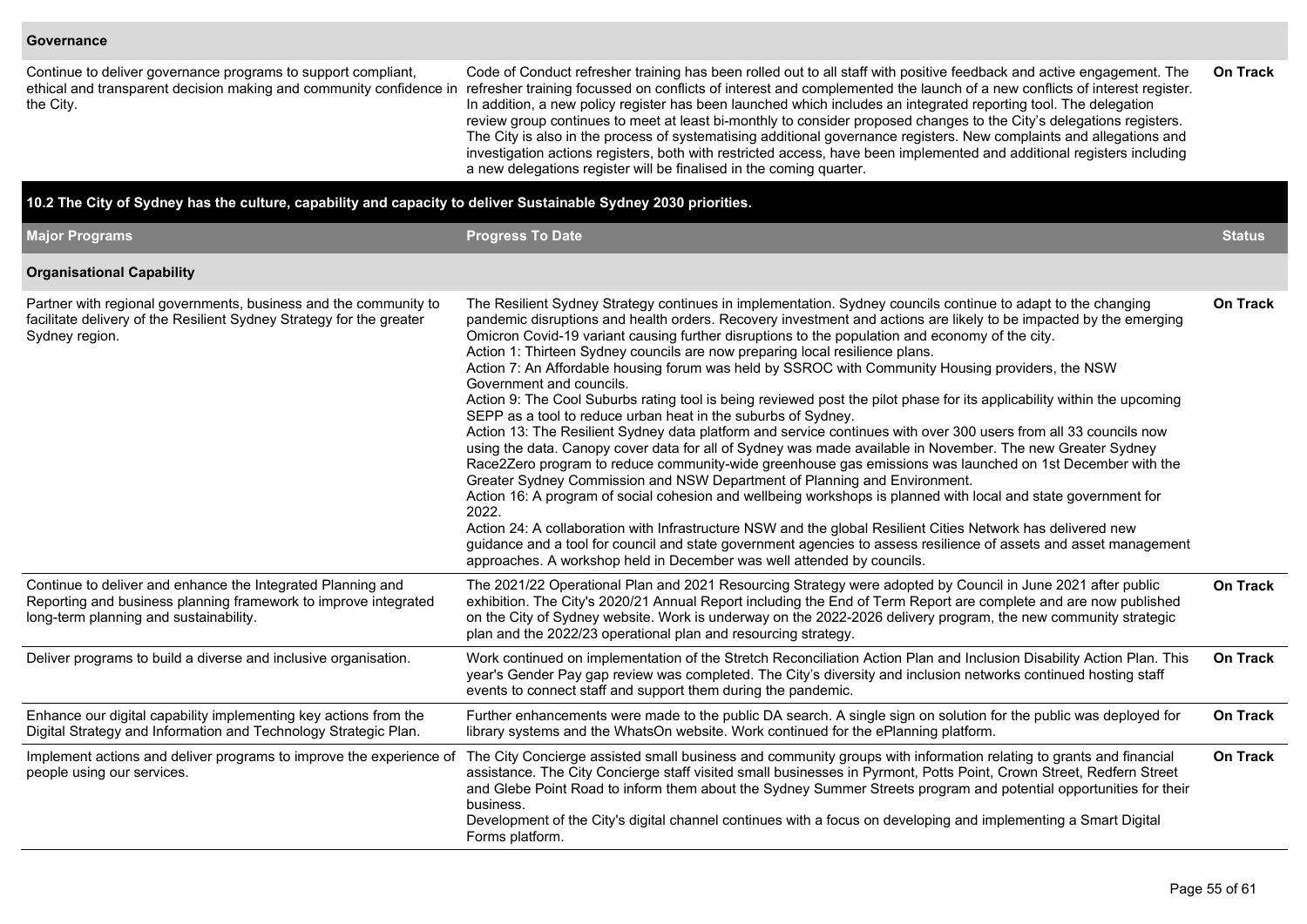#### **Governance**

| Continue to deliver governance programs to support compliant,<br>the City.                                                                                               | Code of Conduct refresher training has been rolled out to all staff with positive feedback and active engagement. The<br>ethical and transparent decision making and community confidence in refresher training focussed on conflicts of interest and complemented the launch of a new conflicts of interest register.<br>In addition, a new policy register has been launched which includes an integrated reporting tool. The delegation<br>review group continues to meet at least bi-monthly to consider proposed changes to the City's delegations registers.<br>The City is also in the process of systematising additional governance registers. New complaints and allegations and<br>investigation actions registers, both with restricted access, have been implemented and additional registers including<br>a new delegations register will be finalised in the coming quarter.                                                                                                                                                                                                                                                                                                                                                                                                                                                                                                                                                                                                                                                                                                                             | On Track        |
|--------------------------------------------------------------------------------------------------------------------------------------------------------------------------|-------------------------------------------------------------------------------------------------------------------------------------------------------------------------------------------------------------------------------------------------------------------------------------------------------------------------------------------------------------------------------------------------------------------------------------------------------------------------------------------------------------------------------------------------------------------------------------------------------------------------------------------------------------------------------------------------------------------------------------------------------------------------------------------------------------------------------------------------------------------------------------------------------------------------------------------------------------------------------------------------------------------------------------------------------------------------------------------------------------------------------------------------------------------------------------------------------------------------------------------------------------------------------------------------------------------------------------------------------------------------------------------------------------------------------------------------------------------------------------------------------------------------------------------------------------------------------------------------------------------------|-----------------|
| 10.2 The City of Sydney has the culture, capability and capacity to deliver Sustainable Sydney 2030 priorities.                                                          |                                                                                                                                                                                                                                                                                                                                                                                                                                                                                                                                                                                                                                                                                                                                                                                                                                                                                                                                                                                                                                                                                                                                                                                                                                                                                                                                                                                                                                                                                                                                                                                                                         |                 |
| <b>Major Programs</b>                                                                                                                                                    | <b>Progress To Date</b>                                                                                                                                                                                                                                                                                                                                                                                                                                                                                                                                                                                                                                                                                                                                                                                                                                                                                                                                                                                                                                                                                                                                                                                                                                                                                                                                                                                                                                                                                                                                                                                                 | <b>Status</b>   |
| <b>Organisational Capability</b>                                                                                                                                         |                                                                                                                                                                                                                                                                                                                                                                                                                                                                                                                                                                                                                                                                                                                                                                                                                                                                                                                                                                                                                                                                                                                                                                                                                                                                                                                                                                                                                                                                                                                                                                                                                         |                 |
| Partner with regional governments, business and the community to<br>facilitate delivery of the Resilient Sydney Strategy for the greater<br>Sydney region.               | The Resilient Sydney Strategy continues in implementation. Sydney councils continue to adapt to the changing<br>pandemic disruptions and health orders. Recovery investment and actions are likely to be impacted by the emerging<br>Omicron Covid-19 variant causing further disruptions to the population and economy of the city.<br>Action 1: Thirteen Sydney councils are now preparing local resilience plans.<br>Action 7: An Affordable housing forum was held by SSROC with Community Housing providers, the NSW<br>Government and councils.<br>Action 9: The Cool Suburbs rating tool is being reviewed post the pilot phase for its applicability within the upcoming<br>SEPP as a tool to reduce urban heat in the suburbs of Sydney.<br>Action 13: The Resilient Sydney data platform and service continues with over 300 users from all 33 councils now<br>using the data. Canopy cover data for all of Sydney was made available in November. The new Greater Sydney<br>Race2Zero program to reduce community-wide greenhouse gas emissions was launched on 1st December with the<br>Greater Sydney Commission and NSW Department of Planning and Environment.<br>Action 16: A program of social cohesion and wellbeing workshops is planned with local and state government for<br>2022.<br>Action 24: A collaboration with Infrastructure NSW and the global Resilient Cities Network has delivered new<br>guidance and a tool for council and state government agencies to assess resilience of assets and asset management<br>approaches. A workshop held in December was well attended by councils. | <b>On Track</b> |
| Continue to deliver and enhance the Integrated Planning and<br>Reporting and business planning framework to improve integrated<br>long-term planning and sustainability. | The 2021/22 Operational Plan and 2021 Resourcing Strategy were adopted by Council in June 2021 after public<br>exhibition. The City's 2020/21 Annual Report including the End of Term Report are complete and are now published<br>on the City of Sydney website. Work is underway on the 2022-2026 delivery program, the new community strategic<br>plan and the 2022/23 operational plan and resourcing strategy.                                                                                                                                                                                                                                                                                                                                                                                                                                                                                                                                                                                                                                                                                                                                                                                                                                                                                                                                                                                                                                                                                                                                                                                                     | <b>On Track</b> |
| Deliver programs to build a diverse and inclusive organisation.                                                                                                          | Work continued on implementation of the Stretch Reconciliation Action Plan and Inclusion Disability Action Plan. This<br>year's Gender Pay gap review was completed. The City's diversity and inclusion networks continued hosting staff<br>events to connect staff and support them during the pandemic.                                                                                                                                                                                                                                                                                                                                                                                                                                                                                                                                                                                                                                                                                                                                                                                                                                                                                                                                                                                                                                                                                                                                                                                                                                                                                                               | On Track        |
| Enhance our digital capability implementing key actions from the<br>Digital Strategy and Information and Technology Strategic Plan.                                      | Further enhancements were made to the public DA search. A single sign on solution for the public was deployed for<br>library systems and the WhatsOn website. Work continued for the ePlanning platform.                                                                                                                                                                                                                                                                                                                                                                                                                                                                                                                                                                                                                                                                                                                                                                                                                                                                                                                                                                                                                                                                                                                                                                                                                                                                                                                                                                                                                | <b>On Track</b> |
| Implement actions and deliver programs to improve the experience of<br>people using our services.                                                                        | The City Concierge assisted small business and community groups with information relating to grants and financial<br>assistance. The City Concierge staff visited small businesses in Pyrmont, Potts Point, Crown Street, Redfern Street<br>and Glebe Point Road to inform them about the Sydney Summer Streets program and potential opportunities for their<br>business.<br>Development of the City's digital channel continues with a focus on developing and implementing a Smart Digital<br>Forms platform.                                                                                                                                                                                                                                                                                                                                                                                                                                                                                                                                                                                                                                                                                                                                                                                                                                                                                                                                                                                                                                                                                                        | <b>On Track</b> |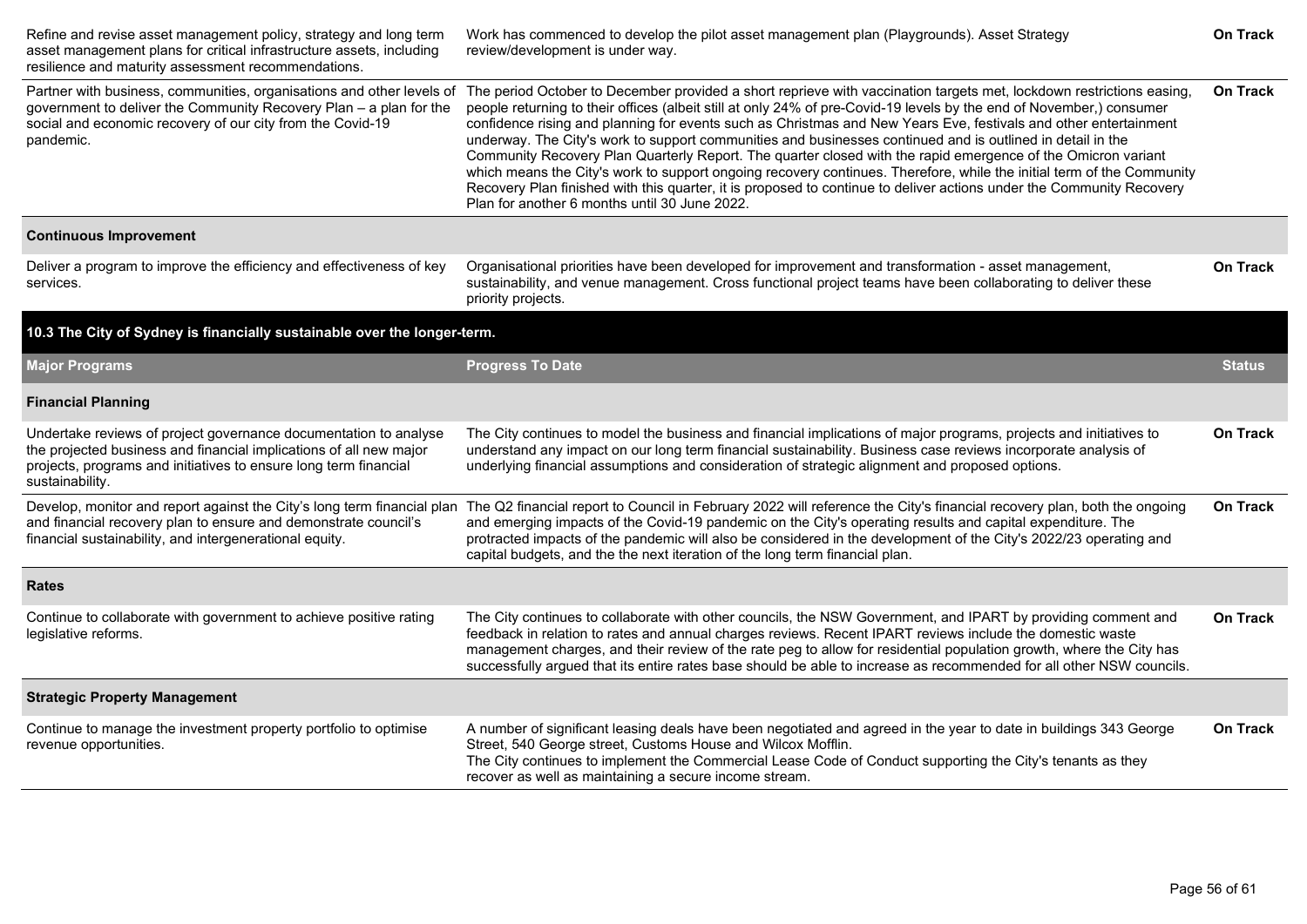| Refine and revise asset management policy, strategy and long term<br>asset management plans for critical infrastructure assets, including<br>resilience and maturity assessment recommendations.                              | Work has commenced to develop the pilot asset management plan (Playgrounds). Asset Strategy<br>review/development is under way.                                                                                                                                                                                                                                                                                                                                                                                                                                                                                                                                                                                                                                                                                                                                                                  |                 |  |  |  |  |
|-------------------------------------------------------------------------------------------------------------------------------------------------------------------------------------------------------------------------------|--------------------------------------------------------------------------------------------------------------------------------------------------------------------------------------------------------------------------------------------------------------------------------------------------------------------------------------------------------------------------------------------------------------------------------------------------------------------------------------------------------------------------------------------------------------------------------------------------------------------------------------------------------------------------------------------------------------------------------------------------------------------------------------------------------------------------------------------------------------------------------------------------|-----------------|--|--|--|--|
| Partner with business, communities, organisations and other levels of<br>government to deliver the Community Recovery Plan - a plan for the<br>social and economic recovery of our city from the Covid-19<br>pandemic.        | The period October to December provided a short reprieve with vaccination targets met, lockdown restrictions easing,<br>people returning to their offices (albeit still at only 24% of pre-Covid-19 levels by the end of November,) consumer<br>confidence rising and planning for events such as Christmas and New Years Eve, festivals and other entertainment<br>underway. The City's work to support communities and businesses continued and is outlined in detail in the<br>Community Recovery Plan Quarterly Report. The quarter closed with the rapid emergence of the Omicron variant<br>which means the City's work to support ongoing recovery continues. Therefore, while the initial term of the Community<br>Recovery Plan finished with this quarter, it is proposed to continue to deliver actions under the Community Recovery<br>Plan for another 6 months until 30 June 2022. |                 |  |  |  |  |
| <b>Continuous Improvement</b>                                                                                                                                                                                                 |                                                                                                                                                                                                                                                                                                                                                                                                                                                                                                                                                                                                                                                                                                                                                                                                                                                                                                  |                 |  |  |  |  |
| Deliver a program to improve the efficiency and effectiveness of key<br>services.                                                                                                                                             | Organisational priorities have been developed for improvement and transformation - asset management,<br>sustainability, and venue management. Cross functional project teams have been collaborating to deliver these<br>priority projects.                                                                                                                                                                                                                                                                                                                                                                                                                                                                                                                                                                                                                                                      | <b>On Track</b> |  |  |  |  |
| 10.3 The City of Sydney is financially sustainable over the longer-term.                                                                                                                                                      |                                                                                                                                                                                                                                                                                                                                                                                                                                                                                                                                                                                                                                                                                                                                                                                                                                                                                                  |                 |  |  |  |  |
| <b>Major Programs</b>                                                                                                                                                                                                         | <b>Progress To Date</b>                                                                                                                                                                                                                                                                                                                                                                                                                                                                                                                                                                                                                                                                                                                                                                                                                                                                          | <b>Status</b>   |  |  |  |  |
| <b>Financial Planning</b>                                                                                                                                                                                                     |                                                                                                                                                                                                                                                                                                                                                                                                                                                                                                                                                                                                                                                                                                                                                                                                                                                                                                  |                 |  |  |  |  |
| Undertake reviews of project governance documentation to analyse<br>the projected business and financial implications of all new major<br>projects, programs and initiatives to ensure long term financial<br>sustainability. | The City continues to model the business and financial implications of major programs, projects and initiatives to<br>understand any impact on our long term financial sustainability. Business case reviews incorporate analysis of<br>underlying financial assumptions and consideration of strategic alignment and proposed options.                                                                                                                                                                                                                                                                                                                                                                                                                                                                                                                                                          | <b>On Track</b> |  |  |  |  |
| and financial recovery plan to ensure and demonstrate council's<br>financial sustainability, and intergenerational equity.                                                                                                    | Develop, monitor and report against the City's long term financial plan The Q2 financial report to Council in February 2022 will reference the City's financial recovery plan, both the ongoing<br>and emerging impacts of the Covid-19 pandemic on the City's operating results and capital expenditure. The<br>protracted impacts of the pandemic will also be considered in the development of the City's 2022/23 operating and<br>capital budgets, and the the next iteration of the long term financial plan.                                                                                                                                                                                                                                                                                                                                                                               | <b>On Track</b> |  |  |  |  |
| <b>Rates</b>                                                                                                                                                                                                                  |                                                                                                                                                                                                                                                                                                                                                                                                                                                                                                                                                                                                                                                                                                                                                                                                                                                                                                  |                 |  |  |  |  |
| Continue to collaborate with government to achieve positive rating<br>legislative reforms.                                                                                                                                    | The City continues to collaborate with other councils, the NSW Government, and IPART by providing comment and<br>feedback in relation to rates and annual charges reviews. Recent IPART reviews include the domestic waste<br>management charges, and their review of the rate peg to allow for residential population growth, where the City has<br>successfully argued that its entire rates base should be able to increase as recommended for all other NSW councils.                                                                                                                                                                                                                                                                                                                                                                                                                        | <b>On Track</b> |  |  |  |  |
| <b>Strategic Property Management</b>                                                                                                                                                                                          |                                                                                                                                                                                                                                                                                                                                                                                                                                                                                                                                                                                                                                                                                                                                                                                                                                                                                                  |                 |  |  |  |  |
| Continue to manage the investment property portfolio to optimise<br>revenue opportunities.                                                                                                                                    | A number of significant leasing deals have been negotiated and agreed in the year to date in buildings 343 George<br>Street, 540 George street, Customs House and Wilcox Mofflin.<br>The City continues to implement the Commercial Lease Code of Conduct supporting the City's tenants as they<br>recover as well as maintaining a secure income stream.                                                                                                                                                                                                                                                                                                                                                                                                                                                                                                                                        | <b>On Track</b> |  |  |  |  |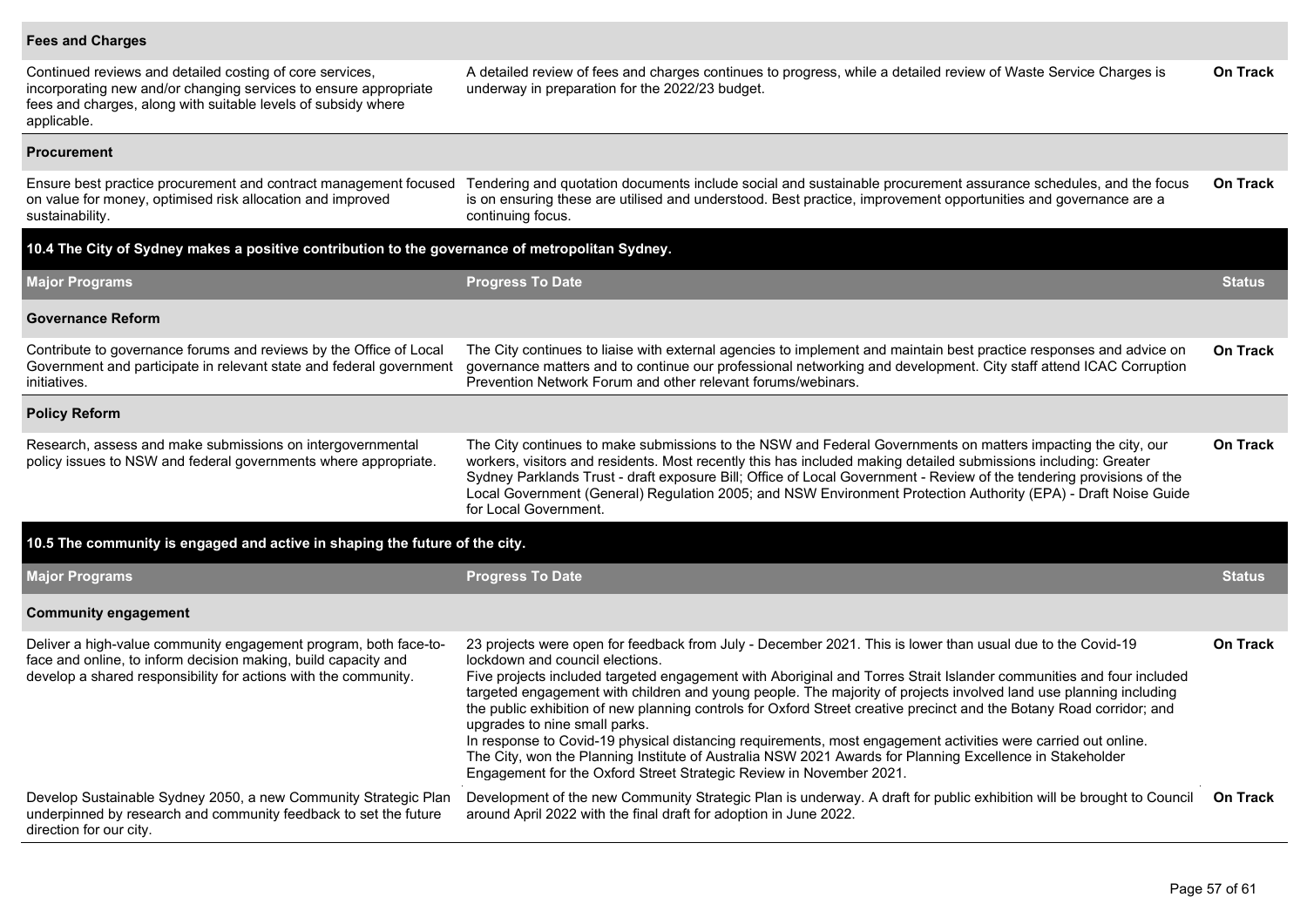#### **Fees and Charges**

| Continued reviews and detailed costing of core services,<br>incorporating new and/or changing services to ensure appropriate<br>fees and charges, along with suitable levels of subsidy where<br>applicable. | A detailed review of fees and charges continues to progress, while a detailed review of Waste Service Charges is<br>underway in preparation for the 2022/23 budget.                                                                                                                                                                                                                                                                                                                                                                                                                                                                                                                                                                                                                                                                                    | <b>On Track</b> |  |  |  |  |
|--------------------------------------------------------------------------------------------------------------------------------------------------------------------------------------------------------------|--------------------------------------------------------------------------------------------------------------------------------------------------------------------------------------------------------------------------------------------------------------------------------------------------------------------------------------------------------------------------------------------------------------------------------------------------------------------------------------------------------------------------------------------------------------------------------------------------------------------------------------------------------------------------------------------------------------------------------------------------------------------------------------------------------------------------------------------------------|-----------------|--|--|--|--|
| <b>Procurement</b>                                                                                                                                                                                           |                                                                                                                                                                                                                                                                                                                                                                                                                                                                                                                                                                                                                                                                                                                                                                                                                                                        |                 |  |  |  |  |
| Ensure best practice procurement and contract management focused<br>on value for money, optimised risk allocation and improved<br>sustainability.                                                            | Tendering and quotation documents include social and sustainable procurement assurance schedules, and the focus<br>is on ensuring these are utilised and understood. Best practice, improvement opportunities and governance are a<br>continuing focus.                                                                                                                                                                                                                                                                                                                                                                                                                                                                                                                                                                                                | <b>On Track</b> |  |  |  |  |
| 10.4 The City of Sydney makes a positive contribution to the governance of metropolitan Sydney.                                                                                                              |                                                                                                                                                                                                                                                                                                                                                                                                                                                                                                                                                                                                                                                                                                                                                                                                                                                        |                 |  |  |  |  |
| <b>Major Programs</b>                                                                                                                                                                                        | <b>Progress To Date</b>                                                                                                                                                                                                                                                                                                                                                                                                                                                                                                                                                                                                                                                                                                                                                                                                                                | <b>Status</b>   |  |  |  |  |
| <b>Governance Reform</b>                                                                                                                                                                                     |                                                                                                                                                                                                                                                                                                                                                                                                                                                                                                                                                                                                                                                                                                                                                                                                                                                        |                 |  |  |  |  |
| Contribute to governance forums and reviews by the Office of Local<br>Government and participate in relevant state and federal government<br>initiatives.                                                    | The City continues to liaise with external agencies to implement and maintain best practice responses and advice on<br>governance matters and to continue our professional networking and development. City staff attend ICAC Corruption<br>Prevention Network Forum and other relevant forums/webinars.                                                                                                                                                                                                                                                                                                                                                                                                                                                                                                                                               | <b>On Track</b> |  |  |  |  |
| <b>Policy Reform</b>                                                                                                                                                                                         |                                                                                                                                                                                                                                                                                                                                                                                                                                                                                                                                                                                                                                                                                                                                                                                                                                                        |                 |  |  |  |  |
| Research, assess and make submissions on intergovernmental<br>policy issues to NSW and federal governments where appropriate.                                                                                | The City continues to make submissions to the NSW and Federal Governments on matters impacting the city, our<br>workers, visitors and residents. Most recently this has included making detailed submissions including: Greater<br>Sydney Parklands Trust - draft exposure Bill; Office of Local Government - Review of the tendering provisions of the<br>Local Government (General) Regulation 2005; and NSW Environment Protection Authority (EPA) - Draft Noise Guide<br>for Local Government.                                                                                                                                                                                                                                                                                                                                                     |                 |  |  |  |  |
| 10.5 The community is engaged and active in shaping the future of the city.                                                                                                                                  |                                                                                                                                                                                                                                                                                                                                                                                                                                                                                                                                                                                                                                                                                                                                                                                                                                                        |                 |  |  |  |  |
| <b>Major Programs</b>                                                                                                                                                                                        | <b>Progress To Date</b>                                                                                                                                                                                                                                                                                                                                                                                                                                                                                                                                                                                                                                                                                                                                                                                                                                | <b>Status</b>   |  |  |  |  |
| <b>Community engagement</b>                                                                                                                                                                                  |                                                                                                                                                                                                                                                                                                                                                                                                                                                                                                                                                                                                                                                                                                                                                                                                                                                        |                 |  |  |  |  |
| Deliver a high-value community engagement program, both face-to-<br>face and online, to inform decision making, build capacity and<br>develop a shared responsibility for actions with the community.        | 23 projects were open for feedback from July - December 2021. This is lower than usual due to the Covid-19<br>lockdown and council elections.<br>Five projects included targeted engagement with Aboriginal and Torres Strait Islander communities and four included<br>targeted engagement with children and young people. The majority of projects involved land use planning including<br>the public exhibition of new planning controls for Oxford Street creative precinct and the Botany Road corridor; and<br>upgrades to nine small parks.<br>In response to Covid-19 physical distancing requirements, most engagement activities were carried out online.<br>The City, won the Planning Institute of Australia NSW 2021 Awards for Planning Excellence in Stakeholder<br>Engagement for the Oxford Street Strategic Review in November 2021. | <b>On Track</b> |  |  |  |  |
| Develop Sustainable Sydney 2050, a new Community Strategic Plan<br>underpinned by research and community feedback to set the future<br>direction for our city.                                               | Development of the new Community Strategic Plan is underway. A draft for public exhibition will be brought to Council<br>around April 2022 with the final draft for adoption in June 2022.                                                                                                                                                                                                                                                                                                                                                                                                                                                                                                                                                                                                                                                             | <b>On Track</b> |  |  |  |  |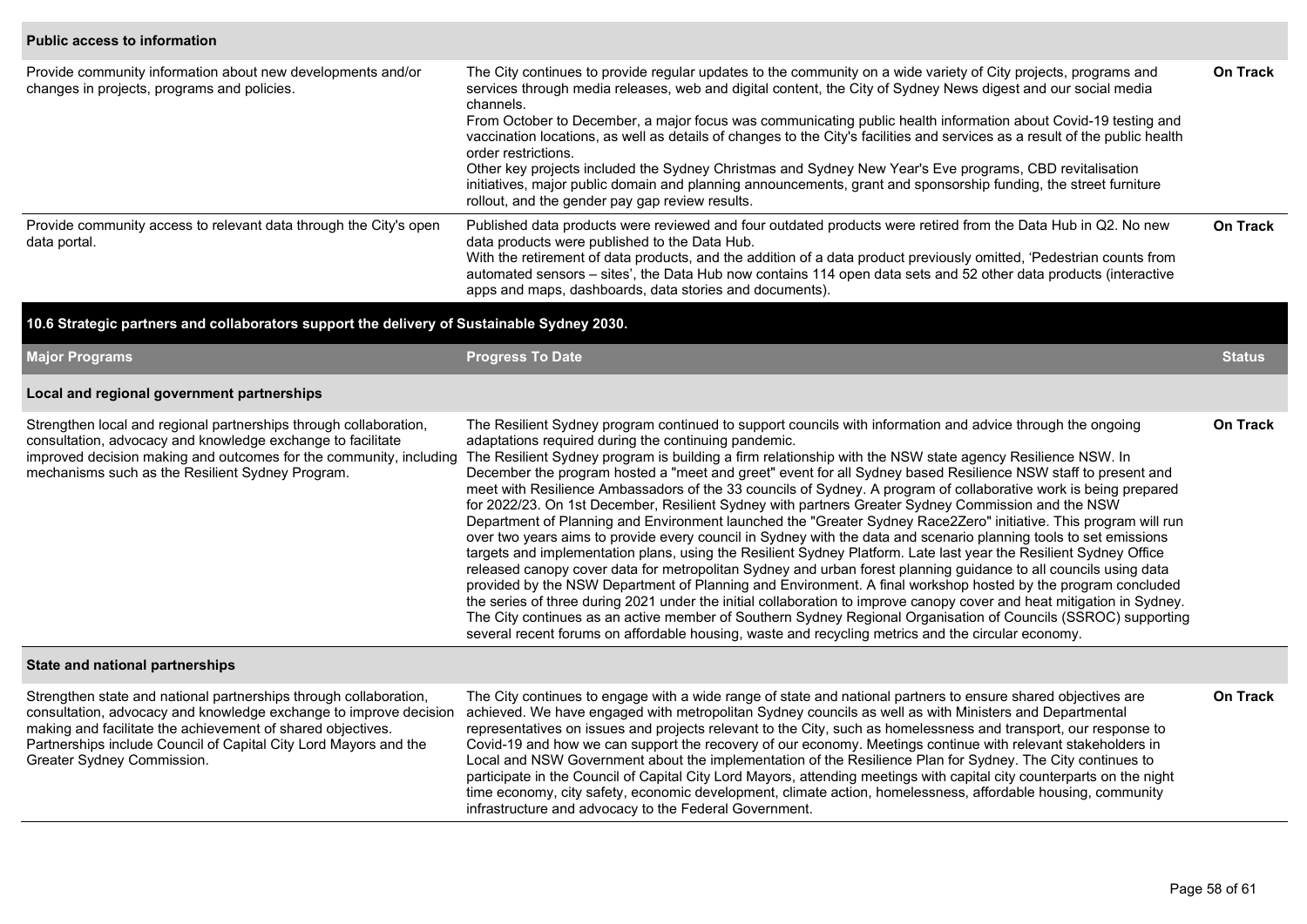#### **Public access to information**

| Provide community information about new developments and/or<br>changes in projects, programs and policies. | The City continues to provide regular updates to the community on a wide variety of City projects, programs and<br>services through media releases, web and digital content, the City of Sydney News digest and our social media<br>channels.<br>From October to December, a major focus was communicating public health information about Covid-19 testing and<br>vaccination locations, as well as details of changes to the City's facilities and services as a result of the public health<br>order restrictions.<br>Other key projects included the Sydney Christmas and Sydney New Year's Eve programs, CBD revitalisation<br>initiatives, major public domain and planning announcements, grant and sponsorship funding, the street furniture<br>rollout, and the gender pay gap review results. | <b>On Track</b> |
|------------------------------------------------------------------------------------------------------------|---------------------------------------------------------------------------------------------------------------------------------------------------------------------------------------------------------------------------------------------------------------------------------------------------------------------------------------------------------------------------------------------------------------------------------------------------------------------------------------------------------------------------------------------------------------------------------------------------------------------------------------------------------------------------------------------------------------------------------------------------------------------------------------------------------|-----------------|
| Provide community access to relevant data through the City's open<br>data portal.                          | Published data products were reviewed and four outdated products were retired from the Data Hub in Q2. No new<br>data products were published to the Data Hub.<br>With the retirement of data products, and the addition of a data product previously omitted, 'Pedestrian counts from<br>automated sensors – sites', the Data Hub now contains 114 open data sets and 52 other data products (interactive<br>apps and maps, dashboards, data stories and documents).                                                                                                                                                                                                                                                                                                                                   | <b>On Track</b> |

#### **10.6 Strategic partners and collaborators support the delivery of Sustainable Sydney 2030.**

| <b>Major Programs</b>                                                                                                                                                                                                                                                                                   | <b>Progress To Date</b>                                                                                                                                                                                                                                                                                                                                                                                                                                                                                                                                                                                                                                                                                                                                                                                                                                                                                                                                                                                                                                                                                                                                                                                                                                                                                                                                                                                                                                                  |          |  |  |  |  |
|---------------------------------------------------------------------------------------------------------------------------------------------------------------------------------------------------------------------------------------------------------------------------------------------------------|--------------------------------------------------------------------------------------------------------------------------------------------------------------------------------------------------------------------------------------------------------------------------------------------------------------------------------------------------------------------------------------------------------------------------------------------------------------------------------------------------------------------------------------------------------------------------------------------------------------------------------------------------------------------------------------------------------------------------------------------------------------------------------------------------------------------------------------------------------------------------------------------------------------------------------------------------------------------------------------------------------------------------------------------------------------------------------------------------------------------------------------------------------------------------------------------------------------------------------------------------------------------------------------------------------------------------------------------------------------------------------------------------------------------------------------------------------------------------|----------|--|--|--|--|
| Local and regional government partnerships                                                                                                                                                                                                                                                              |                                                                                                                                                                                                                                                                                                                                                                                                                                                                                                                                                                                                                                                                                                                                                                                                                                                                                                                                                                                                                                                                                                                                                                                                                                                                                                                                                                                                                                                                          |          |  |  |  |  |
| Strengthen local and regional partnerships through collaboration,<br>consultation, advocacy and knowledge exchange to facilitate<br>improved decision making and outcomes for the community, including<br>mechanisms such as the Resilient Sydney Program.                                              | The Resilient Sydney program continued to support councils with information and advice through the ongoing<br>adaptations required during the continuing pandemic.<br>The Resilient Sydney program is building a firm relationship with the NSW state agency Resilience NSW. In<br>December the program hosted a "meet and greet" event for all Sydney based Resilience NSW staff to present and<br>meet with Resilience Ambassadors of the 33 councils of Sydney. A program of collaborative work is being prepared<br>for 2022/23. On 1st December, Resilient Sydney with partners Greater Sydney Commission and the NSW<br>Department of Planning and Environment launched the "Greater Sydney Race2Zero" initiative. This program will run<br>over two years aims to provide every council in Sydney with the data and scenario planning tools to set emissions<br>targets and implementation plans, using the Resilient Sydney Platform. Late last year the Resilient Sydney Office<br>released canopy cover data for metropolitan Sydney and urban forest planning guidance to all councils using data<br>provided by the NSW Department of Planning and Environment. A final workshop hosted by the program concluded<br>the series of three during 2021 under the initial collaboration to improve canopy cover and heat mitigation in Sydney.<br>The City continues as an active member of Southern Sydney Regional Organisation of Councils (SSROC) supporting |          |  |  |  |  |
| State and national partnerships                                                                                                                                                                                                                                                                         |                                                                                                                                                                                                                                                                                                                                                                                                                                                                                                                                                                                                                                                                                                                                                                                                                                                                                                                                                                                                                                                                                                                                                                                                                                                                                                                                                                                                                                                                          |          |  |  |  |  |
| Strengthen state and national partnerships through collaboration,<br>consultation, advocacy and knowledge exchange to improve decision<br>making and facilitate the achievement of shared objectives.<br>Partnerships include Council of Capital City Lord Mayors and the<br>Greater Sydney Commission. | The City continues to engage with a wide range of state and national partners to ensure shared objectives are<br>achieved. We have engaged with metropolitan Sydney councils as well as with Ministers and Departmental<br>representatives on issues and projects relevant to the City, such as homelessness and transport, our response to<br>Covid-19 and how we can support the recovery of our economy. Meetings continue with relevant stakeholders in<br>Local and NSW Government about the implementation of the Resilience Plan for Sydney. The City continues to<br>participate in the Council of Capital City Lord Mayors, attending meetings with capital city counterparts on the night<br>time economy, city safety, economic development, climate action, homelessness, affordable housing, community                                                                                                                                                                                                                                                                                                                                                                                                                                                                                                                                                                                                                                                      | On Track |  |  |  |  |

infrastructure and advocacy to the Federal Government.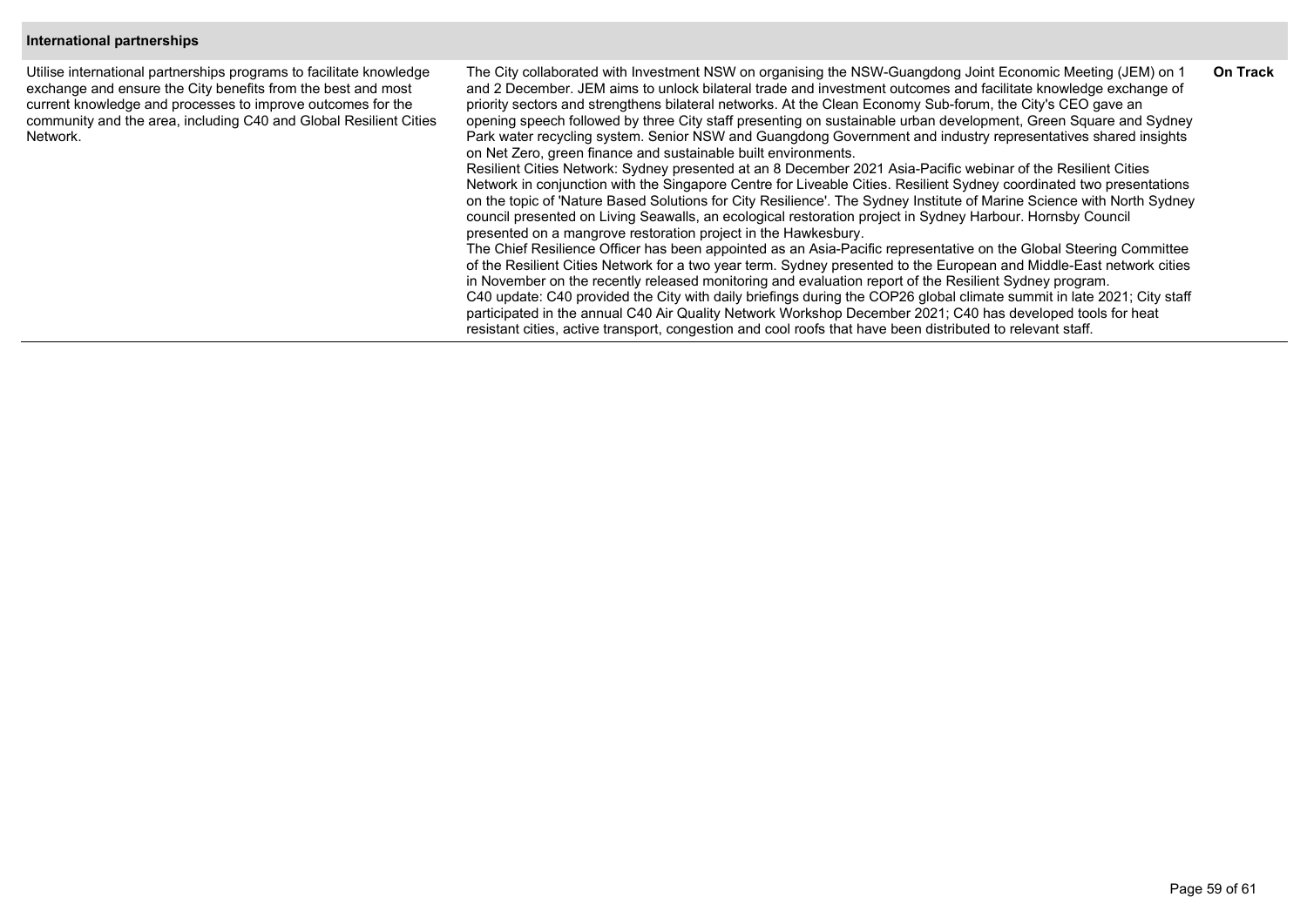#### **International partnerships**

Utilise international partnerships programs to facilitate knowledge exchange and ensure the City benefits from the best and most current knowledge and processes to improve outcomes for the community and the area, including C40 and Global Resilient Cities Network.

The City collaborated with Investment NSW on organising the NSW-Guangdong Joint Economic Meeting (JEM) on 1 and 2 December. JEM aims to unlock bilateral trade and investment outcomes and facilitate knowledge exchange of priority sectors and strengthens bilateral networks. At the Clean Economy Sub-forum, the City's CEO gave an opening speech followed by three City staff presenting on sustainable urban development, Green Square and Sydney Park water recycling system. Senior NSW and Guangdong Government and industry representatives shared insights on Net Zero, green finance and sustainable built environments. Resilient Cities Network: Sydney presented at an 8 December 2021 Asia-Pacific webinar of the Resilient Cities Network in conjunction with the Singapore Centre for Liveable Cities. Resilient Sydney coordinated two presentations on the topic of 'Nature Based Solutions for City Resilience'. The Sydney Institute of Marine Science with North Sydney council presented on Living Seawalls, an ecological restoration project in Sydney Harbour. Hornsby Council presented on a mangrove restoration project in the Hawkesbury. The Chief Resilience Officer has been appointed as an Asia-Pacific representative on the Global Steering Committee of the Resilient Cities Network for a two year term. Sydney presented to the European and Middle-East network cities in November on the recently released monitoring and evaluation report of the Resilient Sydney program. **On Track**

C40 update: C40 provided the City with daily briefings during the COP26 global climate summit in late 2021; City staff participated in the annual C40 Air Quality Network Workshop December 2021; C40 has developed tools for heat resistant cities, active transport, congestion and cool roofs that have been distributed to relevant staff.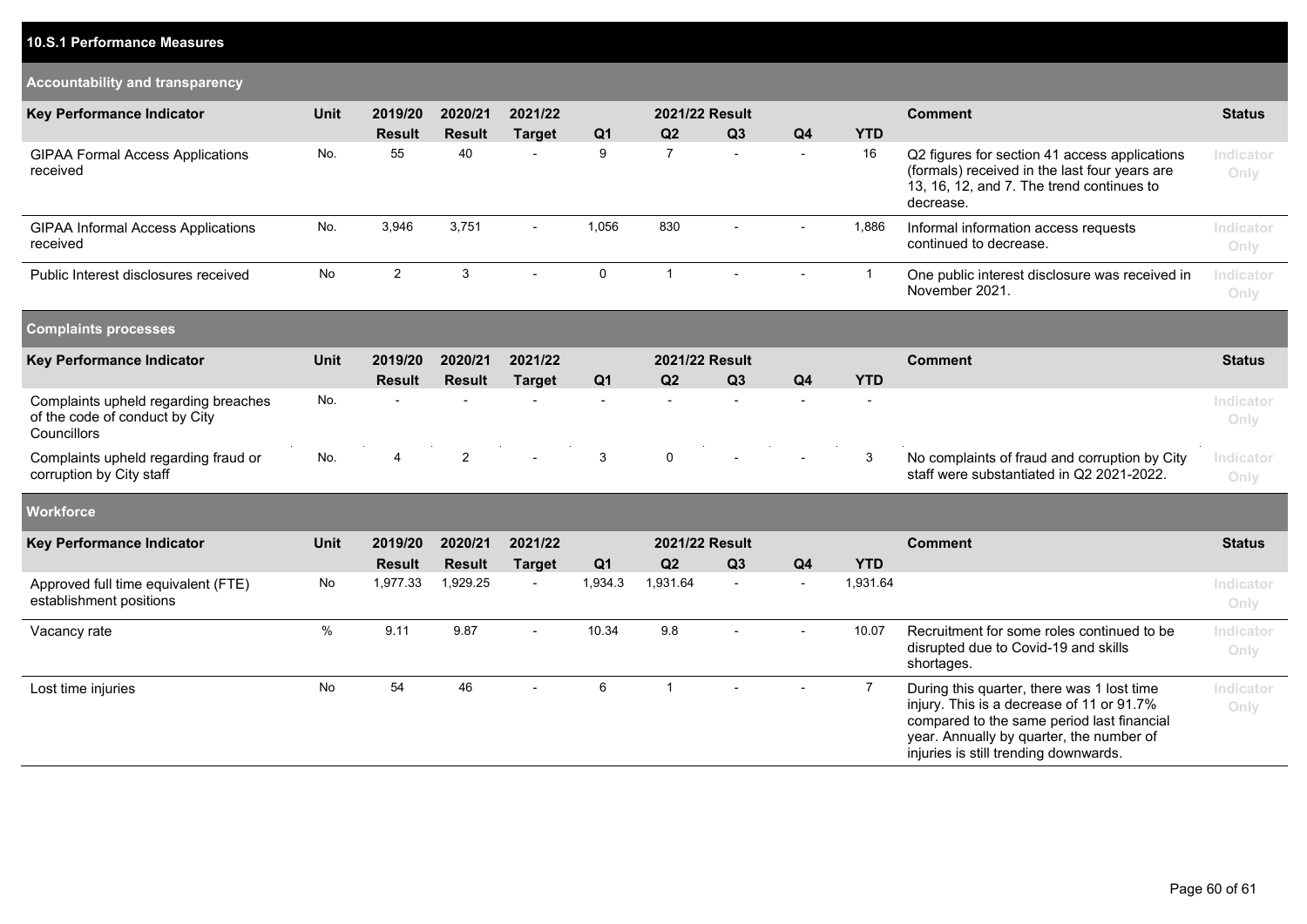### **10.S.1 Performance Measures**

| Accountability and transparency |  |
|---------------------------------|--|
|---------------------------------|--|

| <b>Key Performance Indicator</b>                                                      | <b>Unit</b> | 2019/20        | 2020/21        | 2021/22                  |                  | 2021/22 Result      |        |                          |                | <b>Comment</b>                                                                                                                                                                                                             | <b>Status</b>     |
|---------------------------------------------------------------------------------------|-------------|----------------|----------------|--------------------------|------------------|---------------------|--------|--------------------------|----------------|----------------------------------------------------------------------------------------------------------------------------------------------------------------------------------------------------------------------------|-------------------|
|                                                                                       |             | <b>Result</b>  | <b>Result</b>  | <b>Target</b>            | Q <sub>1</sub>   | Q2                  | Q3     | Q <sub>4</sub>           | <b>YTD</b>     |                                                                                                                                                                                                                            |                   |
| <b>GIPAA Formal Access Applications</b><br>received                                   | No.         | 55             | 40             |                          | $\boldsymbol{9}$ | $\overline{7}$      |        | $\overline{\phantom{a}}$ | 16             | Q2 figures for section 41 access applications<br>(formals) received in the last four years are<br>13, 16, 12, and 7. The trend continues to<br>decrease.                                                                   | Indicator<br>Only |
| <b>GIPAA Informal Access Applications</b><br>received                                 | No.         | 3,946          | 3,751          | $\overline{\phantom{a}}$ | 1,056            | 830                 |        |                          | 1,886          | Informal information access requests<br>continued to decrease.                                                                                                                                                             | Indicator<br>Only |
| Public Interest disclosures received                                                  | No          | $\overline{2}$ | 3              |                          | $\mathbf 0$      | $\mathbf{1}$        |        |                          | $\overline{1}$ | One public interest disclosure was received in<br>November 2021.                                                                                                                                                           | Indicator<br>Only |
| <b>Complaints processes</b>                                                           |             |                |                |                          |                  |                     |        |                          |                |                                                                                                                                                                                                                            |                   |
| <b>Key Performance Indicator</b>                                                      | <b>Unit</b> | 2019/20        | 2020/21        | 2021/22                  |                  | 2021/22 Result      |        |                          |                | <b>Comment</b>                                                                                                                                                                                                             | <b>Status</b>     |
|                                                                                       |             | <b>Result</b>  | <b>Result</b>  | <b>Target</b>            | Q <sub>1</sub>   | Q2                  | Q3     | Q <sub>4</sub>           | <b>YTD</b>     |                                                                                                                                                                                                                            |                   |
| Complaints upheld regarding breaches<br>of the code of conduct by City<br>Councillors | No.         |                |                |                          |                  |                     |        |                          |                |                                                                                                                                                                                                                            | Indicator<br>Only |
| Complaints upheld regarding fraud or<br>corruption by City staff                      | No.         | 4              | $\overline{c}$ | ÷,                       | $\mathbf{3}$     | $\mathsf{O}\xspace$ |        |                          | 3              | No complaints of fraud and corruption by City<br>staff were substantiated in Q2 2021-2022.                                                                                                                                 | Indicator<br>Only |
| <b>Workforce</b>                                                                      |             |                |                |                          |                  |                     |        |                          |                |                                                                                                                                                                                                                            |                   |
| <b>Key Performance Indicator</b>                                                      | <b>Unit</b> | 2019/20        | 2020/21        | 2021/22                  |                  | 2021/22 Result      |        |                          |                | <b>Comment</b>                                                                                                                                                                                                             | <b>Status</b>     |
|                                                                                       |             | <b>Result</b>  | <b>Result</b>  | <b>Target</b>            | Q <sub>1</sub>   | Q2                  | Q3     | Q <sub>4</sub>           | <b>YTD</b>     |                                                                                                                                                                                                                            |                   |
| Approved full time equivalent (FTE)<br>establishment positions                        | No          | 1,977.33       | 1,929.25       | $\overline{\phantom{a}}$ | 1,934.3          | 1,931.64            | $\sim$ | $\sim$                   | 1,931.64       |                                                                                                                                                                                                                            | Indicator<br>Only |
| Vacancy rate                                                                          | $\%$        | 9.11           | 9.87           | $\overline{a}$           | 10.34            | 9.8                 |        |                          | 10.07          | Recruitment for some roles continued to be<br>disrupted due to Covid-19 and skills<br>shortages.                                                                                                                           | Indicator<br>Only |
| Lost time injuries                                                                    | <b>No</b>   | 54             | 46             | $\overline{a}$           | 6                | $\mathbf{1}$        |        |                          | $\overline{7}$ | During this quarter, there was 1 lost time<br>injury. This is a decrease of 11 or 91.7%<br>compared to the same period last financial<br>year. Annually by quarter, the number of<br>injuries is still trending downwards. | Indicator<br>Only |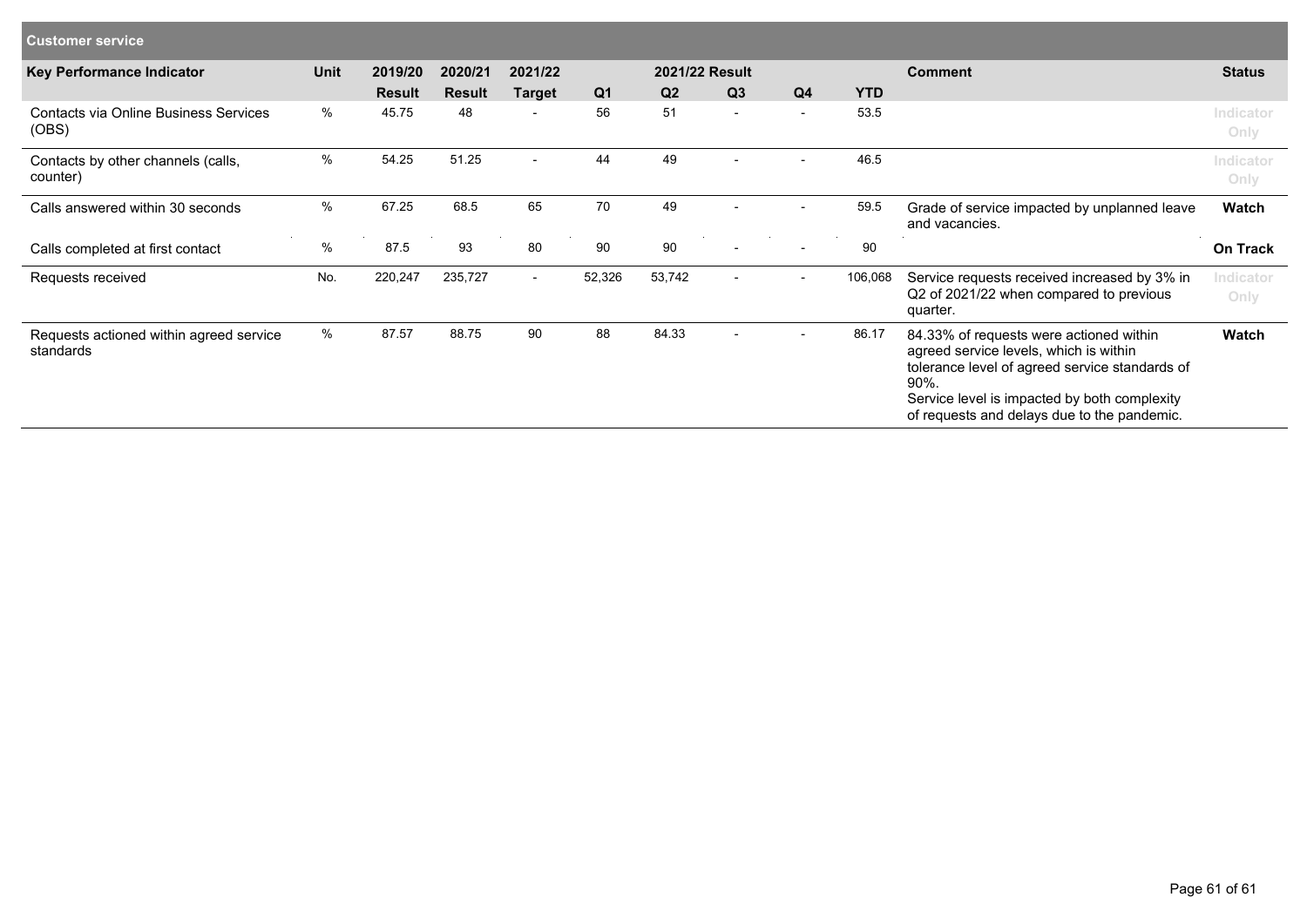| <b>Customer service</b>                              |             |               |               |                |                |        |                          |                          |            |                                                                                                                                                                                                                                                |                   |
|------------------------------------------------------|-------------|---------------|---------------|----------------|----------------|--------|--------------------------|--------------------------|------------|------------------------------------------------------------------------------------------------------------------------------------------------------------------------------------------------------------------------------------------------|-------------------|
| Key Performance Indicator                            | <b>Unit</b> | 2019/20       | 2020/21       | 2021/22        | 2021/22 Result |        |                          |                          |            | <b>Comment</b>                                                                                                                                                                                                                                 | <b>Status</b>     |
|                                                      |             | <b>Result</b> | <b>Result</b> | <b>Target</b>  | Q <sub>1</sub> | Q2     | Q <sub>3</sub>           | Q <sub>4</sub>           | <b>YTD</b> |                                                                                                                                                                                                                                                |                   |
| Contacts via Online Business Services<br>(OBS)       | %           | 45.75         | 48            | $\blacksquare$ | 56             | 51     | $\blacksquare$           | $\overline{\phantom{a}}$ | 53.5       |                                                                                                                                                                                                                                                | Indicator<br>Only |
| Contacts by other channels (calls,<br>counter)       | $\%$        | 54.25         | 51.25         | $\sim$         | 44             | 49     | $\overline{\phantom{a}}$ | $\overline{\phantom{a}}$ | 46.5       |                                                                                                                                                                                                                                                | Indicator<br>Only |
| Calls answered within 30 seconds                     | $\%$        | 67.25         | 68.5          | 65             | 70             | 49     |                          |                          | 59.5       | Grade of service impacted by unplanned leave<br>and vacancies.                                                                                                                                                                                 | Watch             |
| Calls completed at first contact                     | $\%$        | 87.5          | 93            | 80             | 90             | 90     |                          |                          | 90         |                                                                                                                                                                                                                                                | <b>On Track</b>   |
| Requests received                                    | No.         | 220,247       | 235,727       | $\sim$         | 52,326         | 53,742 | $\overline{\phantom{a}}$ | $\overline{\phantom{a}}$ | 106,068    | Service requests received increased by 3% in<br>Q2 of 2021/22 when compared to previous<br>quarter.                                                                                                                                            | Indicator<br>Only |
| Requests actioned within agreed service<br>standards | %           | 87.57         | 88.75         | 90             | 88             | 84.33  |                          |                          | 86.17      | 84.33% of requests were actioned within<br>agreed service levels, which is within<br>tolerance level of agreed service standards of<br>$90\%$ .<br>Service level is impacted by both complexity<br>of requests and delays due to the pandemic. | Watch             |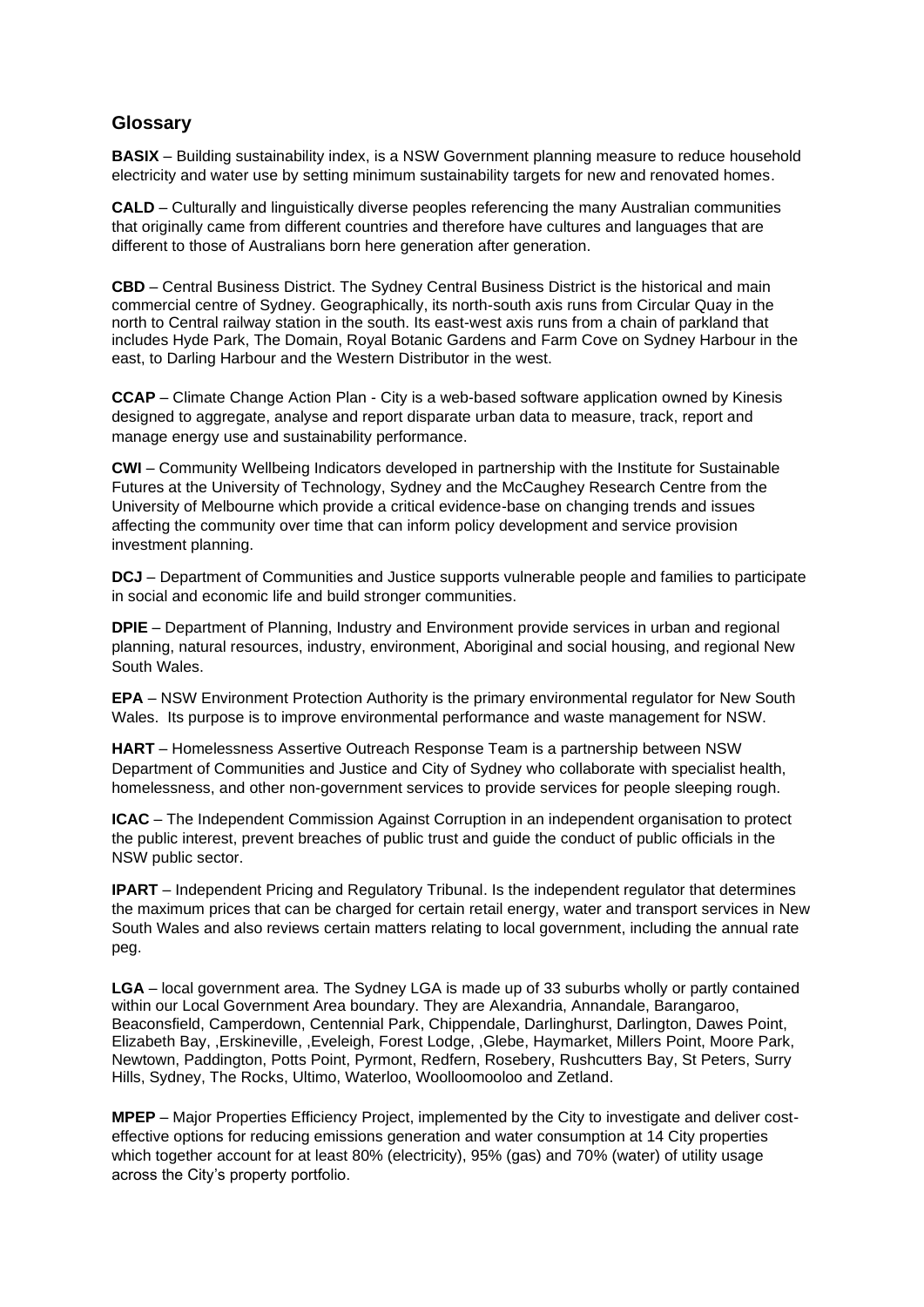### **Glossary**

**BASIX** – Building sustainability index, is a NSW Government planning measure to reduce household electricity and water use by setting minimum sustainability targets for new and renovated homes.

**CALD** – Culturally and linguistically diverse peoples referencing the many Australian communities that originally came from different countries and therefore have cultures and languages that are different to those of Australians born here generation after generation.

**CBD** – Central Business District. The Sydney Central Business District is the historical and main commercial centre of Sydney. Geographically, its north-south axis runs from Circular Quay in the north to Central railway station in the south. Its east-west axis runs from a chain of parkland that includes Hyde Park, The Domain, Royal Botanic Gardens and Farm Cove on Sydney Harbour in the east, to Darling Harbour and the Western Distributor in the west.

**CCAP** – Climate Change Action Plan - City is a web-based software application owned by Kinesis designed to aggregate, analyse and report disparate urban data to measure, track, report and manage energy use and sustainability performance.

**CWI** – Community Wellbeing Indicators developed in partnership with the Institute for Sustainable Futures at the University of Technology, Sydney and the McCaughey Research Centre from the University of Melbourne which provide a critical evidence-base on changing trends and issues affecting the community over time that can inform policy development and service provision investment planning.

**DCJ** – Department of Communities and Justice supports vulnerable people and families to participate in social and economic life and build stronger communities.

**DPIE** – Department of Planning, Industry and Environment provide services in urban and regional planning, natural resources, industry, environment, Aboriginal and social housing, and regional New South Wales.

**EPA** – NSW Environment Protection Authority is the primary environmental regulator for New South Wales. Its purpose is to improve environmental performance and waste management for NSW.

**HART** – Homelessness Assertive Outreach Response Team is a partnership between NSW Department of Communities and Justice and City of Sydney who collaborate with specialist health, homelessness, and other non-government services to provide services for people sleeping rough.

**ICAC** – The Independent Commission Against Corruption in an independent organisation to protect the public interest, prevent breaches of public trust and guide the conduct of public officials in the NSW public sector.

**IPART** – Independent Pricing and Regulatory Tribunal. Is the independent regulator that determines the maximum prices that can be charged for certain retail energy, water and transport services in New South Wales and also reviews certain matters relating to local government, including the annual rate peg.

**LGA** – local government area. The Sydney LGA is made up of 33 suburbs wholly or partly contained within our Local Government Area boundary. They are Alexandria, Annandale, Barangaroo, Beaconsfield, Camperdown, Centennial Park, Chippendale, Darlinghurst, Darlington, Dawes Point, Elizabeth Bay, ,Erskineville, ,Eveleigh, Forest Lodge, ,Glebe, Haymarket, Millers Point, Moore Park, Newtown, Paddington, Potts Point, Pyrmont, Redfern, Rosebery, Rushcutters Bay, St Peters, Surry Hills, Sydney, The Rocks, Ultimo, Waterloo, Woolloomooloo and Zetland.

**MPEP** – Major Properties Efficiency Project, implemented by the City to investigate and deliver costeffective options for reducing emissions generation and water consumption at 14 City properties which together account for at least 80% (electricity), 95% (gas) and 70% (water) of utility usage across the City's property portfolio.